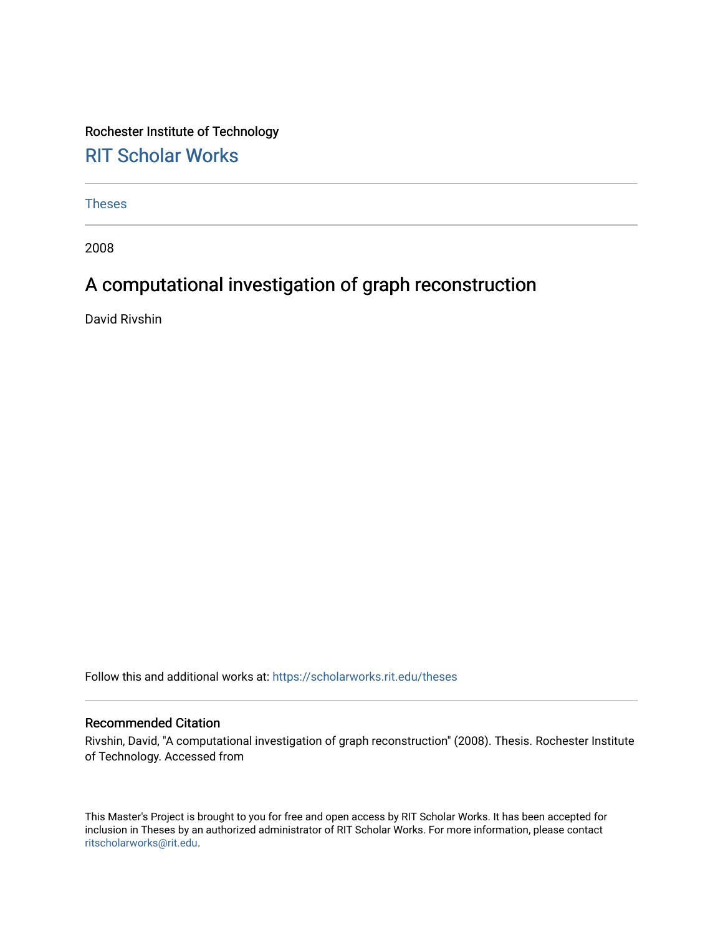Rochester Institute of Technology [RIT Scholar Works](https://scholarworks.rit.edu/)

[Theses](https://scholarworks.rit.edu/theses) 

2008

# A computational investigation of graph reconstruction

David Rivshin

Follow this and additional works at: [https://scholarworks.rit.edu/theses](https://scholarworks.rit.edu/theses?utm_source=scholarworks.rit.edu%2Ftheses%2F6932&utm_medium=PDF&utm_campaign=PDFCoverPages) 

#### Recommended Citation

Rivshin, David, "A computational investigation of graph reconstruction" (2008). Thesis. Rochester Institute of Technology. Accessed from

This Master's Project is brought to you for free and open access by RIT Scholar Works. It has been accepted for inclusion in Theses by an authorized administrator of RIT Scholar Works. For more information, please contact [ritscholarworks@rit.edu](mailto:ritscholarworks@rit.edu).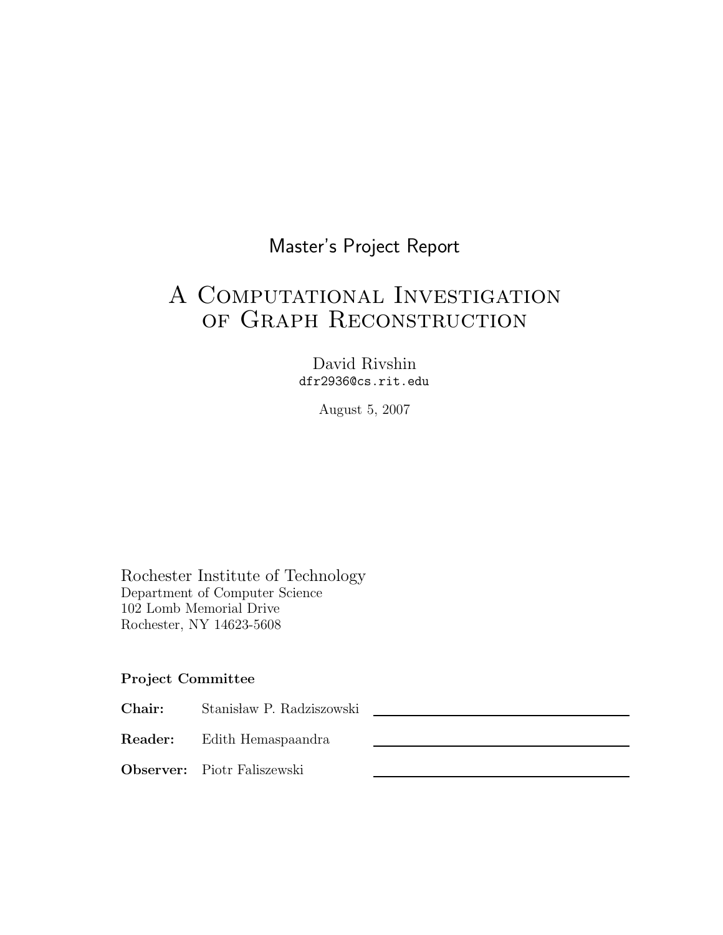# Master's Project Report

# A Computational Investigation of Graph Reconstruction

David Rivshin dfr2936@cs.rit.edu

August 5, 2007

Rochester Institute of Technology Department of Computer Science 102 Lomb Memorial Drive Rochester, NY 14623-5608

### Project Committee

Chair: Stanisław P. Radziszowski

Reader: Edith Hemaspaandra

Observer: Piotr Faliszewski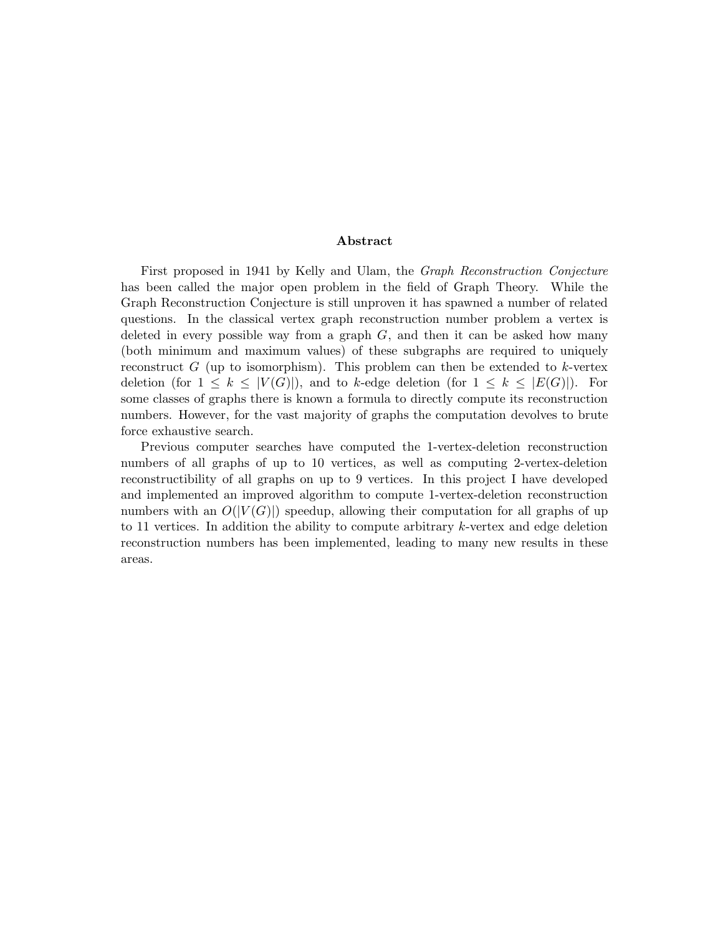#### Abstract

First proposed in 1941 by Kelly and Ulam, the Graph Reconstruction Conjecture has been called the major open problem in the field of Graph Theory. While the Graph Reconstruction Conjecture is still unproven it has spawned a number of related questions. In the classical vertex graph reconstruction number problem a vertex is deleted in every possible way from a graph  $G$ , and then it can be asked how many (both minimum and maximum values) of these subgraphs are required to uniquely reconstruct G (up to isomorphism). This problem can then be extended to  $k$ -vertex deletion (for  $1 \leq k \leq |V(G)|$ ), and to k-edge deletion (for  $1 \leq k \leq |E(G)|$ ). For some classes of graphs there is known a formula to directly compute its reconstruction numbers. However, for the vast majority of graphs the computation devolves to brute force exhaustive search.

Previous computer searches have computed the 1-vertex-deletion reconstruction numbers of all graphs of up to 10 vertices, as well as computing 2-vertex-deletion reconstructibility of all graphs on up to 9 vertices. In this project I have developed and implemented an improved algorithm to compute 1-vertex-deletion reconstruction numbers with an  $O(|V(G)|)$  speedup, allowing their computation for all graphs of up to 11 vertices. In addition the ability to compute arbitrary k-vertex and edge deletion reconstruction numbers has been implemented, leading to many new results in these areas.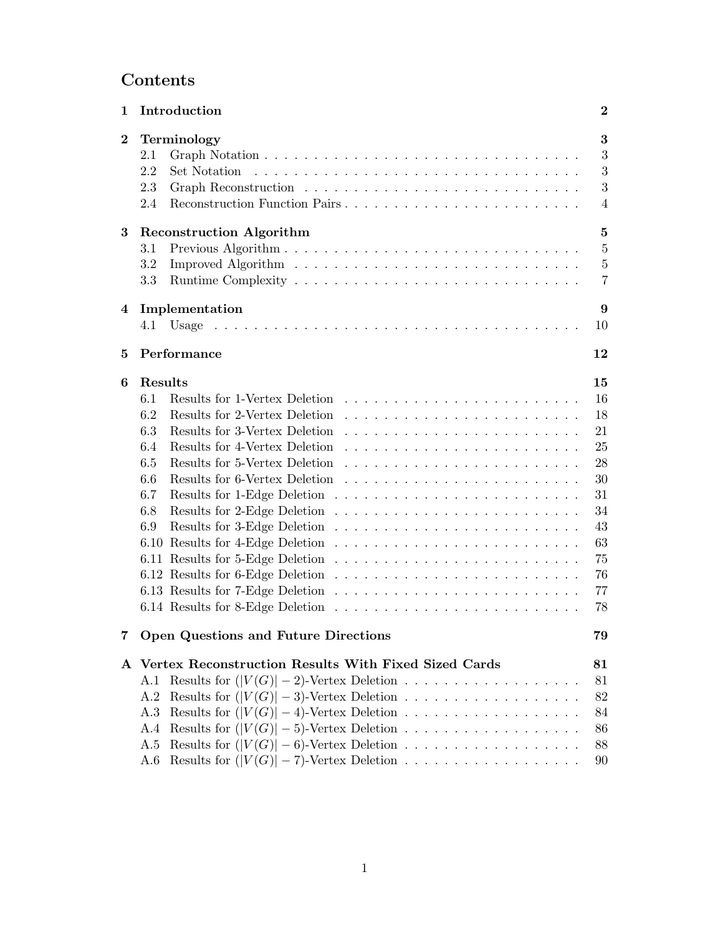# Contents

| $\mathbf 1$          | Introduction                                                                                                                                                                                                                                | $\bf{2}$                                                                               |
|----------------------|---------------------------------------------------------------------------------------------------------------------------------------------------------------------------------------------------------------------------------------------|----------------------------------------------------------------------------------------|
| $\bf{2}$             | Terminology<br>2.1<br>2.2<br>Set Notation<br>2.3<br>Reconstruction Function Pairs<br>2.4                                                                                                                                                    | 3<br>3<br>3<br>3<br>$\overline{4}$                                                     |
| $\bf{3}$<br>$\bf{4}$ | <b>Reconstruction Algorithm</b><br>3.1<br>$3.2\,$<br>3.3<br>Implementation                                                                                                                                                                  | $\bf{5}$<br>$\overline{5}$<br>$\bf 5$<br>$\overline{7}$<br>9                           |
|                      |                                                                                                                                                                                                                                             | 10                                                                                     |
| $\bf{5}$             | Performance                                                                                                                                                                                                                                 | 12                                                                                     |
| 6                    | Results<br>6.1<br>Results for 1-Vertex Deletion<br>Results for 2-Vertex Deletion<br>6.2<br>Results for 3-Vertex Deletion<br>6.3<br>Results for 4-Vertex Deletion<br>6.4<br>Results for 5-Vertex Deletion<br>6.5<br>6.6<br>6.7<br>6.8<br>6.9 | 15<br>16<br>18<br>21<br>25<br>28<br>30<br>31<br>34<br>43<br>63<br>75<br>76<br>77<br>78 |
|                      | Open Questions and Future Directions                                                                                                                                                                                                        | 79                                                                                     |
|                      | A Vertex Reconstruction Results With Fixed Sized Cards<br>Results for $( V(G) -3)$ -Vertex Deletion<br>A.2<br>A.3<br>A.4<br>Results for $( V(G)  - 6)$ -Vertex Deletion<br>A.5<br>Results for $( V(G)  - 7)$ -Vertex Deletion<br>A.6        | 81<br>81<br>82<br>84<br>86<br>88<br>90                                                 |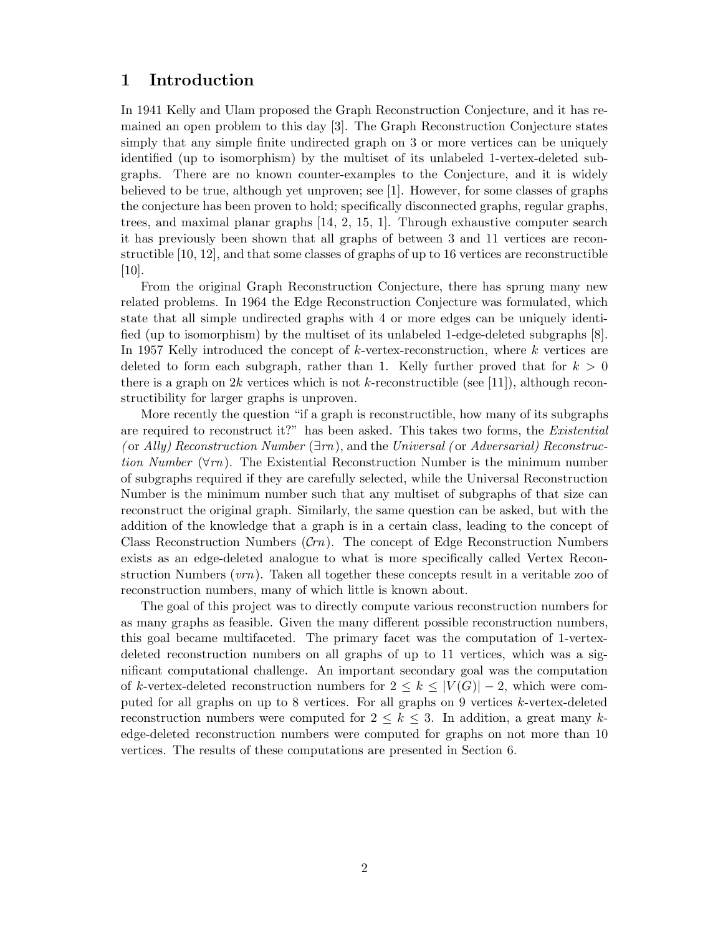### 1 Introduction

In 1941 Kelly and Ulam proposed the Graph Reconstruction Conjecture, and it has remained an open problem to this day [3]. The Graph Reconstruction Conjecture states simply that any simple finite undirected graph on 3 or more vertices can be uniquely identified (up to isomorphism) by the multiset of its unlabeled 1-vertex-deleted subgraphs. There are no known counter-examples to the Conjecture, and it is widely believed to be true, although yet unproven; see [1]. However, for some classes of graphs the conjecture has been proven to hold; specifically disconnected graphs, regular graphs, trees, and maximal planar graphs [14, 2, 15, 1]. Through exhaustive computer search it has previously been shown that all graphs of between 3 and 11 vertices are reconstructible [10, 12], and that some classes of graphs of up to 16 vertices are reconstructible [10].

From the original Graph Reconstruction Conjecture, there has sprung many new related problems. In 1964 the Edge Reconstruction Conjecture was formulated, which state that all simple undirected graphs with 4 or more edges can be uniquely identified (up to isomorphism) by the multiset of its unlabeled 1-edge-deleted subgraphs [8]. In 1957 Kelly introduced the concept of  $k$ -vertex-reconstruction, where  $k$  vertices are deleted to form each subgraph, rather than 1. Kelly further proved that for  $k > 0$ there is a graph on  $2k$  vertices which is not k-reconstructible (see [11]), although reconstructibility for larger graphs is unproven.

More recently the question "if a graph is reconstructible, how many of its subgraphs are required to reconstruct it?" has been asked. This takes two forms, the Existential (or Ally) Reconstruction Number  $(\exists m)$ , and the Universal (or Adversarial) Reconstruction Number  $(\forall r n)$ . The Existential Reconstruction Number is the minimum number of subgraphs required if they are carefully selected, while the Universal Reconstruction Number is the minimum number such that any multiset of subgraphs of that size can reconstruct the original graph. Similarly, the same question can be asked, but with the addition of the knowledge that a graph is in a certain class, leading to the concept of Class Reconstruction Numbers  $(Crn)$ . The concept of Edge Reconstruction Numbers exists as an edge-deleted analogue to what is more specifically called Vertex Reconstruction Numbers  $(vrn)$ . Taken all together these concepts result in a veritable zoo of reconstruction numbers, many of which little is known about.

The goal of this project was to directly compute various reconstruction numbers for as many graphs as feasible. Given the many different possible reconstruction numbers, this goal became multifaceted. The primary facet was the computation of 1-vertexdeleted reconstruction numbers on all graphs of up to 11 vertices, which was a significant computational challenge. An important secondary goal was the computation of k-vertex-deleted reconstruction numbers for  $2 \leq k \leq |V(G)| - 2$ , which were computed for all graphs on up to 8 vertices. For all graphs on 9 vertices k-vertex-deleted reconstruction numbers were computed for  $2 \leq k \leq 3$ . In addition, a great many kedge-deleted reconstruction numbers were computed for graphs on not more than 10 vertices. The results of these computations are presented in Section 6.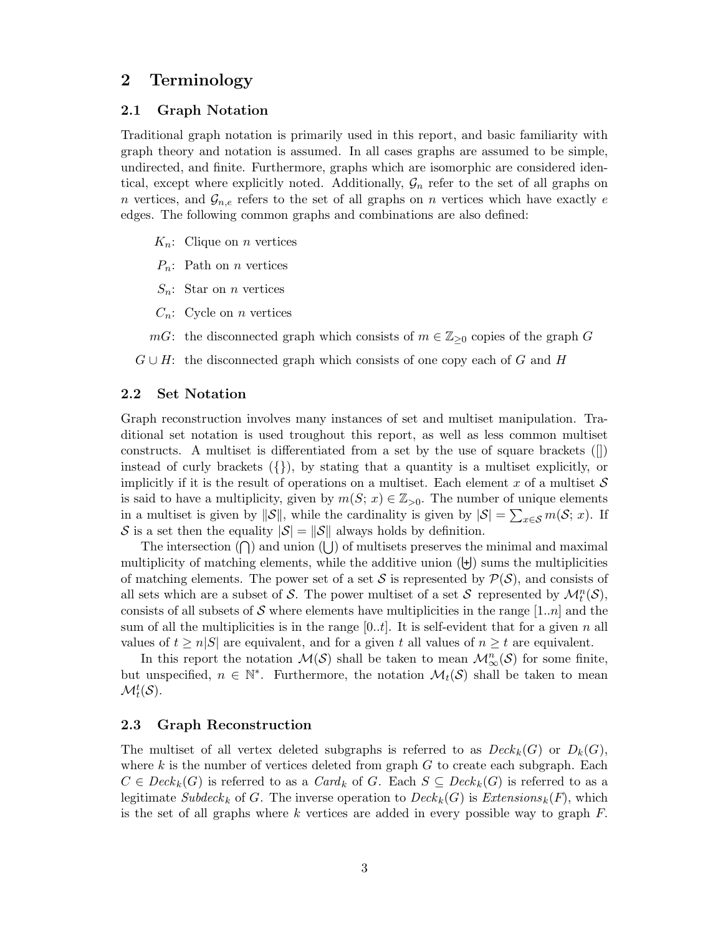### 2 Terminology

#### 2.1 Graph Notation

Traditional graph notation is primarily used in this report, and basic familiarity with graph theory and notation is assumed. In all cases graphs are assumed to be simple, undirected, and finite. Furthermore, graphs which are isomorphic are considered identical, except where explicitly noted. Additionally,  $\mathcal{G}_n$  refer to the set of all graphs on n vertices, and  $\mathcal{G}_{n,e}$  refers to the set of all graphs on n vertices which have exactly e edges. The following common graphs and combinations are also defined:

- $K_n$ : Clique on *n* vertices
- $P_n$ : Path on *n* vertices
- $S_n$ : Star on *n* vertices
- $C_n$ : Cycle on *n* vertices
- mG: the disconnected graph which consists of  $m \in \mathbb{Z}_{\geq 0}$  copies of the graph G
- $G \cup H$ : the disconnected graph which consists of one copy each of G and H

#### 2.2 Set Notation

Graph reconstruction involves many instances of set and multiset manipulation. Traditional set notation is used troughout this report, as well as less common multiset constructs. A multiset is differentiated from a set by the use of square brackets ([]) instead of curly brackets  $({}, )$ , by stating that a quantity is a multiset explicitly, or implicitly if it is the result of operations on a multiset. Each element x of a multiset  $S$ is said to have a multiplicity, given by  $m(S; x) \in \mathbb{Z}_{>0}$ . The number of unique elements in a multiset is given by  $\|\mathcal{S}\|$ , while the cardinality is given by  $|\mathcal{S}| = \sum_{x \in \mathcal{S}} m(\mathcal{S}; x)$ . If S is a set then the equality  $|\mathcal{S}| = ||\mathcal{S}||$  always holds by definition.

The intersection  $(\bigcap)$  and union  $(\bigcup)$  of multisets preserves the minimal and maximal multiplicity of matching elements, while the additive union  $(\dagger)$  sums the multiplicities of matching elements. The power set of a set S is represented by  $\mathcal{P}(\mathcal{S})$ , and consists of all sets which are a subset of S. The power multiset of a set S represented by  $\mathcal{M}_t^n(\mathcal{S})$ , consists of all subsets of S where elements have multiplicities in the range  $[1..n]$  and the sum of all the multiplicities is in the range  $[0..t]$ . It is self-evident that for a given n all values of  $t \ge n|S|$  are equivalent, and for a given t all values of  $n \ge t$  are equivalent.

In this report the notation  $\mathcal{M}(\mathcal{S})$  shall be taken to mean  $\mathcal{M}_{\infty}^n(\mathcal{S})$  for some finite, but unspecified,  $n \in \mathbb{N}^*$ . Furthermore, the notation  $\mathcal{M}_t(\mathcal{S})$  shall be taken to mean  $\mathcal{M}_t^t(\mathcal{S}).$ 

#### 2.3 Graph Reconstruction

The multiset of all vertex deleted subgraphs is referred to as  $Deck_k(G)$  or  $D_k(G)$ , where  $k$  is the number of vertices deleted from graph  $G$  to create each subgraph. Each  $C \in \text{Deck}_k(G)$  is referred to as a  $\text{Card}_k$  of G. Each  $S \subseteq \text{Deck}_k(G)$  is referred to as a legitimate Subdeck<sub>k</sub> of G. The inverse operation to  $Deck_k(G)$  is  $Extensions_k(F)$ , which is the set of all graphs where k vertices are added in every possible way to graph  $F$ .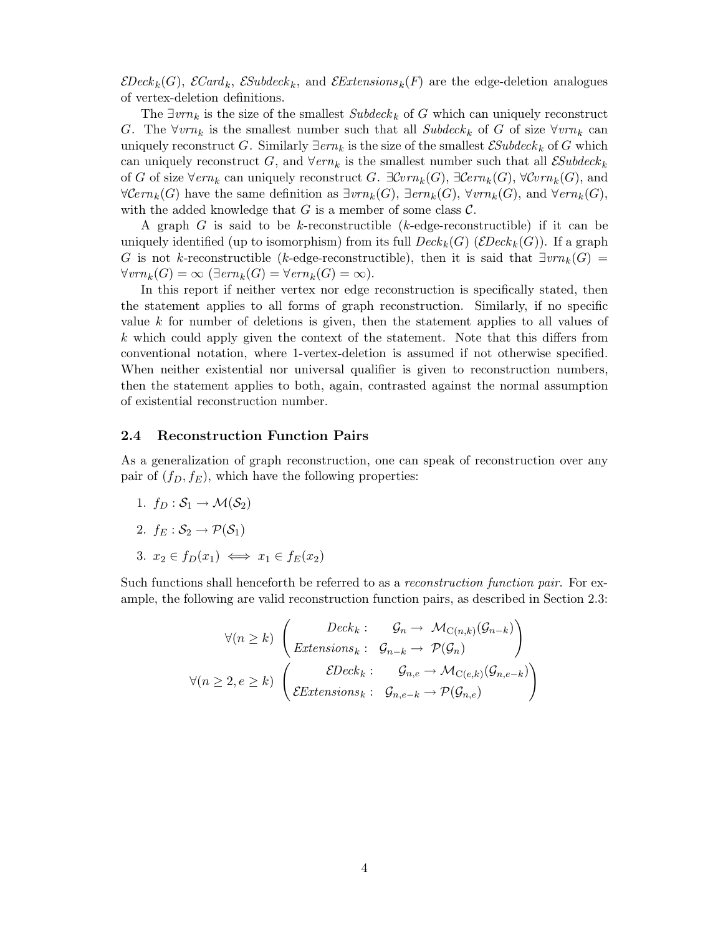$\mathcal{E}Deck_k(G)$ ,  $\mathcal{ECard}_k$ ,  $\mathcal{ESubdeck}_k$ , and  $\mathcal{E}Extensions_k(F)$  are the edge-deletion analogues of vertex-deletion definitions.

The  $\exists v r n_k$  is the size of the smallest  $Subdeck_k$  of G which can uniquely reconstruct G. The  $\forall v r n_k$  is the smallest number such that all Subdeck<sub>k</sub> of G of size  $\forall v r n_k$  can uniquely reconstruct G. Similarly  $\exists em_k$  is the size of the smallest  $\mathcal{E}Subdeck_k$  of G which can uniquely reconstruct G, and  $\forall em_k$  is the smallest number such that all  $\mathcal{E}Subdeck_k$ of G of size  $\forall em_k$  can uniquely reconstruct G.  $\exists Cvm_k(G)$ ,  $\exists Cerm_k(G)$ ,  $\forall Cvm_k(G)$ , and  $\forall \mathcal{C}ern_k(G)$  have the same definition as  $\exists vrn_k(G)$ ,  $\exists em_k(G)$ ,  $\forall vrn_k(G)$ , and  $\forall em_k(G)$ , with the added knowledge that G is a member of some class  $\mathcal{C}$ .

A graph  $G$  is said to be k-reconstructible (k-edge-reconstructible) if it can be uniquely identified (up to isomorphism) from its full  $Deck_k(G)$  ( $EDeck_k(G)$ ). If a graph G is not k-reconstructible (k-edge-reconstructible), then it is said that  $\exists v m_k(G)$  =  $\forall vrn_k(G) = \infty$  ( $\exists em_k(G) = \forall em_k(G) = \infty$ ).

In this report if neither vertex nor edge reconstruction is specifically stated, then the statement applies to all forms of graph reconstruction. Similarly, if no specific value k for number of deletions is given, then the statement applies to all values of  $k$  which could apply given the context of the statement. Note that this differs from conventional notation, where 1-vertex-deletion is assumed if not otherwise specified. When neither existential nor universal qualifier is given to reconstruction numbers, then the statement applies to both, again, contrasted against the normal assumption of existential reconstruction number.

#### 2.4 Reconstruction Function Pairs

As a generalization of graph reconstruction, one can speak of reconstruction over any pair of  $(f_D, f_E)$ , which have the following properties:

- 1.  $f_D : \mathcal{S}_1 \to \mathcal{M}(\mathcal{S}_2)$
- 2.  $f_E : \mathcal{S}_2 \rightarrow \mathcal{P}(\mathcal{S}_1)$
- 3.  $x_2 \in f_D(x_1) \iff x_1 \in f_E(x_2)$

Such functions shall henceforth be referred to as a *reconstruction function pair*. For example, the following are valid reconstruction function pairs, as described in Section 2.3:

$$
\forall (n \geq k) \ \begin{pmatrix} \text{Deck}_k : & \mathcal{G}_n \to \mathcal{M}_{\mathcal{C}(n,k)}(\mathcal{G}_{n-k}) \\ \text{Extensions}_k : & \mathcal{G}_{n-k} \to \mathcal{P}(\mathcal{G}_n) \end{pmatrix}
$$

$$
\forall (n \geq 2, e \geq k) \ \begin{pmatrix} \text{EDeck}_k : & \mathcal{G}_{n,e} \to \mathcal{M}_{\mathcal{C}(e,k)}(\mathcal{G}_{n,e-k}) \\ \text{EExtensions}_k : & \mathcal{G}_{n,e-k} \to \mathcal{P}(\mathcal{G}_{n,e}) \end{pmatrix}
$$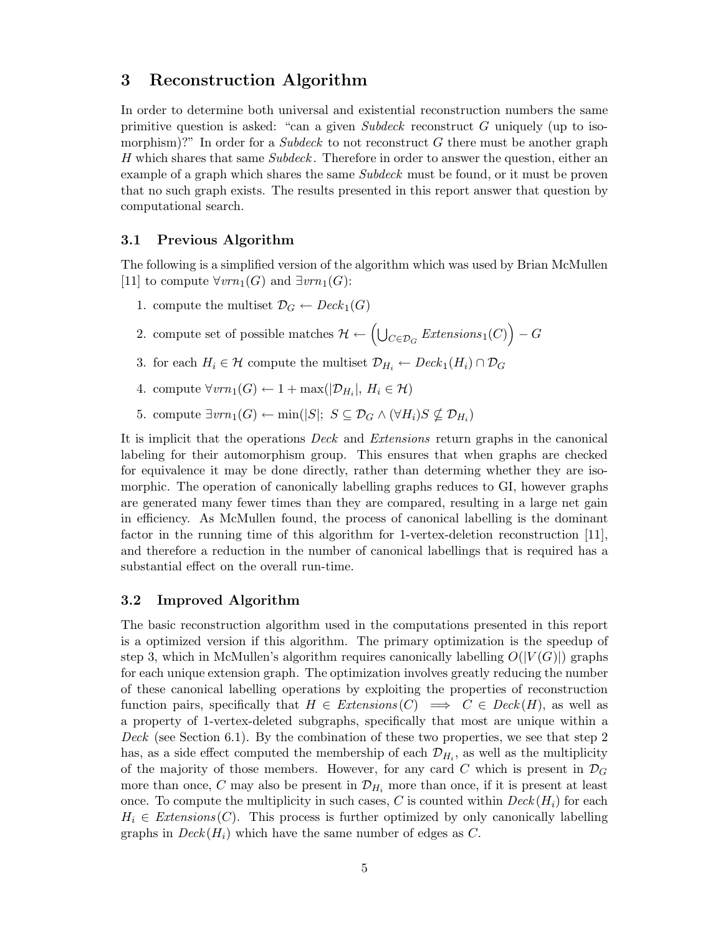### 3 Reconstruction Algorithm

In order to determine both universal and existential reconstruction numbers the same primitive question is asked: "can a given Subdeck reconstruct G uniquely (up to isomorphism)?" In order for a Subdeck to not reconstruct  $G$  there must be another graph H which shares that same Subdeck. Therefore in order to answer the question, either an example of a graph which shares the same *Subdeck* must be found, or it must be proven that no such graph exists. The results presented in this report answer that question by computational search.

#### 3.1 Previous Algorithm

The following is a simplified version of the algorithm which was used by Brian McMullen [11] to compute  $\forall vrn_1(G)$  and  $\exists vrn_1(G)$ :

- 1. compute the multiset  $\mathcal{D}_G \leftarrow \text{Deck}_1(G)$
- 2. compute set of possible matches  $\mathcal{H} \leftarrow \left(\bigcup_{C \in \mathcal{D}_G} \text{Extensions}_1(C)\right) G$
- 3. for each  $H_i \in \mathcal{H}$  compute the multiset  $\mathcal{D}_{H_i} \leftarrow \text{Deck}_1(H_i) \cap \mathcal{D}_G$
- 4. compute  $\forall vrn_1(G) \leftarrow 1 + \max(|\mathcal{D}_{H_i}|, H_i \in \mathcal{H})$
- 5. compute  $\exists vrn_1(G) \leftarrow \min(|S|; S \subseteq \mathcal{D}_G \wedge (\forall H_i)S \nsubseteq \mathcal{D}_{H_i})$

It is implicit that the operations Deck and Extensions return graphs in the canonical labeling for their automorphism group. This ensures that when graphs are checked for equivalence it may be done directly, rather than determing whether they are isomorphic. The operation of canonically labelling graphs reduces to GI, however graphs are generated many fewer times than they are compared, resulting in a large net gain in efficiency. As McMullen found, the process of canonical labelling is the dominant factor in the running time of this algorithm for 1-vertex-deletion reconstruction [11], and therefore a reduction in the number of canonical labellings that is required has a substantial effect on the overall run-time.

#### 3.2 Improved Algorithm

The basic reconstruction algorithm used in the computations presented in this report is a optimized version if this algorithm. The primary optimization is the speedup of step 3, which in McMullen's algorithm requires canonically labelling  $O(|V(G)|)$  graphs for each unique extension graph. The optimization involves greatly reducing the number of these canonical labelling operations by exploiting the properties of reconstruction function pairs, specifically that  $H \in$  Extensions  $(C) \implies C \in \text{Deck}(H)$ , as well as a property of 1-vertex-deleted subgraphs, specifically that most are unique within a Deck (see Section 6.1). By the combination of these two properties, we see that step 2 has, as a side effect computed the membership of each  $\mathcal{D}_{H_i}$ , as well as the multiplicity of the majority of those members. However, for any card C which is present in  $\mathcal{D}_G$ more than once, C may also be present in  $\mathcal{D}_{H_i}$  more than once, if it is present at least once. To compute the multiplicity in such cases, C is counted within  $Deck(H_i)$  for each  $H_i \in$  Extensions (C). This process is further optimized by only canonically labelling graphs in  $Deck(H_i)$  which have the same number of edges as C.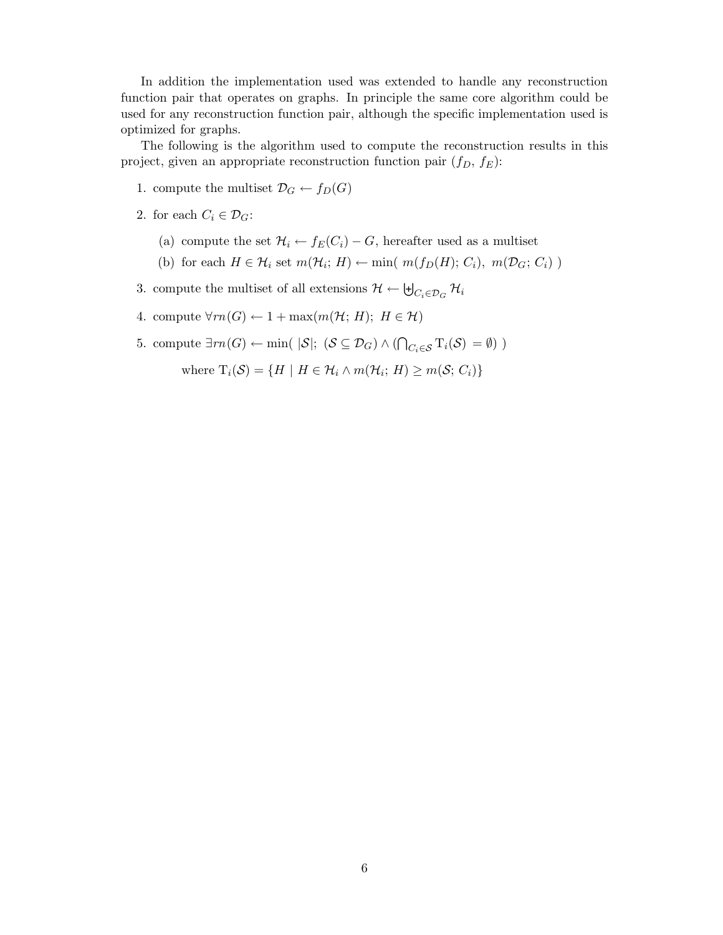In addition the implementation used was extended to handle any reconstruction function pair that operates on graphs. In principle the same core algorithm could be used for any reconstruction function pair, although the specific implementation used is optimized for graphs.

The following is the algorithm used to compute the reconstruction results in this project, given an appropriate reconstruction function pair  $(f_D, f_E)$ :

- 1. compute the multiset  $\mathcal{D}_G \leftarrow f_D(G)$
- 2. for each  $C_i \in \mathcal{D}_G$ :
	- (a) compute the set  $\mathcal{H}_i \leftarrow f_E(C_i) G$ , hereafter used as a multiset
	- (b) for each  $H \in \mathcal{H}_i$  set  $m(\mathcal{H}_i; H) \leftarrow \min(m(f_D(H); C_i), m(\mathcal{D}_G; C_i))$
- 3. compute the multiset of all extensions  $\mathcal{H} \leftarrow \biguplus_{C_i \in \mathcal{D}_G} \mathcal{H}_i$
- 4. compute  $\forall m(G) \leftarrow 1 + \max(m(\mathcal{H}; H); H \in \mathcal{H})$
- 5. compute  $\exists rn(G) \leftarrow \min(|S|; (S \subseteq \mathcal{D}_G) \wedge (\bigcap_{C_i \in \mathcal{S}} T_i(S) = \emptyset)$ )

where  $T_i(\mathcal{S}) = \{ H \mid H \in \mathcal{H}_i \wedge m(\mathcal{H}_i; H) \geq m(\mathcal{S}; C_i) \}$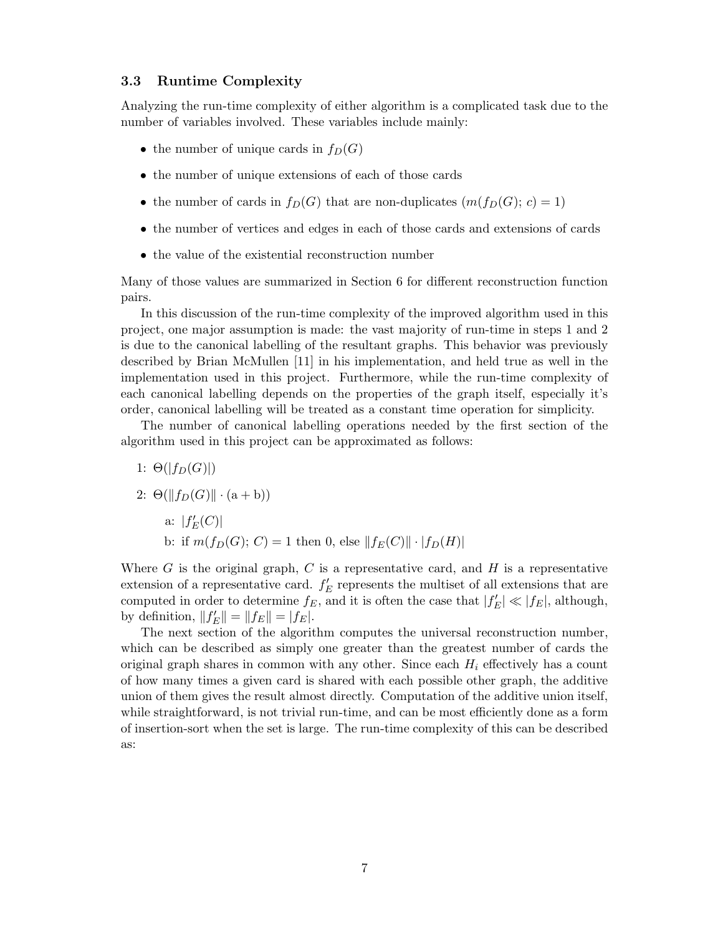#### 3.3 Runtime Complexity

Analyzing the run-time complexity of either algorithm is a complicated task due to the number of variables involved. These variables include mainly:

- the number of unique cards in  $f_D(G)$
- the number of unique extensions of each of those cards
- the number of cards in  $f_D(G)$  that are non-duplicates  $(m(f_D(G); c) = 1)$
- the number of vertices and edges in each of those cards and extensions of cards
- the value of the existential reconstruction number

Many of those values are summarized in Section 6 for different reconstruction function pairs.

In this discussion of the run-time complexity of the improved algorithm used in this project, one major assumption is made: the vast majority of run-time in steps 1 and 2 is due to the canonical labelling of the resultant graphs. This behavior was previously described by Brian McMullen [11] in his implementation, and held true as well in the implementation used in this project. Furthermore, while the run-time complexity of each canonical labelling depends on the properties of the graph itself, especially it's order, canonical labelling will be treated as a constant time operation for simplicity.

The number of canonical labelling operations needed by the first section of the algorithm used in this project can be approximated as follows:

1:  $\Theta(|f_D(G)|)$ 2:  $\Theta(||f_D(G)|| \cdot (a + b))$ a:  $|f'_{E}(C)|$ b: if  $m(f_D(G); C) = 1$  then 0, else  $||f_E(C)|| \cdot |f_D(H)|$ 

Where  $G$  is the original graph,  $C$  is a representative card, and  $H$  is a representative extension of a representative card.  $f'_E$  represents the multiset of all extensions that are computed in order to determine  $f_E$ , and it is often the case that  $|f'_E| \ll |f_E|$ , although, by definition,  $||f'_{E}|| = ||f_{E}|| = |f_{E}|.$ 

The next section of the algorithm computes the universal reconstruction number, which can be described as simply one greater than the greatest number of cards the original graph shares in common with any other. Since each  $H_i$  effectively has a count of how many times a given card is shared with each possible other graph, the additive union of them gives the result almost directly. Computation of the additive union itself, while straightforward, is not trivial run-time, and can be most efficiently done as a form of insertion-sort when the set is large. The run-time complexity of this can be described as: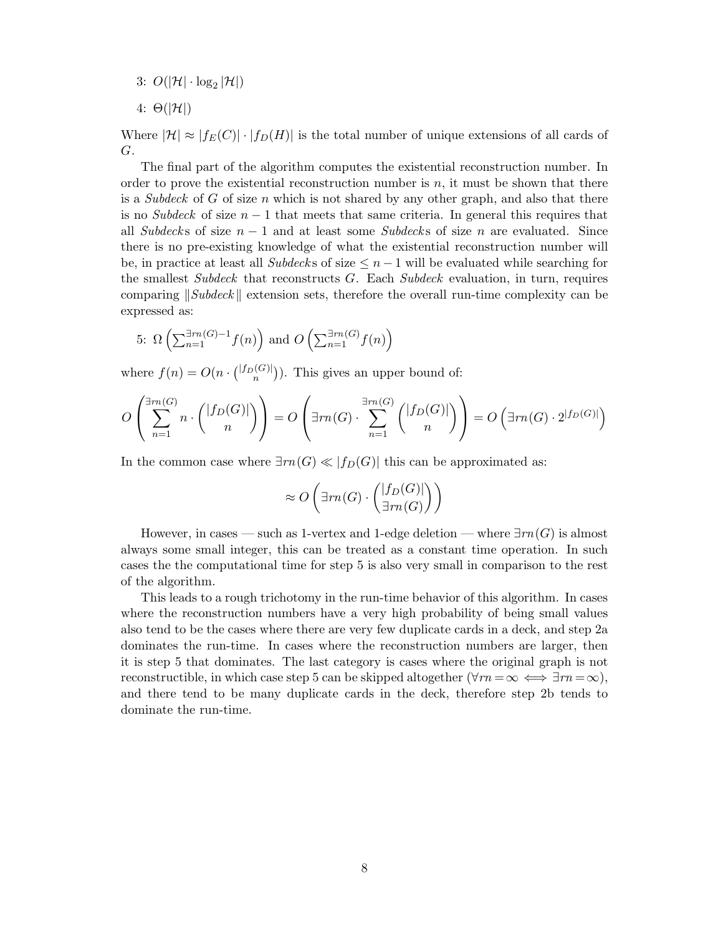- 3:  $O(|\mathcal{H}| \cdot \log_2 |\mathcal{H}|)$
- 4:  $\Theta(|\mathcal{H}|)$

Where  $|\mathcal{H}| \approx |f_E(C)| \cdot |f_D(H)|$  is the total number of unique extensions of all cards of G.

The final part of the algorithm computes the existential reconstruction number. In order to prove the existential reconstruction number is  $n$ , it must be shown that there is a Subdeck of G of size n which is not shared by any other graph, and also that there is no Subdeck of size  $n-1$  that meets that same criteria. In general this requires that all Subdecks of size  $n-1$  and at least some Subdecks of size n are evaluated. Since there is no pre-existing knowledge of what the existential reconstruction number will be, in practice at least all Subdecks of size  $\leq n-1$  will be evaluated while searching for the smallest Subdeck that reconstructs  $G$ . Each Subdeck evaluation, in turn, requires comparing  $\Vert Subdeck \Vert$  extension sets, therefore the overall run-time complexity can be expressed as:

5: 
$$
\Omega\left(\sum_{n=1}^{\exists rn(G)-1}f(n)\right)
$$
 and  $O\left(\sum_{n=1}^{\exists rn(G)}f(n)\right)$ 

where  $f(n) = O(n \cdot { |f_D(G)| \choose n}$  $\binom{[G]}{n}$ ). This gives an upper bound of:

$$
O\left(\sum_{n=1}^{\exists rn(G)} n \cdot \binom{|f_D(G)|}{n}\right) = O\left(\exists rn(G) \cdot \sum_{n=1}^{\exists rn(G)} \binom{|f_D(G)|}{n}\right) = O\left(\exists rn(G) \cdot 2^{|f_D(G)|}\right)
$$

In the common case where  $\exists m(G) \ll |f_D(G)|$  this can be approximated as:

$$
\approx O\left(\exists m(G)\cdot\binom{|f_D(G)|}{\exists m(G)}\right)
$$

However, in cases — such as 1-vertex and 1-edge deletion — where  $\exists rn(G)$  is almost always some small integer, this can be treated as a constant time operation. In such cases the the computational time for step 5 is also very small in comparison to the rest of the algorithm.

This leads to a rough trichotomy in the run-time behavior of this algorithm. In cases where the reconstruction numbers have a very high probability of being small values also tend to be the cases where there are very few duplicate cards in a deck, and step 2a dominates the run-time. In cases where the reconstruction numbers are larger, then it is step 5 that dominates. The last category is cases where the original graph is not reconstructible, in which case step 5 can be skipped altogether  $(\forall m = \infty \iff \exists m = \infty)$ , and there tend to be many duplicate cards in the deck, therefore step 2b tends to dominate the run-time.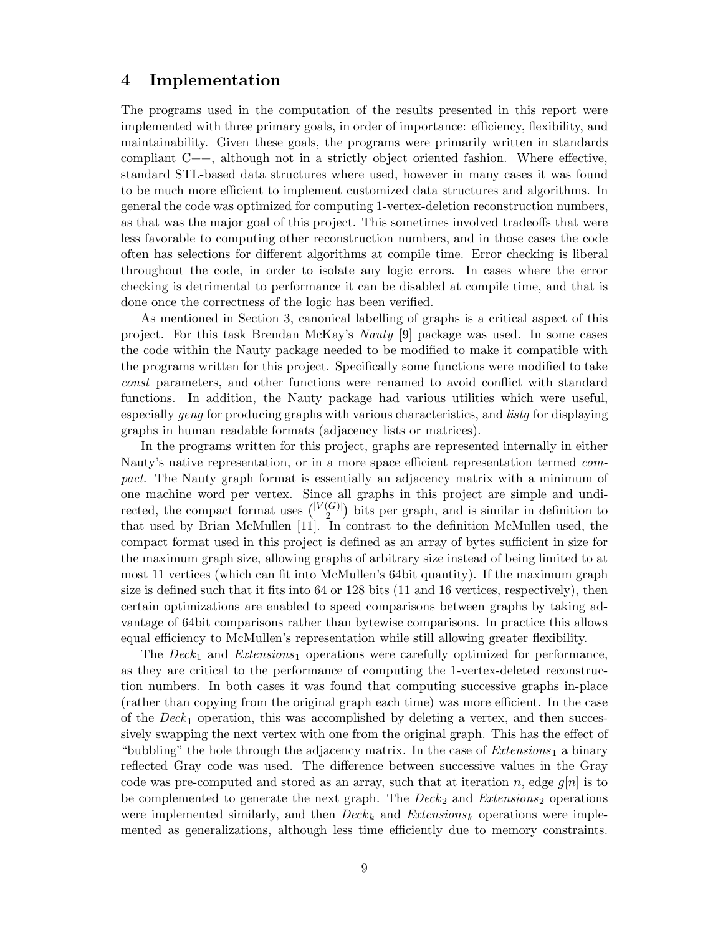### 4 Implementation

The programs used in the computation of the results presented in this report were implemented with three primary goals, in order of importance: efficiency, flexibility, and maintainability. Given these goals, the programs were primarily written in standards compliant C++, although not in a strictly object oriented fashion. Where effective, standard STL-based data structures where used, however in many cases it was found to be much more efficient to implement customized data structures and algorithms. In general the code was optimized for computing 1-vertex-deletion reconstruction numbers, as that was the major goal of this project. This sometimes involved tradeoffs that were less favorable to computing other reconstruction numbers, and in those cases the code often has selections for different algorithms at compile time. Error checking is liberal throughout the code, in order to isolate any logic errors. In cases where the error checking is detrimental to performance it can be disabled at compile time, and that is done once the correctness of the logic has been verified.

As mentioned in Section 3, canonical labelling of graphs is a critical aspect of this project. For this task Brendan McKay's Nauty [9] package was used. In some cases the code within the Nauty package needed to be modified to make it compatible with the programs written for this project. Specifically some functions were modified to take const parameters, and other functions were renamed to avoid conflict with standard functions. In addition, the Nauty package had various utilities which were useful, especially geng for producing graphs with various characteristics, and listg for displaying graphs in human readable formats (adjacency lists or matrices).

In the programs written for this project, graphs are represented internally in either Nauty's native representation, or in a more space efficient representation termed compact. The Nauty graph format is essentially an adjacency matrix with a minimum of one machine word per vertex. Since all graphs in this project are simple and undirected, the compact format uses  $\binom{|V(G)|}{2}$  $\binom{|\mathcal{G}|}{2}$  bits per graph, and is similar in definition to that used by Brian McMullen [11]. In contrast to the definition McMullen used, the compact format used in this project is defined as an array of bytes sufficient in size for the maximum graph size, allowing graphs of arbitrary size instead of being limited to at most 11 vertices (which can fit into McMullen's 64bit quantity). If the maximum graph size is defined such that it fits into 64 or 128 bits (11 and 16 vertices, respectively), then certain optimizations are enabled to speed comparisons between graphs by taking advantage of 64bit comparisons rather than bytewise comparisons. In practice this allows equal efficiency to McMullen's representation while still allowing greater flexibility.

The  $Deck_1$  and  $Extensions_1$  operations were carefully optimized for performance, as they are critical to the performance of computing the 1-vertex-deleted reconstruction numbers. In both cases it was found that computing successive graphs in-place (rather than copying from the original graph each time) was more efficient. In the case of the  $Deck_1$  operation, this was accomplished by deleting a vertex, and then successively swapping the next vertex with one from the original graph. This has the effect of "bubbling" the hole through the adjacency matrix. In the case of  $Extensions<sub>1</sub>$  a binary reflected Gray code was used. The difference between successive values in the Gray code was pre-computed and stored as an array, such that at iteration n, edge  $g[n]$  is to be complemented to generate the next graph. The  $Deck_2$  and  $Extensions_2$  operations were implemented similarly, and then  $Deck_k$  and  $Extensions_k$  operations were implemented as generalizations, although less time efficiently due to memory constraints.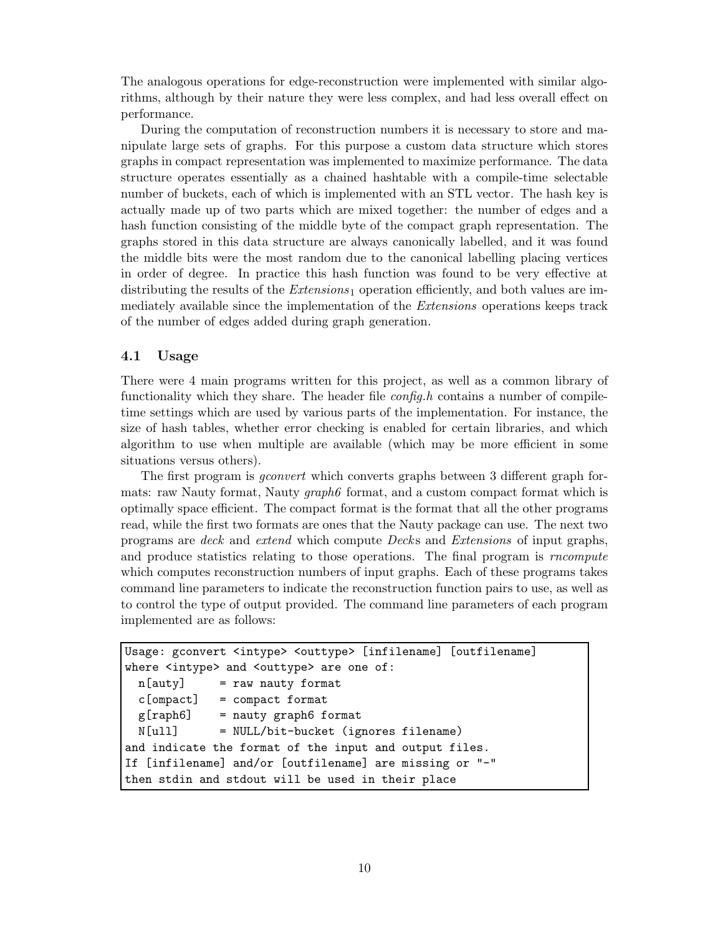The analogous operations for edge-reconstruction were implemented with similar algorithms, although by their nature they were less complex, and had less overall effect on performance.

During the computation of reconstruction numbers it is necessary to store and manipulate large sets of graphs. For this purpose a custom data structure which stores graphs in compact representation was implemented to maximize performance. The data structure operates essentially as a chained hashtable with a compile-time selectable number of buckets, each of which is implemented with an STL vector. The hash key is actually made up of two parts which are mixed together: the number of edges and a hash function consisting of the middle byte of the compact graph representation. The graphs stored in this data structure are always canonically labelled, and it was found the middle bits were the most random due to the canonical labelling placing vertices in order of degree. In practice this hash function was found to be very effective at distributing the results of the  $Extensions<sub>1</sub>$  operation efficiently, and both values are immediately available since the implementation of the Extensions operations keeps track of the number of edges added during graph generation.

#### 4.1 Usage

There were 4 main programs written for this project, as well as a common library of functionality which they share. The header file  $\text{config.}h$  contains a number of compiletime settings which are used by various parts of the implementation. For instance, the size of hash tables, whether error checking is enabled for certain libraries, and which algorithm to use when multiple are available (which may be more efficient in some situations versus others).

The first program is gconvert which converts graphs between 3 different graph formats: raw Nauty format, Nauty *graph6* format, and a custom compact format which is optimally space efficient. The compact format is the format that all the other programs read, while the first two formats are ones that the Nauty package can use. The next two programs are deck and extend which compute Deck s and Extensions of input graphs, and produce statistics relating to those operations. The final program is *rncompute* which computes reconstruction numbers of input graphs. Each of these programs takes command line parameters to indicate the reconstruction function pairs to use, as well as to control the type of output provided. The command line parameters of each program implemented are as follows:

```
Usage: gconvert <intype> <outtype> [infilename] [outfilename]
where <intype> and <outtype> are one of:
 n[auty] = raw nauty format
 c[ompact] = compact format
 g[raph6] = nauty graph6 format
 N[ull] = NULL/bit-bucket (ignores filename)
and indicate the format of the input and output files.
If [infilename] and/or [outfilename] are missing or "-"
then stdin and stdout will be used in their place
```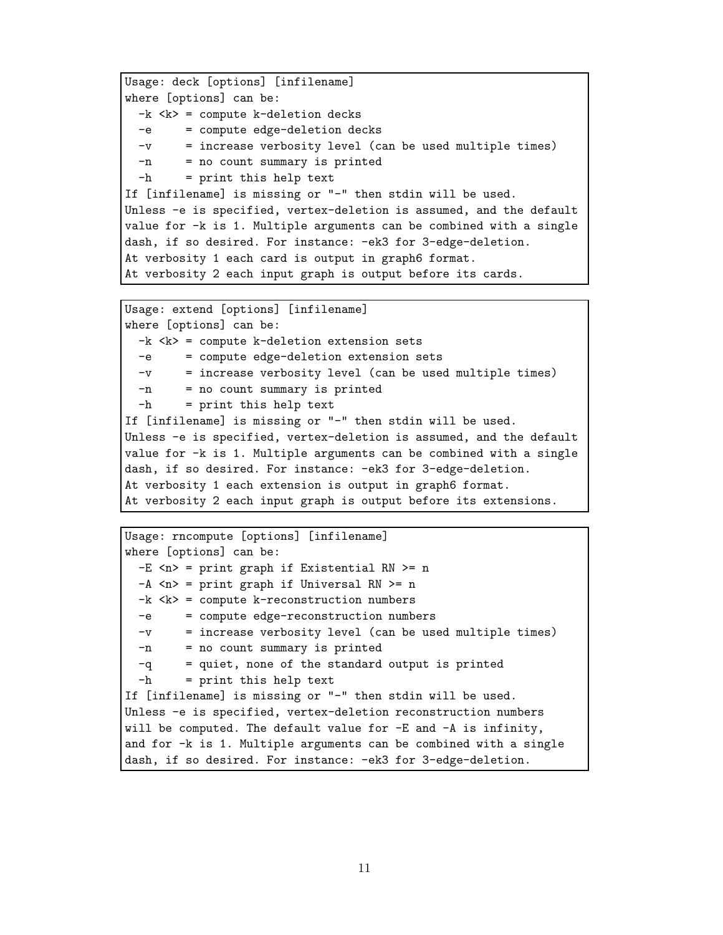```
Usage: deck [options] [infilename]
where [options] can be:
 -k < k = compute k-deletion decks
  -e = compute edge-deletion decks
 -v = increase verbosity level (can be used multiple times)
  -n = no count summary is printed
 -h = print this help text
If [infilename] is missing or "-" then stdin will be used.
Unless -e is specified, vertex-deletion is assumed, and the default
value for -k is 1. Multiple arguments can be combined with a single
dash, if so desired. For instance: -ek3 for 3-edge-deletion.
At verbosity 1 each card is output in graph6 format.
At verbosity 2 each input graph is output before its cards.
```

```
Usage: extend [options] [infilename]
where [options] can be:
 -k < k = compute k-deletion extension sets
 -e = compute edge-deletion extension sets
  -v = increase verbosity level (can be used multiple times)
 -n = no count summary is printed
 -h = print this help text
If [infilename] is missing or "-" then stdin will be used.
Unless -e is specified, vertex-deletion is assumed, and the default
value for -k is 1. Multiple arguments can be combined with a single
dash, if so desired. For instance: -ek3 for 3-edge-deletion.
At verbosity 1 each extension is output in graph6 format.
At verbosity 2 each input graph is output before its extensions.
```

```
Usage: rncompute [options] [infilename]
where [options] can be:
 -E \le p = print graph if Existential RN >= n
 -A \le n = print graph if Universal RN >= n-k \lt k = compute k-reconstruction numbers
 -e = compute edge-reconstruction numbers
 -v = increase verbosity level (can be used multiple times)
 -n = no count summary is printed
 -q = quiet, none of the standard output is printed
 -h = print this help text
If [infilename] is missing or "-" then stdin will be used.
Unless -e is specified, vertex-deletion reconstruction numbers
will be computed. The default value for -E and -A is infinity,
and for -k is 1. Multiple arguments can be combined with a single
dash, if so desired. For instance: -ek3 for 3-edge-deletion.
```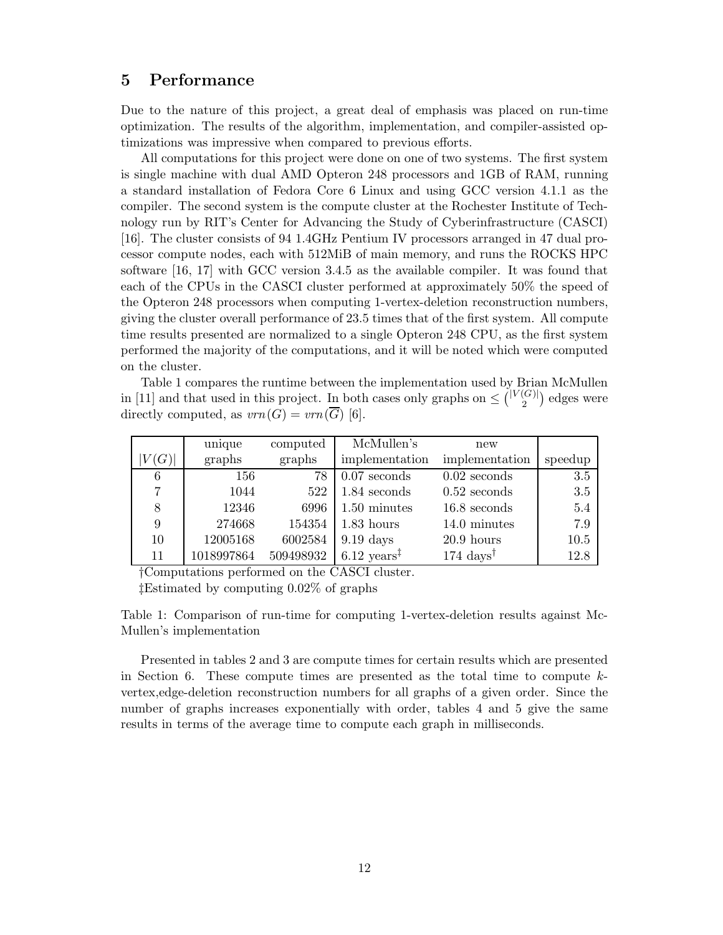### 5 Performance

Due to the nature of this project, a great deal of emphasis was placed on run-time optimization. The results of the algorithm, implementation, and compiler-assisted optimizations was impressive when compared to previous efforts.

All computations for this project were done on one of two systems. The first system is single machine with dual AMD Opteron 248 processors and 1GB of RAM, running a standard installation of Fedora Core 6 Linux and using GCC version 4.1.1 as the compiler. The second system is the compute cluster at the Rochester Institute of Technology run by RIT's Center for Advancing the Study of Cyberinfrastructure (CASCI) [16]. The cluster consists of 94 1.4GHz Pentium IV processors arranged in 47 dual processor compute nodes, each with 512MiB of main memory, and runs the ROCKS HPC software [16, 17] with GCC version 3.4.5 as the available compiler. It was found that each of the CPUs in the CASCI cluster performed at approximately 50% the speed of the Opteron 248 processors when computing 1-vertex-deletion reconstruction numbers, giving the cluster overall performance of 23.5 times that of the first system. All compute time results presented are normalized to a single Opteron 248 CPU, as the first system performed the majority of the computations, and it will be noted which were computed on the cluster.

Table 1 compares the runtime between the implementation used by Brian McMullen in [11] and that used in this project. In both cases only graphs on  $\leq \binom{|V(G)|}{2}$  $\binom{G}{2}$  edges were directly computed, as  $vrn(G) = vrn(\overline{G})$  [6].

|             | unique     | computed  | McMullen's                      | new                           |         |
|-------------|------------|-----------|---------------------------------|-------------------------------|---------|
| $V(G)\vert$ | graphs     | graphs    | implementation                  | implementation                | speedup |
| 6           | 156        | 78        | $0.07$ seconds                  | $0.02$ seconds                | $3.5\,$ |
| 7           | 1044       | 522       | $1.84$ seconds                  | $0.52$ seconds                | 3.5     |
| 8           | 12346      | 6996      | $1.50$ minutes                  | $16.8$ seconds                | $5.4\,$ |
| 9           | 274668     | 154354    | $1.83$ hours                    | 14.0 minutes                  | 7.9     |
| 10          | 12005168   | 6002584   | $9.19~{\rm days}$               | $20.9$ hours                  | 10.5    |
| 11          | 1018997864 | 509498932 | $6.12 \text{ years}^{\ddagger}$ | $174~{\rm days}$ <sup>†</sup> | 12.8    |

†Computations performed on the CASCI cluster.

‡Estimated by computing 0.02% of graphs

Table 1: Comparison of run-time for computing 1-vertex-deletion results against Mc-Mullen's implementation

Presented in tables 2 and 3 are compute times for certain results which are presented in Section 6. These compute times are presented as the total time to compute kvertex,edge-deletion reconstruction numbers for all graphs of a given order. Since the number of graphs increases exponentially with order, tables 4 and 5 give the same results in terms of the average time to compute each graph in milliseconds.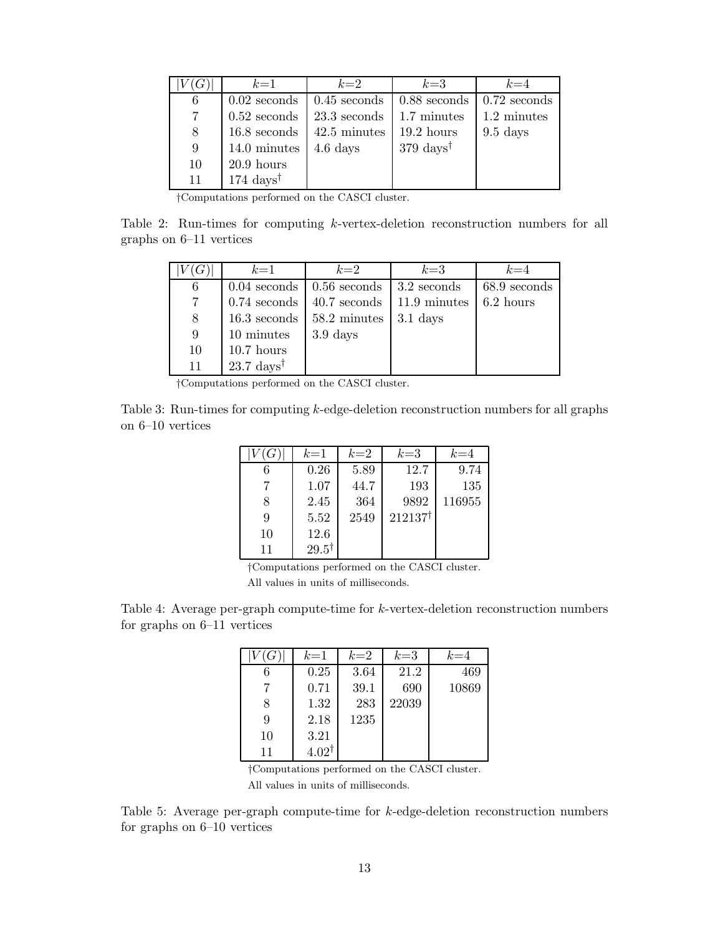| (G) | $k=1$            | $k=2$            | $k=3$                        | $k=4$          |
|-----|------------------|------------------|------------------------------|----------------|
| 6   | $0.02$ seconds   | $0.45$ seconds   | $0.88$ seconds               | $0.72$ seconds |
|     | $0.52$ seconds   | $23.3$ seconds   | 1.7 minutes                  | 1.2 minutes    |
| 8   | $16.8$ seconds   | 42.5 minutes     | $19.2$ hours                 | $9.5$ days     |
| -9  | 14.0 minutes     | $4.6~{\rm days}$ | $379 \text{ days}^{\dagger}$ |                |
| 10  | $20.9$ hours     |                  |                              |                |
| 11  | $174~{\rm days}$ |                  |                              |                |

†Computations performed on the CASCI cluster.

Table 2: Run-times for computing k-vertex-deletion reconstruction numbers for all graphs on 6–11 vertices

|    | $k=1$                               | $k=2$            | $k=3$        | $k=4$        |
|----|-------------------------------------|------------------|--------------|--------------|
| 6  | $0.04$ seconds $\vert 0.56$ seconds |                  | 3.2 seconds  | 68.9 seconds |
|    | $0.74$ seconds                      | 40.7 seconds     | 11.9 minutes | 6.2 hours    |
| 8  | $16.3$ seconds                      | 58.2 minutes     | $3.1$ days   |              |
| 9  | 10 minutes                          | $3.9~{\rm days}$ |              |              |
| 10 | $10.7$ hours                        |                  |              |              |
| 11 | $23.7~{\rm days}^{\dagger}$         |                  |              |              |

†Computations performed on the CASCI cluster.

Table 3: Run-times for computing  $k$ -edge-deletion reconstruction numbers for all graphs on 6–10 vertices

|    | $k=1$            | $k=2$ | $k=3$              | $k=4$  |
|----|------------------|-------|--------------------|--------|
|    | 0.26             | 5.89  | 12.7               | 9.74   |
|    | 1.07             | 44.7  | 193                | 135    |
| 8  | 2.45             | 364   | 9892               | 116955 |
| 9  | 5.52             | 2549  | $212137^{\dagger}$ |        |
| 10 | 12.6             |       |                    |        |
| 11 | $29.5^{\dagger}$ |       |                    |        |

†Computations performed on the CASCI cluster.

All values in units of milliseconds.

Table 4: Average per-graph compute-time for k-vertex-deletion reconstruction numbers for graphs on 6–11 vertices

| G  | $k=1$            | $k=2$ | $k=3$ | $k=4$ |
|----|------------------|-------|-------|-------|
| 6  | 0.25             | 3.64  | 21.2  | 469   |
|    | 0.71             | 39.1  | 690   | 10869 |
| 8  | 1.32             | 283   | 22039 |       |
| 9  | 2.18             | 1235  |       |       |
| 10 | 3.21             |       |       |       |
| 11 | $4.02^{\dagger}$ |       |       |       |

†Computations performed on the CASCI cluster. All values in units of milliseconds.

Table 5: Average per-graph compute-time for  $k$ -edge-deletion reconstruction numbers for graphs on 6–10 vertices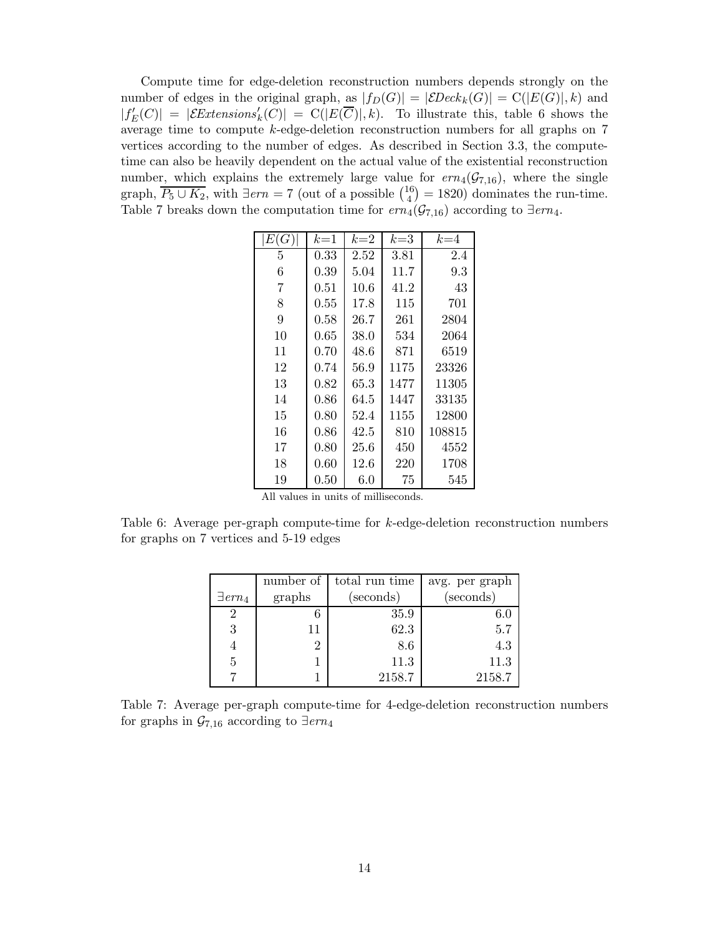Compute time for edge-deletion reconstruction numbers depends strongly on the number of edges in the original graph, as  $|f_D(G)| = |\mathcal{E}Deck_k(G)| = C(|E(G)|,k)$  and  $|f'_{E}(C)| = |\mathcal{E}$ Extensions'<sub>k</sub>(C)| = C(|E( $\overline{C}$ )|, k). To illustrate this, table 6 shows the average time to compute k-edge-deletion reconstruction numbers for all graphs on 7 vertices according to the number of edges. As described in Section 3.3, the computetime can also be heavily dependent on the actual value of the existential reconstruction number, which explains the extremely large value for  $ern_4(\mathcal{G}_{7,16})$ , where the single graph,  $\overline{P_5 \cup K_2}$ , with  $\exists \text{ern} = 7$  (out of a possible  $\binom{16}{4}$  $\binom{16}{4} = 1820$  dominates the run-time. Table 7 breaks down the computation time for  $ern_4(\mathcal{G}_{7,16})$  according to  $\exists$ ern<sub>4</sub>.

| E(G) | $k=1$      | $k=2$ | $k=3$ | $k=4$  |
|------|------------|-------|-------|--------|
| 5    | 0.33       | 2.52  | 3.81  | 2.4    |
| 6    | 0.39       | 5.04  | 11.7  | 9.3    |
| 7    | $\rm 0.51$ | 10.6  | 41.2  | 43     |
| 8    | 0.55       | 17.8  | 115   | 701    |
| 9    | 0.58       | 26.7  | 261   | 2804   |
| 10   | $0.65\,$   | 38.0  | 534   | 2064   |
| 11   | 0.70       | 48.6  | 871   | 6519   |
| 12   | 0.74       | 56.9  | 1175  | 23326  |
| 13   | 0.82       | 65.3  | 1477  | 11305  |
| 14   | 0.86       | 64.5  | 1447  | 33135  |
| 15   | 0.80       | 52.4  | 1155  | 12800  |
| 16   | 0.86       | 42.5  | 810   | 108815 |
| 17   | 0.80       | 25.6  | 450   | 4552   |
| 18   | 0.60       | 12.6  | 220   | 1708   |
| 19   | $0.50\,$   | 6.0   | 75    | 545    |

|  |  |  |  |  | All values in units of milliseconds. |
|--|--|--|--|--|--------------------------------------|
|--|--|--|--|--|--------------------------------------|

Table 6: Average per-graph compute-time for k-edge-deletion reconstruction numbers for graphs on 7 vertices and 5-19 edges

|                            | number of | total run time | avg. per graph |
|----------------------------|-----------|----------------|----------------|
| $\exists$ ern <sub>4</sub> | graphs    | (seconds)      | (seconds)      |
| 2                          |           | 35.9           | $6.0\,$        |
| 3                          |           | 62.3           | 5.7            |
|                            | 2         | 8.6            | 4.3            |
| $\overline{5}$             |           | 11.3           | 11.3           |
|                            |           | 2158.7         | 2158.7         |

Table 7: Average per-graph compute-time for 4-edge-deletion reconstruction numbers for graphs in  $\mathcal{G}_{7,16}$  according to  $\exists$ ern<sub>4</sub>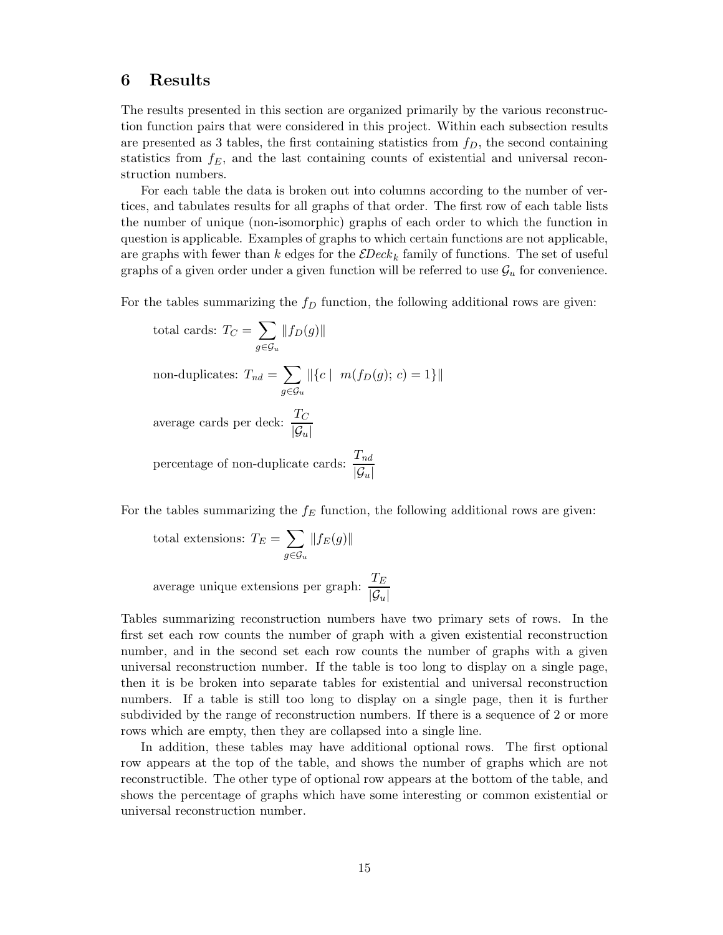### 6 Results

The results presented in this section are organized primarily by the various reconstruction function pairs that were considered in this project. Within each subsection results are presented as 3 tables, the first containing statistics from  $f<sub>D</sub>$ , the second containing statistics from  $f_E$ , and the last containing counts of existential and universal reconstruction numbers.

For each table the data is broken out into columns according to the number of vertices, and tabulates results for all graphs of that order. The first row of each table lists the number of unique (non-isomorphic) graphs of each order to which the function in question is applicable. Examples of graphs to which certain functions are not applicable, are graphs with fewer than k edges for the  $\mathcal{E}Deck_k$  family of functions. The set of useful graphs of a given order under a given function will be referred to use  $\mathcal{G}_u$  for convenience.

For the tables summarizing the  $f_D$  function, the following additional rows are given:

total cards: 
$$
T_C = \sum_{g \in \mathcal{G}_u} ||f_D(g)||
$$
  
non-duplicates: 
$$
T_{nd} = \sum_{g \in \mathcal{G}_u} ||\{c \mid m(f_D(g); c) = 1\}||
$$
  
average cards per deck: 
$$
\frac{T_C}{|\mathcal{G}_u|}
$$
  
percentage of non-duplicate cards: 
$$
\frac{T_{nd}}{|\mathcal{G}_u|}
$$

For the tables summarizing the  $f_E$  function, the following additional rows are given:

total extensions: 
$$
T_E = \sum_{g \in \mathcal{G}_u} ||f_E(g)||
$$

average unique extensions per graph:  $\frac{T_E}{G}$  $|\mathcal{G}_u|$ 

Tables summarizing reconstruction numbers have two primary sets of rows. In the first set each row counts the number of graph with a given existential reconstruction number, and in the second set each row counts the number of graphs with a given universal reconstruction number. If the table is too long to display on a single page, then it is be broken into separate tables for existential and universal reconstruction numbers. If a table is still too long to display on a single page, then it is further subdivided by the range of reconstruction numbers. If there is a sequence of 2 or more rows which are empty, then they are collapsed into a single line.

In addition, these tables may have additional optional rows. The first optional row appears at the top of the table, and shows the number of graphs which are not reconstructible. The other type of optional row appears at the bottom of the table, and shows the percentage of graphs which have some interesting or common existential or universal reconstruction number.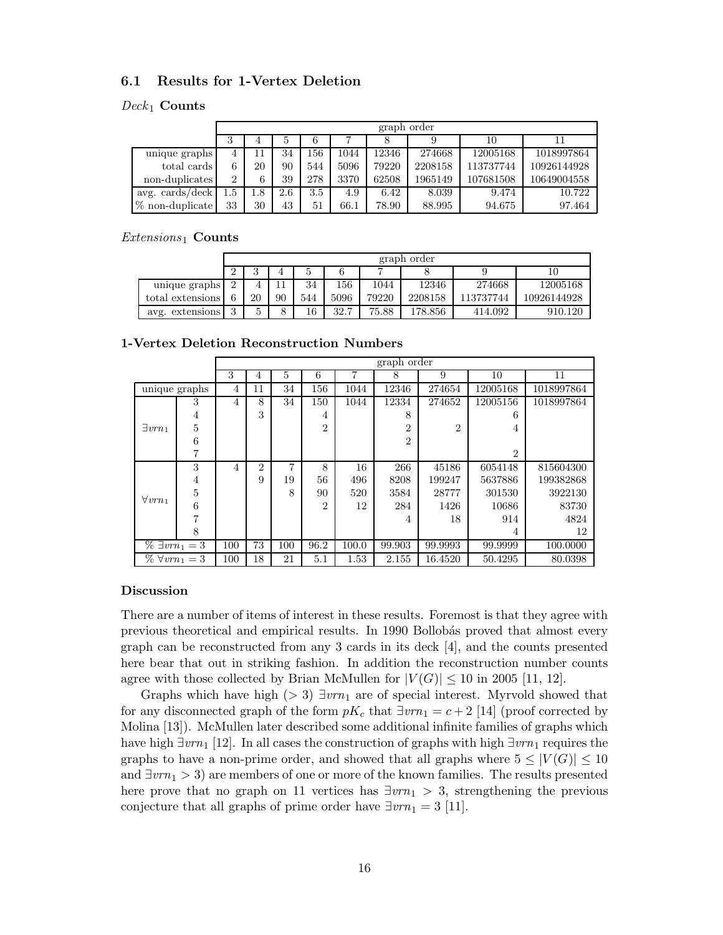#### 6.1 Results for 1-Vertex Deletion

#### $Deck_1$  Counts

|                          |     | graph order   |     |     |      |       |         |           |             |  |  |  |  |
|--------------------------|-----|---------------|-----|-----|------|-------|---------|-----------|-------------|--|--|--|--|
|                          | 3   | 6<br>10<br>b. |     |     |      |       |         |           |             |  |  |  |  |
| unique graphs            | 4   |               | 34  | !56 | 1044 | 12346 | 274668  | 12005168  | 1018997864  |  |  |  |  |
| total cards              |     | 20            | 90  | 544 | 5096 | 79220 | 2208158 | 113737744 | 10926144928 |  |  |  |  |
| non-duplicates           | 2   | 6             | 39  | 278 | 3370 | 62508 | 1965149 | 107681508 | 10649004558 |  |  |  |  |
| avg. $\cosh/\text{deck}$ | 1.5 | 1.8           | 2.6 | 3.5 | 4.9  | 6.42  | 8.039   | 9.474     | 10.722      |  |  |  |  |
| $%$ non-duplicate        | 33  | 30            | 43  | 51  | 66.1 | 78.90 | 88.995  | 94.675    | 97.464      |  |  |  |  |

 $Extensions_1$  Counts

|                  |          | graph order |    |     |      |       |         |           |             |  |  |  |  |  |
|------------------|----------|-------------|----|-----|------|-------|---------|-----------|-------------|--|--|--|--|--|
|                  | $\Omega$ | G           |    |     |      |       |         |           |             |  |  |  |  |  |
| unique graphs    | $\Omega$ |             |    | 34  | 156  | 1044  | 12346   | 274668    | 12005168    |  |  |  |  |  |
| total extensions | 6        | 20          | 90 | 544 | 5096 | 79220 | 2208158 | 113737744 | 10926144928 |  |  |  |  |  |
| avg. extensions  | $\Omega$ | ۔<br>ь<br>◡ | 8  | 16  | 32.7 | 75.88 | L78.856 | 414.092   | 910.120     |  |  |  |  |  |

1-Vertex Deletion Reconstruction Numbers

|                          | graph order |     |                |     |                |       |                |                |                |            |
|--------------------------|-------------|-----|----------------|-----|----------------|-------|----------------|----------------|----------------|------------|
|                          |             | 3   | 4              | 5   | 6              |       | 8              | 9              | 10             | 11         |
| unique graphs            |             | 4   | 11             | 34  | 156            | 1044  | 12346          | 274654         | 12005168       | 1018997864 |
|                          | 3           | 4   | 8              | 34  | 150            | 1044  | 12334          | 274652         | 12005156       | 1018997864 |
|                          | 4           |     | 3              |     | 4              |       | 8              |                | 6              |            |
| $\exists vrn_1$          | 5           |     |                |     | $\overline{2}$ |       | $\overline{2}$ | $\overline{2}$ | 4              |            |
|                          | 6           |     |                |     |                |       | $\overline{2}$ |                |                |            |
|                          | 7           |     |                |     |                |       |                |                | $\overline{2}$ |            |
|                          | 3           | 4   | $\overline{2}$ | 7   | 8              | 16    | 266            | 45186          | 6054148        | 815604300  |
|                          | 4           |     | 9              | 19  | 56             | 496   | 8208           | 199247         | 5637886        | 199382868  |
| $\forall vrn_1$          | 5           |     |                | 8   | 90             | 520   | 3584           | 28777          | 301530         | 3922130    |
|                          | 6           |     |                |     | $\overline{2}$ | 12    | 284            | 1426           | 10686          | 83730      |
|                          | 7           |     |                |     |                |       | $\overline{4}$ | 18             | 914            | 4824       |
|                          | 8           |     |                |     |                |       |                |                | 4              | 12         |
| $\% \exists vrn_1 = 3$   |             | 100 | 73             | 100 | 96.2           | 100.0 | 99.903         | 99.9993        | 99.9999        | 100.0000   |
| $\%$ $\forall vrn_1 = 3$ |             | 100 | 18             | 21  | 5.1            | 1.53  | 2.155          | 16.4520        | 50.4295        | 80.0398    |

#### Discussion

There are a number of items of interest in these results. Foremost is that they agree with previous theoretical and empirical results. In 1990 Bollobás proved that almost every graph can be reconstructed from any 3 cards in its deck [4], and the counts presented here bear that out in striking fashion. In addition the reconstruction number counts agree with those collected by Brian McMullen for  $|V(G)| \leq 10$  in 2005 [11, 12].

Graphs which have high (> 3)  $\exists v r n_1$  are of special interest. Myrvold showed that for any disconnected graph of the form  $pK_c$  that  $\exists vrn_1 = c + 2$  [14] (proof corrected by Molina [13]). McMullen later described some additional infinite families of graphs which have high  $\exists vrn_1$  [12]. In all cases the construction of graphs with high  $\exists vrn_1$  requires the graphs to have a non-prime order, and showed that all graphs where  $5 \leq |V(G)| \leq 10$ and  $\exists v r n_1 > 3$  are members of one or more of the known families. The results presented here prove that no graph on 11 vertices has  $\exists v r n_1 > 3$ , strengthening the previous conjecture that all graphs of prime order have  $\exists v r n_1 = 3$  [11].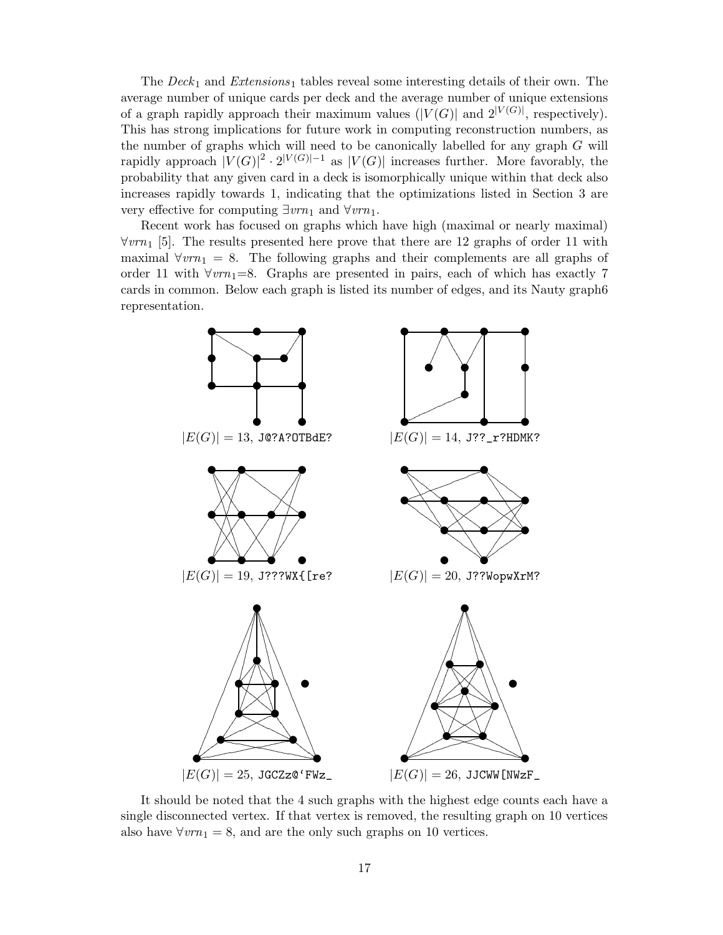The  $Deck_1$  and  $Extensions_1$  tables reveal some interesting details of their own. The average number of unique cards per deck and the average number of unique extensions of a graph rapidly approach their maximum values  $(|V(G)|$  and  $2^{|V(G)|}$ , respectively). This has strong implications for future work in computing reconstruction numbers, as the number of graphs which will need to be canonically labelled for any graph G will rapidly approach  $|V(G)|^2 \cdot 2^{|V(G)|-1}$  as  $|V(G)|$  increases further. More favorably, the probability that any given card in a deck is isomorphically unique within that deck also increases rapidly towards 1, indicating that the optimizations listed in Section 3 are very effective for computing  $\exists vrn_1$  and  $\forall vrn_1$ .

Recent work has focused on graphs which have high (maximal or nearly maximal)  $\forall v r n_1$  [5]. The results presented here prove that there are 12 graphs of order 11 with maximal  $\forall v r n_1 = 8$ . The following graphs and their complements are all graphs of order 11 with  $\forall v r n_1 = 8$ . Graphs are presented in pairs, each of which has exactly 7 cards in common. Below each graph is listed its number of edges, and its Nauty graph6 representation.



It should be noted that the 4 such graphs with the highest edge counts each have a single disconnected vertex. If that vertex is removed, the resulting graph on 10 vertices also have  $\forall v r n_1 = 8$ , and are the only such graphs on 10 vertices.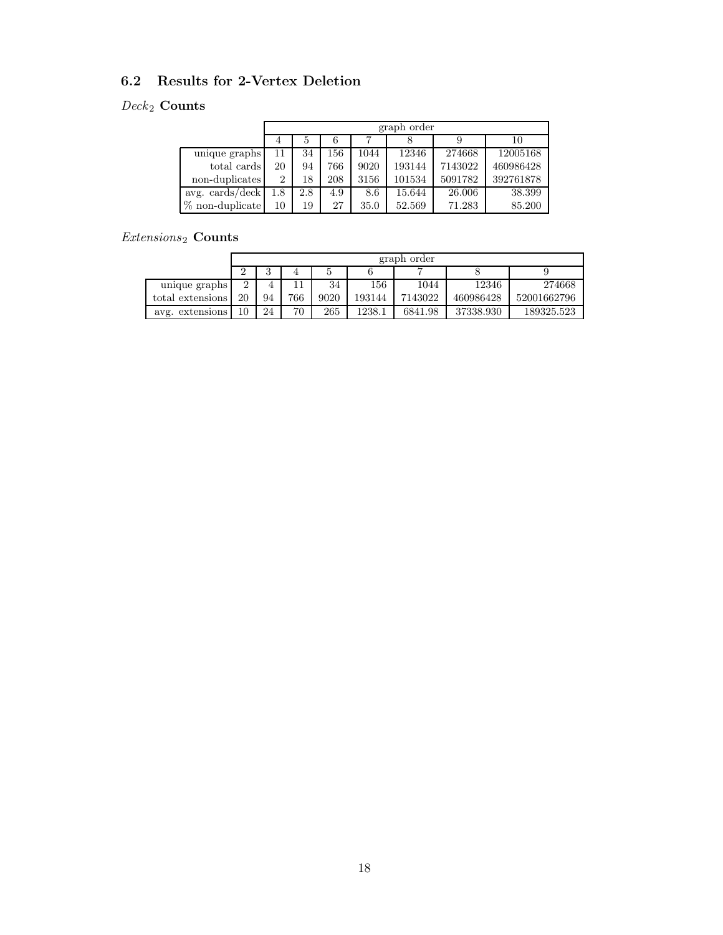### 6.2 Results for 2-Vertex Deletion

### $\emph{Deck}_2$  Counts

|                          | graph order |     |     |      |        |         |           |  |  |
|--------------------------|-------------|-----|-----|------|--------|---------|-----------|--|--|
|                          |             |     |     |      |        |         | 10        |  |  |
| unique graphs            | 11          | 34  | 156 | 1044 | 12346  | 274668  | 12005168  |  |  |
| total cards              | 20          | 94  | 766 | 9020 | 193144 | 7143022 | 460986428 |  |  |
| non-duplicates           | 2           | 18  | 208 | 3156 | 101534 | 5091782 | 392761878 |  |  |
| avg. $\cosh/\text{deck}$ | 1.8         | 2.8 | 4.9 | 8.6  | 15.644 | 26.006  | 38.399    |  |  |
| $%$ non-duplicate        | 10          | 19  | 27  | 35.0 | 52.569 | 71.283  | 85.200    |  |  |

### $\it Extensions_2$  Counts

|                  |    | graph order |     |      |        |         |           |             |  |  |
|------------------|----|-------------|-----|------|--------|---------|-----------|-------------|--|--|
|                  |    |             |     |      |        |         |           |             |  |  |
| unique graphs    |    |             |     | 34   | 156    | 1044    | 12346     | 274668      |  |  |
| total extensions | 20 | 94          | 766 | 9020 | 193144 | 7143022 | 460986428 | 52001662796 |  |  |
| avg. extensions  | 10 | 24          | 70  | 265  | 1238.1 | 6841.98 | 37338.930 | 189325.523  |  |  |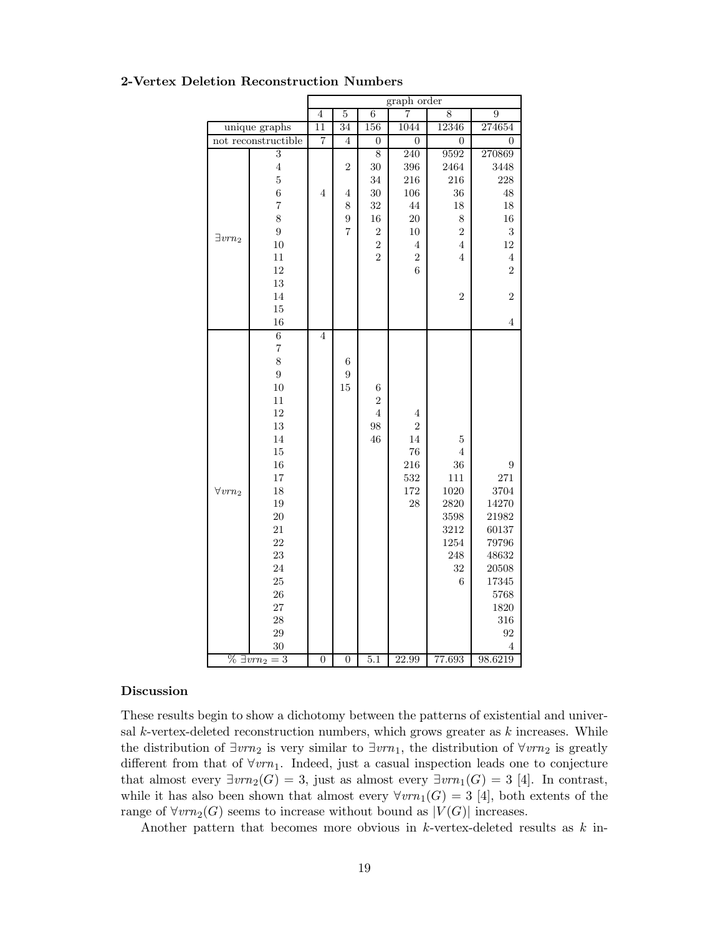|                 |                        | graph order     |                |                  |                |                  |                      |
|-----------------|------------------------|-----------------|----------------|------------------|----------------|------------------|----------------------|
|                 |                        | $\overline{4}$  | $\overline{5}$ | $\overline{6}$   | 7              | 8                | $\overline{9}$       |
|                 | unique graphs          | $\overline{11}$ | 34             | 156              | 1044           | 12346            | 274654               |
|                 | not reconstructible    | $\overline{7}$  | $\overline{4}$ | $\boldsymbol{0}$ | $\overline{0}$ | $\boldsymbol{0}$ | $\overline{0}$       |
|                 | $\overline{3}$         |                 |                | $\overline{8}$   | 240            | 9592             | 270869               |
|                 | $\overline{4}$         |                 | 2              | 30               | 396            | 2464             | 3448                 |
|                 | $\overline{5}$         |                 |                | 34               | 216            | 216              | 228                  |
|                 | $\overline{6}$         | $\overline{4}$  | 4              | 30               | 106            | 36               | 48                   |
|                 | $\overline{7}$         |                 | 8              | 32               | 44             | 18               | 18                   |
|                 | 8                      |                 | 9              | 16               | 20             | $\,$ $\,$        | 16                   |
| $\exists vrn_2$ | $\overline{9}$         |                 | $\overline{7}$ | $\overline{2}$   | $10\,$         | $\sqrt{2}$       | 3                    |
|                 | 10                     |                 |                | $\overline{2}$   | $\,4\,$        | $\overline{4}$   | 12                   |
|                 | 11                     |                 |                | $\overline{2}$   | $\overline{2}$ | $\overline{4}$   | $\sqrt{4}$           |
|                 | 12                     |                 |                |                  | 6              |                  | $\overline{2}$       |
|                 | 13                     |                 |                |                  |                |                  |                      |
|                 | 14                     |                 |                |                  |                | $\overline{2}$   | $\overline{2}$       |
|                 | 15                     |                 |                |                  |                |                  |                      |
|                 | 16                     |                 |                |                  |                |                  | $\overline{4}$       |
|                 | $\overline{6}$         | $\overline{4}$  |                |                  |                |                  |                      |
|                 | $\overline{7}$         |                 |                |                  |                |                  |                      |
|                 | 8                      |                 | $\,$ 6 $\,$    |                  |                |                  |                      |
|                 | $\overline{9}$         |                 | $\overline{9}$ |                  |                |                  |                      |
|                 | 10                     |                 | 15             | $\,$ 6 $\,$      |                |                  |                      |
|                 | 11                     |                 |                | $\overline{2}$   |                |                  |                      |
|                 | 12                     |                 |                | $\overline{4}$   | 4              |                  |                      |
|                 | 13                     |                 |                | 98               | $\overline{2}$ |                  |                      |
|                 | 14                     |                 |                | 46               | 14             | 5                |                      |
|                 | 15                     |                 |                |                  | 76             | $\overline{4}$   |                      |
|                 | 16                     |                 |                |                  | 216            | $36\,$           | 9                    |
|                 | 17                     |                 |                |                  | 532            | 111              | 271                  |
| $\forall vrn_2$ | 18                     |                 |                |                  | 172            | 1020             | 3704                 |
|                 | 19                     |                 |                |                  | 28             | 2820             | 14270                |
|                 | <b>20</b>              |                 |                |                  |                | 3598             | 21982                |
|                 | 21                     |                 |                |                  |                | 3212             | 60137                |
|                 | 22                     |                 |                |                  |                | 1254             | 79796                |
|                 | 23                     |                 |                |                  |                | 248              | 48632                |
|                 | 24                     |                 |                |                  |                | 32               | $\boldsymbol{20508}$ |
|                 | 25                     |                 |                |                  |                | 6                | 17345                |
|                 | 26                     |                 |                |                  |                |                  | 5768                 |
|                 | 27                     |                 |                |                  |                |                  | 1820                 |
|                 | 28                     |                 |                |                  |                |                  | 316                  |
|                 | 29                     |                 |                |                  |                |                  | 92                   |
|                 | 30                     |                 |                |                  |                |                  | 4                    |
|                 | $\% \exists vrn_2 = 3$ | $\overline{0}$  | $\overline{0}$ | 5.1              | 22.99          | 77.693           | 98.6219              |

#### 2-Vertex Deletion Reconstruction Numbers

#### Discussion

These results begin to show a dichotomy between the patterns of existential and universal  $k$ -vertex-deleted reconstruction numbers, which grows greater as  $k$  increases. While the distribution of  $\exists v \cdot n_2$  is very similar to  $\exists v \cdot n_1$ , the distribution of  $\forall v \cdot n_2$  is greatly different from that of  $\forall v r n_1$ . Indeed, just a casual inspection leads one to conjecture that almost every  $\exists vrn_2(G) = 3$ , just as almost every  $\exists vrn_1(G) = 3$  [4]. In contrast, while it has also been shown that almost every  $\forall vrm_1(G) = 3$  [4], both extents of the range of  $\forall vrn_2(G)$  seems to increase without bound as  $|V(G)|$  increases.

Another pattern that becomes more obvious in  $k$ -vertex-deleted results as  $k$  in-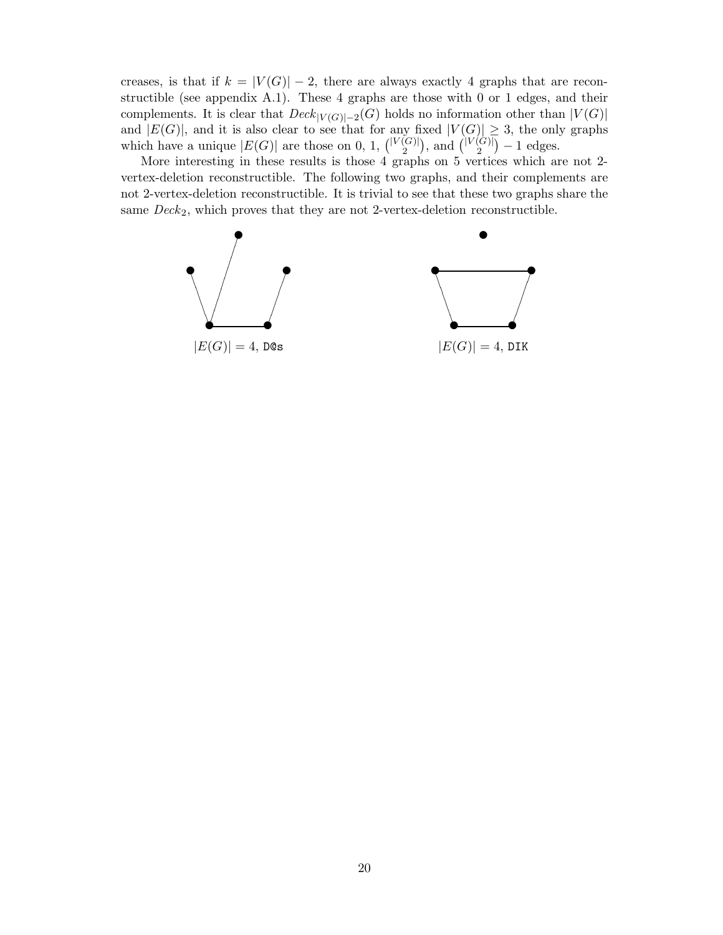creases, is that if  $k = |V(G)| - 2$ , there are always exactly 4 graphs that are reconstructible (see appendix A.1). These 4 graphs are those with 0 or 1 edges, and their complements. It is clear that  $Deck_{|V(G)|-2}(G)$  holds no information other than  $|V(G)|$ and  $|E(G)|$ , and it is also clear to see that for any fixed  $|V(G)| \geq 3$ , the only graphs which have a unique  $|E(G)|$  are those on 0, 1,  $\binom{|V(G)|}{2}$  $\binom{[G]}{2}$ , and  $\binom{|V(G)|}{2}$  $\binom{[G]}{2} - 1$  edges.

More interesting in these results is those 4 graphs on 5 vertices which are not 2 vertex-deletion reconstructible. The following two graphs, and their complements are not 2-vertex-deletion reconstructible. It is trivial to see that these two graphs share the same  $Deck_2$ , which proves that they are not 2-vertex-deletion reconstructible.

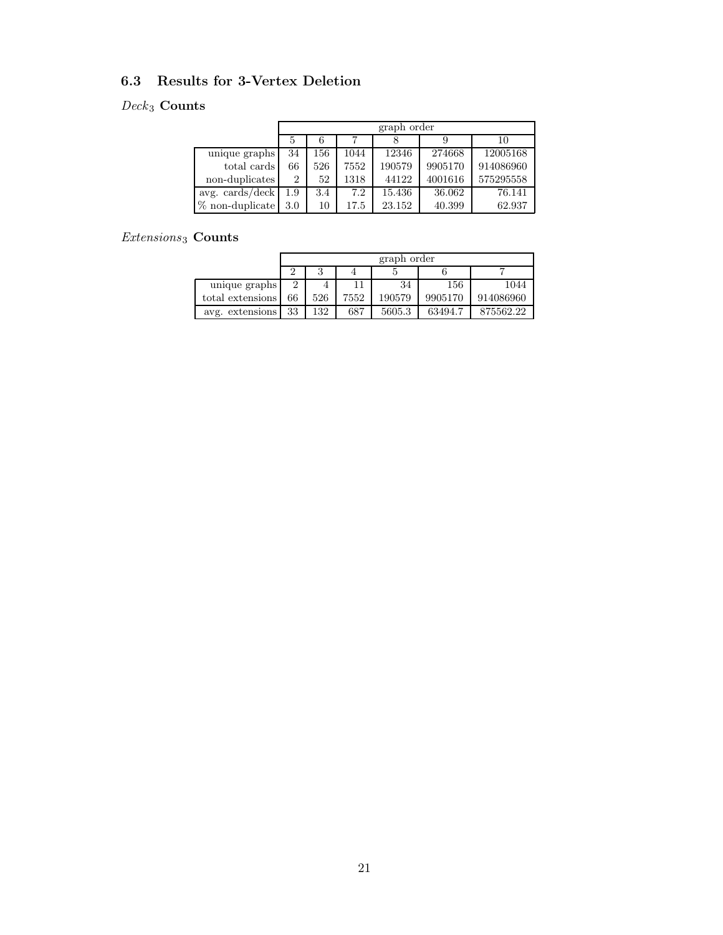### 6.3 Results for 3-Vertex Deletion

### $\it{Deck}_3$  Counts

|                      | graph order    |     |      |        |         |           |  |  |
|----------------------|----------------|-----|------|--------|---------|-----------|--|--|
|                      |                |     |      |        |         | 10        |  |  |
| unique graphs        | 34             | 156 | 1044 | 12346  | 274668  | 12005168  |  |  |
| total cards          | 66             | 526 | 7552 | 190579 | 9905170 | 914086960 |  |  |
| non-duplicates       | $\overline{2}$ | 52  | 1318 | 44122  | 4001616 | 575295558 |  |  |
| $avg. \, cards/deck$ | 1.9            | 3.4 | 7.2  | 15.436 | 36.062  | 76.141    |  |  |
| $%$ non-duplicate    | 3.0            | 10  | 17.5 | 23.152 | 40.399  | 62.937    |  |  |

### $\it Extensions_3$  Counts

|                  | graph order |     |      |        |         |           |  |
|------------------|-------------|-----|------|--------|---------|-----------|--|
|                  |             |     |      |        |         |           |  |
| unique graphs    | 2           |     |      | 34     | 156     | 1044      |  |
| total extensions | 66          | 526 | 7552 | 190579 | 9905170 | 914086960 |  |
| avg. extensions  | 33          | 132 | 687  | 5605.3 | 63494.7 | 875562.22 |  |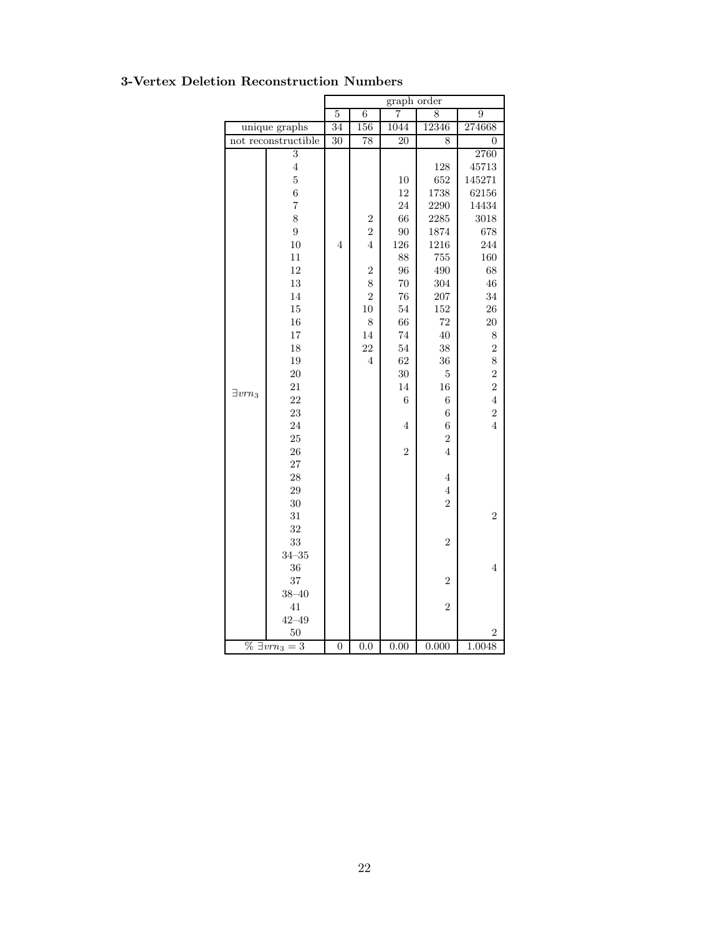|                 |                        | graph order      |                |                  |                |                         |  |
|-----------------|------------------------|------------------|----------------|------------------|----------------|-------------------------|--|
|                 |                        | $\overline{5}$   | $\overline{6}$ | 7                | 8              | $\overline{9}$          |  |
|                 | unique graphs          | 34               | 156            | 1044             | 12346          | 274668                  |  |
|                 | not reconstructible    | $\overline{30}$  | 78             | 20               | 8              | $\overline{0}$          |  |
|                 | $\overline{3}$         |                  |                |                  |                | 2760                    |  |
|                 | $\overline{4}$         |                  |                |                  | 128            | 45713                   |  |
|                 | $\overline{5}$         |                  |                | 10               | 652            | 145271                  |  |
|                 | $\overline{6}$         |                  |                | 12               | 1738           | 62156                   |  |
|                 | $\overline{7}$         |                  |                | 24               | 2290           | 14434                   |  |
|                 | 8                      |                  | $\overline{2}$ | 66               | 2285           | 3018                    |  |
|                 | $\overline{9}$         |                  | $\overline{2}$ | 90               | 1874           | 678                     |  |
|                 | 10                     | 4                | $\overline{4}$ | 126              | 1216           | 244                     |  |
|                 | 11                     |                  |                | 88               | 755            | 160                     |  |
|                 | 12                     |                  | $\overline{2}$ | 96               | 490            | 68                      |  |
|                 | 13                     |                  | 8              | 70               | 304            | 46                      |  |
|                 | 14                     |                  | $\overline{2}$ | 76               | 207            | 34                      |  |
|                 | 15                     |                  | 10             | 54               | 152            | 26                      |  |
|                 | 16                     |                  | 8              | 66               | 72             | 20                      |  |
|                 | 17                     |                  | 14             | 74               | 40             | $8\,$                   |  |
|                 | 18                     |                  | 22             | 54               | 38             | $\overline{2}$          |  |
|                 | 19                     |                  | $\overline{4}$ | 62               | 36             | 8                       |  |
|                 | 20                     |                  |                | 30               | $\overline{5}$ | $\overline{\mathbf{c}}$ |  |
| $\exists vrn_3$ | 21                     |                  |                | 14               | 16             | $\overline{2}$          |  |
|                 | 22                     |                  |                | $\boldsymbol{6}$ | 6              | $\overline{4}$          |  |
|                 | 23                     |                  |                |                  | $\overline{6}$ | $\overline{2}$          |  |
|                 | 24                     |                  |                | 4                | 6              | $\overline{4}$          |  |
|                 | 25                     |                  |                |                  | $\overline{2}$ |                         |  |
|                 | 26                     |                  |                | $\overline{2}$   | $\overline{4}$ |                         |  |
|                 | 27                     |                  |                |                  |                |                         |  |
|                 | 28                     |                  |                |                  | $\overline{4}$ |                         |  |
|                 | 29                     |                  |                |                  | $\overline{4}$ |                         |  |
|                 | 30                     |                  |                |                  | $\overline{2}$ |                         |  |
|                 | 31                     |                  |                |                  |                | $\overline{2}$          |  |
|                 | 32                     |                  |                |                  |                |                         |  |
|                 | 33                     |                  |                |                  | $\overline{2}$ |                         |  |
|                 | $34 - 35$              |                  |                |                  |                |                         |  |
|                 | 36                     |                  |                |                  |                | $\overline{4}$          |  |
|                 | 37                     |                  |                |                  | $\overline{2}$ |                         |  |
|                 | $38 - 40$              |                  |                |                  |                |                         |  |
|                 | 41                     |                  |                |                  | $\overline{2}$ |                         |  |
|                 | $42 - 49$              |                  |                |                  |                |                         |  |
|                 | 50                     |                  |                |                  |                | 2                       |  |
|                 | $\% \exists vrn_3 = 3$ | $\boldsymbol{0}$ | 0.0            | 0.00             | 0.000          | 1.0048                  |  |

### 3-Vertex Deletion Reconstruction Numbers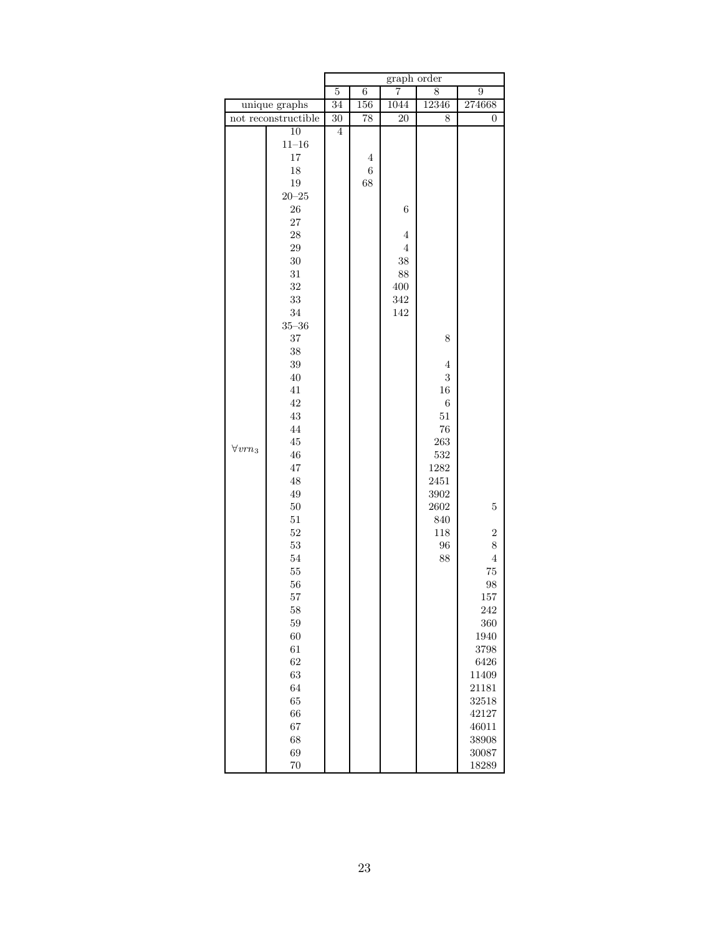|                 | graph order         |                 |                |         |                |                |
|-----------------|---------------------|-----------------|----------------|---------|----------------|----------------|
|                 |                     | $\overline{5}$  | $\overline{6}$ | 7       | 8              | $\overline{9}$ |
| unique graphs   |                     | $\overline{34}$ | 156            | 1044    | 12346          | 274668         |
|                 | not reconstructible | 30              | 78             | 20      | 8              | $\overline{0}$ |
|                 | 10                  | $\overline{4}$  |                |         |                |                |
|                 | $11\hbox{--}16$     |                 |                |         |                |                |
|                 | $17\,$              |                 | $\overline{4}$ |         |                |                |
|                 | $18\,$              |                 | $\,6\,$        |         |                |                |
|                 | $19\,$              |                 | 68             |         |                |                |
|                 | $20\hbox{--}25$     |                 |                |         |                |                |
|                 | $26\,$              |                 |                | $\,6$   |                |                |
|                 | $\sqrt{27}$         |                 |                |         |                |                |
|                 | $28\,$              |                 |                | $\,4\,$ |                |                |
|                 | $\,29$              |                 |                | $\,4\,$ |                |                |
|                 | 30                  |                 |                | $38\,$  |                |                |
|                 | $31\,$              |                 |                | 88      |                |                |
|                 | $32\,$              |                 |                | 400     |                |                |
|                 | $33\,$              |                 |                | 342     |                |                |
|                 | $34\,$              |                 |                | 142     |                |                |
|                 | $35 - 36$           |                 |                |         |                |                |
|                 | $37\,$              |                 |                |         | 8              |                |
|                 | $38\,$              |                 |                |         |                |                |
|                 | $39\,$              |                 |                |         | $\overline{4}$ |                |
|                 | $40\,$              |                 |                |         | $\,3$          |                |
|                 | $41\,$              |                 |                |         | $16\,$         |                |
|                 | $42\,$              |                 |                |         | $\,6$          |                |
|                 | $43\,$              |                 |                |         | $51\,$         |                |
|                 | $\bf 44$            |                 |                |         | $76\,$         |                |
|                 | $45\,$              |                 |                |         | $263\,$        |                |
| $\forall vrn_3$ | $\sqrt{46}$         |                 |                |         | $532\,$        |                |
|                 | $47\,$              |                 |                |         | 1282           |                |
|                 | 48                  |                 |                |         | $2451\,$       |                |
|                 | $\sqrt{49}$         |                 |                |         | 3902           |                |
|                 | $50\,$              |                 |                |         | 2602           | $\overline{5}$ |
|                 | $51\,$              |                 |                |         | 840            |                |
|                 | $52\,$              |                 |                |         | 118            | $\,2$          |
|                 | $53\,$              |                 |                |         | 96             | $\,8\,$        |
|                 | $54\,$              |                 |                |         | 88             | $\,4\,$        |
|                 | $55\,$              |                 |                |         |                | $75\,$         |
|                 | 56                  |                 |                |         |                | $98\,$         |
|                 | $57\,$              |                 |                |         |                | 157            |
|                 | 58                  |                 |                |         |                | 242            |
|                 | 59                  |                 |                |         |                | 360            |
|                 | 60                  |                 |                |         |                | 1940           |
|                 | 61                  |                 |                |         |                | 3798           |
|                 | 62                  |                 |                |         |                | 6426           |
|                 | 63                  |                 |                |         |                | 11409          |
|                 | 64                  |                 |                |         |                | 21181          |
|                 | 65                  |                 |                |         |                | 32518          |
|                 | 66                  |                 |                |         |                | 42127          |
|                 | 67                  |                 |                |         |                | 46011          |
|                 | 68                  |                 |                |         |                | 38908          |
|                 | 69                  |                 |                |         |                | 30087          |
|                 | 70                  |                 |                |         |                | 18289          |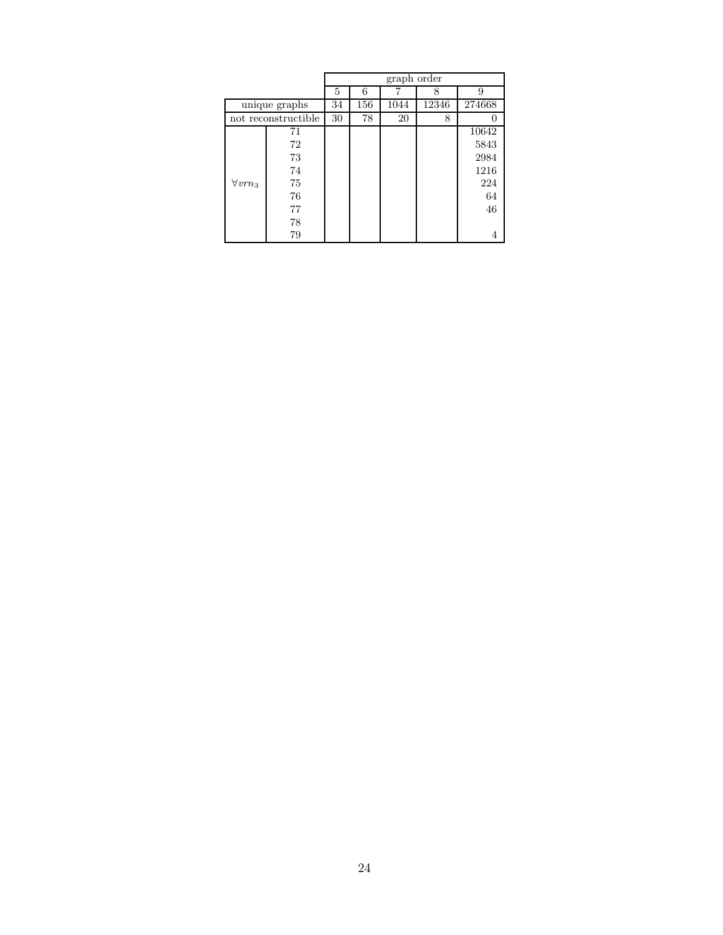|                 |                     |    |     | graph order |       |        |
|-----------------|---------------------|----|-----|-------------|-------|--------|
|                 |                     | 5  | 6   |             | 8     | 9      |
| unique graphs   |                     | 34 | 156 | 1044        | 12346 | 274668 |
|                 | not reconstructible | 30 | 78  | 20          | 8     | 0      |
|                 | 71                  |    |     |             |       | 10642  |
|                 | 72                  |    |     |             |       | 5843   |
|                 | 73                  |    |     |             |       | 2984   |
|                 | 74                  |    |     |             |       | 1216   |
| $\forall vrn_3$ | 75                  |    |     |             |       | 224    |
|                 | 76                  |    |     |             |       | 64     |
|                 | 77                  |    |     |             |       | 46     |
|                 | 78                  |    |     |             |       |        |
|                 | 79                  |    |     |             |       |        |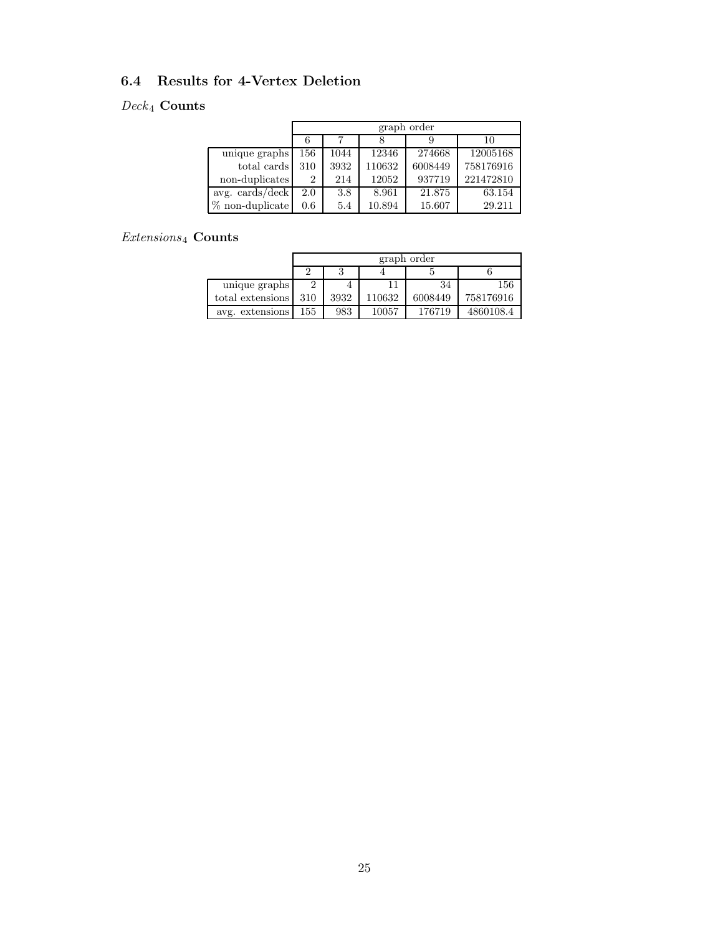### 6.4 Results for 4-Vertex Deletion

### $\it{Deck}_4$  Counts

|                                         |         | graph order |        |         |           |  |  |  |  |
|-----------------------------------------|---------|-------------|--------|---------|-----------|--|--|--|--|
|                                         |         |             |        |         | 10        |  |  |  |  |
| unique graphs                           | 156     | 1044        | 12346  | 274668  | 12005168  |  |  |  |  |
| total cards                             | 310     | 3932        | 110632 | 6008449 | 758176916 |  |  |  |  |
| non-duplicates                          | 2       | 214         | 12052  | 937719  | 221472810 |  |  |  |  |
| avg. $\frac{\text{cards}}{\text{deck}}$ | 2.0     | 3.8         | 8.961  | 21.875  | 63.154    |  |  |  |  |
| $%$ non-duplicate                       | $0.6\,$ | 5.4         | 10.894 | 15.607  | 29.211    |  |  |  |  |

### $\it Extensions_4$  Counts

|                  |     | graph order |        |         |           |  |  |  |  |
|------------------|-----|-------------|--------|---------|-----------|--|--|--|--|
|                  |     |             |        |         |           |  |  |  |  |
| unique graphs    |     |             |        | 34      | 156       |  |  |  |  |
| total extensions | 310 | 3932        | 110632 | 6008449 | 758176916 |  |  |  |  |
| avg. extensions  | 155 | 983         | 10057  | 176719  | 4860108.4 |  |  |  |  |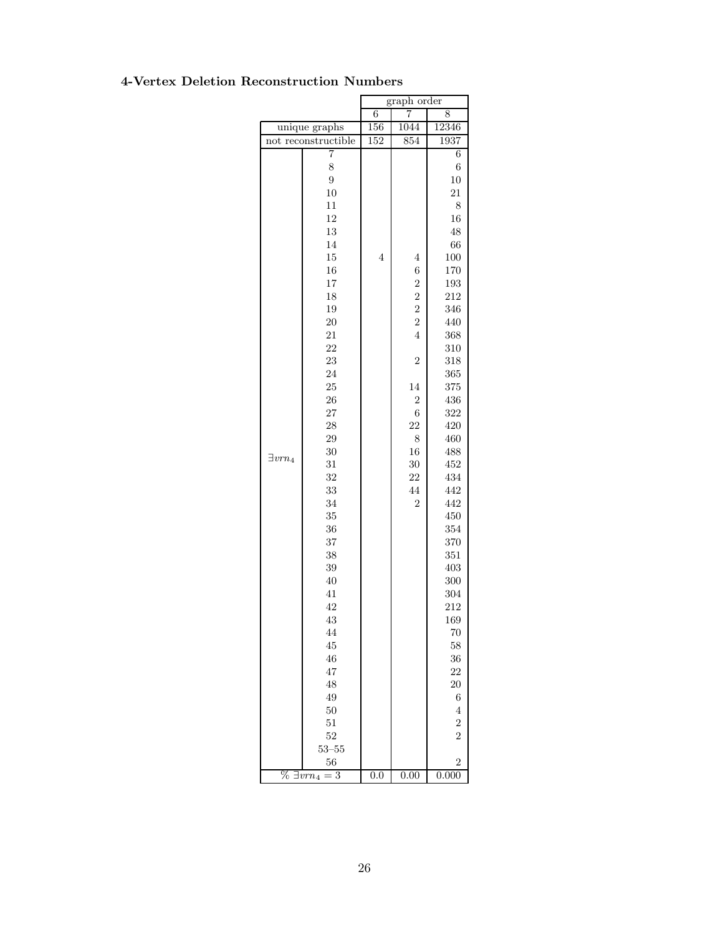### 4-Vertex Deletion Reconstruction Numbers

|                                 |                            | graph order |                |                |  |  |
|---------------------------------|----------------------------|-------------|----------------|----------------|--|--|
|                                 |                            | 6           | 7              | 8              |  |  |
| unique graphs                   |                            | 156         | 1044           | 12346          |  |  |
|                                 | not reconstructible        | 152         | 854            | 1937           |  |  |
|                                 | 7                          |             |                | 6              |  |  |
|                                 | 8                          |             |                | 6              |  |  |
|                                 | $\overline{9}$             |             |                | 10             |  |  |
|                                 | 10                         |             |                | 21             |  |  |
|                                 | 11                         |             |                | 8              |  |  |
|                                 | 12                         |             |                | 16             |  |  |
|                                 | 13                         |             |                | 48             |  |  |
|                                 | 14<br>15<br>$\overline{4}$ |             | 66             |                |  |  |
|                                 |                            |             | $\overline{4}$ | 100            |  |  |
|                                 | 16                         |             | $\,$ 6 $\,$    | 170            |  |  |
|                                 | 17                         |             | $\overline{c}$ | 193            |  |  |
|                                 | 18                         |             | $\overline{c}$ | 212            |  |  |
|                                 | 19                         |             | $\overline{2}$ | 346            |  |  |
|                                 | 20                         |             | $\overline{2}$ | 440            |  |  |
|                                 | 21                         |             | $\overline{4}$ | 368            |  |  |
|                                 | 22                         |             |                | 310            |  |  |
|                                 | 23                         |             | $\overline{2}$ | 318            |  |  |
|                                 | 24                         |             |                | 365            |  |  |
|                                 | 25                         |             | 14             | 375            |  |  |
|                                 | 26                         |             | $\overline{c}$ | 436            |  |  |
|                                 | 27                         |             | 6              |                |  |  |
|                                 | 28                         |             |                | 322<br>420     |  |  |
|                                 |                            |             | 22             |                |  |  |
|                                 | $\,29$                     |             | 8              | 460            |  |  |
| $\exists vrn_4$                 | $30\,$                     |             | 16             | 488            |  |  |
|                                 | 31                         |             | 30             | 452            |  |  |
|                                 | 32                         |             | 22             | 434            |  |  |
|                                 | 33                         |             | 44             | 442            |  |  |
|                                 | 34                         |             | 2              | 442            |  |  |
|                                 | 35                         |             |                | 450            |  |  |
|                                 | 36                         |             |                | 354            |  |  |
|                                 | 37                         |             |                | 370            |  |  |
|                                 | 38                         |             |                | 351            |  |  |
|                                 | 39                         |             |                | 403            |  |  |
|                                 | 40                         |             |                | 300            |  |  |
|                                 | 41                         |             |                | 304            |  |  |
|                                 | 42                         |             |                | 212            |  |  |
|                                 | 43                         |             |                | 169            |  |  |
|                                 | 44                         |             |                | 70             |  |  |
|                                 | 45                         |             |                | 58             |  |  |
|                                 | 46                         |             |                | 36             |  |  |
|                                 | 47                         |             |                | 22             |  |  |
|                                 | 48                         |             |                | 20             |  |  |
|                                 | 49                         |             |                | $\,$ 6 $\,$    |  |  |
|                                 | 50                         |             |                | $\overline{4}$ |  |  |
|                                 | 51                         |             |                | $\overline{2}$ |  |  |
|                                 | 52                         |             |                | $\overline{2}$ |  |  |
|                                 | $53 - 55$                  |             |                |                |  |  |
|                                 | 56                         |             |                | $\overline{2}$ |  |  |
| $\overline{\%}$ $\exists vrn_4$ | $=$ 3                      | 0.0         | 0.00           | 0.000          |  |  |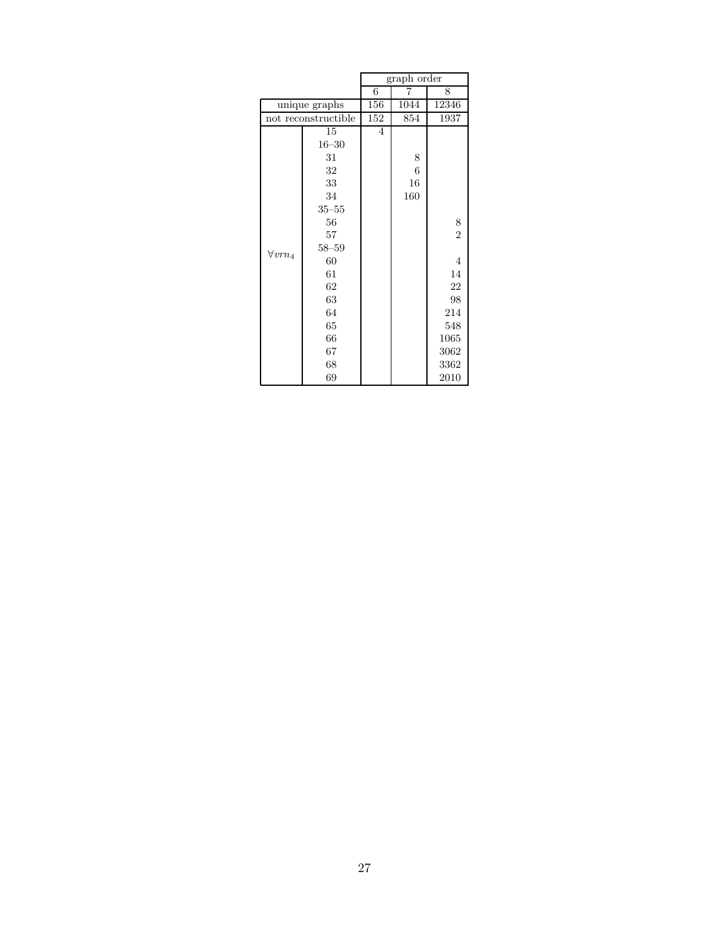|                 |                     |                | $graph\ order$   |                |  |  |
|-----------------|---------------------|----------------|------------------|----------------|--|--|
|                 |                     | 6              | 7                | 8              |  |  |
|                 | unique graphs       | 156            | 1044             | 12346          |  |  |
|                 | not reconstructible | 152            | 854              | 1937           |  |  |
|                 | 15                  | $\overline{4}$ |                  |                |  |  |
|                 | $16 - 30$           |                |                  |                |  |  |
|                 | 31                  |                | 8                |                |  |  |
|                 | 32                  |                | $\boldsymbol{6}$ |                |  |  |
|                 | 33                  |                | 16               |                |  |  |
|                 | 34                  |                | 160              |                |  |  |
|                 | $35 - 55$           |                |                  |                |  |  |
|                 | 56                  |                |                  | 8              |  |  |
|                 | 57                  |                |                  | $\overline{2}$ |  |  |
| $\forall vrn_4$ | $58 - 59$           |                |                  |                |  |  |
|                 | 60                  |                |                  | $\overline{4}$ |  |  |
|                 | 61                  |                |                  | 14             |  |  |
|                 | 62                  |                |                  | 22             |  |  |
|                 | 63                  |                |                  | 98             |  |  |
|                 | 64                  |                |                  | 214            |  |  |
|                 | 65                  |                |                  | 548            |  |  |
|                 | 66                  |                |                  | 1065           |  |  |
|                 | 67                  |                |                  | 3062           |  |  |
|                 | 68                  |                |                  | 3362           |  |  |
|                 | 69                  |                |                  | 2010           |  |  |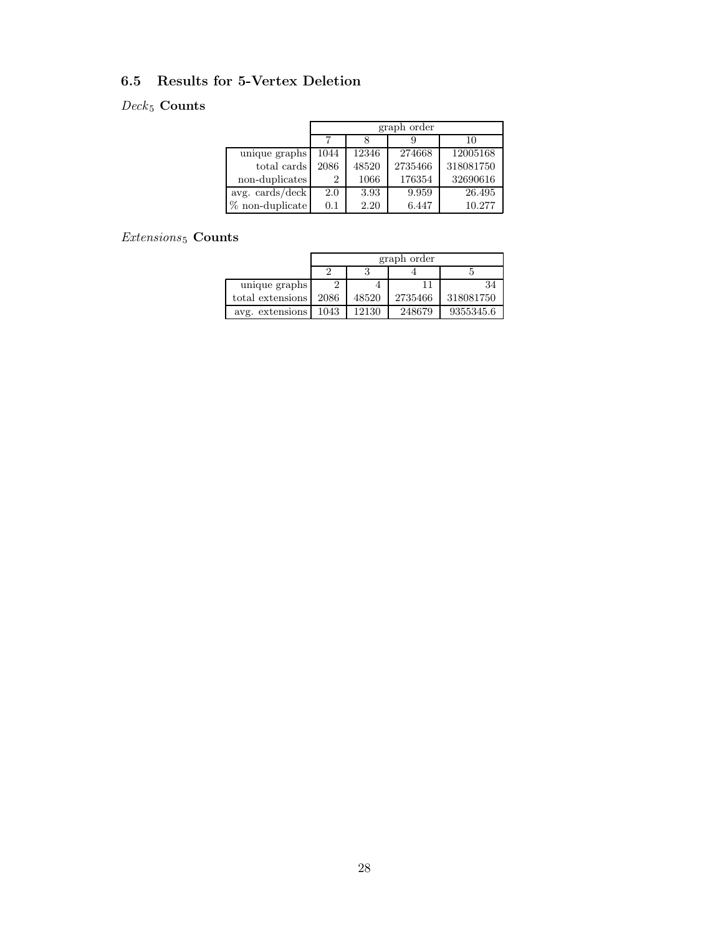### 6.5 Results for 5-Vertex Deletion

### $\it{Deck}_5$  Counts

|                   |         | graph order |         |           |  |  |  |  |  |  |  |  |
|-------------------|---------|-------------|---------|-----------|--|--|--|--|--|--|--|--|
|                   | 10<br>9 |             |         |           |  |  |  |  |  |  |  |  |
| unique graphs     | 1044    | 12346       | 274668  | 12005168  |  |  |  |  |  |  |  |  |
| total cards       | 2086    | 48520       | 2735466 | 318081750 |  |  |  |  |  |  |  |  |
| non-duplicates    | 2       | 1066        | 176354  | 32690616  |  |  |  |  |  |  |  |  |
| avg. cards/deck   | 2.0     | 3.93        | 9.959   | 26.495    |  |  |  |  |  |  |  |  |
| $%$ non-duplicate | 0.1     | 2.20        | 6.447   | 10.277    |  |  |  |  |  |  |  |  |

### $\it Extensions_5$  \rm \bf Counts

|                  |      | graph order |         |           |  |  |  |  |  |  |
|------------------|------|-------------|---------|-----------|--|--|--|--|--|--|
|                  |      |             |         |           |  |  |  |  |  |  |
| unique graphs    |      |             | 11      | 34        |  |  |  |  |  |  |
| total extensions | 2086 | 48520       | 2735466 | 318081750 |  |  |  |  |  |  |
| avg. extensions  | 1043 | 12130       | 248679  | 9355345.6 |  |  |  |  |  |  |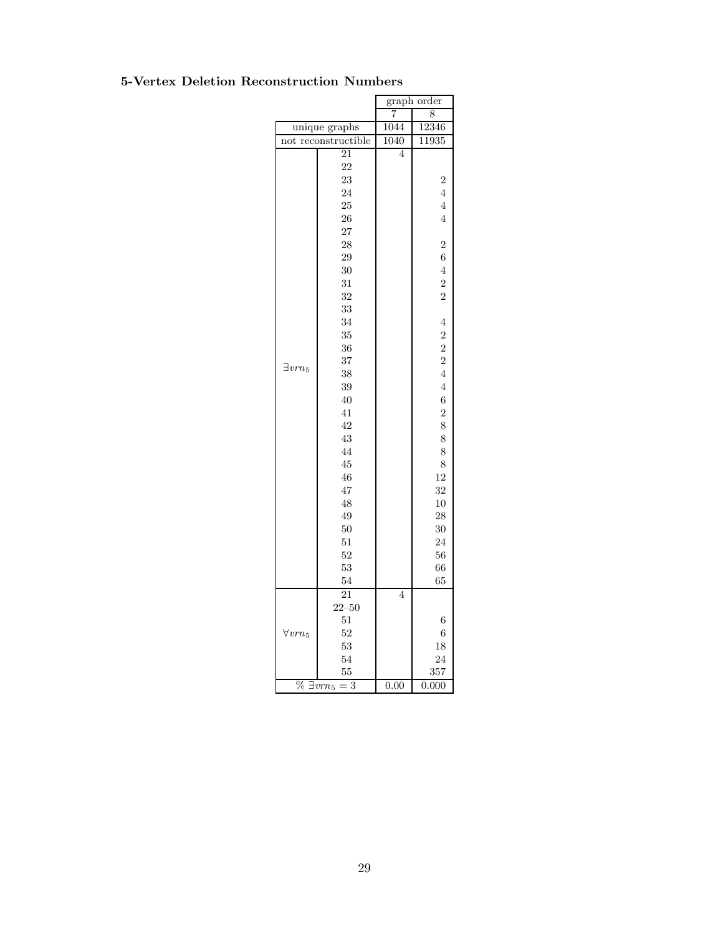### 5-Vertex Deletion Reconstruction Numbers

|                   |                                       | graph order    |                |  |  |
|-------------------|---------------------------------------|----------------|----------------|--|--|
|                   |                                       | 7              | 8              |  |  |
|                   | unique graphs                         | 1044           | 12346          |  |  |
| not               | reconstructible                       | 1040           | 11935          |  |  |
|                   | 21                                    | 4              |                |  |  |
|                   | 22                                    |                |                |  |  |
|                   | 23                                    |                | 2              |  |  |
|                   | 24                                    |                | 4              |  |  |
|                   | 25                                    |                | 4              |  |  |
|                   | 26                                    |                | $\overline{4}$ |  |  |
|                   | 27                                    |                |                |  |  |
|                   | 28                                    |                | $\overline{2}$ |  |  |
|                   | 29                                    |                | 6              |  |  |
|                   | 30                                    |                | $\overline{4}$ |  |  |
|                   | 31                                    |                | $\overline{2}$ |  |  |
|                   | 32                                    |                | $\overline{2}$ |  |  |
|                   | 33                                    |                |                |  |  |
|                   | 34                                    |                | $\overline{4}$ |  |  |
|                   | 35                                    |                | $\overline{c}$ |  |  |
|                   | 36                                    |                | $\overline{2}$ |  |  |
|                   | 37                                    |                | $\overline{2}$ |  |  |
| $\exists vrn_5$   | 38                                    |                | $\overline{4}$ |  |  |
|                   | 39                                    |                | 4              |  |  |
|                   | 40                                    |                | 6              |  |  |
|                   | 41                                    |                | $\overline{2}$ |  |  |
|                   | 42                                    |                | 8              |  |  |
|                   | 43                                    |                | 8              |  |  |
|                   | 44                                    |                | 8              |  |  |
|                   | 45                                    |                | 8              |  |  |
|                   | 46                                    |                | 12             |  |  |
|                   | 47                                    |                | 32             |  |  |
|                   | 48                                    |                | 10             |  |  |
|                   | 49                                    |                | 28             |  |  |
|                   | 50                                    |                | 30             |  |  |
|                   | 51                                    |                | 24             |  |  |
|                   | 52                                    |                | 56             |  |  |
|                   | 53                                    |                | 66             |  |  |
|                   | 54                                    |                | 65             |  |  |
|                   | 21                                    | $\overline{4}$ |                |  |  |
|                   | $22 - 50$                             |                |                |  |  |
|                   | 51                                    |                | 6              |  |  |
|                   | 52                                    |                | 6              |  |  |
| $\forall v r n_5$ | 53                                    |                | 18             |  |  |
|                   | 54                                    |                | 24             |  |  |
|                   | 55                                    |                |                |  |  |
| $\%$              | 3                                     | 0.00           | 357<br>0.000   |  |  |
|                   | $\overline{\exists} v\overline{r}n_5$ |                |                |  |  |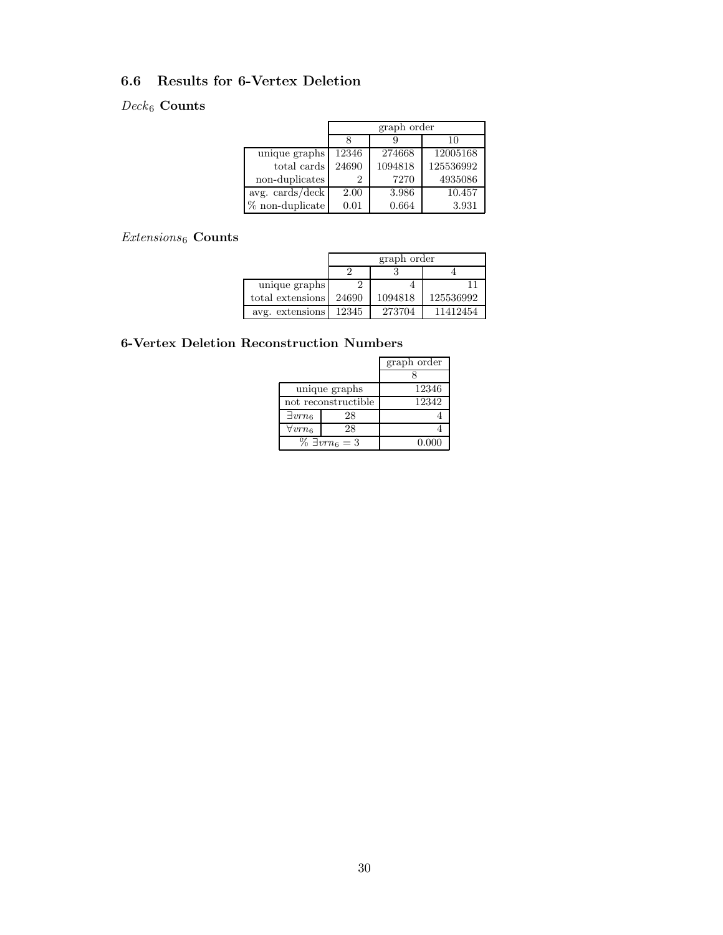### 6.6 Results for 6-Vertex Deletion

### $Deck_6$  Counts

|                                 |       | graph order |           |  |  |  |  |  |  |  |  |
|---------------------------------|-------|-------------|-----------|--|--|--|--|--|--|--|--|
|                                 |       |             | 10        |  |  |  |  |  |  |  |  |
| unique graphs                   | 12346 | 274668      | 12005168  |  |  |  |  |  |  |  |  |
| total cards                     | 24690 | 1094818     | 125536992 |  |  |  |  |  |  |  |  |
| non-duplicates                  | 2     | 7270        | 4935086   |  |  |  |  |  |  |  |  |
| avg. $\text{cards}/\text{deck}$ | 2.00  | 3.986       | 10.457    |  |  |  |  |  |  |  |  |
| $\%$ non-duplicate              | 0.01  | 0.664       | 3.931     |  |  |  |  |  |  |  |  |

### $\it Extensions_6$  Counts

|                  | graph order                   |        |          |  |  |  |  |  |  |
|------------------|-------------------------------|--------|----------|--|--|--|--|--|--|
|                  |                               |        |          |  |  |  |  |  |  |
| unique graphs    |                               |        | 11       |  |  |  |  |  |  |
| total extensions | 125536992<br>24690<br>1094818 |        |          |  |  |  |  |  |  |
| avg. extensions  | 12345                         | 273704 | 11412454 |  |  |  |  |  |  |

### 6-Vertex Deletion Reconstruction Numbers

|                 |                          | graph order |
|-----------------|--------------------------|-------------|
|                 |                          |             |
|                 | unique graphs            | 12346       |
|                 | not reconstructible      | 12342       |
| $\exists vrn_6$ | 28                       |             |
| $\forall vrn_6$ | 28                       |             |
|                 | $\% \exists v r n_6 = 3$ | 0.000       |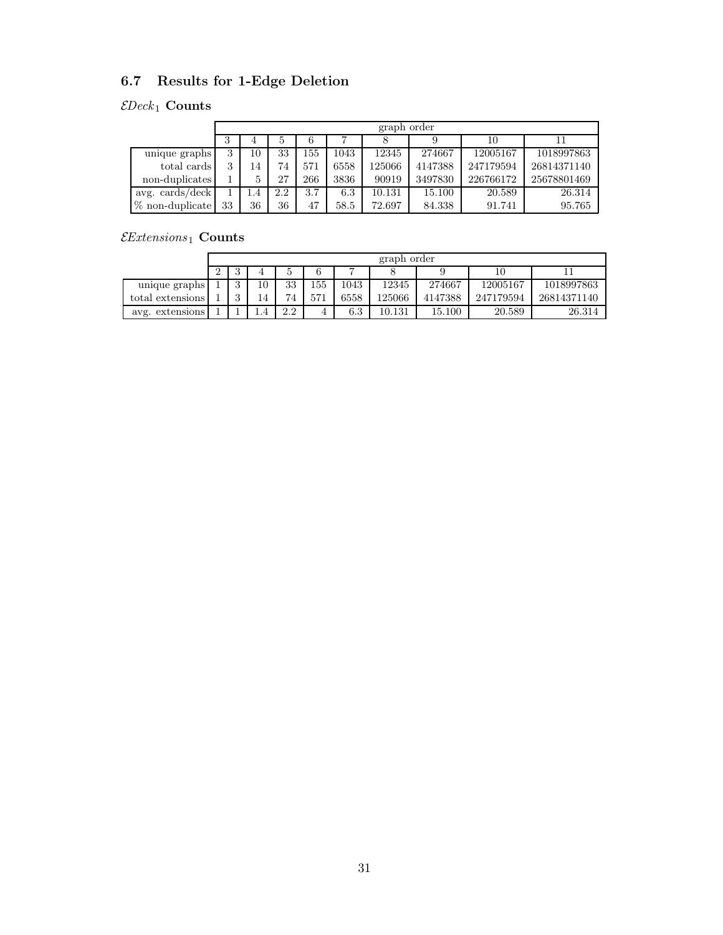# 6.7 Results for 1-Edge Deletion

### $\mathcal{E}Deck_1$  Counts

|                   |    | graph order |     |     |      |        |         |           |             |  |  |  |  |
|-------------------|----|-------------|-----|-----|------|--------|---------|-----------|-------------|--|--|--|--|
|                   | 3  |             | 5   |     | ⇁    |        |         | 10        |             |  |  |  |  |
| unique graphs     | 3  | 10          | 33  | 155 | 1043 | 12345  | 274667  | 12005167  | 1018997863  |  |  |  |  |
| total cards       | 3  | 14          | 74  | 571 | 6558 | 125066 | 4147388 | 247179594 | 26814371140 |  |  |  |  |
| non-duplicates    |    | 5           | 27  | 266 | 3836 | 90919  | 3497830 | 226766172 | 25678801469 |  |  |  |  |
| avg. cards/deck   |    | l.4         | 2.2 | 3.7 | 6.3  | 10.131 | 15.100  | 20.589    | 26.314      |  |  |  |  |
| $%$ non-duplicate | 33 | 36          | 36  | 47  | 58.5 | 72.697 | 84.338  | 91.741    | 95.765      |  |  |  |  |

### $\mathcal{E}$ Extensions 1 Counts

|                  | graph order |         |     |     |     |      |        |         |           |             |  |  |
|------------------|-------------|---------|-----|-----|-----|------|--------|---------|-----------|-------------|--|--|
|                  |             | 6<br>10 |     |     |     |      |        |         |           |             |  |  |
| unique graphs    |             | ົ       | 10  | 33  | 155 | 1043 | 12345  | 274667  | 12005167  | 1018997863  |  |  |
| total extensions |             |         | 14  | 74  | 571 | 6558 | 125066 | 4147388 | 247179594 | 26814371140 |  |  |
| avg. extensions  |             |         | 1.4 | 2.2 |     | 6.3  | 10.131 | 15.100  | 20.589    | 26.314      |  |  |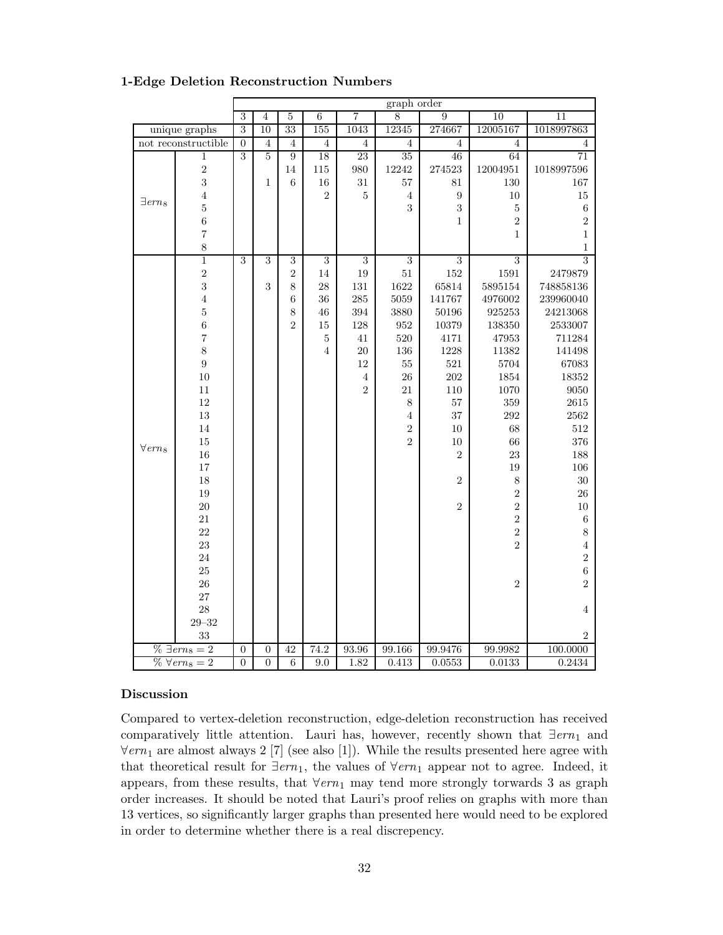|                            |                         |                |                |                  |                |                | graph order     |                  |                |                |
|----------------------------|-------------------------|----------------|----------------|------------------|----------------|----------------|-----------------|------------------|----------------|----------------|
|                            |                         | $\overline{3}$ | $\overline{4}$ | $\overline{5}$   | $\overline{6}$ | 7              | $\overline{8}$  | $\overline{9}$   | 10             | 11             |
|                            | unique graphs           | $\overline{3}$ | 10             | 33               | 155            | 1043           | 12345           | 274667           | 12005167       | 1018997863     |
|                            | not reconstructible     | $\overline{0}$ | $\overline{4}$ | $\overline{4}$   | $\overline{4}$ | $\overline{4}$ | $\overline{4}$  | $\overline{4}$   | $\overline{4}$ | 4              |
|                            | $\mathbf 1$             | $\overline{3}$ | $\overline{5}$ | $\overline{9}$   | 18             | 23             | $\overline{35}$ | 46               | 64             | 71             |
|                            | $\frac{2}{3}$           |                |                | 14               | $115\,$        | $980\,$        | 12242           | 274523           | 12004951       | 1018997596     |
|                            |                         |                | $\mathbf{1}$   | $\boldsymbol{6}$ | $16\,$         | $31\,$         | 57              | $81\,$           | $130\,$        | 167            |
| $\exists\, em_8$           | $\overline{4}$          |                |                |                  | $\overline{2}$ | $\bf 5$        | $\,4\,$         | $\boldsymbol{9}$ | $10\,$         | $15\,$         |
|                            | $\overline{5}$          |                |                |                  |                |                | 3               | $\sqrt{3}$       | $\bf 5$        | $\,$ 6 $\,$    |
|                            | $\overline{6}$          |                |                |                  |                |                |                 | $\mathbf{1}$     | $\overline{2}$ | $\overline{2}$ |
|                            | $\overline{7}$          |                |                |                  |                |                |                 |                  | $\,1$          | $\,1\,$        |
|                            | 8                       |                |                |                  |                |                |                 |                  |                | $\,1$          |
|                            | $\overline{1}$          | $\overline{3}$ | $\overline{3}$ | $\overline{3}$   | $\overline{3}$ | $\overline{3}$ | $\overline{3}$  | $\overline{3}$   | $\overline{3}$ | $\overline{3}$ |
|                            | $\overline{2}$          |                |                | $\,2$            | 14             | $19\,$         | $51\,$          | $152\,$          | $1591\,$       | 2479879        |
|                            | 3                       |                | 3              | 8                | $\sqrt{28}$    | $131\,$        | 1622            | 65814            | 5895154        | 748858136      |
|                            | $\overline{4}$          |                |                | $\,6$            | 36             | $285\,$        | 5059            | 141767           | 4976002        | 239960040      |
|                            | $\overline{5}$          |                |                | $8\,$            | $\sqrt{46}$    | 394            | 3880            | $50196\,$        | 925253         | 24213068       |
|                            | $\sqrt{6}$              |                |                | $\overline{2}$   | $15\,$         | 128            | 952             | 10379            | 138350         | 2533007        |
|                            | $\overline{7}$          |                |                |                  | $\bf 5$        | $41\,$         | 520             | 4171             | 47953          | 711284         |
|                            | 8                       |                |                |                  | $\overline{4}$ | $20\,$         | $136\,$         | 1228             | 11382          | 141498         |
|                            | $\overline{9}$          |                |                |                  |                | $12\,$         | $55\,$          | 521              | 5704           | 67083          |
|                            | 10                      |                |                |                  |                | $\sqrt{4}$     | 26              | $202\,$          | 1854           | 18352          |
|                            | 11                      |                |                |                  |                | $\overline{2}$ | $21\,$          | 110              | 1070           | 9050           |
|                            | $12\,$                  |                |                |                  |                |                | $\,$ $\,$       | 57               | $359\,$        | 2615           |
|                            | 13                      |                |                |                  |                |                | $\overline{4}$  | 37               | $\,292$        | 2562           |
|                            | 14                      |                |                |                  |                |                | $\overline{2}$  | $10\,$           | 68             | 512            |
| $\forall$ ern <sub>s</sub> | 15                      |                |                |                  |                |                | $\overline{2}$  | $10\,$           | 66             | 376            |
|                            | 16                      |                |                |                  |                |                |                 | $\overline{2}$   | $23\,$         | 188            |
|                            | $17\,$                  |                |                |                  |                |                |                 |                  | 19             | 106            |
|                            | 18                      |                |                |                  |                |                |                 | $\overline{2}$   | $\,8\,$        | 30             |
|                            | 19                      |                |                |                  |                |                |                 |                  | $\overline{2}$ | ${\bf 26}$     |
|                            | $20\,$                  |                |                |                  |                |                |                 | $\overline{2}$   | $\overline{2}$ | $10\,$         |
|                            | $21\,$                  |                |                |                  |                |                |                 |                  | $\overline{2}$ | $\,6$          |
|                            | 22                      |                |                |                  |                |                |                 |                  | $\overline{2}$ | 8              |
|                            | 23                      |                |                |                  |                |                |                 |                  | $\overline{2}$ | $\overline{4}$ |
|                            | 24                      |                |                |                  |                |                |                 |                  |                | $\overline{2}$ |
|                            | $25\,$                  |                |                |                  |                |                |                 |                  |                | $\overline{6}$ |
|                            | 26                      |                |                |                  |                |                |                 |                  | $\overline{2}$ | $\overline{2}$ |
|                            | $27\,$                  |                |                |                  |                |                |                 |                  |                |                |
|                            | $\sqrt{28}$             |                |                |                  |                |                |                 |                  |                | $\overline{4}$ |
|                            | $29 - 32$               |                |                |                  |                |                |                 |                  |                |                |
|                            | 33                      |                |                |                  |                |                |                 |                  |                | $\overline{2}$ |
|                            | $\% \ \exists em_8 = 2$ | $\overline{0}$ | $\overline{0}$ | 42               | 74.2           | 93.96          | 99.166          | 99.9476          | 99.9982        | 100.0000       |
|                            | $% \forall em_8 = 2$    | $\overline{0}$ | $\overline{0}$ | $\overline{6}$   | 9.0            | 1.82           | 0.413           | 0.0553           | 0.0133         | 0.2434         |

#### 1-Edge Deletion Reconstruction Numbers

#### Discussion

Compared to vertex-deletion reconstruction, edge-deletion reconstruction has received comparatively little attention. Lauri has, however, recently shown that  $\exists e r n_1$  and  $\forall e \tau n_1$  are almost always 2 [7] (see also [1]). While the results presented here agree with that theoretical result for  $\exists ern_1$ , the values of  $\forall ern_1$  appear not to agree. Indeed, it appears, from these results, that  $\forall e r n_1$  may tend more strongly torwards 3 as graph order increases. It should be noted that Lauri's proof relies on graphs with more than 13 vertices, so significantly larger graphs than presented here would need to be explored in order to determine whether there is a real discrepency.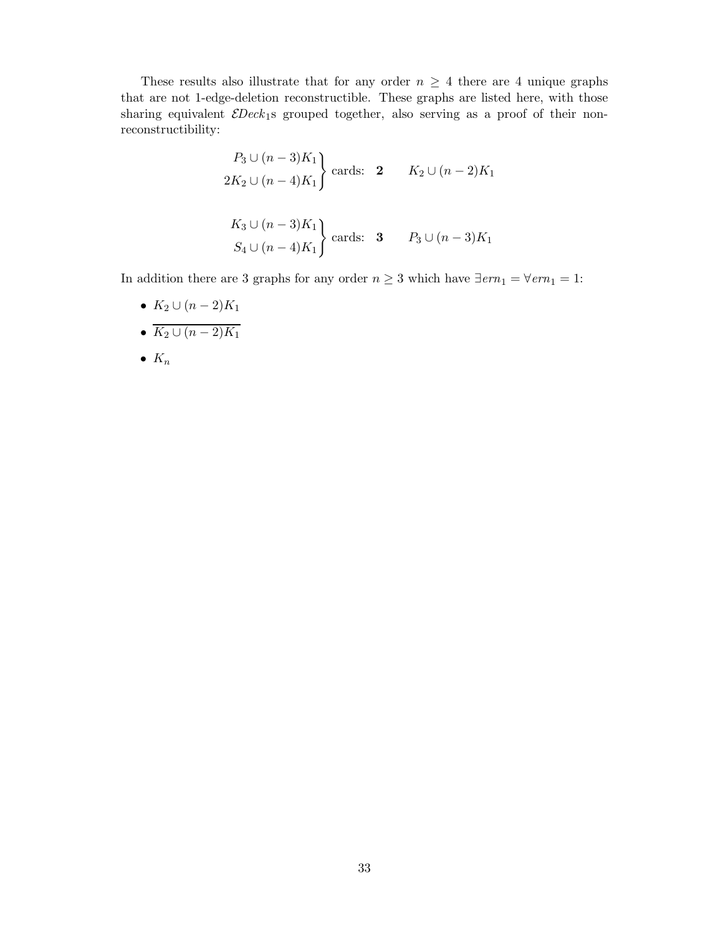These results also illustrate that for any order  $n \geq 4$  there are 4 unique graphs that are not 1-edge-deletion reconstructible. These graphs are listed here, with those sharing equivalent  $\mathcal{E}$ Deck<sub>1</sub>s grouped together, also serving as a proof of their nonreconstructibility:

$$
\begin{aligned}\nP_3 \cup (n-3)K_1 \\
2K_2 \cup (n-4)K_1\n\end{aligned}\n\text{ cards: } 2 \quad K_2 \cup (n-2)K_1
$$
\n
$$
\begin{aligned}\nK_3 \cup (n-3)K_1 \\
S_4 \cup (n-4)K_1\n\end{aligned}\n\text{ cards: } 3 \quad P_3 \cup (n-3)K_1
$$

In addition there are 3 graphs for any order  $n\geq 3$  which have  $\exists \textit{ern}_1 = \forall \textit{ern}_1 = 1:$ 

- $K_2 \cup (n-2)K_1$
- $\overline{K_2 \cup (n-2)K_1}$
- $K_n$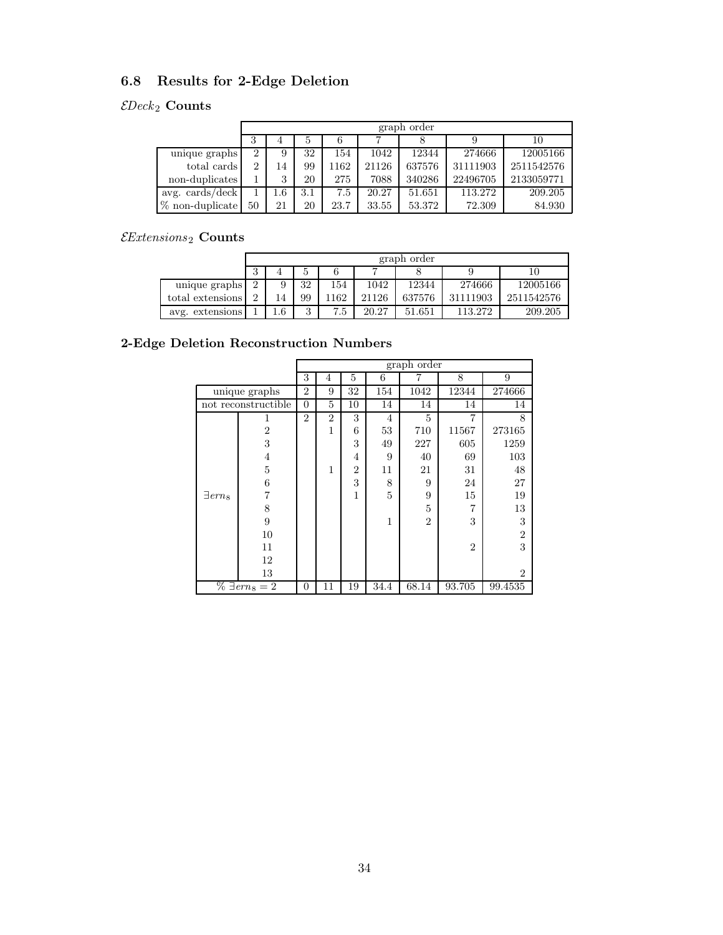## 6.8 Results for 2-Edge Deletion

## $\mathcal{E}Deck_2$  Counts

|                   |                | graph order |     |      |       |        |          |            |  |  |  |  |  |  |  |  |  |
|-------------------|----------------|-------------|-----|------|-------|--------|----------|------------|--|--|--|--|--|--|--|--|--|
|                   | 3              | 4           |     |      |       |        |          | 10         |  |  |  |  |  |  |  |  |  |
| unique graphs     | $\overline{2}$ | 9           | 32  | 154  | 1042  | 12344  | 274666   | 12005166   |  |  |  |  |  |  |  |  |  |
| total cards       | $\overline{2}$ | 14          | 99  | 1162 | 21126 | 637576 | 31111903 | 2511542576 |  |  |  |  |  |  |  |  |  |
| non-duplicates    |                | 3           | 20  | 275  | 7088  | 340286 | 22496705 | 2133059771 |  |  |  |  |  |  |  |  |  |
| avg. cards/deck   |                | 1.6         | 3.1 | 7.5  | 20.27 | 51.651 | 113.272  | 209.205    |  |  |  |  |  |  |  |  |  |
| $%$ non-duplicate | 50             | 21          | 20  | 23.7 | 33.55 | 53.372 | 72.309   | 84.930     |  |  |  |  |  |  |  |  |  |

### $\mathcal{E}$ Extensions $_2$  Counts

|                  |          | graph order |               |     |       |        |          |            |  |  |  |  |
|------------------|----------|-------------|---------------|-----|-------|--------|----------|------------|--|--|--|--|
|                  | b<br>IJ  |             |               |     |       |        |          |            |  |  |  |  |
| unique graphs    | ച        | 9           | 32            | 154 | 1042  | 12344  | 274666   | 12005166   |  |  |  |  |
| total extensions | $\Omega$ | 14          | 99            | 162 | 21126 | 637576 | 31111903 | 2511542576 |  |  |  |  |
| avg. extensions  |          | 1.6         | $\Omega$<br>υ | 7.5 | 20.27 | 51.651 | 113.272  | 209.205    |  |  |  |  |

### 2-Edge Deletion Reconstruction Numbers

|                            |                       |                |                |                |                | graph order    |                |                |
|----------------------------|-----------------------|----------------|----------------|----------------|----------------|----------------|----------------|----------------|
|                            |                       | 3              | 4              | 5              | 6              |                | 8              | 9              |
|                            | unique graphs         | $\overline{2}$ | 9              | 32             | 154            | 1042           | 12344          | 274666         |
|                            | not reconstructible   |                | 5              | 10             | 14             | 14             | 14             | 14             |
|                            | 1                     | $\overline{2}$ | $\overline{2}$ | 3              | $\overline{4}$ | 5              | 7              | 8              |
|                            | $\overline{2}$        |                | $\mathbf{1}$   | 6              | 53             | 710            | 11567          | 273165         |
|                            | 3                     |                |                | 3              | 49             | 227            | 605            | 1259           |
|                            | 4                     |                |                | 4              | 9              | 40             | 69             | 103            |
|                            | $\overline{5}$        |                | 1              | $\overline{2}$ | 11             | 21             | 31             | 48             |
|                            | 6                     |                |                | 3              | 8              | 9              | 24             | 27             |
| $\exists$ ern <sub>8</sub> | 7                     |                |                | $\mathbf{1}$   | 5              | 9              | 15             | 19             |
|                            | 8                     |                |                |                |                | 5              | 7              | 13             |
|                            | 9                     |                |                |                | 1              | $\overline{2}$ | 3              | 3              |
|                            | 10                    |                |                |                |                |                |                | $\overline{2}$ |
|                            | 11                    |                |                |                |                |                | $\overline{2}$ | 3              |
|                            | 12                    |                |                |                |                |                |                |                |
|                            | 13                    |                |                |                |                |                |                | $\overline{2}$ |
|                            | $\% \exists em_8 = 2$ | $\theta$       | 11             | 19             | 34.4           | 68.14          | 93.705         | 99.4535        |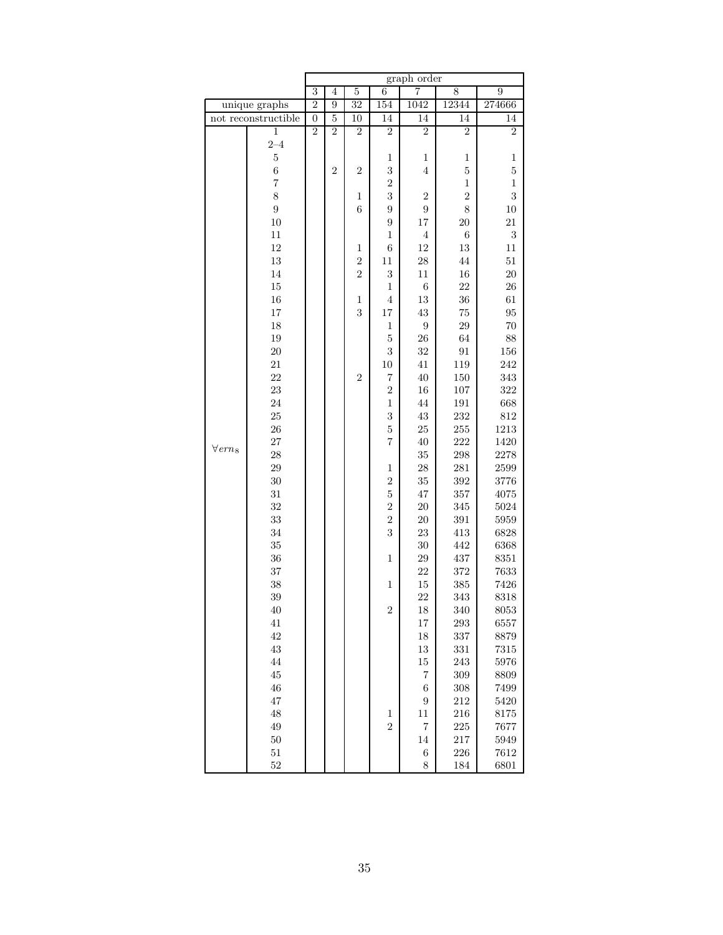|                            |                     | graph order      |                |                  |                         |                  |                  |                |  |
|----------------------------|---------------------|------------------|----------------|------------------|-------------------------|------------------|------------------|----------------|--|
|                            |                     | $\overline{3}$   | 4              | $\overline{5}$   | $\overline{6}$          | 7                | 8                | 9              |  |
|                            | unique graphs       | $\overline{2}$   | 9              | $\overline{32}$  | 154                     | 1042             | 12344            | 274666         |  |
|                            | not reconstructible | $\boldsymbol{0}$ | $\overline{5}$ | 10               | 14                      | 14               | 14               | 14             |  |
|                            | $\mathbf{1}$        | $\overline{2}$   | $\overline{2}$ | $\boldsymbol{2}$ | $\overline{2}$          | $\boldsymbol{2}$ | $\boldsymbol{2}$ | $\overline{2}$ |  |
|                            | $2 - 4$             |                  |                |                  |                         |                  |                  |                |  |
|                            | $\mathbf 5$         |                  |                |                  | $\mathbf{1}$            | 1                | 1                | $\,1$          |  |
|                            | $\overline{6}$      |                  | $\overline{2}$ | $\overline{2}$   | $\sqrt{3}$              | $\overline{4}$   | $\overline{5}$   | $\overline{5}$ |  |
|                            | $\overline{7}$      |                  |                |                  | $\overline{2}$          |                  | $\mathbf{1}$     | $\mathbf{1}$   |  |
|                            | 8                   |                  |                | $\,1$            | 3                       | $\boldsymbol{2}$ | $\overline{2}$   | 3              |  |
|                            | 9                   |                  |                | $\sqrt{6}$       | $\boldsymbol{9}$        | 9                | 8                | 10             |  |
|                            | 10                  |                  |                |                  | $\overline{9}$          | 17               | <b>20</b>        | $21\,$         |  |
|                            | 11                  |                  |                |                  | $\,1$                   | $\,4\,$          | $\,$ 6 $\,$      | $\sqrt{3}$     |  |
|                            | $12\,$              |                  |                | $\,1$            | $\boldsymbol{6}$        | 12               | 13               | 11             |  |
|                            |                     |                  |                |                  |                         |                  |                  |                |  |
|                            | $13\,$              |                  |                | $\overline{2}$   | 11                      | 28               | $44\,$           | $51\,$         |  |
|                            | 14                  |                  |                | $\overline{2}$   | $\sqrt{3}$              | $11\,$           | 16               | <b>20</b>      |  |
|                            | $15\,$              |                  |                |                  | $\mathbf 1$             | $\;6\;$          | 22               | 26             |  |
|                            | $16\,$              |                  |                | $\,1$            | $\,4\,$                 | 13               | 36               | 61             |  |
|                            | $17\,$              |                  |                | 3                | 17                      | 43               | 75               | 95             |  |
|                            | 18                  |                  |                |                  | $\,1$                   | $\overline{9}$   | 29               | 70             |  |
|                            | 19                  |                  |                |                  | $\bf 5$                 | 26               | 64               | 88             |  |
|                            | <b>20</b>           |                  |                |                  | 3                       | 32               | $\rm 91$         | 156            |  |
|                            | $21\,$              |                  |                |                  | 10                      | $41\,$           | 119              | 242            |  |
|                            | 22                  |                  |                | $\overline{2}$   | $\overline{7}$          | 40               | 150              | 343            |  |
|                            | $\bf 23$            |                  |                |                  | $\sqrt{2}$              | $16\,$           | 107              | 322            |  |
|                            | 24                  |                  |                |                  | $\,1$                   | $\bf 44$         | 191              | 668            |  |
|                            | 25                  |                  |                |                  | $\overline{\mathbf{3}}$ | 43               | 232              | 812            |  |
|                            | $26\,$              |                  |                |                  | $\bf 5$                 | $25\,$           | 255              | 1213           |  |
|                            | 27                  |                  |                |                  | $\overline{7}$          | 40               | 222              | 1420           |  |
| $\forall$ ern <sub>8</sub> | 28                  |                  |                |                  |                         | $35\,$           | $\,298$          | 2278           |  |
|                            | 29                  |                  |                |                  | $\mathbf 1$             | 28               | $281\,$          | 2599           |  |
|                            | 30                  |                  |                |                  | $\overline{2}$          | 35               | $392\,$          | 3776           |  |
|                            | 31                  |                  |                |                  | $\overline{5}$          | 47               | 357              | 4075           |  |
|                            | 32                  |                  |                |                  | $\overline{2}$          | <b>20</b>        | 345              | 5024           |  |
|                            | 33                  |                  |                |                  | $\overline{2}$          | <b>20</b>        | $391\,$          | 5959           |  |
|                            | 34                  |                  |                |                  | 3                       | $23\,$           | 413              | 6828           |  |
|                            | 35                  |                  |                |                  |                         | 30               | 442              | 6368           |  |
|                            | 36                  |                  |                |                  | $\mathbf{1}$            | 29               | 437              | 8351           |  |
|                            | 37                  |                  |                |                  |                         | 22               | 372              | 7633           |  |
|                            | 38                  |                  |                |                  | $\mathbf 1$             | 15               | 385              | 7426           |  |
|                            | 39                  |                  |                |                  |                         | 22               | 343              | 8318           |  |
|                            |                     |                  |                |                  | $\boldsymbol{2}$        |                  | 340              | 8053           |  |
|                            | 40                  |                  |                |                  |                         | 18               |                  |                |  |
|                            | 41                  |                  |                |                  |                         | 17               | 293              | 6557           |  |
|                            | 42                  |                  |                |                  |                         | 18               | 337              | 8879           |  |
|                            | $43\,$              |                  |                |                  |                         | $13\,$           | 331              | 7315           |  |
|                            | 44                  |                  |                |                  |                         | 15               | 243              | 5976           |  |
|                            | 45                  |                  |                |                  |                         | 7                | $309\,$          | 8809           |  |
|                            | $\sqrt{46}$         |                  |                |                  |                         | $\,6$            | 308              | 7499           |  |
|                            | 47                  |                  |                |                  |                         | 9                | 212              | 5420           |  |
|                            | 48                  |                  |                |                  | $\mathbf{1}$            | 11               | 216              | 8175           |  |
|                            | 49                  |                  |                |                  | $\overline{2}$          | $\overline{7}$   | 225              | 7677           |  |
|                            | $50\,$              |                  |                |                  |                         | 14               | $217\,$          | 5949           |  |
|                            | 51                  |                  |                |                  |                         | $\;6\;$          | 226              | 7612           |  |
|                            | $52\,$              |                  |                |                  |                         | 8                | 184              | 6801           |  |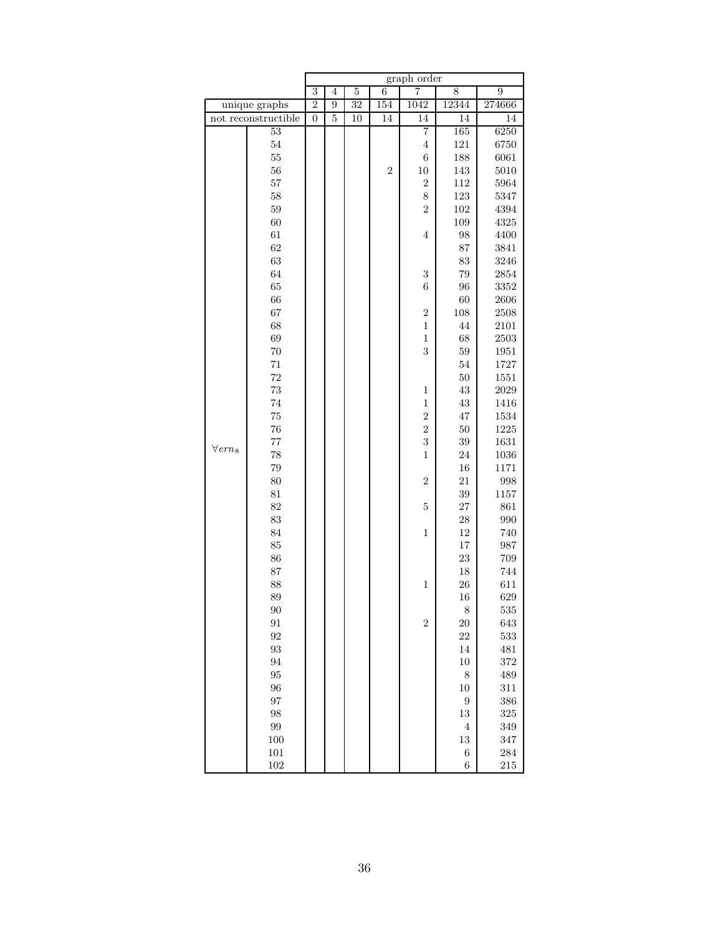|                            |                     |                | graph order    |                 |                  |                  |                                |                |  |
|----------------------------|---------------------|----------------|----------------|-----------------|------------------|------------------|--------------------------------|----------------|--|
|                            |                     | 3              | 4              | $\overline{5}$  | $\overline{6}$   | $\overline{7}$   | 8                              | $\overline{9}$ |  |
|                            | unique graphs       | $\overline{2}$ | $\overline{9}$ | 32              | 154              | 1042             | 12344                          | 274666         |  |
|                            | not reconstructible | $\overline{0}$ | $\overline{5}$ | $\overline{10}$ | 14               | 14               | 14                             | 14             |  |
|                            | $\overline{53}$     |                |                |                 |                  | 7                | 165                            | 6250           |  |
|                            | $54\,$              |                |                |                 |                  | $\overline{4}$   | $121\,$                        | 6750           |  |
|                            | $55\,$              |                |                |                 |                  | $\,$ 6 $\,$      | 188                            | 6061           |  |
|                            | $56\,$              |                |                |                 | $\boldsymbol{2}$ | 10               | 143                            | 5010           |  |
|                            | $57\,$              |                |                |                 |                  | $\overline{c}$   | 112                            | 5964           |  |
|                            | 58                  |                |                |                 |                  | 8                | 123                            | 5347           |  |
|                            | $59\,$              |                |                |                 |                  | $\overline{2}$   | $102\,$                        | 4394           |  |
|                            | 60                  |                |                |                 |                  |                  | 109                            | 4325           |  |
|                            | 61                  |                |                |                 |                  | $\overline{4}$   | 98                             | 4400           |  |
|                            | 62                  |                |                |                 |                  |                  | 87                             | 3841           |  |
|                            | $63\,$              |                |                |                 |                  |                  | 83                             | 3246           |  |
|                            | 64                  |                |                |                 |                  | 3                | 79                             | 2854           |  |
|                            | 65                  |                |                |                 |                  | $\boldsymbol{6}$ | 96                             | 3352           |  |
|                            | 66                  |                |                |                 |                  |                  | 60                             | 2606           |  |
|                            | 67                  |                |                |                 |                  | $\overline{c}$   | 108                            | 2508           |  |
|                            | 68                  |                |                |                 |                  | $\mathbf{1}$     | $44\,$                         | 2101           |  |
|                            | 69                  |                |                |                 |                  | $\mathbf{1}$     | 68                             | $2503\,$       |  |
|                            | $70\,$              |                |                |                 |                  | 3                | $59\,$                         | 1951           |  |
|                            | $71\,$              |                |                |                 |                  |                  | $54\,$                         | 1727           |  |
|                            | 72                  |                |                |                 |                  |                  | 50                             | 1551           |  |
|                            | $73\,$              |                |                |                 |                  | $\mathbf{1}$     | 43                             | 2029           |  |
|                            | 74                  |                |                |                 |                  | $\mathbf{1}$     | 43                             | 1416           |  |
|                            | $75\,$              |                |                |                 |                  | $\overline{2}$   | 47                             | 1534           |  |
|                            | $76\,$              |                |                |                 |                  | $\overline{c}$   | $50\,$                         | 1225           |  |
|                            | 77                  |                |                |                 |                  | 3                | 39                             | 1631           |  |
| $\forall$ ern <sub>8</sub> | 78                  |                |                |                 |                  | $\mathbf{1}$     | 24                             | 1036           |  |
|                            | $79\,$              |                |                |                 |                  |                  | 16                             | 1171           |  |
|                            | 80                  |                |                |                 |                  | $\overline{2}$   | 21                             | 998            |  |
|                            | 81                  |                |                |                 |                  |                  | 39                             | 1157           |  |
|                            | 82                  |                |                |                 |                  | $\overline{5}$   | 27                             | 861            |  |
|                            | 83                  |                |                |                 |                  |                  | $\ensuremath{\mathnormal{28}}$ | 990            |  |
|                            | 84                  |                |                |                 |                  | $\mathbf 1$      | $12\,$                         | 740            |  |
|                            | 85                  |                |                |                 |                  |                  | 17                             | 987            |  |
|                            | 86                  |                |                |                 |                  |                  | 23                             | 709            |  |
|                            | 87                  |                |                |                 |                  |                  | 18                             | 744            |  |
|                            | 88                  |                |                |                 |                  | $\mathbf 1$      | ${\bf 26}$                     | 611            |  |
|                            | 89                  |                |                |                 |                  |                  | 16                             | 629            |  |
|                            | 90                  |                |                |                 |                  |                  | $\,$ $\,$                      | 535            |  |
|                            | 91                  |                |                |                 |                  | $\overline{2}$   | $20\,$                         | 643            |  |
|                            | 92                  |                |                |                 |                  |                  | 22                             | 533            |  |
|                            | $\boldsymbol{93}$   |                |                |                 |                  |                  | 14                             | 481            |  |
|                            | 94                  |                |                |                 |                  |                  | $10\,$                         | $372\,$        |  |
|                            | 95                  |                |                |                 |                  |                  | 8                              | 489            |  |
|                            | 96                  |                |                |                 |                  |                  | 10                             | 311            |  |
|                            | 97                  |                |                |                 |                  |                  | $\boldsymbol{9}$               | 386            |  |
|                            | 98                  |                |                |                 |                  |                  | 13                             | 325            |  |
|                            | $\,99$              |                |                |                 |                  |                  | $\,4\,$                        | 349            |  |
|                            | 100                 |                |                |                 |                  |                  | 13                             | 347            |  |
|                            | 101                 |                |                |                 |                  |                  | $\;6\;$                        | $\bf 284$      |  |
|                            | 102                 |                |                |                 |                  |                  | $\,$ 6 $\,$                    | 215            |  |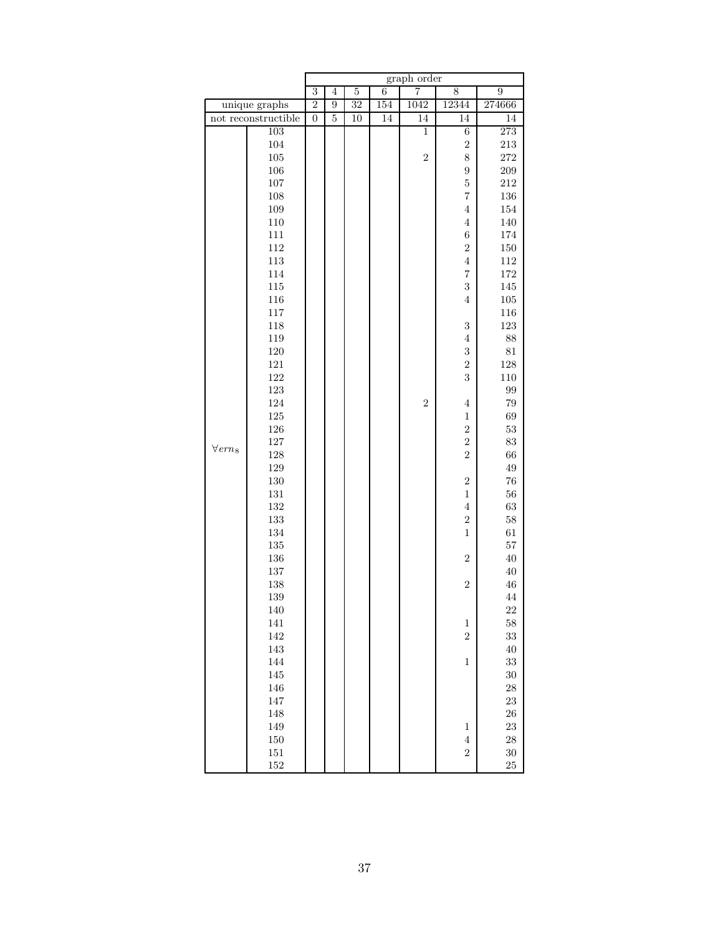|                            |                     |                |                |                |                | graph order    |                           |                |
|----------------------------|---------------------|----------------|----------------|----------------|----------------|----------------|---------------------------|----------------|
|                            |                     | 3              | $\overline{4}$ | $\overline{5}$ | $\overline{6}$ | 7              | 8                         | $\overline{9}$ |
|                            | unique graphs       | $\overline{2}$ | 9              | 32             | 154            | 1042           | 12344                     | 274666         |
|                            | not reconstructible | $\overline{0}$ | 5              | 10             | 14             | 14             | 14                        | 14             |
|                            | 103                 |                |                |                |                | $\mathbf{1}$   | 6                         | 273            |
|                            | 104                 |                |                |                |                |                | $\overline{2}$            | $213\,$        |
|                            | $105\,$             |                |                |                |                | $\overline{2}$ | 8                         | $\bf 272$      |
|                            | 106                 |                |                |                |                |                | 9                         | 209            |
|                            | 107                 |                |                |                |                |                | $\overline{5}$            | 212            |
|                            | 108                 |                |                |                |                |                | $\overline{\mathbf{7}}$   | $136\,$        |
|                            | 109                 |                |                |                |                |                | $\overline{4}$            | 154            |
|                            | 110                 |                |                |                |                |                | $\overline{4}$            | 140            |
|                            | 111                 |                |                |                |                |                | $\sqrt{6}$                | 174            |
|                            | 112                 |                |                |                |                |                | $\overline{2}$            | $150\,$        |
|                            | 113                 |                |                |                |                |                | $\overline{4}$            | 112            |
|                            | 114                 |                |                |                |                |                | $\overline{7}$            | $172\,$        |
|                            | 115                 |                |                |                |                |                | 3                         | 145            |
|                            | 116                 |                |                |                |                |                | $\overline{4}$            | $105\,$        |
|                            | 117                 |                |                |                |                |                |                           | 116            |
|                            | 118                 |                |                |                |                |                | 3                         | $123\,$        |
|                            | 119                 |                |                |                |                |                | $\overline{4}$            | $88\,$         |
|                            | 120                 |                |                |                |                |                | 3                         | $81\,$         |
|                            | 121                 |                |                |                |                |                | $\overline{2}$            | $128\,$        |
|                            | 122                 |                |                |                |                |                | 3                         | $110\,$        |
|                            | 123                 |                |                |                |                |                |                           | $\rm 99$       |
|                            | 124                 |                |                |                |                | $\overline{2}$ | $\overline{4}$            | $79\,$         |
|                            | 125                 |                |                |                |                |                | $\,1$                     | 69             |
|                            | 126                 |                |                |                |                |                | $\overline{2}$            | $53\,$         |
| $\forall$ ern <sub>8</sub> | 127                 |                |                |                |                |                | $\overline{2}$            | 83             |
|                            | 128                 |                |                |                |                |                | $\overline{2}$            | 66             |
|                            | 129                 |                |                |                |                |                |                           | $\rm 49$       |
|                            | 130                 |                |                |                |                |                | $\overline{2}$            | $76\,$         |
|                            | 131                 |                |                |                |                |                | $\,1\,$                   | $56\,$         |
|                            | 132                 |                |                |                |                |                | $\,4\,$                   | $63\,$         |
|                            | 133                 |                |                |                |                |                | $\overline{2}$            | $58\,$         |
|                            | 134                 |                |                |                |                |                | $\mathbf{1}$              | 61             |
|                            | $135\,$             |                |                |                |                |                |                           | $57\,$         |
|                            | 136                 |                |                |                |                |                | $\overline{2}$            | $40\,$         |
|                            | 137                 |                |                |                |                |                |                           | $40\,$         |
|                            | 138                 |                |                |                |                |                | $\overline{2}$            | $\sqrt{46}$    |
|                            | 139                 |                |                |                |                |                |                           | $\bf 44$       |
|                            | 140                 |                |                |                |                |                |                           | $22\,$         |
|                            | 141                 |                |                |                |                |                | $\,1$                     | 58             |
|                            | 142                 |                |                |                |                |                | $\overline{2}$            | $33\,$         |
|                            | 143                 |                |                |                |                |                |                           | 40             |
|                            | 144                 |                |                |                |                |                | $\mathbf{1}$              | $33\,$         |
|                            | 145                 |                |                |                |                |                |                           | $30\,$         |
|                            | 146                 |                |                |                |                |                |                           | $28\,$         |
|                            | 147                 |                |                |                |                |                |                           | $23\,$         |
|                            | 148                 |                |                |                |                |                |                           | $26\,$         |
|                            | 149                 |                |                |                |                |                | 1                         | 23             |
|                            | $150\,$             |                |                |                |                |                | $\,4\,$<br>$\overline{2}$ | $28\,$         |
|                            | $151\,$             |                |                |                |                |                |                           | $30\,$<br>25   |
|                            | 152                 |                |                |                |                |                |                           |                |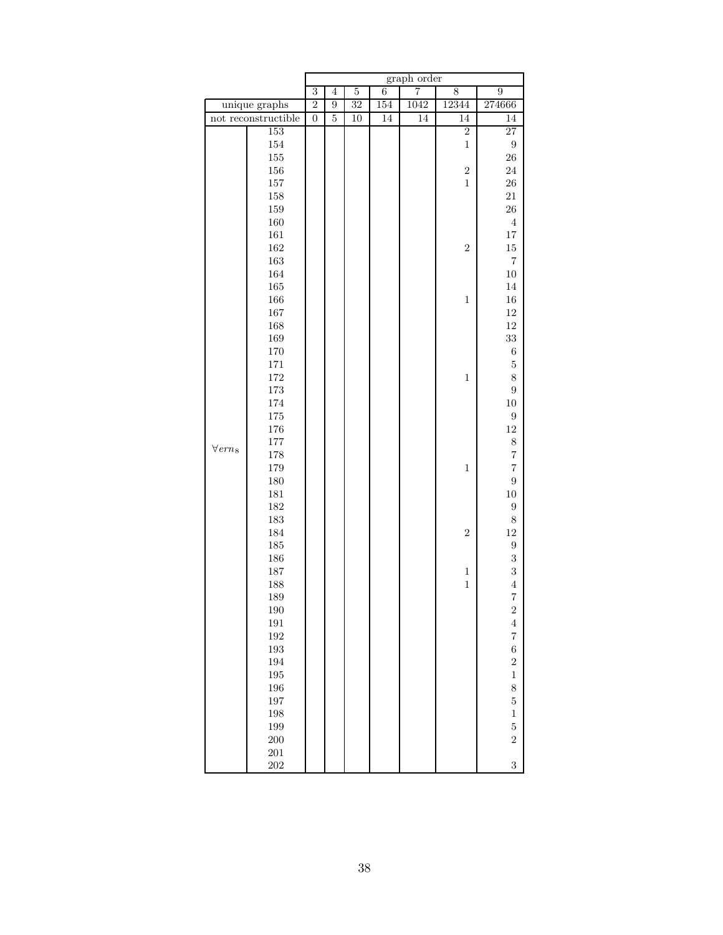|                            |                     | graph order      |                |                |                |      |                |                     |  |
|----------------------------|---------------------|------------------|----------------|----------------|----------------|------|----------------|---------------------|--|
|                            |                     | $\overline{3}$   | $\overline{4}$ | $\overline{5}$ | $\overline{6}$ | 7    | 8              | $\overline{9}$      |  |
|                            | unique graphs       | $\overline{2}$   | 9              | 32             | 154            | 1042 | 12344          | 274666              |  |
|                            | not reconstructible | $\boldsymbol{0}$ | $\bf 5$        | 10             | 14             | 14   | 14             | 14                  |  |
|                            | 153                 |                  |                |                |                |      | $\overline{2}$ | $\overline{27}$     |  |
|                            | 154                 |                  |                |                |                |      | $\mathbf{1}$   | $\boldsymbol{9}$    |  |
|                            | $155\,$             |                  |                |                |                |      |                | $26\,$              |  |
|                            | 156                 |                  |                |                |                |      | $\sqrt{2}$     | 24                  |  |
|                            | 157                 |                  |                |                |                |      | $\,1$          | $\sqrt{26}$         |  |
|                            | 158                 |                  |                |                |                |      |                | $21\,$              |  |
|                            | 159                 |                  |                |                |                |      |                | $26\,$              |  |
|                            | 160                 |                  |                |                |                |      |                | 4                   |  |
|                            | 161                 |                  |                |                |                |      |                | $17\,$              |  |
|                            | 162                 |                  |                |                |                |      | $\sqrt{2}$     | $15\,$              |  |
|                            | 163                 |                  |                |                |                |      |                | $\scriptstyle{7}$   |  |
|                            | 164                 |                  |                |                |                |      |                | $10\,$              |  |
|                            | 165                 |                  |                |                |                |      |                | 14                  |  |
|                            | 166                 |                  |                |                |                |      | $\mathbf{1}$   | $16\,$              |  |
|                            | 167                 |                  |                |                |                |      |                | $12\,$              |  |
|                            | 168                 |                  |                |                |                |      |                | $12\,$              |  |
|                            | 169                 |                  |                |                |                |      |                | $33\,$              |  |
|                            | 170                 |                  |                |                |                |      |                | $\;6\;$             |  |
|                            | 171                 |                  |                |                |                |      |                | $\bf 5$             |  |
|                            | 172                 |                  |                |                |                |      | $\,1$          | 8                   |  |
|                            | 173                 |                  |                |                |                |      |                | $\overline{9}$      |  |
|                            | 174                 |                  |                |                |                |      |                | $10\,$              |  |
|                            | 175                 |                  |                |                |                |      |                | $\boldsymbol{9}$    |  |
|                            | 176                 |                  |                |                |                |      |                | $12\,$              |  |
| $\forall$ ern <sub>8</sub> | 177                 |                  |                |                |                |      |                | $\,$ $\,$           |  |
|                            | 178                 |                  |                |                |                |      |                | $\overline{7}$      |  |
|                            | 179                 |                  |                |                |                |      | $\,1$          | $\overline{7}$      |  |
|                            | 180                 |                  |                |                |                |      |                | $\boldsymbol{9}$    |  |
|                            | 181                 |                  |                |                |                |      |                | $10\,$              |  |
|                            | 182                 |                  |                |                |                |      |                | $\boldsymbol{9}$    |  |
|                            | 183                 |                  |                |                |                |      |                | $\,$ $\,$<br>$12\,$ |  |
|                            | 184<br>185          |                  |                |                |                |      | $\overline{2}$ |                     |  |
|                            | 186                 |                  |                |                |                |      |                | $\boldsymbol{9}$    |  |
|                            | 187                 |                  |                |                |                |      | $\mathbf{1}$   | $\sqrt{3}$<br>3     |  |
|                            | 188                 |                  |                |                |                |      | $\mathbf{1}$   | $\overline{4}$      |  |
|                            | 189                 |                  |                |                |                |      |                | $\overline{7}$      |  |
|                            | 190                 |                  |                |                |                |      |                | $\sqrt{2}$          |  |
|                            | 191                 |                  |                |                |                |      |                | $\,4\,$             |  |
|                            | 192                 |                  |                |                |                |      |                | $\overline{7}$      |  |
|                            | 193                 |                  |                |                |                |      |                | $\,6$               |  |
|                            | 194                 |                  |                |                |                |      |                | $\overline{2}$      |  |
|                            | 195                 |                  |                |                |                |      |                | $\,1$               |  |
|                            | 196                 |                  |                |                |                |      |                | 8                   |  |
|                            | 197                 |                  |                |                |                |      |                | $\overline{5}$      |  |
|                            | 198                 |                  |                |                |                |      |                | $\mathbf 1$         |  |
|                            | 199                 |                  |                |                |                |      |                | $\overline{5}$      |  |
|                            | 200                 |                  |                |                |                |      |                | $\overline{2}$      |  |
|                            | $201\,$             |                  |                |                |                |      |                |                     |  |
|                            |                     |                  |                |                |                |      |                | 3                   |  |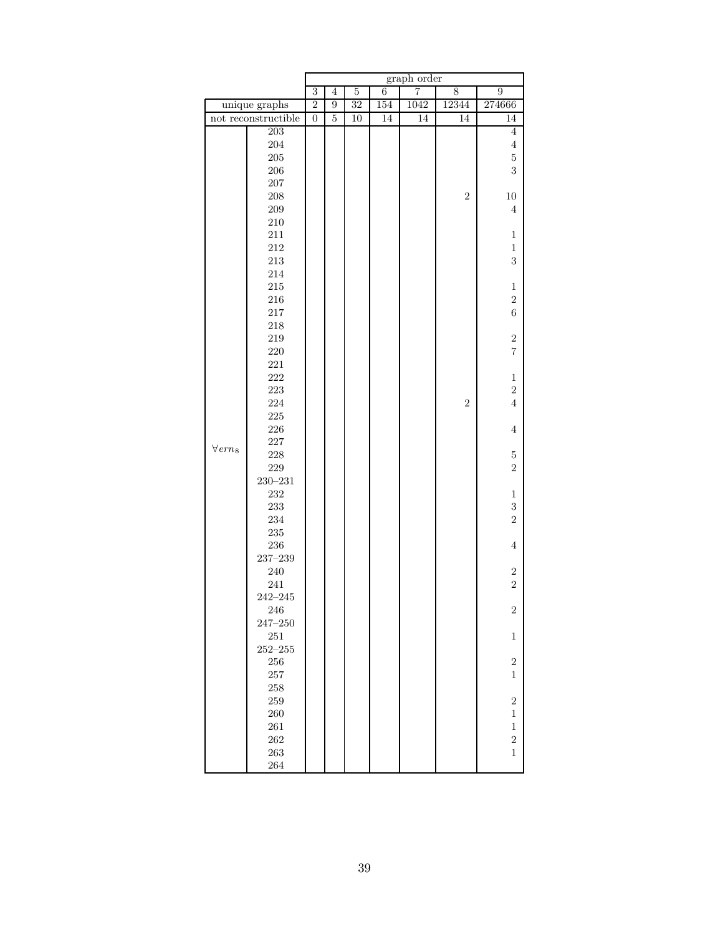|                            |                     |                  |                |                |                | graph order     |                |                            |
|----------------------------|---------------------|------------------|----------------|----------------|----------------|-----------------|----------------|----------------------------|
|                            |                     | $\overline{3}$   | $\overline{4}$ | $\overline{5}$ | $\overline{6}$ | 7               | 8              | $\overline{9}$             |
|                            | unique graphs       | $\overline{2}$   | 9              | 32             | 154            | 1042            | 12344          | 274666                     |
|                            | not reconstructible | $\boldsymbol{0}$ | $\bf 5$        | 10             | 14             | $\overline{14}$ | 14             | 14                         |
|                            | $\overline{203}$    |                  |                |                |                |                 |                | $\overline{4}$             |
|                            | 204                 |                  |                |                |                |                 |                | $\overline{4}$             |
|                            | $205\,$             |                  |                |                |                |                 |                | $\bf 5$                    |
|                            | $206\,$             |                  |                |                |                |                 |                | 3                          |
|                            | $207\,$             |                  |                |                |                |                 |                |                            |
|                            | 208                 |                  |                |                |                |                 | $\sqrt{2}$     | $10\,$                     |
|                            | 209                 |                  |                |                |                |                 |                | $\overline{4}$             |
|                            | $210\,$             |                  |                |                |                |                 |                |                            |
|                            | 211                 |                  |                |                |                |                 |                | $\mathbf{1}$               |
|                            | $212\,$             |                  |                |                |                |                 |                | $\mathbf{1}$               |
|                            | 213                 |                  |                |                |                |                 |                | 3                          |
|                            | $214\,$             |                  |                |                |                |                 |                |                            |
|                            | $215\,$             |                  |                |                |                |                 |                | $\,1$                      |
|                            | $216\,$             |                  |                |                |                |                 |                | $\sqrt{2}$                 |
|                            | 217                 |                  |                |                |                |                 |                | $\sqrt{6}$                 |
|                            | $218\,$             |                  |                |                |                |                 |                |                            |
|                            | $219\,$             |                  |                |                |                |                 |                | $\boldsymbol{2}$           |
|                            | $220\,$             |                  |                |                |                |                 |                | $\overline{7}$             |
|                            | 221                 |                  |                |                |                |                 |                |                            |
|                            | $222\,$             |                  |                |                |                |                 |                | $\,1$                      |
|                            | 223                 |                  |                |                |                |                 |                | $\overline{2}$             |
|                            | 224                 |                  |                |                |                |                 | $\overline{2}$ | $\overline{4}$             |
|                            | $225\,$             |                  |                |                |                |                 |                |                            |
|                            | $226\,$             |                  |                |                |                |                 |                | $\overline{4}$             |
| $\forall$ ern <sub>8</sub> | $227\,$             |                  |                |                |                |                 |                |                            |
|                            | $228\,$             |                  |                |                |                |                 |                | $\bf 5$                    |
|                            | $229\,$             |                  |                |                |                |                 |                | $\overline{2}$             |
|                            | $230 - 231$<br>232  |                  |                |                |                |                 |                |                            |
|                            | 233                 |                  |                |                |                |                 |                | $\mathbf{1}$<br>$\sqrt{3}$ |
|                            | 234                 |                  |                |                |                |                 |                | $\overline{2}$             |
|                            | $235\,$             |                  |                |                |                |                 |                |                            |
|                            | $\,236$             |                  |                |                |                |                 |                | $\,4\,$                    |
|                            | $237 - 239$         |                  |                |                |                |                 |                |                            |
|                            | $240\,$             |                  |                |                |                |                 |                | $\boldsymbol{2}$           |
|                            | 241                 |                  |                |                |                |                 |                | $\overline{2}$             |
|                            | $242 - 245$         |                  |                |                |                |                 |                |                            |
|                            | 246                 |                  |                |                |                |                 |                | $\overline{2}$             |
|                            | $247 - 250$         |                  |                |                |                |                 |                |                            |
|                            | 251                 |                  |                |                |                |                 |                | $\mathbf{1}$               |
|                            | $252 - 255$         |                  |                |                |                |                 |                |                            |
|                            | 256                 |                  |                |                |                |                 |                | $\sqrt{2}$                 |
|                            | 257                 |                  |                |                |                |                 |                | 1                          |
|                            | 258                 |                  |                |                |                |                 |                |                            |
|                            | 259                 |                  |                |                |                |                 |                | $\sqrt{2}$                 |
|                            | 260                 |                  |                |                |                |                 |                | 1                          |
|                            | 261                 |                  |                |                |                |                 |                | $\mathbf{1}$               |
|                            | 262                 |                  |                |                |                |                 |                | $\overline{2}$             |
|                            | 263                 |                  |                |                |                |                 |                | $\mathbf 1$                |
|                            | 264                 |                  |                |                |                |                 |                |                            |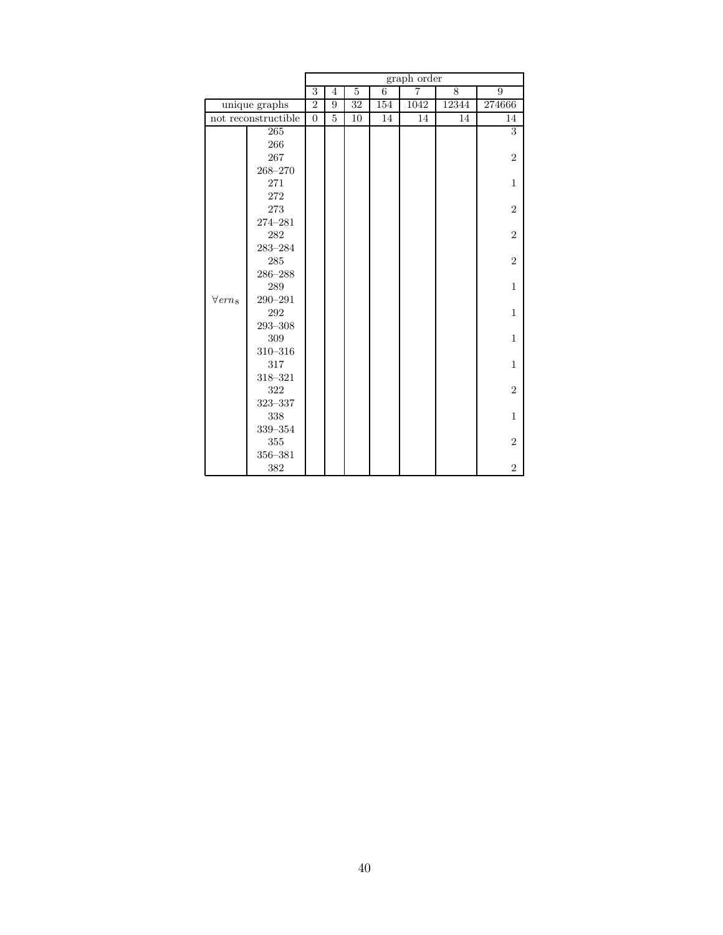|                  |                     | graph order      |                |                |     |                |       |                  |  |  |
|------------------|---------------------|------------------|----------------|----------------|-----|----------------|-------|------------------|--|--|
|                  |                     | 3                | $\overline{4}$ | $\overline{5}$ | 6   | $\overline{7}$ | 8     | 9                |  |  |
|                  | unique graphs       | $\boldsymbol{2}$ | 9              | 32             | 154 | 1042           | 12344 | 274666           |  |  |
|                  | not reconstructible | $\overline{0}$   | 5              | 10             | 14  | 14             | 14    | 14               |  |  |
|                  | 265                 |                  |                |                |     |                |       | 3                |  |  |
|                  | 266                 |                  |                |                |     |                |       |                  |  |  |
|                  | 267                 |                  |                |                |     |                |       | $\overline{2}$   |  |  |
|                  | $268 - 270$         |                  |                |                |     |                |       |                  |  |  |
|                  | 271                 |                  |                |                |     |                |       | 1                |  |  |
|                  | 272                 |                  |                |                |     |                |       |                  |  |  |
|                  | 273                 |                  |                |                |     |                |       | $\overline{2}$   |  |  |
|                  | 274-281             |                  |                |                |     |                |       |                  |  |  |
|                  | 282                 |                  |                |                |     |                |       | $\boldsymbol{2}$ |  |  |
|                  | $283 - 284$         |                  |                |                |     |                |       |                  |  |  |
|                  | 285                 |                  |                |                |     |                |       | $\overline{2}$   |  |  |
|                  | 286-288             |                  |                |                |     |                |       |                  |  |  |
|                  | 289                 |                  |                |                |     |                |       | $\mathbf{1}$     |  |  |
| $\forall\,ern_8$ | $290 - 291$         |                  |                |                |     |                |       |                  |  |  |
|                  | $\rm 292$           |                  |                |                |     |                |       | 1                |  |  |
|                  | 293-308             |                  |                |                |     |                |       |                  |  |  |
|                  | 309                 |                  |                |                |     |                |       | $\mathbf{1}$     |  |  |
|                  | $310 - 316$         |                  |                |                |     |                |       |                  |  |  |
|                  | 317                 |                  |                |                |     |                |       | $\mathbf{1}$     |  |  |
|                  | 318-321             |                  |                |                |     |                |       |                  |  |  |
|                  | 322                 |                  |                |                |     |                |       | $\overline{2}$   |  |  |
|                  | $323 - 337$         |                  |                |                |     |                |       |                  |  |  |
|                  | 338                 |                  |                |                |     |                |       | $\mathbf{1}$     |  |  |
|                  | 339-354             |                  |                |                |     |                |       |                  |  |  |
|                  | $355\,$             |                  |                |                |     |                |       | $\overline{2}$   |  |  |
|                  | 356-381             |                  |                |                |     |                |       |                  |  |  |
|                  | 382                 |                  |                |                |     |                |       | $\overline{2}$   |  |  |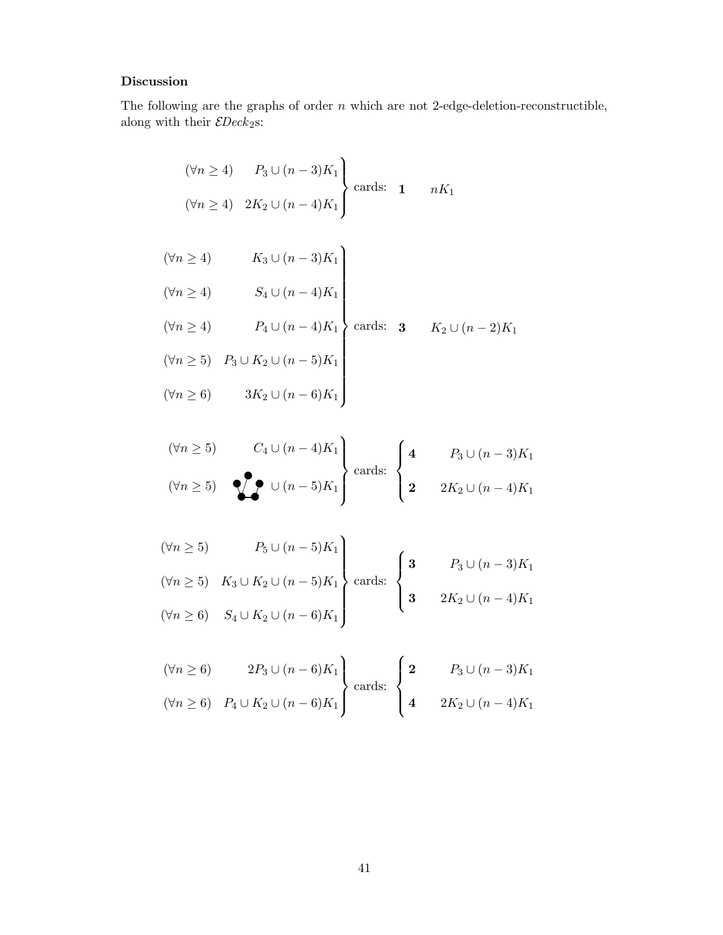#### Discussion

The following are the graphs of order  $n$  which are not 2-edge-deletion-reconstructible, along with their  $\mathcal{E}Deck_2$ s:

$$
(\forall n \ge 4) \qquad P_3 \cup (n-3)K_1
$$
  

$$
(\forall n \ge 4) \quad 2K_2 \cup (n-4)K_1
$$
 cards: **1** 
$$
nK_1
$$

$$
(\forall n \ge 4) \qquad K_3 \cup (n-3)K_1
$$
  
\n
$$
(\forall n \ge 4) \qquad S_4 \cup (n-4)K_1
$$
  
\n
$$
(\forall n \ge 4) \qquad P_4 \cup (n-4)K_1
$$
  
\n
$$
(\forall n \ge 5) \qquad P_3 \cup K_2 \cup (n-5)K_1
$$
  
\n
$$
(\forall n \ge 6) \qquad 3K_2 \cup (n-6)K_1
$$
  
\n
$$
(x \ge 6) \qquad 3K_2 \cup (n-6)K_1
$$

$$
(\forall n \ge 5) \qquad C_4 \cup (n-4)K_1
$$
\n
$$
(\forall n \ge 5) \qquad \bigotimes \qquad \bigcup (n-5)K_1
$$
\n
$$
\bigg\{\text{ands: } \begin{cases}\n4 & P_3 \cup (n-3)K_1 \\
2 & 2K_2 \cup (n-4)K_1\n\end{cases}
$$

$$
(\forall n \ge 5) \qquad P_5 \cup (n-5)K_1
$$
  
\n
$$
(\forall n \ge 5) \quad K_3 \cup K_2 \cup (n-5)K_1
$$
  
\n
$$
(\forall n \ge 6) \quad S_4 \cup K_2 \cup (n-6)K_1
$$
  
\n
$$
\begin{cases}\n3 & P_3 \cup (n-3)K_1 \\
3 & 2K_2 \cup (n-4)K_1\n\end{cases}
$$

$$
(\forall n \ge 6) \quad 2P_3 \cup (n-6)K_1
$$
  

$$
(\forall n \ge 6) \quad P_4 \cup K_2 \cup (n-6)K_1
$$
  

$$
\begin{cases} 2 & P_3 \cup (n-3)K_1 \\ 4 & 2K_2 \cup (n-4)K_1 \end{cases}
$$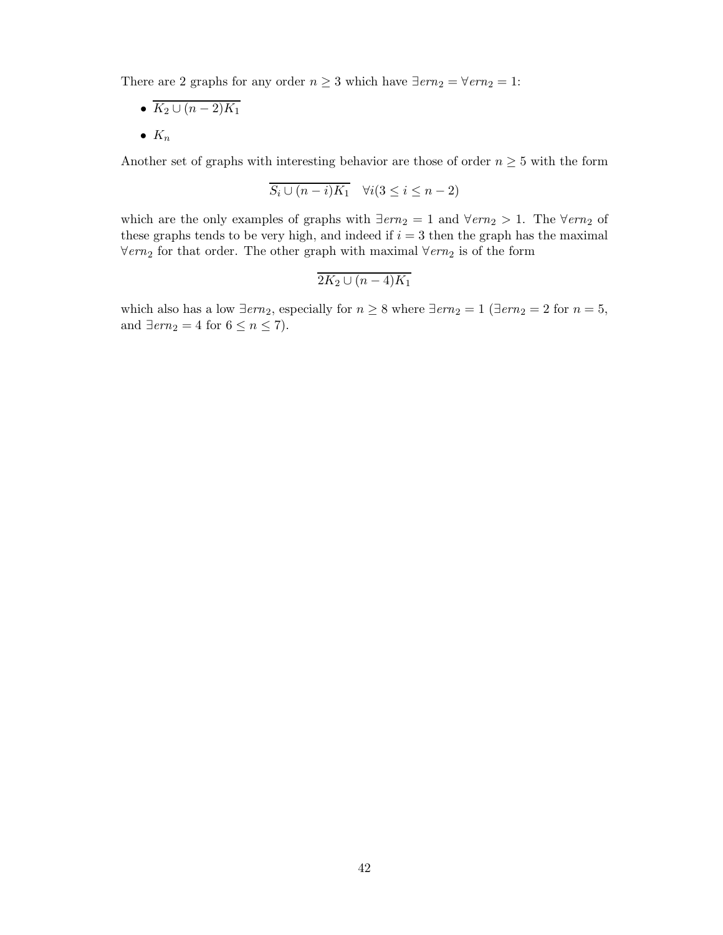There are 2 graphs for any order  $n \geq 3$  which have  $\exists ern_2 = \forall ern_2 = 1$ :

- $K_2 \cup (n-2)K_1$
- $K_n$

Another set of graphs with interesting behavior are those of order  $n \geq 5$  with the form

$$
S_i \cup (n-i)K_1 \quad \forall i (3 \le i \le n-2)
$$

which are the only examples of graphs with  $\exists em_2 = 1$  and  $\forall em_2 > 1$ . The  $\forall em_2$  of these graphs tends to be very high, and indeed if  $i = 3$  then the graph has the maximal  $\forall em_2$  for that order. The other graph with maximal  $\forall em_2$  is of the form

$$
2K_2\cup (n-4)K_1
$$

which also has a low  $\exists em_2$ , especially for  $n \geq 8$  where  $\exists em_2 = 1$  ( $\exists em_2 = 2$  for  $n = 5$ , and  $\exists em_2 = 4$  for  $6 \le n \le 7$ ).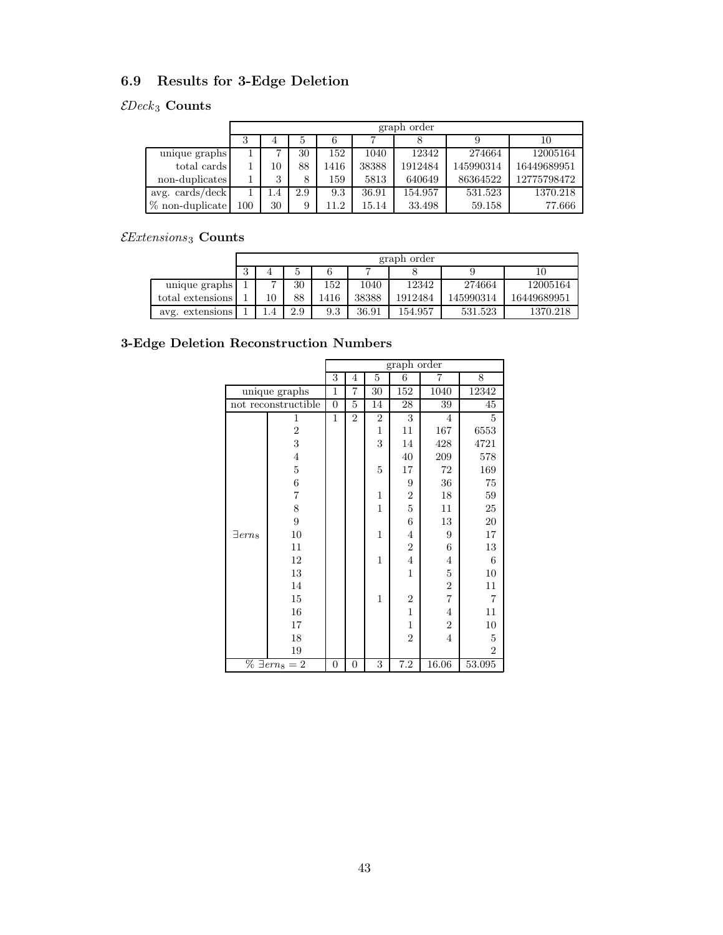## 6.9 Results for 3-Edge Deletion

### $\mathcal{E}Deck_3$  Counts

|                          |     | graph order |     |      |       |         |           |             |  |  |  |  |  |
|--------------------------|-----|-------------|-----|------|-------|---------|-----------|-------------|--|--|--|--|--|
|                          | 3   | 4           |     |      |       |         |           | 10          |  |  |  |  |  |
| unique graphs            |     | ⇁           | 30  | 152  | 1040  | 12342   | 274664    | 12005164    |  |  |  |  |  |
| total cards              |     | 10          | 88  | 1416 | 38388 | 1912484 | 145990314 | 16449689951 |  |  |  |  |  |
| non-duplicates           |     | 3           | 8   | 159  | 5813  | 640649  | 86364522  | 12775798472 |  |  |  |  |  |
| avg. $\cosh/\text{deck}$ |     | 1.4         | 2.9 | 9.3  | 36.91 | 154.957 | 531.523   | 1370.218    |  |  |  |  |  |
| % non-duplicate          | 100 | 30          | 9   | 11.2 | 15.14 | 33.498  | 59.158    | 77.666      |  |  |  |  |  |

### $\mathcal{E}$ Extensions 3 Counts

|                    |               | graph order |     |      |       |         |           |             |  |  |  |  |
|--------------------|---------------|-------------|-----|------|-------|---------|-----------|-------------|--|--|--|--|
|                    | 10<br>4<br>IJ |             |     |      |       |         |           |             |  |  |  |  |
| unique graphs      |               | -           | 30  | 152  | 1040  | 12342   | 274664    | 12005164    |  |  |  |  |
| total extensions   |               | 10          | 88  | 1416 | 38388 | 1912484 | 145990314 | 16449689951 |  |  |  |  |
| extensions<br>avg. |               |             | 2.9 | 9.3  | 36.91 | 154.957 | 531.523   | 1370.218    |  |  |  |  |

### 3-Edge Deletion Reconstruction Numbers

|                            |                         |                |                |                | graph order    |                |                |
|----------------------------|-------------------------|----------------|----------------|----------------|----------------|----------------|----------------|
|                            |                         | $\overline{3}$ | $\overline{4}$ | $\overline{5}$ | $\overline{6}$ | 7              | 8              |
|                            | unique graphs           | $\mathbf{1}$   | 7              | 30             | 152            | 1040           | 12342          |
|                            | not reconstructible     | $\overline{0}$ | $\overline{5}$ | 14             | 28             | 39             | 45             |
| 1                          |                         | $\mathbf{1}$   | $\overline{2}$ | 2              | 3              | 4              | 5              |
|                            | $\overline{2}$          |                |                | 1              | 11             | 167            | 6553           |
|                            | 3                       |                |                | 3              | 14             | 428            | 4721           |
|                            | $\overline{\mathbf{4}}$ |                |                |                | 40             | 209            | 578            |
|                            | $\bf 5$                 |                |                | $\overline{5}$ | 17             | $72\,$         | 169            |
|                            | $\,6$                   |                |                |                | 9              | 36             | 75             |
|                            | 7                       |                |                | $\mathbf{1}$   | $\overline{2}$ | 18             | 59             |
|                            | 8                       |                |                | $\mathbf{1}$   | $\overline{5}$ | 11             | $25\,$         |
|                            | $\boldsymbol{9}$        |                |                |                | 6              | 13             | 20             |
| $\exists$ ern <sub>8</sub> | 10                      |                |                | $\overline{1}$ | $\overline{4}$ | 9              | $17\,$         |
|                            | 11                      |                |                |                | $\overline{2}$ | 6              | 13             |
|                            | 12                      |                |                | $\overline{1}$ | $\overline{4}$ | 4              | $\,6$          |
|                            | 13                      |                |                |                | $\mathbf 1$    | $\mathbf 5$    | 10             |
|                            | 14                      |                |                |                |                | $\overline{2}$ | 11             |
|                            | 15                      |                |                | $\mathbf{1}$   | $\overline{2}$ | $\overline{7}$ | $\overline{7}$ |
|                            | 16                      |                |                |                | $\overline{1}$ | $\overline{4}$ | 11             |
|                            | 17                      |                |                |                | $\mathbf{1}$   | $\overline{2}$ | 10             |
|                            | 18                      |                |                |                | $\overline{2}$ | $\overline{4}$ | $\bf 5$        |
|                            | 19                      |                |                |                |                |                | $\overline{2}$ |
|                            | $\% \ \exists em_8 = 2$ | $\overline{0}$ | $\overline{0}$ | 3              | 7.2            | 16.06          | 53.095         |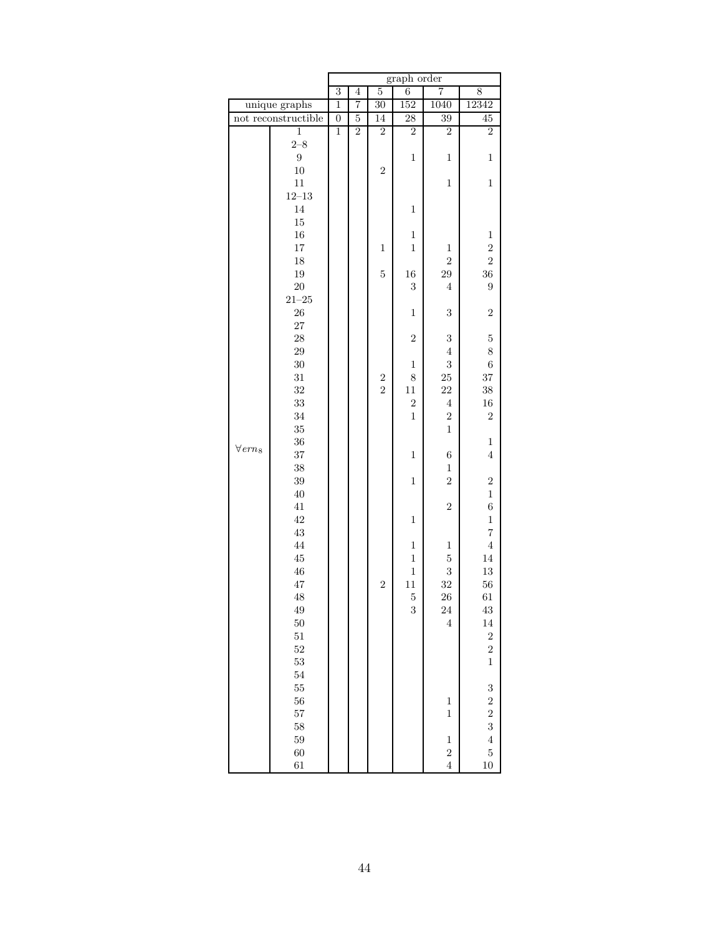|                            |                     | graph order      |                |                                    |                          |                         |                         |  |  |
|----------------------------|---------------------|------------------|----------------|------------------------------------|--------------------------|-------------------------|-------------------------|--|--|
|                            |                     | $\overline{3}$   | $\overline{4}$ | $\overline{5}$                     | $\overline{6}$           | $\overline{7}$          | 8                       |  |  |
|                            | unique graphs       | $\overline{1}$   | 7              | 30                                 | 152                      | 1040                    | 12342                   |  |  |
|                            | not reconstructible | $\boldsymbol{0}$ | $\overline{5}$ | 14                                 | 28                       | 39                      | $\overline{45}$         |  |  |
|                            | $\mathbf{1}$        | $\mathbf{1}$     | $\overline{2}$ | $\overline{2}$                     | $\overline{2}$           | $\overline{2}$          | $\overline{2}$          |  |  |
|                            | $2 - 8$             |                  |                |                                    |                          |                         |                         |  |  |
|                            | 9                   |                  |                |                                    | $\,1$                    | $\mathbf{1}$            | $\mathbf{1}$            |  |  |
|                            | $10\,$              |                  |                | $\overline{2}$                     |                          |                         |                         |  |  |
|                            | $11\,$              |                  |                |                                    |                          | $\,1$                   | $\,1$                   |  |  |
|                            | $12\hbox{--}13$     |                  |                |                                    |                          |                         |                         |  |  |
|                            | 14                  |                  |                |                                    | $\mathbf 1$              |                         |                         |  |  |
|                            | $15\,$              |                  |                |                                    |                          |                         |                         |  |  |
|                            | $16\,$              |                  |                |                                    | $\,1$                    |                         | $\,1$                   |  |  |
|                            | 17                  |                  |                | $\mathbf{1}$                       | $\,1$                    | $\,1$                   | $\overline{2}$          |  |  |
|                            | 18                  |                  |                |                                    |                          | $\overline{2}$          | $\overline{2}$          |  |  |
|                            | 19                  |                  |                | $\overline{5}$                     | $16\,$                   | $\,29$                  | $36\,$                  |  |  |
|                            | $20\,$              |                  |                |                                    | $\sqrt{3}$               | $\overline{4}$          | $\boldsymbol{9}$        |  |  |
|                            | $21 - 25$           |                  |                |                                    |                          |                         |                         |  |  |
|                            | $26\,$              |                  |                |                                    | $\,1$                    | $\sqrt{3}$              | $\boldsymbol{2}$        |  |  |
|                            | 27                  |                  |                |                                    |                          |                         |                         |  |  |
|                            | 28                  |                  |                |                                    | $\overline{2}$           | $\sqrt{3}$              | $\mathbf 5$             |  |  |
|                            | 29                  |                  |                |                                    |                          | $\,4\,$                 | 8                       |  |  |
|                            | $30\,$              |                  |                |                                    | $\,1$                    | $\,3$                   | $\,6$                   |  |  |
|                            | $31\,$              |                  |                | $\boldsymbol{2}$<br>$\overline{2}$ | $\,8$                    | $25\,$                  | $37\,$                  |  |  |
|                            | $32\,$<br>33        |                  |                |                                    | $11\,$<br>$\overline{2}$ | 22<br>$\bf 4$           | $38\,$<br>$16\,$        |  |  |
|                            | 34                  |                  |                |                                    | $\,1$                    | $\boldsymbol{2}$        | $\sqrt{2}$              |  |  |
|                            | 35                  |                  |                |                                    |                          | $\,1$                   |                         |  |  |
|                            | 36                  |                  |                |                                    |                          |                         | $\,1$                   |  |  |
| $\forall$ ern <sub>8</sub> | 37                  |                  |                |                                    | $\mathbf{1}$             | $\;6\;$                 | $\,4\,$                 |  |  |
|                            | $38\,$              |                  |                |                                    |                          | $\,1$                   |                         |  |  |
|                            | $39\,$              |                  |                |                                    | $\,1$                    | $\overline{2}$          | $\overline{\mathbf{2}}$ |  |  |
|                            | $40\,$              |                  |                |                                    |                          |                         | $\,1$                   |  |  |
|                            | $41\,$              |                  |                |                                    |                          | $\sqrt{2}$              | $\sqrt{6}$              |  |  |
|                            | 42                  |                  |                |                                    | $\,1$                    |                         | $\,1$                   |  |  |
|                            | $\!43\!$            |                  |                |                                    |                          |                         | $\overline{7}$          |  |  |
|                            | 44                  |                  |                |                                    | $\,1$                    | $\mathbf 1$             | $\bf 4$                 |  |  |
|                            | $\rm 45$            |                  |                |                                    | $\,1$                    | $\bf 5$                 | $14\,$                  |  |  |
|                            | $\sqrt{46}$         |                  |                |                                    | $\mathbf 1$              | 3                       | 13                      |  |  |
|                            | 47                  |                  |                | $\overline{2}$                     | $11\,$                   | 32                      | 56                      |  |  |
|                            | 48                  |                  |                |                                    | $\bf 5$                  | 26                      | 61                      |  |  |
|                            | 49                  |                  |                |                                    | $\sqrt{3}$               | 24                      | 43                      |  |  |
|                            | 50                  |                  |                |                                    |                          | $\overline{4}$          | 14                      |  |  |
|                            | $51\,$              |                  |                |                                    |                          |                         | $\overline{\mathbf{c}}$ |  |  |
|                            | $52\,$              |                  |                |                                    |                          |                         | $\overline{2}$          |  |  |
|                            | $53\,$              |                  |                |                                    |                          |                         | $\mathbf{1}$            |  |  |
|                            | 54                  |                  |                |                                    |                          |                         |                         |  |  |
|                            | $55\,$              |                  |                |                                    |                          |                         | 3                       |  |  |
|                            | 56                  |                  |                |                                    |                          | $\mathbf{1}$            | $\overline{2}$          |  |  |
|                            | 57                  |                  |                |                                    |                          | $\mathbf{1}$            | $\overline{c}$          |  |  |
|                            | 58                  |                  |                |                                    |                          |                         | 3                       |  |  |
|                            | 59                  |                  |                |                                    |                          | $\,1$                   | $\overline{4}$          |  |  |
|                            | 60                  |                  |                |                                    |                          | $\overline{\mathbf{c}}$ | $\mathbf 5$             |  |  |
|                            | 61                  |                  |                |                                    |                          | $\overline{4}$          | 10                      |  |  |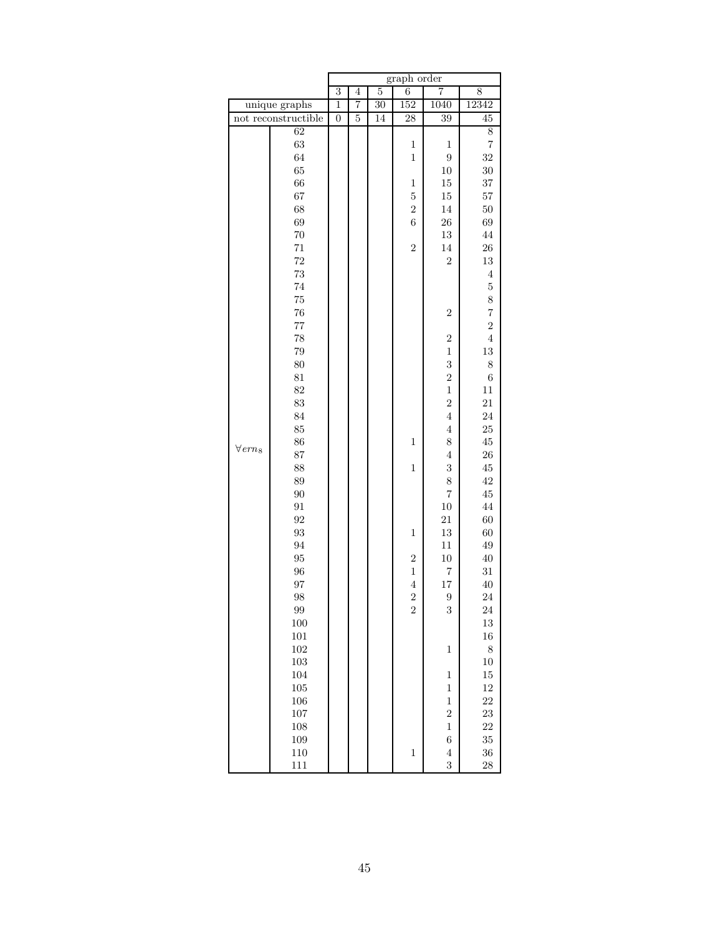|                            |                     | graph order    |                |                 |                               |                         |                         |  |  |
|----------------------------|---------------------|----------------|----------------|-----------------|-------------------------------|-------------------------|-------------------------|--|--|
|                            |                     | $\overline{3}$ | $\overline{4}$ | $\overline{5}$  | $\overline{6}$                | 7                       | 8                       |  |  |
|                            | unique graphs       | $\overline{1}$ | 7              | $\overline{30}$ | 152                           | 1040                    | 12342                   |  |  |
|                            | not reconstructible | $\overline{0}$ | $\overline{5}$ | 14              | 28                            | 39                      | $\overline{45}$         |  |  |
|                            | 62                  |                |                |                 |                               |                         | 8                       |  |  |
|                            | 63                  |                |                |                 | $\,1$                         | 1                       | $\overline{\mathbf{7}}$ |  |  |
|                            | 64                  |                |                |                 | $\mathbf{1}$                  | $\boldsymbol{9}$        | $32\,$                  |  |  |
|                            | 65                  |                |                |                 |                               | $10\,$                  | $30\,$                  |  |  |
|                            | 66                  |                |                |                 | $\mathbf 1$                   | $15\,$                  | $37\,$                  |  |  |
|                            | 67                  |                |                |                 | $\mathbf 5$                   | 15                      | $57\,$                  |  |  |
|                            | 68                  |                |                |                 | $\overline{2}$                | 14                      | $50\,$                  |  |  |
|                            | 69                  |                |                |                 | $\,6\,$                       | $\,26$                  | 69                      |  |  |
|                            | $70\,$              |                |                |                 |                               | $13\,$                  | $\rm 44$                |  |  |
|                            | 71                  |                |                |                 | $\overline{2}$                | $14\,$                  | ${\bf 26}$              |  |  |
|                            | 72                  |                |                |                 |                               | $\sqrt{2}$              | 13                      |  |  |
|                            | 73                  |                |                |                 |                               |                         | $\,4\,$                 |  |  |
|                            | $74\,$              |                |                |                 |                               |                         | $\mathbf 5$             |  |  |
|                            | $75\,$              |                |                |                 |                               |                         | 8                       |  |  |
|                            | 76                  |                |                |                 |                               | $\boldsymbol{2}$        | $\overline{7}$          |  |  |
|                            | 77                  |                |                |                 |                               |                         | $\overline{2}$          |  |  |
|                            | 78                  |                |                |                 |                               | $\boldsymbol{2}$        | $\overline{4}$          |  |  |
|                            | $79\,$              |                |                |                 |                               | $\,1$                   | 13                      |  |  |
|                            | 80                  |                |                |                 |                               | $\overline{\mathbf{3}}$ | 8                       |  |  |
|                            | 81                  |                |                |                 |                               | $\overline{2}$          | $\,$ 6 $\,$             |  |  |
|                            | 82                  |                |                |                 |                               | $\,1$                   | 11                      |  |  |
|                            | 83                  |                |                |                 |                               | $\overline{2}$          | $21\,$                  |  |  |
|                            | 84                  |                |                |                 |                               | $\overline{4}$          | 24                      |  |  |
|                            | 85                  |                |                |                 |                               | $\bf 4$                 | $25\,$                  |  |  |
| $\forall$ ern <sub>8</sub> | 86                  |                |                |                 | $\,1$                         | 8                       | $\rm 45$                |  |  |
|                            | 87                  |                |                |                 |                               | $\,4\,$                 | $26\,$                  |  |  |
|                            | 88                  |                |                |                 | $\mathbf{1}$                  | $\boldsymbol{3}$        | $\rm 45$                |  |  |
|                            | 89                  |                |                |                 |                               | 8                       | 42                      |  |  |
|                            | 90                  |                |                |                 |                               | $\overline{7}$          | $\rm 45$                |  |  |
|                            | 91                  |                |                |                 |                               | $10\,$                  | 44                      |  |  |
|                            | $\boldsymbol{92}$   |                |                |                 |                               | 21                      | 60                      |  |  |
|                            | 93                  |                |                |                 | $\,1$                         | $13\,$                  | 60                      |  |  |
|                            | 94                  |                |                |                 |                               | 11                      | $\rm 49$                |  |  |
|                            | $\rm 95$<br>96      |                |                |                 | $\overline{2}$<br>$\mathbf 1$ | 10                      | $40\,$<br>$31\,$        |  |  |
|                            | 97                  |                |                |                 | $\overline{4}$                | $\overline{\mathbf{7}}$ |                         |  |  |
|                            |                     |                |                |                 | $\boldsymbol{2}$              | $17\,$                  | 40                      |  |  |
|                            | 98                  |                |                |                 |                               | $\boldsymbol{9}$        | 24                      |  |  |
|                            | 99                  |                |                |                 | $\overline{2}$                | 3                       | 24                      |  |  |
|                            | $100\,$<br>101      |                |                |                 |                               |                         | 13<br>16                |  |  |
|                            | 102                 |                |                |                 |                               | $\,1$                   | 8                       |  |  |
|                            | 103                 |                |                |                 |                               |                         | $10\,$                  |  |  |
|                            | 104                 |                |                |                 |                               |                         | 15                      |  |  |
|                            | $105\,$             |                |                |                 |                               | $\,1$<br>$\mathbf{1}$   | 12                      |  |  |
|                            | $106\,$             |                |                |                 |                               | $\mathbf{1}$            | 22                      |  |  |
|                            | $107\,$             |                |                |                 |                               | $\overline{2}$          | $\bf 23$                |  |  |
|                            | 108                 |                |                |                 |                               | $\,1$                   | 22                      |  |  |
|                            | 109                 |                |                |                 |                               | $\,$ 6 $\,$             | $35\,$                  |  |  |
|                            | 110                 |                |                |                 | $\,1$                         | $\,4\,$                 | $36\,$                  |  |  |
|                            | 111                 |                |                |                 |                               | 3                       | 28                      |  |  |
|                            |                     |                |                |                 |                               |                         |                         |  |  |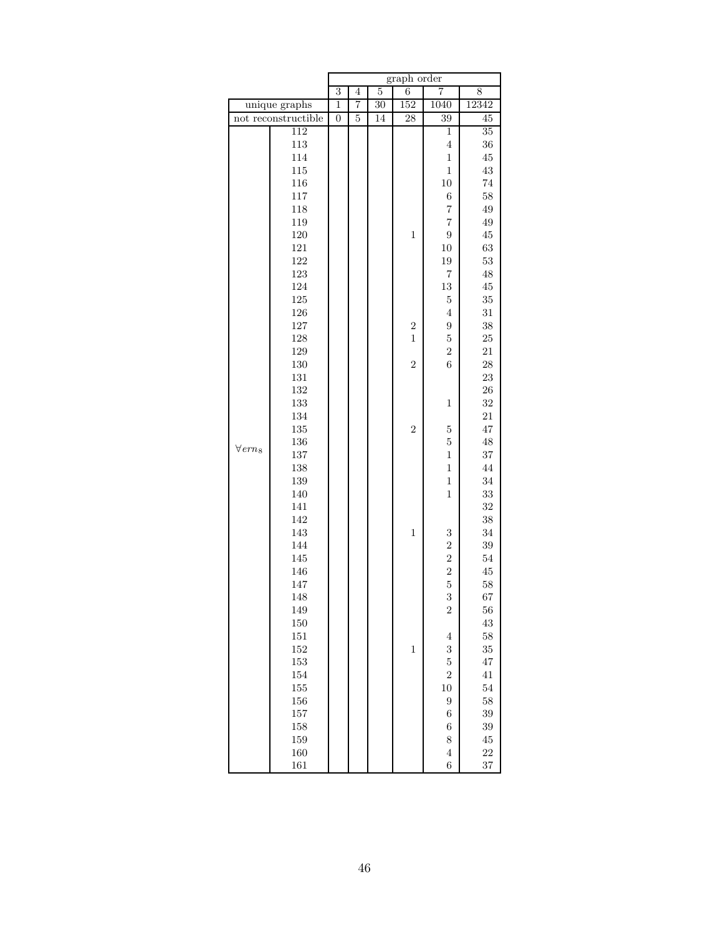|                            |                     | graph order      |                |                |                |                   |                 |  |  |
|----------------------------|---------------------|------------------|----------------|----------------|----------------|-------------------|-----------------|--|--|
|                            |                     | $\overline{3}$   | $\overline{4}$ | $\overline{5}$ | $\overline{6}$ | 7                 | 8               |  |  |
|                            | unique graphs       | $\mathbf{1}$     | $\overline{7}$ | 30             | 152            | 1040              | 12342           |  |  |
|                            | not reconstructible | $\boldsymbol{0}$ | $\overline{5}$ | 14             | 28             | 39                | 45              |  |  |
|                            | 112                 |                  |                |                |                | $\mathbf{1}$      | $\overline{35}$ |  |  |
|                            | $113\,$             |                  |                |                |                | $\,4\,$           | 36              |  |  |
|                            | 114                 |                  |                |                |                | $\mathbf 1$       | 45              |  |  |
|                            | $115\,$             |                  |                |                |                | $\mathbf{1}$      | 43              |  |  |
|                            | 116                 |                  |                |                |                | $10\,$            | $74\,$          |  |  |
|                            | 117                 |                  |                |                |                | $\;6\;$           | 58              |  |  |
|                            | 118                 |                  |                |                |                | $\scriptstyle{7}$ | 49              |  |  |
|                            | 119                 |                  |                |                |                | $\overline{7}$    | 49              |  |  |
|                            | $120\,$             |                  |                |                | $\mathbf{1}$   | $\boldsymbol{9}$  | $\rm 45$        |  |  |
|                            | 121                 |                  |                |                |                | $10\,$            | 63              |  |  |
|                            | 122                 |                  |                |                |                | $19\,$            | $53\,$          |  |  |
|                            | 123                 |                  |                |                |                | $\scriptstyle{7}$ | 48              |  |  |
|                            | 124                 |                  |                |                |                | $13\,$            | 45              |  |  |
|                            | $125\,$             |                  |                |                |                | $\bf 5$           | $35\,$          |  |  |
|                            | 126                 |                  |                |                |                | $\overline{4}$    | 31              |  |  |
|                            | 127                 |                  |                |                | $\overline{2}$ | $\boldsymbol{9}$  | 38              |  |  |
|                            | 128                 |                  |                |                | $\mathbf{1}$   | $\mathbf 5$       | 25              |  |  |
|                            | 129                 |                  |                |                |                | $\sqrt{2}$        | $21\,$          |  |  |
|                            | $130\,$             |                  |                |                | $\overline{2}$ | $\overline{6}$    | 28              |  |  |
|                            | $131\,$             |                  |                |                |                |                   | 23              |  |  |
|                            | 132                 |                  |                |                |                |                   | 26              |  |  |
|                            | 133                 |                  |                |                |                | $\mathbf 1$       | 32              |  |  |
|                            | 134                 |                  |                |                |                |                   | $21\,$          |  |  |
|                            | $135\,$             |                  |                |                | $\overline{2}$ | $\overline{5}$    | 47              |  |  |
|                            | 136                 |                  |                |                |                | $\overline{5}$    | 48              |  |  |
| $\forall$ ern <sub>8</sub> | $137\,$             |                  |                |                |                | $\mathbf 1$       | 37              |  |  |
|                            | 138                 |                  |                |                |                | $\mathbf{1}$      | 44              |  |  |
|                            | $139\,$             |                  |                |                |                | $\mathbf{1}$      | 34              |  |  |
|                            | 140                 |                  |                |                |                | $\mathbf{1}$      | 33              |  |  |
|                            | 141                 |                  |                |                |                |                   | 32              |  |  |
|                            | 142                 |                  |                |                |                |                   | 38              |  |  |
|                            | 143                 |                  |                |                | $\,1$          | $\,3$             | 34              |  |  |
|                            | 144                 |                  |                |                |                | $\sqrt{2}$        | 39              |  |  |
|                            | 145                 |                  |                |                |                | $\overline{2}$    | $54\,$          |  |  |
|                            | 146                 |                  |                |                |                |                   | 45              |  |  |
|                            | 147                 |                  |                |                |                | $\frac{2}{5}$     | $58\,$          |  |  |
|                            | 148                 |                  |                |                |                | 3                 | 67              |  |  |
|                            | 149                 |                  |                |                |                | $\boldsymbol{2}$  | 56              |  |  |
|                            | 150                 |                  |                |                |                |                   | 43              |  |  |
|                            | 151                 |                  |                |                |                | $\,4\,$           | 58              |  |  |
|                            | 152                 |                  |                |                | $\,1$          | 3                 | 35              |  |  |
|                            | 153                 |                  |                |                |                | $\bf 5$           | 47              |  |  |
|                            | 154                 |                  |                |                |                | $\overline{2}$    | $41\,$          |  |  |
|                            | 155                 |                  |                |                |                | 10                | 54              |  |  |
|                            | 156                 |                  |                |                |                | $\boldsymbol{9}$  | 58              |  |  |
|                            | 157                 |                  |                |                |                | $\,6$             | 39              |  |  |
|                            | 158                 |                  |                |                |                | $\,$ 6 $\,$       | 39              |  |  |
|                            | 159                 |                  |                |                |                | 8                 | 45              |  |  |
|                            | 160                 |                  |                |                |                | $\,4\,$           | 22              |  |  |
|                            | 161                 |                  |                |                |                | 6                 | 37              |  |  |
|                            |                     |                  |                |                |                |                   |                 |  |  |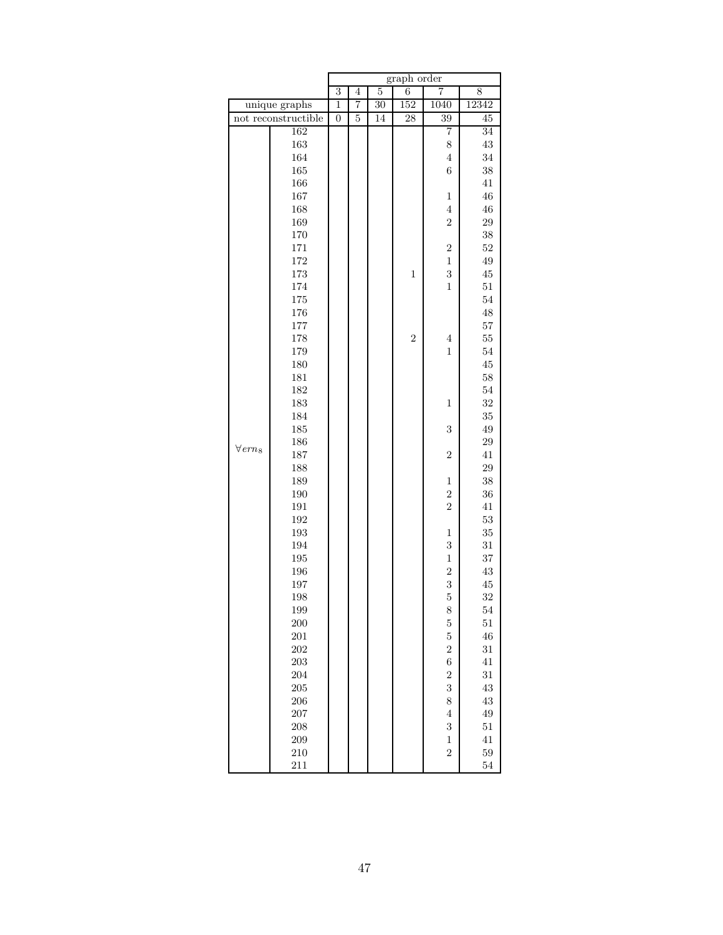|                            |                     |                  |                |                 | graph order     |                         |                 |
|----------------------------|---------------------|------------------|----------------|-----------------|-----------------|-------------------------|-----------------|
|                            |                     | $\overline{3}$   | $\overline{4}$ | $\overline{5}$  | 6               | 7                       | 8               |
| unique graphs              |                     | $\mathbf{1}$     | 7              | $\overline{30}$ | 152             | 1040                    | 12342           |
|                            | not reconstructible | $\boldsymbol{0}$ | 5              | 14              | $\overline{28}$ | 39                      | 45              |
|                            | 162                 |                  |                |                 |                 | 7                       | $\overline{34}$ |
|                            | 163                 |                  |                |                 |                 | 8                       | 43              |
|                            | 164                 |                  |                |                 |                 | $\,4\,$                 | 34              |
|                            | 165                 |                  |                |                 |                 | $\boldsymbol{6}$        | 38              |
|                            | 166                 |                  |                |                 |                 |                         | 41              |
|                            | 167                 |                  |                |                 |                 | $\mathbf 1$             | 46              |
|                            | 168                 |                  |                |                 |                 | $\overline{4}$          | 46              |
|                            | 169                 |                  |                |                 |                 | $\overline{2}$          | $\,29$          |
|                            | 170                 |                  |                |                 |                 |                         | $38\,$          |
|                            | 171                 |                  |                |                 |                 | $\sqrt{2}$              | $52\,$          |
|                            | 172                 |                  |                |                 |                 | $\mathbf{1}$            | 49              |
|                            | 173                 |                  |                |                 | $\mathbf 1$     | $\overline{\mathbf{3}}$ | $\rm 45$        |
|                            | 174                 |                  |                |                 |                 | $\mathbf{1}$            | $51\,$          |
|                            | 175                 |                  |                |                 |                 |                         | $54\,$          |
|                            | 176                 |                  |                |                 |                 |                         | 48              |
|                            | 177                 |                  |                |                 |                 |                         | 57              |
|                            | 178                 |                  |                |                 | $\overline{2}$  | $\,4\,$                 | $55\,$          |
|                            | 179                 |                  |                |                 |                 | $\,1$                   | $54\,$          |
|                            | 180                 |                  |                |                 |                 |                         | $\rm 45$        |
|                            | 181                 |                  |                |                 |                 |                         | 58              |
|                            | 182                 |                  |                |                 |                 |                         | $54\,$          |
|                            | 183                 |                  |                |                 |                 | $\,1$                   | 32              |
|                            | 184                 |                  |                |                 |                 |                         | 35              |
|                            | 185                 |                  |                |                 |                 | 3                       | 49              |
|                            | 186                 |                  |                |                 |                 |                         | $\,29$          |
| $\forall$ ern <sub>8</sub> | 187                 |                  |                |                 |                 | $\sqrt{2}$              | 41              |
|                            | 188                 |                  |                |                 |                 |                         | 29              |
|                            | 189                 |                  |                |                 |                 | $\mathbf{1}$            | 38              |
|                            | 190                 |                  |                |                 |                 | $\overline{2}$          | 36              |
|                            | 191                 |                  |                |                 |                 | $\overline{2}$          | $41\,$          |
|                            | 192                 |                  |                |                 |                 |                         | $53\,$          |
|                            | 193                 |                  |                |                 |                 | $\mathbf 1$             | $35\,$          |
|                            | 194                 |                  |                |                 |                 | 3                       | $31\,$          |
|                            | 195                 |                  |                |                 |                 | $\,1$                   | 37              |
|                            | 196                 |                  |                |                 |                 | $\overline{c}$          | 43              |
|                            | 197                 |                  |                |                 |                 | 3                       | 45              |
|                            | 198                 |                  |                |                 |                 | $\overline{5}$          | 32              |
|                            | 199                 |                  |                |                 |                 | 8                       | $54\,$          |
|                            | $200\,$             |                  |                |                 |                 | $\overline{5}$          | $51\,$          |
|                            | $201\,$             |                  |                |                 |                 | $\overline{5}$          | 46              |
|                            | 202                 |                  |                |                 |                 | $\overline{2}$          | $31\,$          |
|                            | $\,203$             |                  |                |                 |                 | $\boldsymbol{6}$        | 41              |
|                            | 204                 |                  |                |                 |                 | $\overline{2}$          | 31              |
|                            | 205                 |                  |                |                 |                 | 3                       | 43              |
|                            | 206                 |                  |                |                 |                 | 8                       | $\rm 43$        |
|                            | $207\,$             |                  |                |                 |                 | $\,4\,$                 | $\rm 49$        |
|                            | 208                 |                  |                |                 |                 | 3                       | $51\,$          |
|                            | 209                 |                  |                |                 |                 | $\mathbf{1}$            | $41\,$          |
|                            | 210                 |                  |                |                 |                 | $\overline{2}$          | $59\,$          |
|                            | 211                 |                  |                |                 |                 |                         | 54              |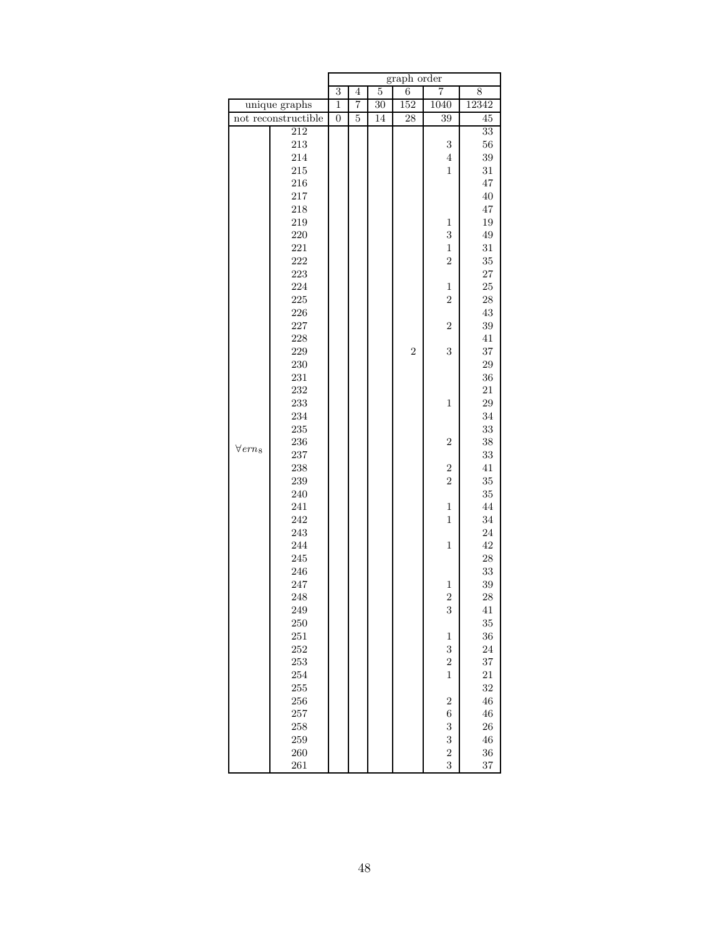|                            |                     |                  |                |                | graph order     |                  |                 |
|----------------------------|---------------------|------------------|----------------|----------------|-----------------|------------------|-----------------|
|                            |                     | $\overline{3}$   | $\overline{4}$ | $\overline{5}$ | 6               | 7                | 8               |
|                            | unique graphs       |                  | 7              | 30             | 152             | 1040             | 12342           |
|                            | not reconstructible | $\boldsymbol{0}$ | 5              | 14             | $\overline{28}$ | 39               | 45              |
|                            | 212                 |                  |                |                |                 |                  | $\overline{33}$ |
|                            | 213                 |                  |                |                |                 | $\boldsymbol{3}$ | 56              |
|                            | 214                 |                  |                |                |                 | $\,4\,$          | $39\,$          |
|                            | 215                 |                  |                |                |                 | $\mathbf{1}$     | $31\,$          |
|                            | $216\,$             |                  |                |                |                 |                  | 47              |
|                            | 217                 |                  |                |                |                 |                  | $40\,$          |
|                            | 218                 |                  |                |                |                 |                  | 47              |
|                            | 219                 |                  |                |                |                 | 1                | 19              |
|                            | 220                 |                  |                |                |                 | 3                | $\rm 49$        |
|                            | 221                 |                  |                |                |                 | $\,1$            | $31\,$          |
|                            | 222                 |                  |                |                |                 | $\overline{2}$   | 35              |
|                            | 223                 |                  |                |                |                 |                  | $\sqrt{27}$     |
|                            | 224                 |                  |                |                |                 | $\,1$            | $25\,$          |
|                            | $225\,$             |                  |                |                |                 | $\overline{2}$   | $\sqrt{28}$     |
|                            | 226                 |                  |                |                |                 |                  | $\rm 43$        |
|                            | 227                 |                  |                |                |                 | $\overline{2}$   | 39              |
|                            | 228                 |                  |                |                |                 |                  | $41\,$          |
|                            | 229                 |                  |                |                | $\overline{2}$  | 3                | 37              |
|                            | 230                 |                  |                |                |                 |                  | 29              |
|                            | 231                 |                  |                |                |                 |                  | 36              |
|                            | 232                 |                  |                |                |                 |                  | $21\,$          |
|                            | 233                 |                  |                |                |                 | $\mathbf 1$      | 29              |
|                            | 234                 |                  |                |                |                 |                  | 34              |
|                            | 235                 |                  |                |                |                 |                  | $33\,$          |
|                            | 236                 |                  |                |                |                 | $\overline{2}$   | $38\,$          |
| $\forall$ ern <sub>8</sub> | 237                 |                  |                |                |                 |                  | 33              |
|                            | 238                 |                  |                |                |                 | $\boldsymbol{2}$ | $41\,$          |
|                            | 239                 |                  |                |                |                 | $\overline{2}$   | $35\,$          |
|                            | 240                 |                  |                |                |                 |                  | $35\,$          |
|                            | 241                 |                  |                |                |                 | $\,1$            | 44              |
|                            | 242                 |                  |                |                |                 | $\mathbf{1}$     | 34              |
|                            | 243                 |                  |                |                |                 |                  | $24\,$          |
|                            | 244                 |                  |                |                |                 | $\mathbf{1}$     | 42              |
|                            | 245                 |                  |                |                |                 |                  | ${\bf 28}$      |
|                            | 246                 |                  |                |                |                 |                  | $33\,$          |
|                            | 247                 |                  |                |                |                 | $\,1$            | 39              |
|                            | 248                 |                  |                |                |                 | $\overline{c}$   | <b>28</b>       |
|                            | 249                 |                  |                |                |                 | $\boldsymbol{3}$ | 41              |
|                            | 250                 |                  |                |                |                 |                  | 35              |
|                            | 251                 |                  |                |                |                 | $\,1$            | 36              |
|                            | 252                 |                  |                |                |                 | 3                | 24              |
|                            | 253                 |                  |                |                |                 | $\overline{2}$   | 37              |
|                            | 254                 |                  |                |                |                 | $\mathbf{1}$     | $21\,$          |
|                            | 255                 |                  |                |                |                 |                  | 32              |
|                            | 256                 |                  |                |                |                 | $\overline{2}$   | $\sqrt{46}$     |
|                            | 257                 |                  |                |                |                 | $\,$ 6 $\,$      | $\sqrt{46}$     |
|                            | 258                 |                  |                |                |                 | 3                | 26              |
|                            | 259                 |                  |                |                |                 | 3                | $\sqrt{46}$     |
|                            | 260                 |                  |                |                |                 | $\overline{c}$   | 36              |
|                            | 261                 |                  |                |                |                 | 3                | 37              |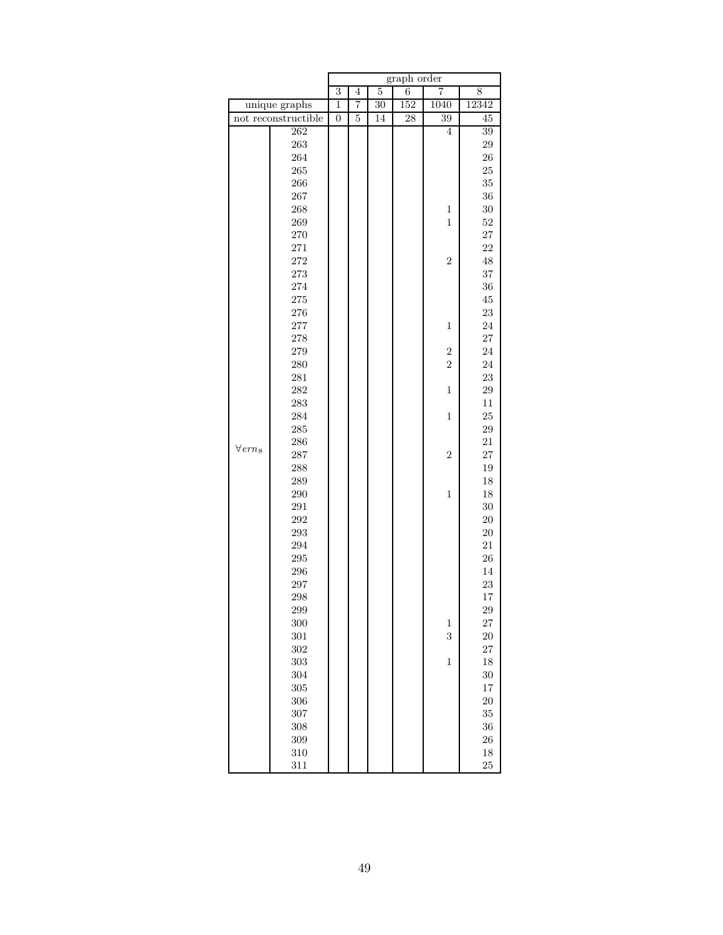|                            |                     | graph order      |                |                |     |                |                 |  |  |
|----------------------------|---------------------|------------------|----------------|----------------|-----|----------------|-----------------|--|--|
|                            |                     | 3                | $\overline{4}$ | $\overline{5}$ | 6   | 7              | 8               |  |  |
|                            | unique graphs       | $\,1$            | 7              | 30             | 152 | 1040           | 12342           |  |  |
|                            | not reconstructible | $\boldsymbol{0}$ | $\overline{5}$ | 14             | 28  | 39             | 45              |  |  |
|                            | 262                 |                  |                |                |     | $\overline{4}$ | $\overline{39}$ |  |  |
|                            | 263                 |                  |                |                |     |                | 29              |  |  |
|                            | 264                 |                  |                |                |     |                | 26              |  |  |
|                            | 265                 |                  |                |                |     |                | 25              |  |  |
|                            | 266                 |                  |                |                |     |                | 35              |  |  |
|                            | 267                 |                  |                |                |     |                | $36\,$          |  |  |
|                            | 268                 |                  |                |                |     | $\,1$          | $30\,$          |  |  |
|                            | 269                 |                  |                |                |     | $\mathbf{1}$   | $52\,$          |  |  |
|                            | 270                 |                  |                |                |     |                | 27              |  |  |
|                            | 271                 |                  |                |                |     |                | 22              |  |  |
|                            | 272                 |                  |                |                |     | $\overline{2}$ | 48              |  |  |
|                            | 273                 |                  |                |                |     |                | 37              |  |  |
|                            | 274                 |                  |                |                |     |                | $36\,$          |  |  |
|                            | 275                 |                  |                |                |     |                | $\rm 45$        |  |  |
|                            | 276                 |                  |                |                |     |                | 23              |  |  |
|                            | 277                 |                  |                |                |     | $\mathbf{1}$   | 24              |  |  |
|                            | 278                 |                  |                |                |     |                | 27              |  |  |
|                            | 279                 |                  |                |                |     | $\overline{c}$ | 24              |  |  |
|                            | 280                 |                  |                |                |     | $\overline{2}$ | 24              |  |  |
|                            | 281                 |                  |                |                |     |                | $\,23$          |  |  |
|                            | 282                 |                  |                |                |     | $\mathbf{1}$   | $\,29$          |  |  |
|                            | 283                 |                  |                |                |     |                | $11\,$          |  |  |
|                            | 284                 |                  |                |                |     | $\mathbf{1}$   | $25\,$          |  |  |
|                            | 285                 |                  |                |                |     |                | $\,29$          |  |  |
| $\forall$ ern <sub>8</sub> | 286                 |                  |                |                |     |                | $21\,$          |  |  |
|                            | 287                 |                  |                |                |     | $\overline{2}$ | $27\,$          |  |  |
|                            | 288                 |                  |                |                |     |                | 19              |  |  |
|                            | 289                 |                  |                |                |     |                | 18              |  |  |
|                            | 290                 |                  |                |                |     | $\mathbf{1}$   | $18\,$          |  |  |
|                            | 291                 |                  |                |                |     |                | 30              |  |  |
|                            | 292                 |                  |                |                |     |                | $20\,$          |  |  |
|                            | 293                 |                  |                |                |     |                | $20\,$          |  |  |
|                            | 294                 |                  |                |                |     |                | 21              |  |  |
|                            | 295                 |                  |                |                |     |                | 26              |  |  |
|                            | 296                 |                  |                |                |     |                | 14              |  |  |
|                            | 297                 |                  |                |                |     |                | 23              |  |  |
|                            | 298                 |                  |                |                |     |                | 17              |  |  |
|                            | 299                 |                  |                |                |     |                | 29              |  |  |
|                            | 300                 |                  |                |                |     | $\mathbf{1}$   | 27              |  |  |
|                            | 301                 |                  |                |                |     | 3              | <b>20</b>       |  |  |
|                            | 302                 |                  |                |                |     |                | $27\,$          |  |  |
|                            | 303                 |                  |                |                |     | $\,1$          | $18\,$          |  |  |
|                            | 304                 |                  |                |                |     |                | 30              |  |  |
|                            | 305                 |                  |                |                |     |                | $17\,$          |  |  |
|                            | 306                 |                  |                |                |     |                | 20              |  |  |
|                            | 307                 |                  |                |                |     |                | 35              |  |  |
|                            | 308                 |                  |                |                |     |                | 36              |  |  |
|                            | 309                 |                  |                |                |     |                | 26              |  |  |
|                            | 310                 |                  |                |                |     |                | 18              |  |  |
|                            | 311                 |                  |                |                |     |                | 25              |  |  |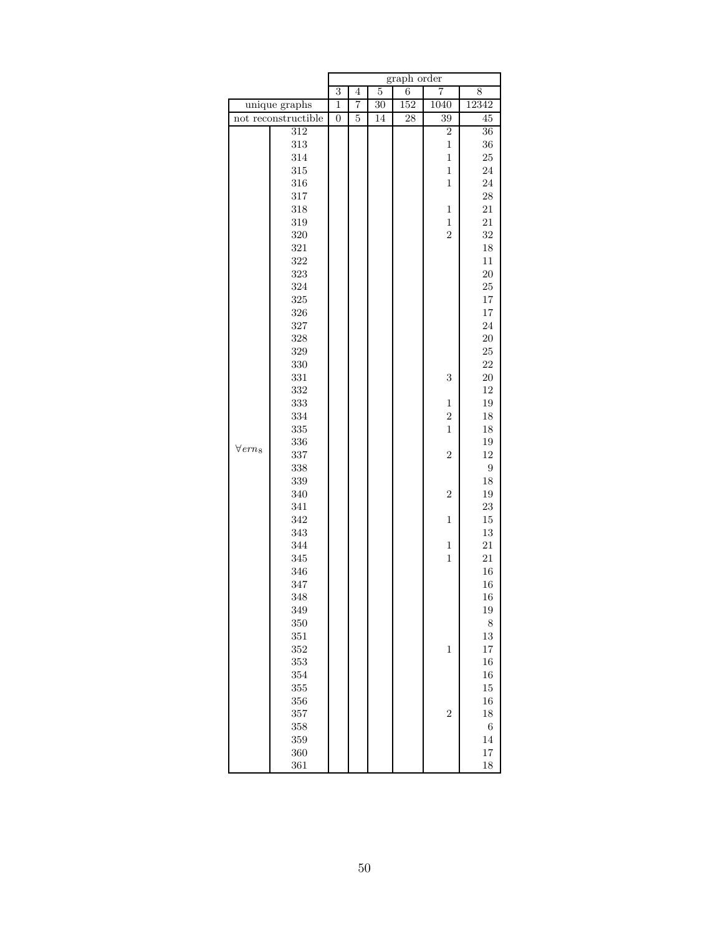|                            |                     | graph order      |                |                |     |                |                 |  |
|----------------------------|---------------------|------------------|----------------|----------------|-----|----------------|-----------------|--|
|                            |                     | $\overline{3}$   | $\overline{4}$ | $\overline{5}$ | 6   | 7              | 8               |  |
|                            | unique graphs       | $\overline{1}$   | 7              | 30             | 152 | 1040           | 12342           |  |
|                            | not reconstructible | $\boldsymbol{0}$ | $\overline{5}$ | 14             | 28  | 39             | 45              |  |
|                            | $\overline{312}$    |                  |                |                |     | $\overline{2}$ | $\overline{36}$ |  |
|                            | $313\,$             |                  |                |                |     | $\mathbf 1$    | 36              |  |
|                            | 314                 |                  |                |                |     | $\mathbf 1$    | $\rm 25$        |  |
|                            | $315\,$             |                  |                |                |     | $\mathbf{1}$   | 24              |  |
|                            | 316                 |                  |                |                |     | $\mathbf{1}$   | 24              |  |
|                            | $317\,$             |                  |                |                |     |                | 28              |  |
|                            | 318                 |                  |                |                |     | $\mathbf 1$    | $21\,$          |  |
|                            | 319                 |                  |                |                |     | $\mathbf 1$    | 21              |  |
|                            | 320                 |                  |                |                |     | $\overline{2}$ | 32              |  |
|                            | 321                 |                  |                |                |     |                | $18\,$          |  |
|                            | 322                 |                  |                |                |     |                | $11\,$          |  |
|                            | 323                 |                  |                |                |     |                | 20              |  |
|                            | 324                 |                  |                |                |     |                | 25              |  |
|                            | $325\,$             |                  |                |                |     |                | $17\,$          |  |
|                            | 326                 |                  |                |                |     |                | $17\,$          |  |
|                            | 327                 |                  |                |                |     |                | 24              |  |
|                            | 328                 |                  |                |                |     |                | <b>20</b>       |  |
|                            | $329\,$             |                  |                |                |     |                | $25\,$          |  |
|                            | 330                 |                  |                |                |     |                | 22              |  |
|                            | 331                 |                  |                |                |     | $\sqrt{3}$     | $20\,$          |  |
|                            | 332                 |                  |                |                |     |                | $12\,$          |  |
|                            | 333                 |                  |                |                |     | $\mathbf 1$    | 19              |  |
|                            | 334                 |                  |                |                |     | $\sqrt{2}$     | $18\,$          |  |
|                            | $335\,$             |                  |                |                |     | $\mathbf{1}$   | $18\,$          |  |
|                            | 336                 |                  |                |                |     |                | 19              |  |
| $\forall$ ern <sub>8</sub> | 337                 |                  |                |                |     | $\sqrt{2}$     | 12              |  |
|                            | 338                 |                  |                |                |     |                | 9               |  |
|                            | 339                 |                  |                |                |     |                | $18\,$          |  |
|                            | 340                 |                  |                |                |     | $\sqrt{2}$     | 19              |  |
|                            | 341                 |                  |                |                |     |                | 23              |  |
|                            | 342                 |                  |                |                |     | $\mathbf{1}$   | $15\,$          |  |
|                            | 343                 |                  |                |                |     |                | $13\,$          |  |
|                            | 344                 |                  |                |                |     | $\mathbf{1}$   | 21              |  |
|                            | 345                 |                  |                |                |     | $\mathbf{1}$   | 21              |  |
|                            | 346                 |                  |                |                |     |                | 16              |  |
|                            | 347                 |                  |                |                |     |                | 16              |  |
|                            | 348                 |                  |                |                |     |                | 16              |  |
|                            | 349                 |                  |                |                |     |                | $19\,$          |  |
|                            | 350                 |                  |                |                |     |                | 8               |  |
|                            | 351                 |                  |                |                |     |                | $13\,$          |  |
|                            | 352                 |                  |                |                |     | $\,1$          | $17\,$          |  |
|                            | 353                 |                  |                |                |     |                | 16              |  |
|                            | 354                 |                  |                |                |     |                | 16              |  |
|                            | 355                 |                  |                |                |     |                | $15\,$          |  |
|                            | 356                 |                  |                |                |     |                | $16\,$          |  |
|                            | 357                 |                  |                |                |     | $\sqrt{2}$     | $18\,$          |  |
|                            | 358                 |                  |                |                |     |                | $\,6$           |  |
|                            | 359                 |                  |                |                |     |                | 14              |  |
|                            | 360                 |                  |                |                |     |                | $17\,$          |  |
|                            | 361                 |                  |                |                |     |                | 18              |  |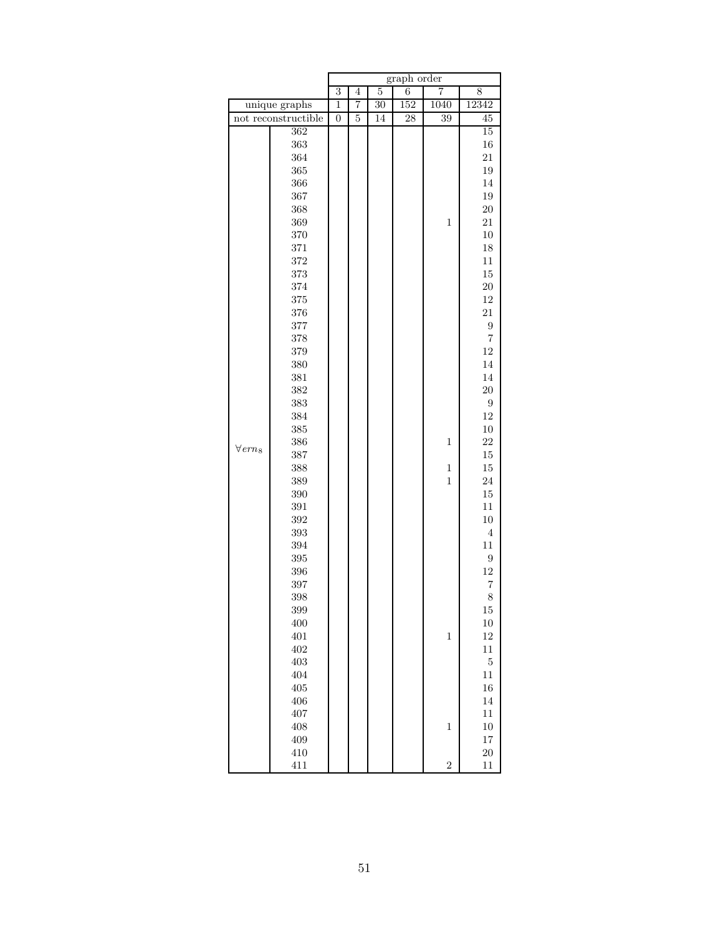|                  |                     |                  |                |                | graph order     |                |                |
|------------------|---------------------|------------------|----------------|----------------|-----------------|----------------|----------------|
|                  |                     | $\overline{3}$   | $\overline{4}$ | $\overline{5}$ | 6               | 7              | 8              |
| unique graphs    |                     | $\overline{1}$   | 7              | 30             | 152             | 1040           | 12342          |
|                  | not reconstructible | $\boldsymbol{0}$ | 5              | 14             | $\overline{28}$ | 39             | 45             |
|                  | 362                 |                  |                |                |                 |                | 15             |
|                  | 363                 |                  |                |                |                 |                | 16             |
|                  | 364                 |                  |                |                |                 |                | 21             |
|                  | 365                 |                  |                |                |                 |                | 19             |
|                  | 366                 |                  |                |                |                 |                | 14             |
|                  | 367                 |                  |                |                |                 |                | $19\,$         |
|                  | 368                 |                  |                |                |                 |                | 20             |
|                  | 369                 |                  |                |                |                 | $\mathbf{1}$   | 21             |
|                  | 370                 |                  |                |                |                 |                | $10\,$         |
|                  | 371                 |                  |                |                |                 |                | $18\,$         |
|                  | 372                 |                  |                |                |                 |                | 11             |
|                  | $373\,$             |                  |                |                |                 |                | $15\,$         |
|                  | 374                 |                  |                |                |                 |                | 20             |
|                  | 375                 |                  |                |                |                 |                | $12\,$         |
|                  | 376                 |                  |                |                |                 |                | 21             |
|                  | 377                 |                  |                |                |                 |                | $\overline{9}$ |
|                  | $378\,$             |                  |                |                |                 |                | $\overline{7}$ |
|                  | 379                 |                  |                |                |                 |                | $12\,$         |
|                  | 380                 |                  |                |                |                 |                | 14             |
|                  | 381                 |                  |                |                |                 |                | 14             |
|                  | 382                 |                  |                |                |                 |                | $20\,$         |
|                  | 383                 |                  |                |                |                 |                | $\overline{9}$ |
|                  | 384                 |                  |                |                |                 |                | 12             |
|                  | $385\,$             |                  |                |                |                 |                | 10             |
| $\forall\,ern_8$ | 386                 |                  |                |                |                 | $\mathbf{1}$   | 22             |
|                  | 387                 |                  |                |                |                 |                | $15\,$         |
|                  | 388                 |                  |                |                |                 | $\mathbf{1}$   | $15\,$         |
|                  | 389                 |                  |                |                |                 | $\mathbf{1}$   | 24             |
|                  | 390                 |                  |                |                |                 |                | $15\,$         |
|                  | 391                 |                  |                |                |                 |                | $11\,$         |
|                  | 392                 |                  |                |                |                 |                | $10\,$         |
|                  | 393                 |                  |                |                |                 |                | $\overline{4}$ |
|                  | 394                 |                  |                |                |                 |                | $11\,$         |
|                  | 395                 |                  |                |                |                 |                | $\overline{9}$ |
|                  | 396                 |                  |                |                |                 |                | $12\,$         |
|                  | 397                 |                  |                |                |                 |                | $\overline{7}$ |
|                  | 398                 |                  |                |                |                 |                | 8              |
|                  | 399                 |                  |                |                |                 |                | $15\,$         |
|                  | $400\,$             |                  |                |                |                 |                | $10\,$         |
|                  | 401                 |                  |                |                |                 | $\mathbf{1}$   | $12\,$         |
|                  | 402                 |                  |                |                |                 |                | 11             |
|                  | $403\,$             |                  |                |                |                 |                | $\bf 5$        |
|                  | 404                 |                  |                |                |                 |                | $11\,$         |
|                  | 405                 |                  |                |                |                 |                | $16\,$         |
|                  | 406                 |                  |                |                |                 |                | 14             |
|                  | 407                 |                  |                |                |                 |                | $11\,$         |
|                  | 408                 |                  |                |                |                 | $\,1$          | $10\,$         |
|                  | 409                 |                  |                |                |                 |                | $17\,$         |
|                  | 410                 |                  |                |                |                 |                | <b>20</b>      |
|                  | 411                 |                  |                |                |                 | $\overline{2}$ | 11             |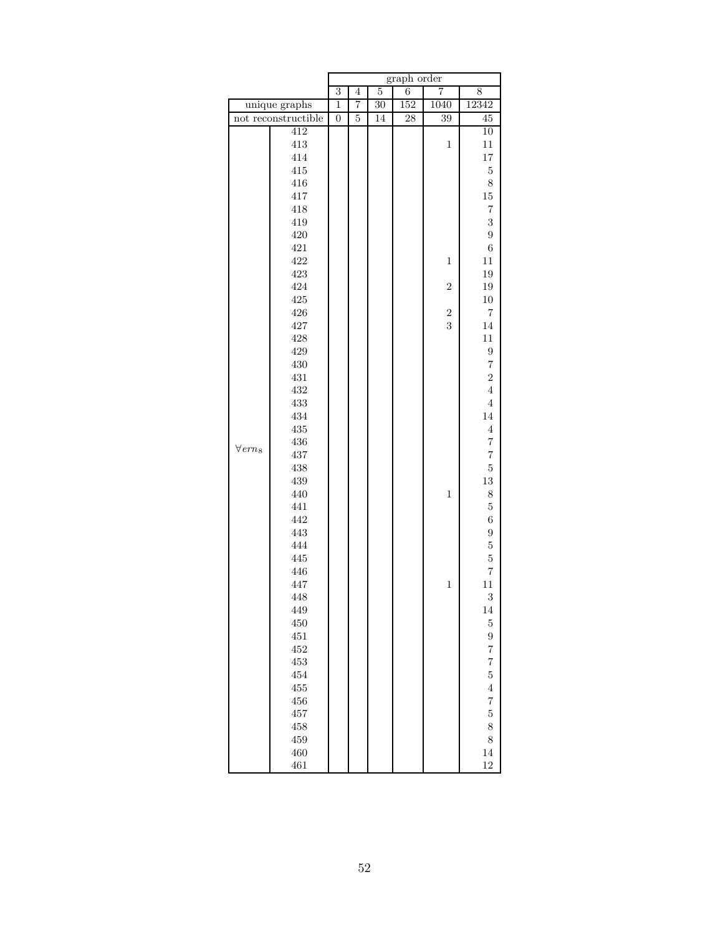|                  |                     | graph order    |                |    |     |                |                  |  |  |
|------------------|---------------------|----------------|----------------|----|-----|----------------|------------------|--|--|
|                  |                     | $\overline{3}$ | $\overline{4}$ | 5  | 6   | 7              | 8                |  |  |
|                  | unique graphs       | $\overline{1}$ | 7              | 30 | 152 | 1040           | 12342            |  |  |
|                  | not reconstructible | $\overline{0}$ | $\overline{5}$ | 14 | 28  | 39             | $\overline{45}$  |  |  |
|                  | 412                 |                |                |    |     |                | $\overline{10}$  |  |  |
|                  | $413\,$             |                |                |    |     | $\mathbf{1}$   | 11               |  |  |
|                  | 414                 |                |                |    |     |                | $17\,$           |  |  |
|                  | 415                 |                |                |    |     |                | $\bf 5$          |  |  |
|                  | 416                 |                |                |    |     |                | 8                |  |  |
|                  | 417                 |                |                |    |     |                | $15\,$           |  |  |
|                  | 418                 |                |                |    |     |                | $\overline{7}$   |  |  |
|                  | 419                 |                |                |    |     |                | 3                |  |  |
|                  | $420\,$             |                |                |    |     |                | $\overline{9}$   |  |  |
|                  | 421                 |                |                |    |     |                | $\boldsymbol{6}$ |  |  |
|                  | 422                 |                |                |    |     | $\mathbf{1}$   | $11\,$           |  |  |
|                  | 423                 |                |                |    |     |                | 19               |  |  |
|                  | 424                 |                |                |    |     | $\overline{2}$ | 19               |  |  |
|                  | 425                 |                |                |    |     |                | $10\,$           |  |  |
|                  | 426                 |                |                |    |     | $\overline{2}$ | 7                |  |  |
|                  | 427                 |                |                |    |     | 3              | 14               |  |  |
|                  | 428                 |                |                |    |     |                | $11\,$           |  |  |
|                  | 429                 |                |                |    |     |                | $\overline{9}$   |  |  |
|                  | 430                 |                |                |    |     |                | $\overline{7}$   |  |  |
|                  | 431                 |                |                |    |     |                | $\overline{2}$   |  |  |
|                  | $\!432\!$           |                |                |    |     |                | $\overline{4}$   |  |  |
|                  | 433                 |                |                |    |     |                | $\,4\,$          |  |  |
|                  | 434                 |                |                |    |     |                | 14               |  |  |
|                  | $435\,$             |                |                |    |     |                | $\overline{4}$   |  |  |
| $\forall\,ern_8$ | 436                 |                |                |    |     |                | $\overline{7}$   |  |  |
|                  | 437                 |                |                |    |     |                | $\overline{7}$   |  |  |
|                  | 438                 |                |                |    |     |                | $\overline{5}$   |  |  |
|                  | 439                 |                |                |    |     |                | $13\,$           |  |  |
|                  | 440                 |                |                |    |     | $\mathbf{1}$   | 8                |  |  |
|                  | 441                 |                |                |    |     |                | $\overline{5}$   |  |  |
|                  | 442                 |                |                |    |     |                | $\boldsymbol{6}$ |  |  |
|                  | 443                 |                |                |    |     |                | $\overline{9}$   |  |  |
|                  | 444                 |                |                |    |     |                | $\overline{5}$   |  |  |
|                  | 445                 |                |                |    |     |                | $\overline{5}$   |  |  |
|                  | 446                 |                |                |    |     |                | $\overline{7}$   |  |  |
|                  | 447                 |                |                |    |     | $\mathbf{1}$   | $11\,$           |  |  |
|                  | 448                 |                |                |    |     |                | 3                |  |  |
|                  | 449                 |                |                |    |     |                | 14               |  |  |
|                  | 450                 |                |                |    |     |                | $\overline{5}$   |  |  |
|                  | 451                 |                |                |    |     |                | $\overline{9}$   |  |  |
|                  | $452\,$             |                |                |    |     |                | $\overline{7}$   |  |  |
|                  | $453\,$             |                |                |    |     |                | $\overline{7}$   |  |  |
|                  | 454                 |                |                |    |     |                | $\overline{5}$   |  |  |
|                  | $455\,$             |                |                |    |     |                | $\overline{4}$   |  |  |
|                  | 456                 |                |                |    |     |                | $\overline{7}$   |  |  |
|                  | 457                 |                |                |    |     |                | $\overline{5}$   |  |  |
|                  | 458                 |                |                |    |     |                | 8                |  |  |
|                  | 459                 |                |                |    |     |                | 8                |  |  |
|                  | 460                 |                |                |    |     |                | 14               |  |  |
|                  | 461                 |                |                |    |     |                | 12               |  |  |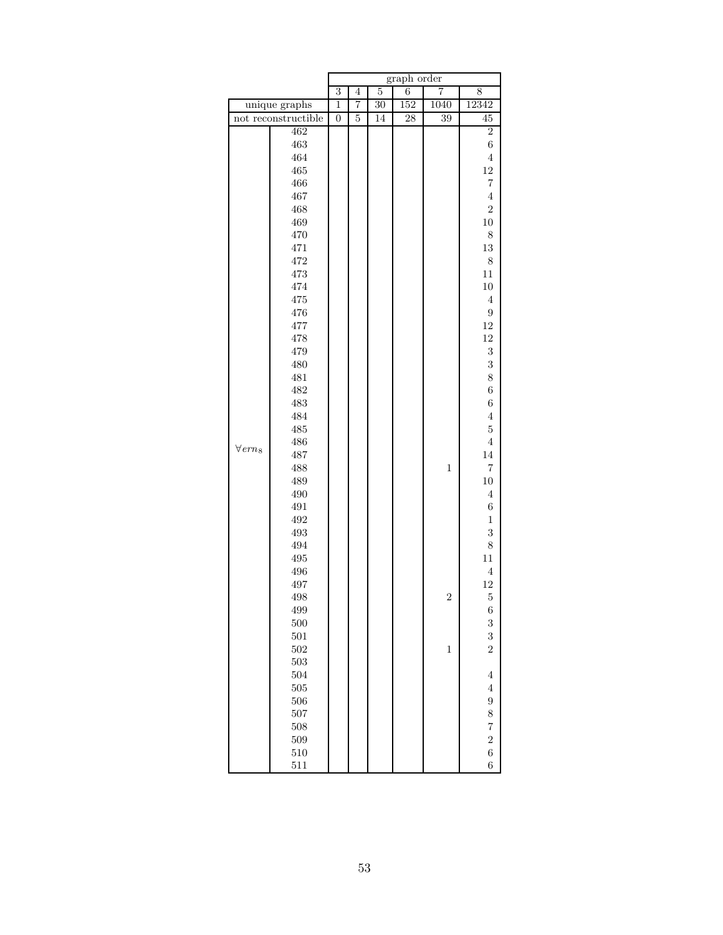|                  |                     | graph order    |                |                 |                 |                |                  |  |  |
|------------------|---------------------|----------------|----------------|-----------------|-----------------|----------------|------------------|--|--|
|                  |                     | $\overline{3}$ | $\overline{4}$ | $\overline{5}$  | 6               | 7              | 8                |  |  |
|                  | unique graphs       | $\overline{1}$ | 7              | $\overline{30}$ | 152             | 1040           | 12342            |  |  |
|                  | not reconstructible | $\overline{0}$ | $\overline{5}$ | 14              | $\overline{28}$ | 39             | $\rm 45$         |  |  |
|                  | 462                 |                |                |                 |                 |                | $\overline{2}$   |  |  |
|                  | 463                 |                |                |                 |                 |                | $\boldsymbol{6}$ |  |  |
|                  | 464                 |                |                |                 |                 |                | $\overline{4}$   |  |  |
|                  | 465                 |                |                |                 |                 |                | $12\,$           |  |  |
|                  | 466                 |                |                |                 |                 |                | $\overline{7}$   |  |  |
|                  | 467                 |                |                |                 |                 |                | $\overline{4}$   |  |  |
|                  | $\sqrt{468}$        |                |                |                 |                 |                | $\overline{2}$   |  |  |
|                  | 469                 |                |                |                 |                 |                | $10\,$           |  |  |
|                  | $470\,$             |                |                |                 |                 |                | 8                |  |  |
|                  | 471                 |                |                |                 |                 |                | $13\,$           |  |  |
|                  | 472                 |                |                |                 |                 |                | 8                |  |  |
|                  | 473                 |                |                |                 |                 |                | $11\,$           |  |  |
|                  | 474                 |                |                |                 |                 |                | $10\,$           |  |  |
|                  | 475                 |                |                |                 |                 |                | $\overline{4}$   |  |  |
|                  | $\rm 476$           |                |                |                 |                 |                | $\overline{9}$   |  |  |
|                  | 477                 |                |                |                 |                 |                | $12\,$           |  |  |
|                  | 478                 |                |                |                 |                 |                | $12\,$           |  |  |
|                  | 479                 |                |                |                 |                 |                | 3                |  |  |
|                  | 480                 |                |                |                 |                 |                | 3                |  |  |
|                  | $481\,$             |                |                |                 |                 |                | 8                |  |  |
|                  | 482                 |                |                |                 |                 |                | $\overline{6}$   |  |  |
|                  | 483                 |                |                |                 |                 |                | $\boldsymbol{6}$ |  |  |
|                  | 484                 |                |                |                 |                 |                | $\overline{4}$   |  |  |
|                  | 485                 |                |                |                 |                 |                | $\overline{5}$   |  |  |
| $\forall\,ern_8$ | 486                 |                |                |                 |                 |                | $\overline{4}$   |  |  |
|                  | 487                 |                |                |                 |                 |                | 14               |  |  |
|                  | 488                 |                |                |                 |                 | $\,1$          | $\overline{7}$   |  |  |
|                  | 489                 |                |                |                 |                 |                | $10\,$           |  |  |
|                  | 490                 |                |                |                 |                 |                | $\,4\,$          |  |  |
|                  | 491                 |                |                |                 |                 |                | $\boldsymbol{6}$ |  |  |
|                  | 492                 |                |                |                 |                 |                | $\,1\,$          |  |  |
|                  | 493                 |                |                |                 |                 |                | 3                |  |  |
|                  | 494                 |                |                |                 |                 |                | 8                |  |  |
|                  | 495                 |                |                |                 |                 |                | $11\,$           |  |  |
|                  | 496                 |                |                |                 |                 |                | $\,4\,$          |  |  |
|                  | 497                 |                |                |                 |                 |                | 12               |  |  |
|                  | 498                 |                |                |                 |                 | $\overline{2}$ | $\mathbf 5$      |  |  |
|                  | 499                 |                |                |                 |                 |                | $\boldsymbol{6}$ |  |  |
|                  | $500\,$             |                |                |                 |                 |                | 3                |  |  |
|                  | $501\,$             |                |                |                 |                 |                | 3                |  |  |
|                  | 502                 |                |                |                 |                 | $\,1$          | $\overline{2}$   |  |  |
|                  | 503                 |                |                |                 |                 |                |                  |  |  |
|                  | 504                 |                |                |                 |                 |                | $\overline{4}$   |  |  |
|                  | 505                 |                |                |                 |                 |                | $\overline{4}$   |  |  |
|                  | 506                 |                |                |                 |                 |                | 9                |  |  |
|                  | 507                 |                |                |                 |                 |                | 8                |  |  |
|                  | 508                 |                |                |                 |                 |                | $\overline{7}$   |  |  |
|                  | 509                 |                |                |                 |                 |                | $\overline{2}$   |  |  |
|                  | $510\,$             |                |                |                 |                 |                | $\overline{6}$   |  |  |
|                  | 511                 |                |                |                 |                 |                | $\overline{6}$   |  |  |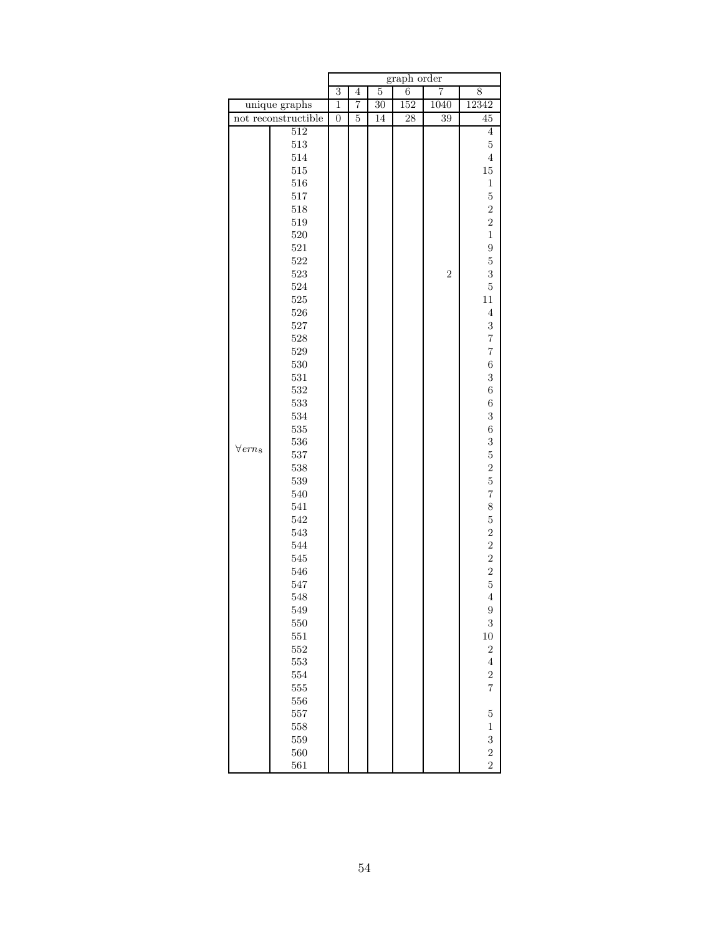|                            |                     |                |                |                 | graph order     |                |                  |
|----------------------------|---------------------|----------------|----------------|-----------------|-----------------|----------------|------------------|
|                            |                     | $\overline{3}$ | $\overline{4}$ | $\overline{5}$  | $\overline{6}$  | 7              | 8                |
|                            | unique graphs       | $\overline{1}$ | $\overline{7}$ | $\overline{30}$ | 152             | 1040           | 12342            |
|                            | not reconstructible | $\overline{0}$ | $\overline{5}$ | 14              | $\overline{28}$ | 39             | 45               |
|                            | $\overline{512}$    |                |                |                 |                 |                | $\overline{4}$   |
|                            | $513\,$             |                |                |                 |                 |                | $\bf 5$          |
|                            | 514                 |                |                |                 |                 |                | $\overline{4}$   |
|                            | $515\,$             |                |                |                 |                 |                | $15\,$           |
|                            | 516                 |                |                |                 |                 |                | $\mathbf 1$      |
|                            | $517\,$             |                |                |                 |                 |                | $\bf 5$          |
|                            | 518                 |                |                |                 |                 |                | $\overline{2}$   |
|                            | $519\,$             |                |                |                 |                 |                | $\overline{2}$   |
|                            | 520                 |                |                |                 |                 |                | $\mathbf{1}$     |
|                            | $521\,$             |                |                |                 |                 |                | 9                |
|                            | 522                 |                |                |                 |                 |                | $\overline{5}$   |
|                            | 523                 |                |                |                 |                 | $\overline{2}$ | 3                |
|                            | 524                 |                |                |                 |                 |                | $\overline{5}$   |
|                            | $525\,$             |                |                |                 |                 |                | $11\,$           |
|                            | $526\,$             |                |                |                 |                 |                | $\,4\,$          |
|                            | 527                 |                |                |                 |                 |                | 3                |
|                            | 528                 |                |                |                 |                 |                | $\overline{7}$   |
|                            | $529\,$             |                |                |                 |                 |                | $\overline{7}$   |
|                            | 530                 |                |                |                 |                 |                | $\sqrt{6}$       |
|                            | 531                 |                |                |                 |                 |                | 3                |
|                            | 532                 |                |                |                 |                 |                | $\sqrt{6}$       |
|                            | 533                 |                |                |                 |                 |                | $\sqrt{6}$       |
|                            | 534                 |                |                |                 |                 |                | 3                |
|                            | $535\,$             |                |                |                 |                 |                | $\overline{6}$   |
|                            | 536                 |                |                |                 |                 |                | 3                |
| $\forall$ ern <sub>8</sub> | 537                 |                |                |                 |                 |                | $\overline{5}$   |
|                            | 538                 |                |                |                 |                 |                | $\overline{2}$   |
|                            | 539                 |                |                |                 |                 |                | $\overline{5}$   |
|                            | 540                 |                |                |                 |                 |                | $\overline{7}$   |
|                            | 541                 |                |                |                 |                 |                | 8                |
|                            | 542                 |                |                |                 |                 |                | $\overline{5}$   |
|                            | 543                 |                |                |                 |                 |                | $\overline{2}$   |
|                            | 544                 |                |                |                 |                 |                | $\overline{2}$   |
|                            | 545                 |                |                |                 |                 |                | $\overline{a}$   |
|                            | 546                 |                |                |                 |                 |                |                  |
|                            | 547                 |                |                |                 |                 |                | $\frac{2}{5}$    |
|                            | 548                 |                |                |                 |                 |                | $\overline{4}$   |
|                            | 549                 |                |                |                 |                 |                | $\boldsymbol{9}$ |
|                            | 550                 |                |                |                 |                 |                | 3                |
|                            | 551                 |                |                |                 |                 |                | $10\,$           |
|                            | $552\,$             |                |                |                 |                 |                | $\overline{2}$   |
|                            | 553                 |                |                |                 |                 |                | $\overline{4}$   |
|                            | 554                 |                |                |                 |                 |                | $\overline{2}$   |
|                            | $555\,$             |                |                |                 |                 |                | $\overline{7}$   |
|                            | 556                 |                |                |                 |                 |                |                  |
|                            | 557                 |                |                |                 |                 |                | $\bf 5$          |
|                            | 558                 |                |                |                 |                 |                | $\,1$            |
|                            | 559                 |                |                |                 |                 |                | 3                |
|                            | 560                 |                |                |                 |                 |                | $\overline{2}$   |
|                            | 561                 |                |                |                 |                 |                | $\overline{2}$   |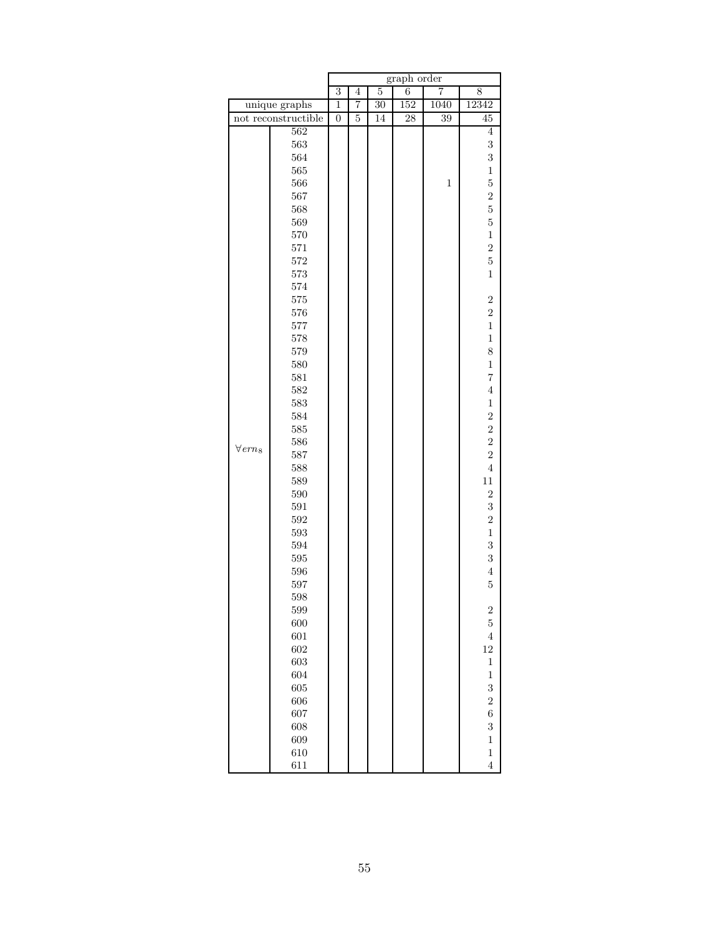|                            |                     |                |                |                | graph order |                |                |
|----------------------------|---------------------|----------------|----------------|----------------|-------------|----------------|----------------|
|                            |                     | $\overline{3}$ | $\overline{4}$ | $\overline{5}$ | 6           | $\overline{7}$ | 8              |
|                            | unique graphs       | $\overline{1}$ | 7              | 30             | 152         | 1040           | 12342          |
|                            | not reconstructible | $\overline{0}$ | 5              | 14             | 28          | 39             | 45             |
|                            | 562                 |                |                |                |             |                | $\overline{4}$ |
|                            | 563                 |                |                |                |             |                | 3              |
|                            | 564                 |                |                |                |             |                | 3              |
|                            | 565                 |                |                |                |             |                | $\,1$          |
|                            | 566                 |                |                |                |             | $\mathbf{1}$   | $\overline{5}$ |
|                            | 567                 |                |                |                |             |                | $\overline{2}$ |
|                            | 568                 |                |                |                |             |                | $\overline{5}$ |
|                            | 569                 |                |                |                |             |                | $\overline{5}$ |
|                            | $570\,$             |                |                |                |             |                | $\mathbf{1}$   |
|                            | 571                 |                |                |                |             |                | $\overline{2}$ |
|                            | $572\,$             |                |                |                |             |                | $\overline{5}$ |
|                            | 573                 |                |                |                |             |                | $\mathbf{1}$   |
|                            | 574                 |                |                |                |             |                |                |
|                            | 575                 |                |                |                |             |                | $\overline{2}$ |
|                            | 576                 |                |                |                |             |                | $\overline{2}$ |
|                            | 577                 |                |                |                |             |                | $\mathbf{1}$   |
|                            | 578                 |                |                |                |             |                | $\mathbf{1}$   |
|                            | 579                 |                |                |                |             |                | 8              |
|                            | 580                 |                |                |                |             |                | $\mathbf 1$    |
|                            | $581\,$             |                |                |                |             |                | $\overline{7}$ |
|                            | 582                 |                |                |                |             |                | $\overline{4}$ |
|                            | 583                 |                |                |                |             |                | $\mathbf{1}$   |
|                            | 584                 |                |                |                |             |                | $\overline{c}$ |
|                            | $585\,$             |                |                |                |             |                | $\overline{2}$ |
| $\forall$ ern <sub>8</sub> | 586                 |                |                |                |             |                | $\overline{2}$ |
|                            | 587                 |                |                |                |             |                | $\overline{2}$ |
|                            | 588                 |                |                |                |             |                | $\overline{4}$ |
|                            | 589                 |                |                |                |             |                | $11\,$         |
|                            | 590                 |                |                |                |             |                | $\overline{2}$ |
|                            | 591                 |                |                |                |             |                | 3              |
|                            | 592                 |                |                |                |             |                | $\overline{2}$ |
|                            | $593\,$             |                |                |                |             |                | $\,1$          |
|                            | 594                 |                |                |                |             |                | 3              |
|                            | $595\,$             |                |                |                |             |                | 3              |
|                            | 596                 |                |                |                |             |                | $\,4\,$        |
|                            | 597                 |                |                |                |             |                | $\bf 5$        |
|                            | 598                 |                |                |                |             |                |                |
|                            | 599                 |                |                |                |             |                | $\overline{c}$ |
|                            | 600                 |                |                |                |             |                | $\overline{5}$ |
|                            | 601                 |                |                |                |             |                | $\overline{4}$ |
|                            | 602                 |                |                |                |             |                | 12             |
|                            | 603                 |                |                |                |             |                | $\mathbf 1$    |
|                            | 604                 |                |                |                |             |                | $\,1$          |
|                            | 605                 |                |                |                |             |                | 3              |
|                            | 606                 |                |                |                |             |                | $\overline{2}$ |
|                            | 607                 |                |                |                |             |                | $\overline{6}$ |
|                            | 608                 |                |                |                |             |                | 3              |
|                            | 609                 |                |                |                |             |                | $\,1$          |
|                            | 610                 |                |                |                |             |                | $\mathbf{1}$   |
|                            | 611                 |                |                |                |             |                | $\overline{4}$ |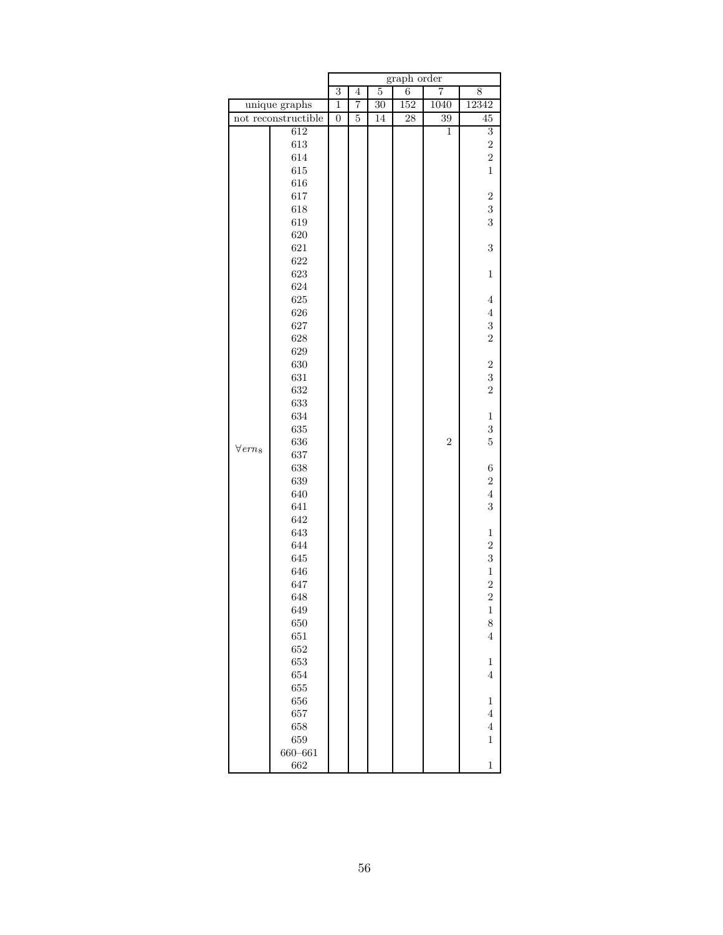|                            |                     | graph order    |                |                |                |                |                  |  |  |
|----------------------------|---------------------|----------------|----------------|----------------|----------------|----------------|------------------|--|--|
|                            |                     | $\overline{3}$ | $\overline{4}$ | $\overline{5}$ | $\overline{6}$ | 7              | 8                |  |  |
|                            | unique graphs       | $\overline{1}$ | 7              | 30             | 152            | 1040           | 12342            |  |  |
|                            | not reconstructible | $\overline{0}$ | $\overline{5}$ | 14             | 28             | 39             | $\overline{45}$  |  |  |
|                            | 612                 |                |                |                |                | $\overline{1}$ | $\overline{3}$   |  |  |
|                            | $613\,$             |                |                |                |                |                | $\overline{2}$   |  |  |
|                            | 614                 |                |                |                |                |                | $\overline{2}$   |  |  |
|                            | 615                 |                |                |                |                |                | $\mathbf{1}$     |  |  |
|                            | 616                 |                |                |                |                |                |                  |  |  |
|                            | 617                 |                |                |                |                |                | $\boldsymbol{2}$ |  |  |
|                            | 618                 |                |                |                |                |                | 3                |  |  |
|                            | 619                 |                |                |                |                |                | 3                |  |  |
|                            | 620                 |                |                |                |                |                |                  |  |  |
|                            | 621                 |                |                |                |                |                | 3                |  |  |
|                            | 622                 |                |                |                |                |                |                  |  |  |
|                            | 623                 |                |                |                |                |                | $\,1$            |  |  |
|                            | 624                 |                |                |                |                |                |                  |  |  |
|                            | 625                 |                |                |                |                |                | $\overline{4}$   |  |  |
|                            | 626                 |                |                |                |                |                | $\,4\,$          |  |  |
|                            | 627                 |                |                |                |                |                | 3                |  |  |
|                            | 628                 |                |                |                |                |                | $\overline{2}$   |  |  |
|                            | 629                 |                |                |                |                |                |                  |  |  |
|                            | 630                 |                |                |                |                |                | $\boldsymbol{2}$ |  |  |
|                            | 631                 |                |                |                |                |                | 3                |  |  |
|                            | 632                 |                |                |                |                |                | $\overline{2}$   |  |  |
|                            | 633                 |                |                |                |                |                |                  |  |  |
|                            | 634                 |                |                |                |                |                | $\mathbf 1$      |  |  |
|                            | 635                 |                |                |                |                |                | 3                |  |  |
|                            | 636                 |                |                |                |                | $\overline{2}$ | $\overline{5}$   |  |  |
| $\forall$ ern <sub>8</sub> | 637                 |                |                |                |                |                |                  |  |  |
|                            | 638                 |                |                |                |                |                | $\,6$            |  |  |
|                            | 639                 |                |                |                |                |                | $\boldsymbol{2}$ |  |  |
|                            | 640                 |                |                |                |                |                | $\overline{4}$   |  |  |
|                            | 641                 |                |                |                |                |                | 3                |  |  |
|                            | 642                 |                |                |                |                |                |                  |  |  |
|                            | 643                 |                |                |                |                |                | $\mathbf 1$      |  |  |
|                            | 644                 |                |                |                |                |                | $\overline{2}$   |  |  |
|                            | 645                 |                |                |                |                |                | 3                |  |  |
|                            | 646                 |                |                |                |                |                | $\,1$            |  |  |
|                            | 647                 |                |                |                |                |                | $\overline{2}$   |  |  |
|                            | 648                 |                |                |                |                |                | $\overline{2}$   |  |  |
|                            | 649                 |                |                |                |                |                | $\mathbf{1}$     |  |  |
|                            | 650                 |                |                |                |                |                | 8                |  |  |
|                            |                     |                |                |                |                |                |                  |  |  |
|                            | 651                 |                |                |                |                |                | $\overline{4}$   |  |  |
|                            | 652                 |                |                |                |                |                |                  |  |  |
|                            | 653                 |                |                |                |                |                | $\mathbf 1$      |  |  |
|                            | 654                 |                |                |                |                |                | $\overline{4}$   |  |  |
|                            | 655                 |                |                |                |                |                |                  |  |  |
|                            | 656                 |                |                |                |                |                | $\,1$            |  |  |
|                            | 657                 |                |                |                |                |                | $\overline{4}$   |  |  |
|                            | 658                 |                |                |                |                |                | $\,4\,$          |  |  |
|                            | 659                 |                |                |                |                |                | $\mathbf 1$      |  |  |
|                            | $660 - 661$         |                |                |                |                |                |                  |  |  |
|                            | 662                 |                |                |                |                |                | $\mathbf 1$      |  |  |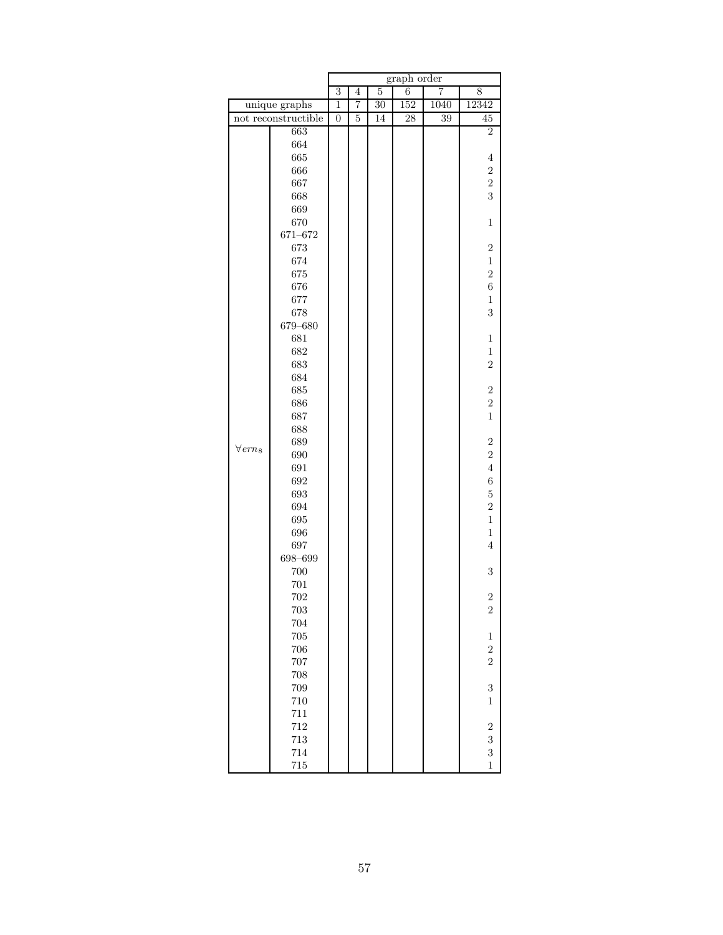|                            |                     | graph order    |                |                 |     |                |                  |  |
|----------------------------|---------------------|----------------|----------------|-----------------|-----|----------------|------------------|--|
|                            |                     | $\overline{3}$ | $\overline{4}$ | $\overline{5}$  | 6   | $\overline{7}$ | 8                |  |
|                            | unique graphs       | $\mathbf{1}$   | 7              | $\overline{30}$ | 152 | 1040           | 12342            |  |
|                            | not reconstructible | $\overline{0}$ | $\overline{5}$ | 14              | 28  | 39             | $\overline{45}$  |  |
|                            | 663                 |                |                |                 |     |                | $\overline{2}$   |  |
|                            | 664                 |                |                |                 |     |                |                  |  |
|                            | 665                 |                |                |                 |     |                | $\overline{4}$   |  |
|                            | 666                 |                |                |                 |     |                | $\boldsymbol{2}$ |  |
|                            | 667                 |                |                |                 |     |                | $\overline{2}$   |  |
|                            | 668                 |                |                |                 |     |                | 3                |  |
|                            | 669                 |                |                |                 |     |                |                  |  |
|                            | 670                 |                |                |                 |     |                | $\mathbf 1$      |  |
|                            | 671-672             |                |                |                 |     |                |                  |  |
|                            | 673                 |                |                |                 |     |                | $\overline{2}$   |  |
|                            | 674                 |                |                |                 |     |                | $\,1$            |  |
|                            | 675                 |                |                |                 |     |                | $\overline{2}$   |  |
|                            | 676                 |                |                |                 |     |                | $\boldsymbol{6}$ |  |
|                            | 677                 |                |                |                 |     |                | $\mathbf 1$      |  |
|                            | 678                 |                |                |                 |     |                | 3                |  |
|                            | 679-680             |                |                |                 |     |                |                  |  |
|                            | 681                 |                |                |                 |     |                | $\mathbf 1$      |  |
|                            | 682                 |                |                |                 |     |                | $\mathbf 1$      |  |
|                            | 683                 |                |                |                 |     |                | $\overline{2}$   |  |
|                            | 684                 |                |                |                 |     |                |                  |  |
|                            | 685                 |                |                |                 |     |                | $\sqrt{2}$       |  |
|                            | 686                 |                |                |                 |     |                | $\boldsymbol{2}$ |  |
|                            | 687                 |                |                |                 |     |                | $\mathbf 1$      |  |
|                            | 688                 |                |                |                 |     |                |                  |  |
|                            | 689                 |                |                |                 |     |                | $\overline{2}$   |  |
| $\forall$ ern <sub>8</sub> | 690                 |                |                |                 |     |                | $\overline{2}$   |  |
|                            | 691                 |                |                |                 |     |                | $\,4\,$          |  |
|                            | 692                 |                |                |                 |     |                | $\boldsymbol{6}$ |  |
|                            | 693                 |                |                |                 |     |                | $\overline{5}$   |  |
|                            | 694                 |                |                |                 |     |                | $\overline{2}$   |  |
|                            | 695                 |                |                |                 |     |                | $\mathbf{1}$     |  |
|                            | 696                 |                |                |                 |     |                | $\mathbf 1$      |  |
|                            | 697                 |                |                |                 |     |                | 4                |  |
|                            | 698-699             |                |                |                 |     |                |                  |  |
|                            | 700                 |                |                |                 |     |                | $\,3$            |  |
|                            | 701                 |                |                |                 |     |                |                  |  |
|                            | 702                 |                |                |                 |     |                | $\overline{c}$   |  |
|                            | 703                 |                |                |                 |     |                | $\overline{2}$   |  |
|                            | 704                 |                |                |                 |     |                |                  |  |
|                            | 705                 |                |                |                 |     |                | $\mathbf 1$      |  |
|                            | 706                 |                |                |                 |     |                | $\overline{2}$   |  |
|                            | 707                 |                |                |                 |     |                | $\overline{2}$   |  |
|                            | 708                 |                |                |                 |     |                |                  |  |
|                            | 709                 |                |                |                 |     |                | 3                |  |
|                            | 710                 |                |                |                 |     |                | $\mathbf 1$      |  |
|                            | 711                 |                |                |                 |     |                |                  |  |
|                            | 712                 |                |                |                 |     |                | $\sqrt{2}$       |  |
|                            | 713                 |                |                |                 |     |                | 3                |  |
|                            | 714                 |                |                |                 |     |                | 3                |  |
|                            | 715                 |                |                |                 |     |                | $\mathbf{1}$     |  |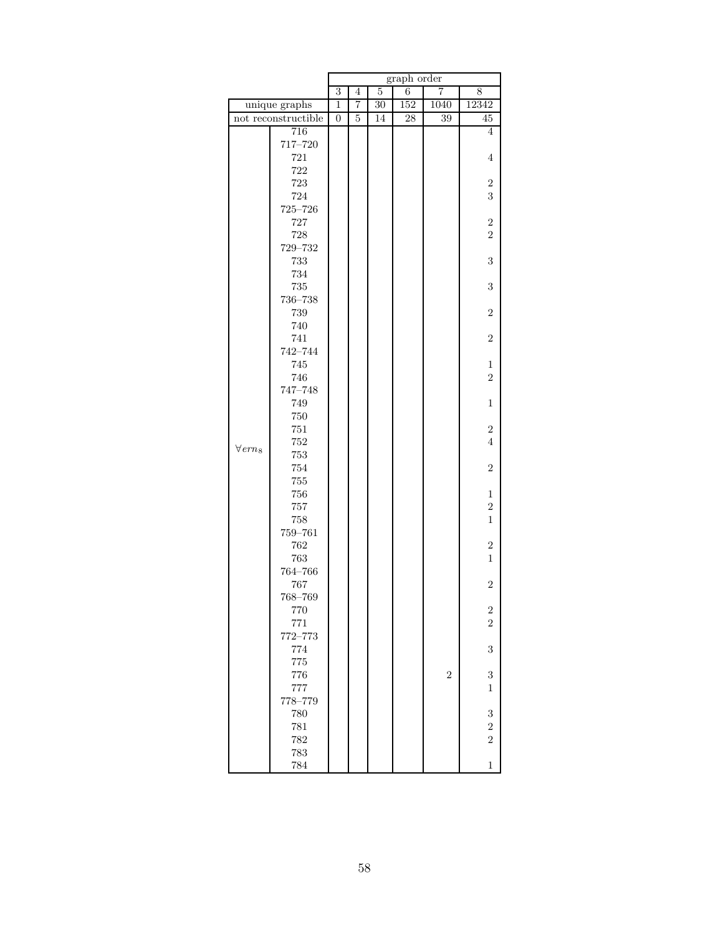|                |                     | graph order    |                |                |                 |                  |                     |  |  |
|----------------|---------------------|----------------|----------------|----------------|-----------------|------------------|---------------------|--|--|
|                |                     | 3              | $\overline{4}$ | $\overline{5}$ | 6               | $\overline{7}$   | 8                   |  |  |
|                | unique graphs       | $\mathbf{1}$   | $\overline{7}$ | 30             | 152             | 1040             | 12342               |  |  |
|                | not reconstructible | $\overline{0}$ | $\overline{5}$ | 14             | $\overline{28}$ | 39               | 45                  |  |  |
|                | 716                 |                |                |                |                 |                  | $\overline{4}$      |  |  |
|                | 717-720             |                |                |                |                 |                  |                     |  |  |
|                | 721                 |                |                |                |                 |                  | $\overline{4}$      |  |  |
|                | 722                 |                |                |                |                 |                  |                     |  |  |
|                | 723                 |                |                |                |                 |                  | $\boldsymbol{2}$    |  |  |
|                | 724                 |                |                |                |                 |                  | 3                   |  |  |
|                | $725 - 726$         |                |                |                |                 |                  |                     |  |  |
|                | 727                 |                |                |                |                 |                  | $\overline{2}$      |  |  |
|                | 728                 |                |                |                |                 |                  | $\overline{2}$      |  |  |
|                | 729-732<br>733      |                |                |                |                 |                  | 3                   |  |  |
|                | 734                 |                |                |                |                 |                  |                     |  |  |
|                | 735                 |                |                |                |                 |                  | $\,3$               |  |  |
|                | $736 - 738$         |                |                |                |                 |                  |                     |  |  |
|                | 739                 |                |                |                |                 |                  | $\overline{2}$      |  |  |
|                | 740                 |                |                |                |                 |                  |                     |  |  |
|                | 741                 |                |                |                |                 |                  | $\overline{2}$      |  |  |
|                | 742-744             |                |                |                |                 |                  |                     |  |  |
|                | 745                 |                |                |                |                 |                  | $\mathbf{1}$        |  |  |
|                | 746                 |                |                |                |                 |                  | $\overline{2}$      |  |  |
|                | 747-748             |                |                |                |                 |                  |                     |  |  |
|                | 749                 |                |                |                |                 |                  | $\mathbf{1}$        |  |  |
|                | 750                 |                |                |                |                 |                  |                     |  |  |
|                | $751\,$             |                |                |                |                 |                  | $\overline{2}$      |  |  |
| $\forall em_8$ | 752                 |                |                |                |                 |                  | $\overline{4}$      |  |  |
|                | 753                 |                |                |                |                 |                  |                     |  |  |
|                | 754                 |                |                |                |                 |                  | $\overline{2}$      |  |  |
|                | 755                 |                |                |                |                 |                  |                     |  |  |
|                | 756                 |                |                |                |                 |                  | $\,1$               |  |  |
|                | 757<br>758          |                |                |                |                 |                  | $\overline{2}$<br>1 |  |  |
|                | 759-761             |                |                |                |                 |                  |                     |  |  |
|                | 762                 |                |                |                |                 |                  | $\sqrt{2}$          |  |  |
|                | 763                 |                |                |                |                 |                  | $\mathbf{1}$        |  |  |
|                | 764-766             |                |                |                |                 |                  |                     |  |  |
|                | 767                 |                |                |                |                 |                  | $\overline{2}$      |  |  |
|                | 768-769             |                |                |                |                 |                  |                     |  |  |
|                | 770                 |                |                |                |                 |                  | $\boldsymbol{2}$    |  |  |
|                | 771                 |                |                |                |                 |                  | $\overline{2}$      |  |  |
|                | 772-773             |                |                |                |                 |                  |                     |  |  |
|                | 774                 |                |                |                |                 |                  | 3                   |  |  |
|                | 775                 |                |                |                |                 |                  |                     |  |  |
|                | 776                 |                |                |                |                 | $\boldsymbol{2}$ | $\,3$               |  |  |
|                | 777                 |                |                |                |                 |                  | 1                   |  |  |
|                | 778-779             |                |                |                |                 |                  |                     |  |  |
|                | 780                 |                |                |                |                 |                  | 3                   |  |  |
|                | 781                 |                |                |                |                 |                  | $\sqrt{2}$          |  |  |
|                | 782                 |                |                |                |                 |                  | $\overline{2}$      |  |  |
|                | 783                 |                |                |                |                 |                  |                     |  |  |
|                | 784                 |                |                |                |                 |                  | $\mathbf{1}$        |  |  |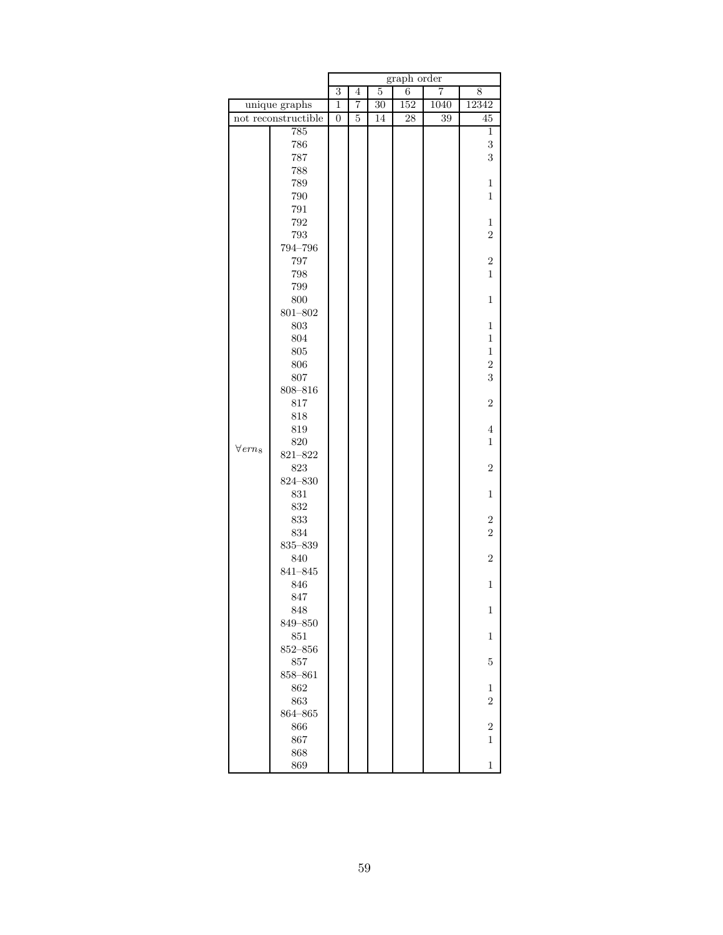|                |                     | graph order    |                |                |     |                |                  |  |
|----------------|---------------------|----------------|----------------|----------------|-----|----------------|------------------|--|
|                |                     | $\overline{3}$ | $\overline{4}$ | $\overline{5}$ | 6   | $\overline{7}$ | 8                |  |
|                | unique graphs       | $\mathbf 1$    | 7              | 30             | 152 | 1040           | 12342            |  |
|                | not reconstructible | $\overline{0}$ | 5              | 14             | 28  | 39             | 45               |  |
|                | 785                 |                |                |                |     |                | 1                |  |
|                | 786                 |                |                |                |     |                | 3                |  |
|                | 787                 |                |                |                |     |                | 3                |  |
|                | 788                 |                |                |                |     |                |                  |  |
|                | 789                 |                |                |                |     |                | $\mathbf{1}$     |  |
|                | 790                 |                |                |                |     |                | $\mathbf{1}$     |  |
|                | 791                 |                |                |                |     |                |                  |  |
|                | 792                 |                |                |                |     |                | 1                |  |
|                | 793                 |                |                |                |     |                | $\overline{2}$   |  |
|                | 794-796             |                |                |                |     |                |                  |  |
|                | 797                 |                |                |                |     |                | $\boldsymbol{2}$ |  |
|                | 798                 |                |                |                |     |                | $\mathbf{1}$     |  |
|                | 799                 |                |                |                |     |                |                  |  |
|                | 800                 |                |                |                |     |                | $\mathbf{1}$     |  |
|                | $801 - 802$         |                |                |                |     |                |                  |  |
|                | 803                 |                |                |                |     |                | $\mathbf{1}$     |  |
|                | 804                 |                |                |                |     |                | $\mathbf{1}$     |  |
|                | 805                 |                |                |                |     |                | $\mathbf 1$      |  |
|                | 806                 |                |                |                |     |                | $\overline{2}$   |  |
|                | 807                 |                |                |                |     |                | 3                |  |
|                | $808 - 816$         |                |                |                |     |                |                  |  |
|                | 817                 |                |                |                |     |                | $\overline{2}$   |  |
|                | 818                 |                |                |                |     |                |                  |  |
|                | 819                 |                |                |                |     |                | $\overline{4}$   |  |
| $\forall em_8$ | 820                 |                |                |                |     |                | $\mathbf{1}$     |  |
|                | $821 - 822$         |                |                |                |     |                |                  |  |
|                | 823                 |                |                |                |     |                | $\overline{2}$   |  |
|                | 824-830             |                |                |                |     |                |                  |  |
|                | 831                 |                |                |                |     |                | $\mathbf{1}$     |  |
|                | 832                 |                |                |                |     |                |                  |  |
|                | 833                 |                |                |                |     |                | $\boldsymbol{2}$ |  |
|                | 834                 |                |                |                |     |                | $\overline{2}$   |  |
|                | $835 - 839$         |                |                |                |     |                |                  |  |
|                | 840                 |                |                |                |     |                | $\overline{2}$   |  |
|                | 841-845             |                |                |                |     |                |                  |  |
|                | 846                 |                |                |                |     |                | $\mathbf 1$      |  |
|                | 847                 |                |                |                |     |                |                  |  |
|                | 848                 |                |                |                |     |                | $\mathbf 1$      |  |
|                | 849-850             |                |                |                |     |                |                  |  |
|                | 851                 |                |                |                |     |                | $\mathbf{1}$     |  |
|                | $852 - 856$         |                |                |                |     |                |                  |  |
|                | 857                 |                |                |                |     |                | 5                |  |
|                | 858-861             |                |                |                |     |                |                  |  |
|                | 862                 |                |                |                |     |                | 1                |  |
|                | 863                 |                |                |                |     |                | $\overline{2}$   |  |
|                | 864-865             |                |                |                |     |                |                  |  |
|                | 866                 |                |                |                |     |                | $\overline{2}$   |  |
|                | 867                 |                |                |                |     |                | 1                |  |
|                | 868                 |                |                |                |     |                |                  |  |
|                | 869                 |                |                |                |     |                | $\overline{1}$   |  |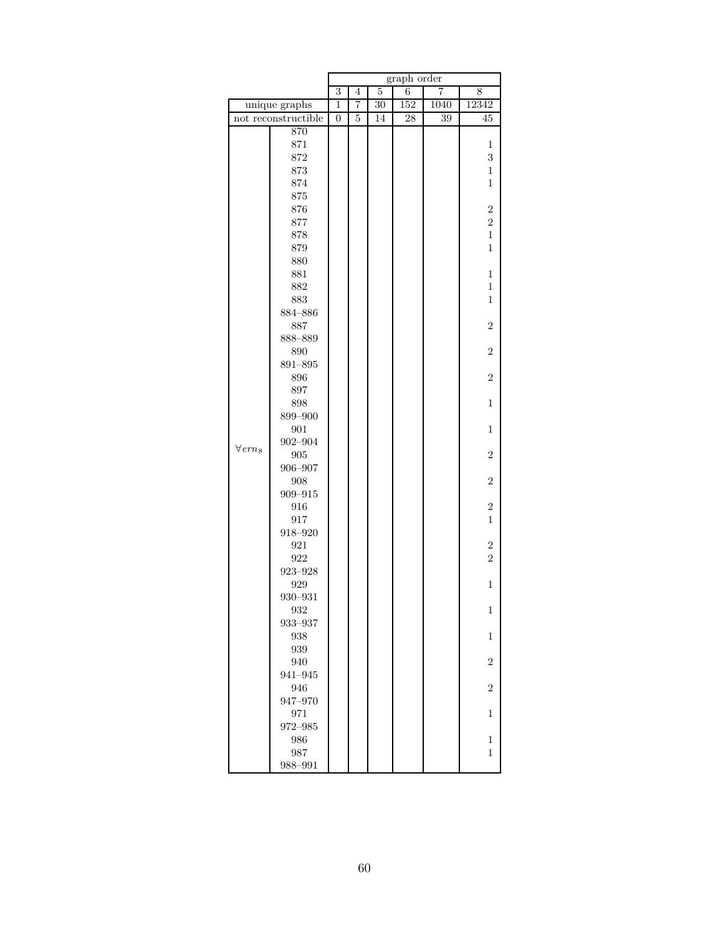|                |                     | graph order    |                |                 |     |                |                  |  |
|----------------|---------------------|----------------|----------------|-----------------|-----|----------------|------------------|--|
|                |                     | $\overline{3}$ | $\overline{4}$ | $\overline{5}$  | 6   | $\overline{7}$ | 8                |  |
|                | unique graphs       | $\mathbf 1$    | 7              | $\overline{30}$ | 152 | 1040           | 12342            |  |
|                | not reconstructible | $\overline{0}$ | 5              | 14              | 28  | 39             | 45               |  |
|                | 870                 |                |                |                 |     |                |                  |  |
|                | 871                 |                |                |                 |     |                | 1                |  |
|                | 872                 |                |                |                 |     |                | $\,3$            |  |
|                | 873                 |                |                |                 |     |                | $\mathbf{1}$     |  |
|                | 874                 |                |                |                 |     |                | $\mathbf{1}$     |  |
|                | 875                 |                |                |                 |     |                |                  |  |
|                | 876                 |                |                |                 |     |                | $\sqrt{2}$       |  |
|                | 877                 |                |                |                 |     |                | $\boldsymbol{2}$ |  |
|                | 878                 |                |                |                 |     |                | $\mathbf{1}$     |  |
|                | 879                 |                |                |                 |     |                | $\mathbf{1}$     |  |
|                | 880                 |                |                |                 |     |                |                  |  |
|                | 881                 |                |                |                 |     |                | $\mathbf{1}$     |  |
|                | 882                 |                |                |                 |     |                | $\mathbf{1}$     |  |
|                | 883                 |                |                |                 |     |                | $\mathbf{1}$     |  |
|                | 884-886             |                |                |                 |     |                |                  |  |
|                | 887                 |                |                |                 |     |                | $\boldsymbol{2}$ |  |
|                | 888-889<br>890      |                |                |                 |     |                | $\boldsymbol{2}$ |  |
|                | 891-895             |                |                |                 |     |                |                  |  |
|                | 896                 |                |                |                 |     |                | $\sqrt{2}$       |  |
|                | 897                 |                |                |                 |     |                |                  |  |
|                | 898                 |                |                |                 |     |                | $\mathbf{1}$     |  |
|                | 899-900             |                |                |                 |     |                |                  |  |
|                | 901                 |                |                |                 |     |                | $\mathbf{1}$     |  |
|                | $902 - 904$         |                |                |                 |     |                |                  |  |
| $\forall em_8$ | 905                 |                |                |                 |     |                | $\boldsymbol{2}$ |  |
|                | 906-907             |                |                |                 |     |                |                  |  |
|                | 908                 |                |                |                 |     |                | $\overline{2}$   |  |
|                | $909 - 915$         |                |                |                 |     |                |                  |  |
|                | 916                 |                |                |                 |     |                | $\boldsymbol{2}$ |  |
|                | 917                 |                |                |                 |     |                | $\mathbf{1}$     |  |
|                | $918 - 920$         |                |                |                 |     |                |                  |  |
|                | 921                 |                |                |                 |     |                | $\boldsymbol{2}$ |  |
|                | 922                 |                |                |                 |     |                | $\overline{2}$   |  |
|                | $923 - 928$         |                |                |                 |     |                |                  |  |
|                | 929                 |                |                |                 |     |                | $\mathbf{1}$     |  |
|                | $930 - 931$         |                |                |                 |     |                |                  |  |
|                | 932                 |                |                |                 |     |                | 1                |  |
|                | 933-937             |                |                |                 |     |                |                  |  |
|                | 938                 |                |                |                 |     |                | 1                |  |
|                | 939                 |                |                |                 |     |                |                  |  |
|                | 940                 |                |                |                 |     |                | $\overline{2}$   |  |
|                | 941-945             |                |                |                 |     |                |                  |  |
|                | 946                 |                |                |                 |     |                | $\overline{2}$   |  |
|                | 947-970             |                |                |                 |     |                |                  |  |
|                | 971                 |                |                |                 |     |                | 1                |  |
|                | 972-985             |                |                |                 |     |                |                  |  |
|                | 986                 |                |                |                 |     |                | $\mathbf{1}$     |  |
|                | 987                 |                |                |                 |     |                | 1                |  |
|                | 988-991             |                |                |                 |     |                |                  |  |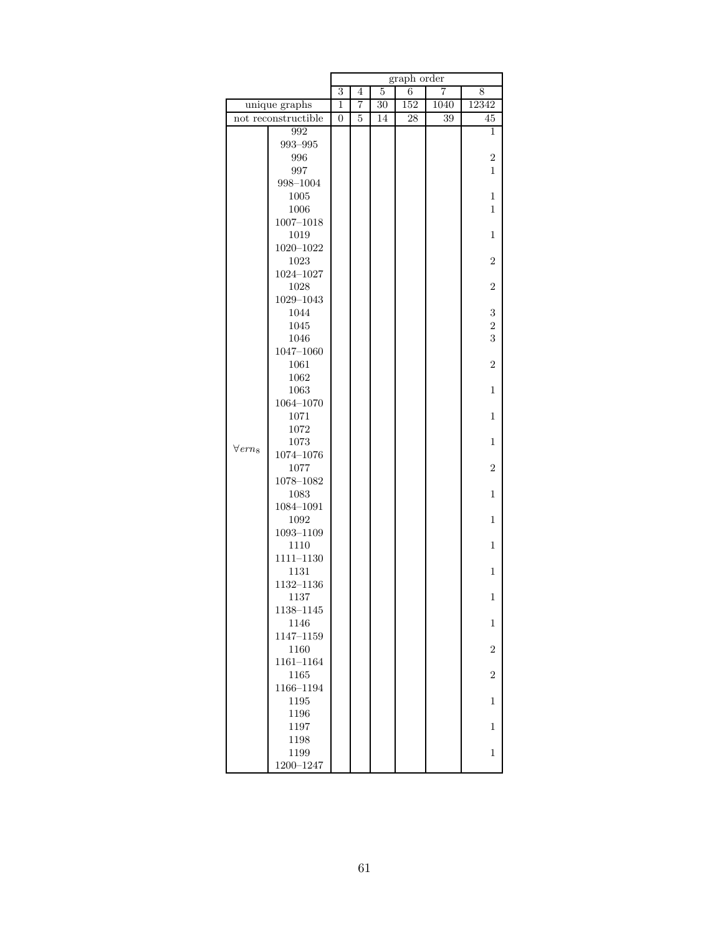|                            |                       | graph order      |   |                 |                 |      |                  |  |
|----------------------------|-----------------------|------------------|---|-----------------|-----------------|------|------------------|--|
|                            |                       | $\overline{3}$   | 4 | 5               | 6               | 7    | 8                |  |
|                            | unique graphs         | $\mathbf{1}$     | 7 | $\overline{30}$ | 152             | 1040 | 12342            |  |
|                            | not reconstructible   | $\boldsymbol{0}$ | 5 | 14              | $\overline{28}$ | 39   | 45               |  |
|                            | 992                   |                  |   |                 |                 |      | 1                |  |
|                            | 993-995               |                  |   |                 |                 |      |                  |  |
|                            | 996                   |                  |   |                 |                 |      | $\overline{2}$   |  |
|                            | 997                   |                  |   |                 |                 |      | 1                |  |
|                            | 998-1004              |                  |   |                 |                 |      |                  |  |
|                            | 1005                  |                  |   |                 |                 |      | $\mathbf{1}$     |  |
|                            | 1006<br>$1007 - 1018$ |                  |   |                 |                 |      | 1                |  |
|                            | 1019                  |                  |   |                 |                 |      | 1                |  |
|                            | $1020 - 1022$         |                  |   |                 |                 |      |                  |  |
|                            | 1023                  |                  |   |                 |                 |      | $\overline{2}$   |  |
|                            | $1024 - 1027$         |                  |   |                 |                 |      |                  |  |
|                            | 1028                  |                  |   |                 |                 |      | $\overline{2}$   |  |
|                            | 1029-1043             |                  |   |                 |                 |      |                  |  |
|                            | 1044                  |                  |   |                 |                 |      | 3                |  |
|                            | 1045                  |                  |   |                 |                 |      | $\overline{2}$   |  |
|                            | 1046                  |                  |   |                 |                 |      | 3                |  |
|                            | $1047 - 1060$         |                  |   |                 |                 |      |                  |  |
|                            | 1061                  |                  |   |                 |                 |      | $\overline{2}$   |  |
|                            | 1062                  |                  |   |                 |                 |      |                  |  |
|                            | 1063                  |                  |   |                 |                 |      | $\mathbf{1}$     |  |
|                            | $1064 - 1070$         |                  |   |                 |                 |      |                  |  |
|                            | 1071                  |                  |   |                 |                 |      | $\mathbf{1}$     |  |
|                            | 1072                  |                  |   |                 |                 |      |                  |  |
| $\forall$ ern <sub>8</sub> | 1073<br>$1074 - 1076$ |                  |   |                 |                 |      | 1                |  |
|                            | 1077                  |                  |   |                 |                 |      | $\overline{2}$   |  |
|                            | $1078 - 1082$         |                  |   |                 |                 |      |                  |  |
|                            | 1083                  |                  |   |                 |                 |      | 1                |  |
|                            | 1084-1091             |                  |   |                 |                 |      |                  |  |
|                            | 1092                  |                  |   |                 |                 |      | $\mathbf{1}$     |  |
|                            | $1093 - 1109$         |                  |   |                 |                 |      |                  |  |
|                            | 1110                  |                  |   |                 |                 |      | $\mathbf{1}$     |  |
|                            | $1111 - 1130$         |                  |   |                 |                 |      |                  |  |
|                            | 1131                  |                  |   |                 |                 |      | 1                |  |
|                            | 1132-1136             |                  |   |                 |                 |      |                  |  |
|                            | 1137                  |                  |   |                 |                 |      | 1                |  |
|                            | 1138-1145             |                  |   |                 |                 |      |                  |  |
|                            | 1146                  |                  |   |                 |                 |      | $\mathbf{1}$     |  |
|                            | $1147 - 1159$         |                  |   |                 |                 |      |                  |  |
|                            | 1160<br>$1161 - 1164$ |                  |   |                 |                 |      | $\overline{2}$   |  |
|                            | 1165                  |                  |   |                 |                 |      | $\boldsymbol{2}$ |  |
|                            | 1166-1194             |                  |   |                 |                 |      |                  |  |
|                            | 1195                  |                  |   |                 |                 |      | 1                |  |
|                            | 1196                  |                  |   |                 |                 |      |                  |  |
|                            | 1197                  |                  |   |                 |                 |      | $\mathbf{1}$     |  |
|                            | 1198                  |                  |   |                 |                 |      |                  |  |
|                            | 1199                  |                  |   |                 |                 |      | $\mathbf{1}$     |  |
|                            | 1200-1247             |                  |   |                 |                 |      |                  |  |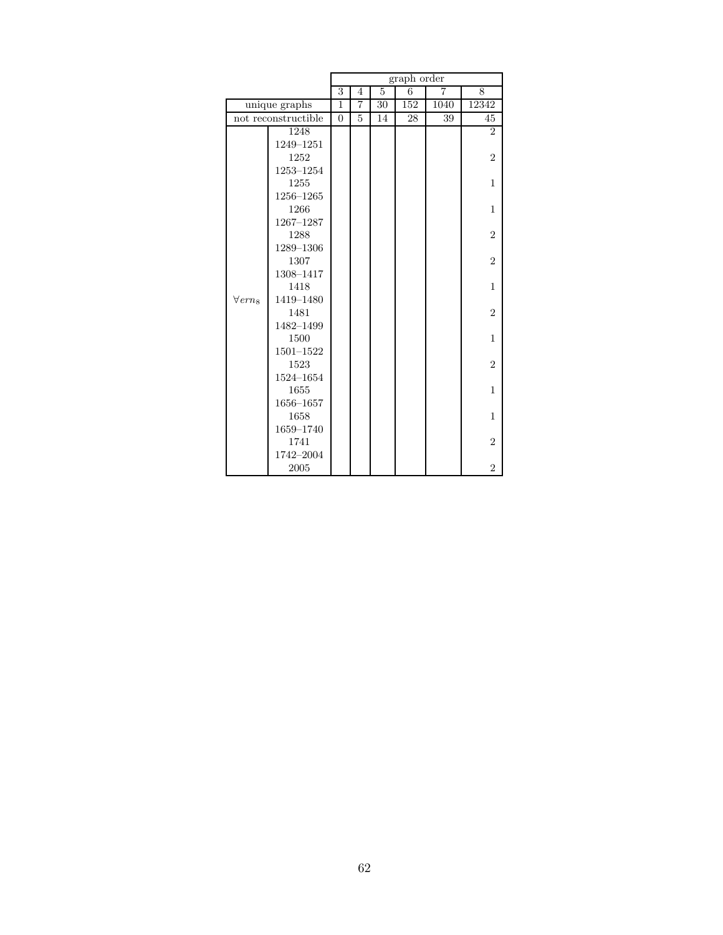|                            |                     | $graph\ order$ |   |    |     |                |                |  |
|----------------------------|---------------------|----------------|---|----|-----|----------------|----------------|--|
|                            |                     | 3              | 4 | 5  | 6   | $\overline{7}$ | 8              |  |
|                            | unique graphs       | 1              | 7 | 30 | 152 | 1040           | 12342          |  |
|                            | not reconstructible | $\theta$       | 5 | 14 | 28  | 39             | 45             |  |
|                            | 1248                |                |   |    |     |                | $\overline{2}$ |  |
|                            | 1249-1251           |                |   |    |     |                |                |  |
|                            | 1252                |                |   |    |     |                | $\overline{2}$ |  |
|                            | 1253-1254           |                |   |    |     |                |                |  |
|                            | 1255                |                |   |    |     |                | 1              |  |
|                            | 1256-1265           |                |   |    |     |                |                |  |
|                            | 1266                |                |   |    |     |                | 1              |  |
|                            | 1267-1287           |                |   |    |     |                |                |  |
|                            | 1288                |                |   |    |     |                | $\overline{2}$ |  |
|                            | 1289-1306           |                |   |    |     |                |                |  |
|                            | 1307                |                |   |    |     |                | $\overline{2}$ |  |
|                            | 1308-1417           |                |   |    |     |                |                |  |
|                            | 1418                |                |   |    |     |                | 1              |  |
| $\forall$ ern <sub>8</sub> | 1419-1480           |                |   |    |     |                |                |  |
|                            | 1481                |                |   |    |     |                | $\overline{2}$ |  |
|                            | 1482-1499           |                |   |    |     |                |                |  |
|                            | 1500                |                |   |    |     |                | 1              |  |
|                            | $1501 - 1522$       |                |   |    |     |                |                |  |
|                            | 1523                |                |   |    |     |                | $\overline{2}$ |  |
|                            | 1524-1654           |                |   |    |     |                |                |  |
|                            | 1655                |                |   |    |     |                | $\mathbf{1}$   |  |
|                            | 1656-1657           |                |   |    |     |                |                |  |
|                            | 1658                |                |   |    |     |                | 1              |  |
|                            | 1659-1740           |                |   |    |     |                |                |  |
|                            | 1741                |                |   |    |     |                | $\overline{2}$ |  |
|                            | 1742-2004           |                |   |    |     |                |                |  |
|                            | 2005                |                |   |    |     |                | $\overline{2}$ |  |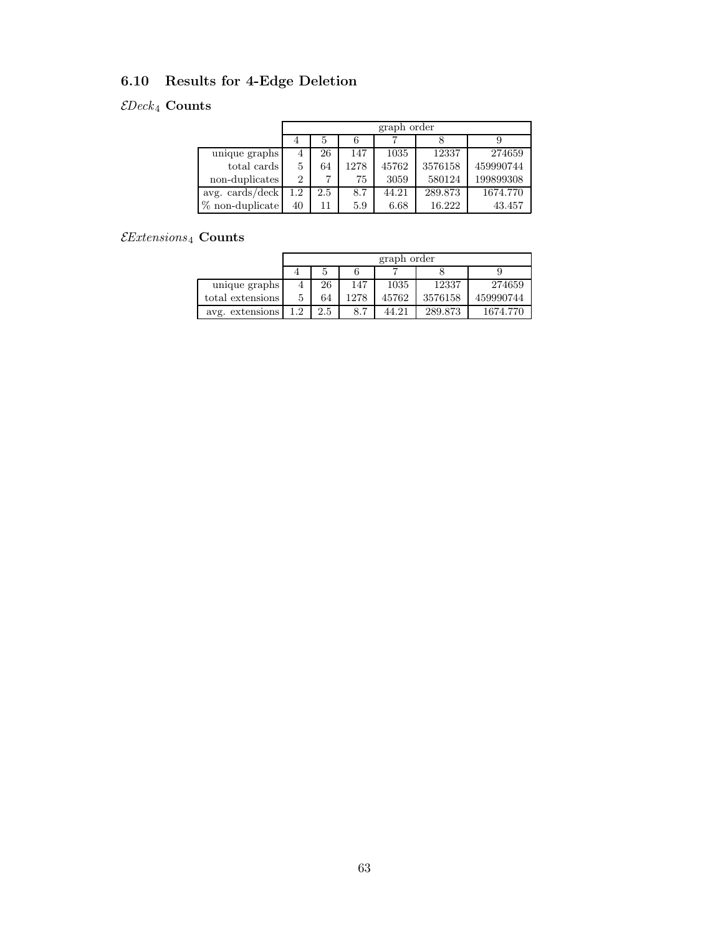# 6.10 Results for 4-Edge Deletion

## $\mathcal{E}Deck_4$  Counts

|                    |         | graph order |      |       |         |           |  |  |  |  |  |
|--------------------|---------|-------------|------|-------|---------|-----------|--|--|--|--|--|
|                    |         |             |      |       |         |           |  |  |  |  |  |
| unique graphs      | 4       | 26          | 147  | 1035  | 12337   | 274659    |  |  |  |  |  |
| total cards        | 5       | 64          | 1278 | 45762 | 3576158 | 459990744 |  |  |  |  |  |
| non-duplicates     | 2       |             | 75   | 3059  | 580124  | 199899308 |  |  |  |  |  |
| avg. cards/deck    | $1.2\,$ | 2.5         | 8.7  | 44.21 | 289.873 | 1674.770  |  |  |  |  |  |
| $\%$ non-duplicate | 40      | 11          | 5.9  | 6.68  | 16.222  | 43.457    |  |  |  |  |  |

## $\mathcal{E}$ Extensions4 Counts

|                  |    | graph order |      |       |         |           |  |  |  |  |  |
|------------------|----|-------------|------|-------|---------|-----------|--|--|--|--|--|
|                  |    | Ð           |      |       |         |           |  |  |  |  |  |
| unique graphs    |    | 26          | 147  | 1035  | 12337   | 274659    |  |  |  |  |  |
| total extensions |    | 64          | 1278 | 45762 | 3576158 | 459990744 |  |  |  |  |  |
| avg. extensions  | 12 | 2.5         | 8.7  | 44.21 | 289.873 | 1674.770  |  |  |  |  |  |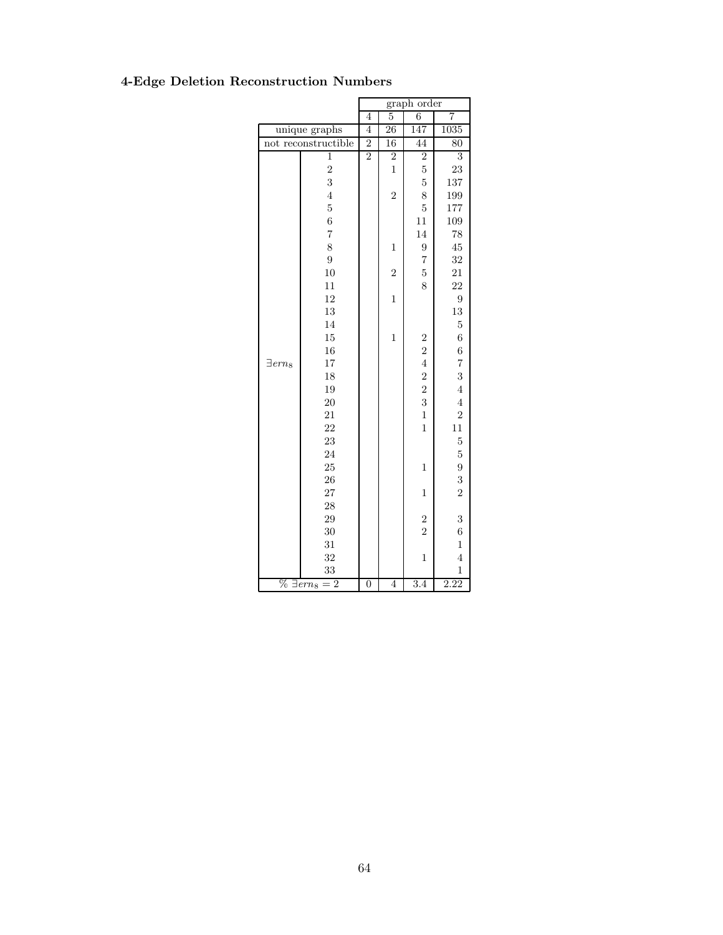|                                         |                     | graph order    |                 |                |                  |  |
|-----------------------------------------|---------------------|----------------|-----------------|----------------|------------------|--|
|                                         |                     | 4              | $\overline{5}$  | 6              | 7                |  |
|                                         | unique graphs       | 4              | $\overline{26}$ | 147            | 1035             |  |
|                                         | not reconstructible | $\overline{2}$ | 16              | 44             | 80               |  |
|                                         | $\mathbf{1}$        | $\overline{2}$ | $\overline{2}$  | $\overline{2}$ | $\overline{3}$   |  |
|                                         | $\overline{2}$      |                | $\mathbf{1}$    | $\overline{5}$ | 23               |  |
|                                         | 3                   |                |                 | $\overline{5}$ | 137              |  |
|                                         | $\overline{4}$      |                | $\overline{2}$  | 8              | 199              |  |
|                                         | $\overline{5}$      |                |                 | $\overline{5}$ | 177              |  |
|                                         | $\overline{6}$      |                |                 | 11             | 109              |  |
|                                         | $\overline{7}$      |                |                 | 14             | 78               |  |
|                                         | 8                   |                | $\mathbf{1}$    | 9              | 45               |  |
|                                         | $\overline{9}$      |                |                 | $\overline{7}$ | 32               |  |
|                                         | $10^{\circ}$        |                | $\overline{2}$  | $\overline{5}$ | 21               |  |
|                                         | 11                  |                |                 | 8              | 22               |  |
|                                         | 12                  |                | $\mathbf{1}$    |                | 9                |  |
|                                         | 13                  |                |                 |                | 13               |  |
|                                         | 14                  |                |                 |                | $\overline{5}$   |  |
|                                         | 15                  |                | $\mathbf{1}$    | $\overline{c}$ | $\overline{6}$   |  |
|                                         | 16                  |                |                 | $\frac{2}{4}$  | $\boldsymbol{6}$ |  |
| $\exists$ ern <sub>8</sub>              | 17                  |                |                 |                | $\overline{7}$   |  |
|                                         | 18                  |                |                 | $\overline{a}$ | 3                |  |
|                                         | 19                  |                |                 | $\overline{2}$ | $\overline{4}$   |  |
|                                         | 20                  |                |                 | 3              | $\overline{4}$   |  |
|                                         | 21                  |                |                 | $\mathbf{1}$   | $\overline{2}$   |  |
|                                         | 22                  |                |                 | $\overline{1}$ | 11               |  |
|                                         | 23                  |                |                 |                | $\overline{5}$   |  |
|                                         | 24                  |                |                 |                | $\mathbf 5$      |  |
|                                         | 25                  |                |                 | $\mathbf{1}$   | 9                |  |
|                                         | 26                  |                |                 |                | 3                |  |
|                                         | 27                  |                |                 | $\mathbf{1}$   | $\overline{2}$   |  |
|                                         | 28                  |                |                 |                |                  |  |
|                                         | 29                  |                |                 | $\overline{c}$ | 3                |  |
|                                         | 30                  |                |                 | $\overline{2}$ | $\overline{6}$   |  |
|                                         | 31                  |                |                 |                | $\mathbf{1}$     |  |
|                                         | 32                  |                |                 | $\mathbf{1}$   | $\overline{4}$   |  |
|                                         | 33                  |                |                 |                | $\mathbf{1}$     |  |
| $\overline{\%}\ \overline{\exists}em_8$ | $\overline{2}$      | $\overline{0}$ | $\overline{4}$  | 3.4            | 2.22             |  |

## 4-Edge Deletion Reconstruction Numbers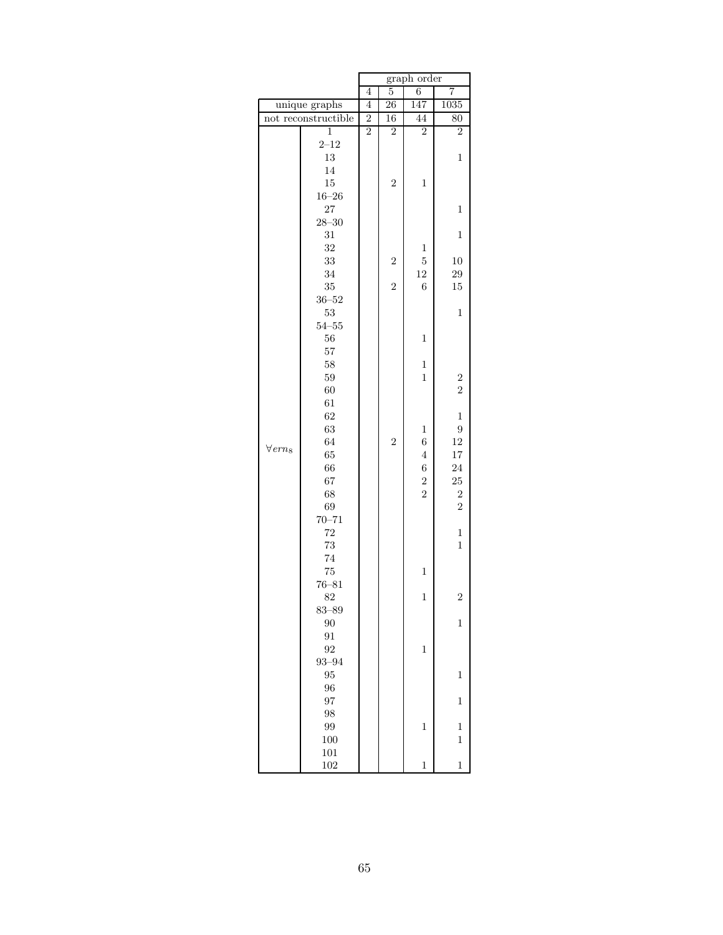|                            |                     | graph order    |                 |                  |                |  |  |
|----------------------------|---------------------|----------------|-----------------|------------------|----------------|--|--|
|                            |                     | 4              | $\overline{5}$  | 6                | 7              |  |  |
|                            | unique graphs       | 4              | $\overline{26}$ | 147              | 1035           |  |  |
|                            | not reconstructible | $\overline{2}$ | 16              | 44               | 80             |  |  |
|                            | $\mathbf{1}$        | $\overline{2}$ | $\overline{2}$  | $\overline{2}$   | $\overline{2}$ |  |  |
|                            | $2 - 12$            |                |                 |                  |                |  |  |
|                            | 13                  |                |                 |                  | $\mathbf{1}$   |  |  |
|                            | 14                  |                |                 |                  |                |  |  |
|                            | 15                  |                | $\overline{2}$  | $\mathbf{1}$     |                |  |  |
|                            | $16 - 26$           |                |                 |                  |                |  |  |
|                            | 27                  |                |                 |                  | $\mathbf{1}$   |  |  |
|                            | $28 - 30$           |                |                 |                  |                |  |  |
|                            | 31                  |                |                 |                  | $\mathbf 1$    |  |  |
|                            | 32                  |                |                 | $\,1$            |                |  |  |
|                            | 33                  |                | $\overline{2}$  | $\overline{5}$   | 10             |  |  |
|                            | 34                  |                |                 | 12               | 29             |  |  |
|                            | 35                  |                | $\overline{2}$  | $\sqrt{6}$       | 15             |  |  |
|                            | $36 - 52$           |                |                 |                  |                |  |  |
|                            | 53                  |                |                 |                  | $\mathbf{1}$   |  |  |
|                            | $54 - 55$           |                |                 |                  |                |  |  |
|                            | 56                  |                |                 | $\mathbf{1}$     |                |  |  |
|                            | 57                  |                |                 |                  |                |  |  |
|                            | 58                  |                |                 | $\mathbf 1$      |                |  |  |
|                            | 59                  |                |                 | $\mathbf{1}$     | $\overline{c}$ |  |  |
|                            | 60                  |                |                 |                  | $\overline{2}$ |  |  |
|                            | 61                  |                |                 |                  |                |  |  |
|                            | 62                  |                |                 |                  | $\,1$          |  |  |
|                            | 63                  |                |                 | $\,1$            | $\overline{9}$ |  |  |
| $\forall$ ern <sub>8</sub> | 64                  |                | $\overline{2}$  | $\boldsymbol{6}$ | $12\,$         |  |  |
|                            | 65                  |                |                 | $\overline{4}$   | $17\,$         |  |  |
|                            | 66                  |                |                 | $\boldsymbol{6}$ | 24             |  |  |
|                            | 67                  |                |                 | $\frac{2}{2}$    | $25\,$         |  |  |
|                            | 68                  |                |                 |                  | $\overline{2}$ |  |  |
|                            | 69                  |                |                 |                  | $\overline{2}$ |  |  |
|                            | $70 - 71$           |                |                 |                  |                |  |  |
|                            | 72                  |                |                 |                  | $\mathbf 1$    |  |  |
|                            | 73<br>74            |                |                 |                  | $\mathbf{1}$   |  |  |
|                            | 75                  |                |                 | $\mathbf{1}$     |                |  |  |
|                            | $76 - 81$           |                |                 |                  |                |  |  |
|                            | 82                  |                |                 | $\mathbf{1}$     | $\overline{c}$ |  |  |
|                            |                     |                |                 |                  |                |  |  |
|                            | $83 - 89$<br>90     |                |                 |                  | $\mathbf{1}$   |  |  |
|                            | 91                  |                |                 |                  |                |  |  |
|                            | 92                  |                |                 | $\mathbf{1}$     |                |  |  |
|                            | $93 - 94$           |                |                 |                  |                |  |  |
|                            | 95                  |                |                 |                  | $\mathbf{1}$   |  |  |
|                            | 96                  |                |                 |                  |                |  |  |
|                            | 97                  |                |                 |                  | $\mathbf{1}$   |  |  |
|                            | 98                  |                |                 |                  |                |  |  |
|                            | 99                  |                |                 | $\,1$            | $\mathbf 1$    |  |  |
|                            | 100                 |                |                 |                  | $\mathbf 1$    |  |  |
|                            | 101                 |                |                 |                  |                |  |  |
|                            | 102                 |                |                 | $\mathbf{1}$     | $\mathbf{1}$   |  |  |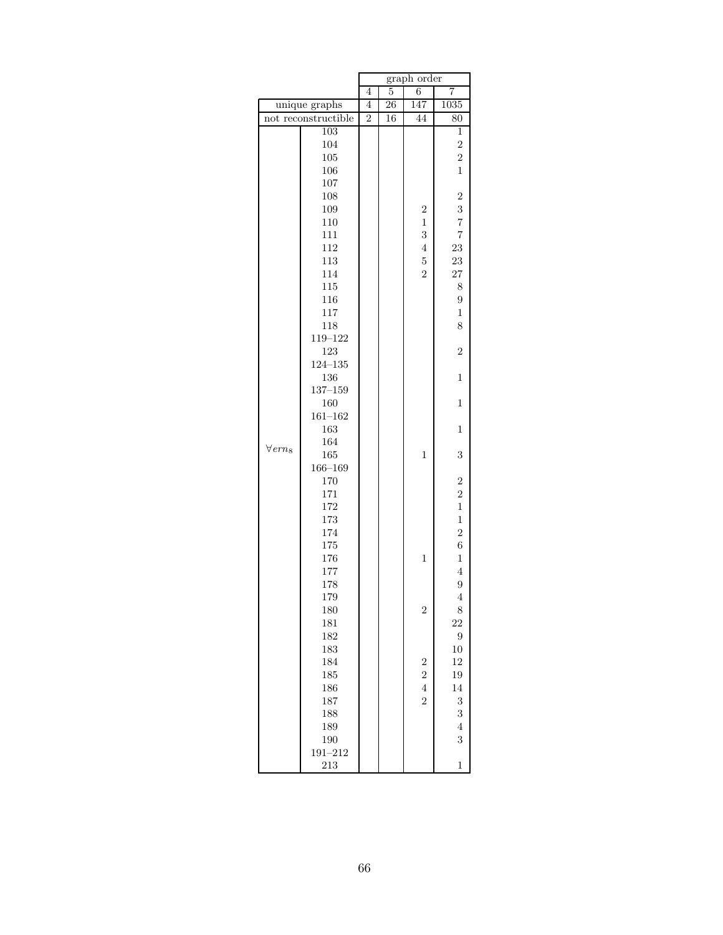|                    |                     | graph order    |                 |                                            |                 |  |
|--------------------|---------------------|----------------|-----------------|--------------------------------------------|-----------------|--|
|                    |                     | 4              | 5               | 6                                          | 7               |  |
|                    | unique graphs       | 4              | $\overline{26}$ | 147                                        | 1035            |  |
|                    | not reconstructible | $\overline{2}$ | 16              | 44                                         | $\overline{80}$ |  |
|                    | 103                 |                |                 |                                            | 1               |  |
|                    | 104                 |                |                 |                                            | $\overline{2}$  |  |
|                    | 105                 |                |                 |                                            | $\overline{2}$  |  |
|                    | 106                 |                |                 |                                            | $\mathbf{1}$    |  |
|                    | 107                 |                |                 |                                            |                 |  |
|                    | 108                 |                |                 |                                            | $\overline{2}$  |  |
|                    | 109                 |                |                 | $\overline{c}$                             | 3               |  |
|                    | 110                 |                |                 | $\mathbf{1}$                               | $\overline{7}$  |  |
|                    | 111                 |                |                 | 3                                          | $\overline{7}$  |  |
|                    | 112                 |                |                 | $\overline{4}$                             | 23              |  |
|                    | 113                 |                |                 | $\mathbf 5$                                | 23              |  |
|                    | 114                 |                |                 | $\overline{2}$                             | 27              |  |
|                    | 115                 |                |                 |                                            | 8               |  |
|                    | 116                 |                |                 |                                            | 9               |  |
|                    | 117                 |                |                 |                                            | $\mathbf{1}$    |  |
|                    | 118                 |                |                 |                                            | 8               |  |
|                    | 119-122             |                |                 |                                            |                 |  |
|                    | 123                 |                |                 |                                            | $\overline{2}$  |  |
|                    | $124 - 135$         |                |                 |                                            |                 |  |
|                    | 136                 |                |                 |                                            | $\mathbf{1}$    |  |
|                    | $137 - 159$         |                |                 |                                            |                 |  |
|                    | 160                 |                |                 |                                            | $\mathbf{1}$    |  |
|                    | $161 - 162$         |                |                 |                                            |                 |  |
|                    | 163                 |                |                 |                                            | $\mathbf{1}$    |  |
| $\forall$ ern $_8$ | 164                 |                |                 |                                            |                 |  |
|                    | 165                 |                |                 | $\mathbf{1}$                               | 3               |  |
|                    | $166 - 169$         |                |                 |                                            |                 |  |
|                    | 170                 |                |                 |                                            | $\overline{2}$  |  |
|                    | 171                 |                |                 |                                            | $\overline{2}$  |  |
|                    | 172                 |                |                 |                                            | $\,1$           |  |
|                    | 173                 |                |                 |                                            | $\,1$           |  |
|                    | 174                 |                |                 |                                            | $\overline{2}$  |  |
|                    | 175                 |                |                 |                                            | $\overline{6}$  |  |
|                    | 176                 |                |                 | $\mathbf{1}$                               | $\,1$           |  |
|                    | 177                 |                |                 |                                            | $\overline{4}$  |  |
|                    | 178                 |                |                 |                                            | $\overline{9}$  |  |
|                    | 179                 |                |                 |                                            | $\overline{4}$  |  |
|                    | 180                 |                |                 | $\overline{2}$                             | 8               |  |
|                    | 181                 |                |                 |                                            | 22              |  |
|                    | 182                 |                |                 |                                            | 9               |  |
|                    | 183                 |                |                 |                                            | $10\,$          |  |
|                    | 184                 |                |                 | $\begin{array}{c} 2 \\ 2 \\ 4 \end{array}$ | 12              |  |
|                    | 185                 |                |                 |                                            | 19              |  |
|                    | 186                 |                |                 |                                            | 14              |  |
|                    | 187                 |                |                 |                                            | 3               |  |
|                    | 188                 |                |                 |                                            | 3               |  |
|                    | 189                 |                |                 |                                            | $\overline{4}$  |  |
|                    | 190                 |                |                 |                                            | 3               |  |
|                    | $191 - 212$         |                |                 |                                            |                 |  |
|                    | 213                 |                |                 |                                            | $\mathbf{1}$    |  |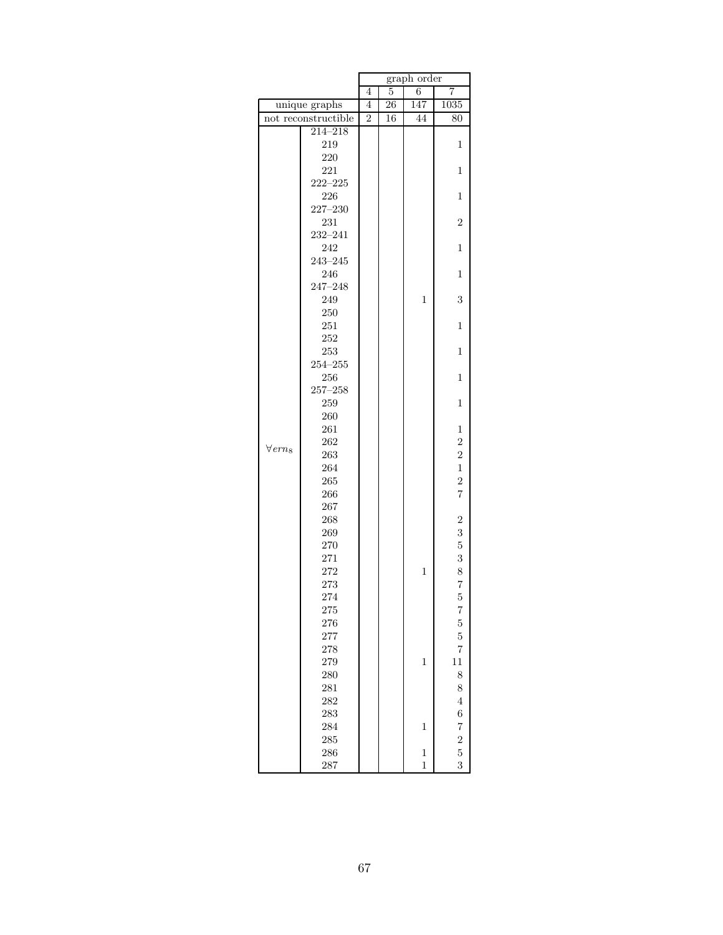|                            |             | graph order    |                 |              |                |
|----------------------------|-------------|----------------|-----------------|--------------|----------------|
|                            |             | 4              | 5               | 6            | 7              |
| unique graphs              |             | 4              | $\overline{26}$ | 147          | 1035           |
| not reconstructible        |             | $\overline{2}$ | 16              | 44           | 80             |
|                            | $214 - 218$ |                |                 |              |                |
|                            | 219         |                |                 |              | 1              |
|                            | 220         |                |                 |              |                |
|                            | 221         |                |                 |              | $\mathbf{1}$   |
|                            | $222 - 225$ |                |                 |              |                |
|                            | 226         |                |                 |              | $\mathbf{1}$   |
|                            | $227 - 230$ |                |                 |              |                |
|                            | 231         |                |                 |              | $\overline{2}$ |
|                            | $232 - 241$ |                |                 |              |                |
|                            | 242         |                |                 |              | $\mathbf 1$    |
|                            | $243 - 245$ |                |                 |              |                |
|                            | 246         |                |                 |              | $\mathbf{1}$   |
|                            | $247 - 248$ |                |                 |              |                |
|                            | 249         |                |                 | $\mathbf{1}$ | 3              |
|                            | 250         |                |                 |              |                |
|                            | 251         |                |                 |              | $\mathbf{1}$   |
|                            | 252         |                |                 |              |                |
|                            | 253         |                |                 |              | $\mathbf{1}$   |
|                            | $254 - 255$ |                |                 |              |                |
|                            | 256         |                |                 |              | $\mathbf{1}$   |
|                            | $257 - 258$ |                |                 |              |                |
|                            | 259         |                |                 |              | $\mathbf 1$    |
|                            | 260<br>261  |                |                 |              | 1              |
|                            | 262         |                |                 |              | $\overline{2}$ |
| $\forall$ ern <sub>8</sub> | 263         |                |                 |              | $\overline{2}$ |
|                            | 264         |                |                 |              | $\mathbf{1}$   |
|                            | 265         |                |                 |              | $\overline{2}$ |
|                            | 266         |                |                 |              | $\overline{7}$ |
|                            | 267         |                |                 |              |                |
|                            | 268         |                |                 |              | $\overline{c}$ |
|                            | 269         |                |                 |              | 3              |
|                            | 270         |                |                 |              | $\overline{5}$ |
|                            | 271         |                |                 |              | 3              |
|                            | 272         |                |                 | $\mathbf{1}$ | 8              |
|                            | 273         |                |                 |              | $\overline{7}$ |
|                            | 274         |                |                 |              | $\overline{5}$ |
|                            | 275         |                |                 |              | $\overline{7}$ |
|                            | 276         |                |                 |              | 5              |
|                            | 277         |                |                 |              | $\overline{5}$ |
|                            | 278         |                |                 |              | $\overline{7}$ |
|                            | 279         |                |                 | $\mathbf{1}$ | 11             |
|                            | 280         |                |                 |              | 8              |
|                            | 281         |                |                 |              | 8              |
|                            | 282         |                |                 |              | $\overline{4}$ |
|                            | 283         |                |                 |              | 6              |
|                            | 284         |                |                 | $\mathbf{1}$ | $\overline{7}$ |
|                            | 285         |                |                 |              |                |
|                            | 286         |                |                 | $\mathbf{1}$ | $\frac{2}{5}$  |
|                            | 287         |                |                 | $\mathbf{1}$ | 3              |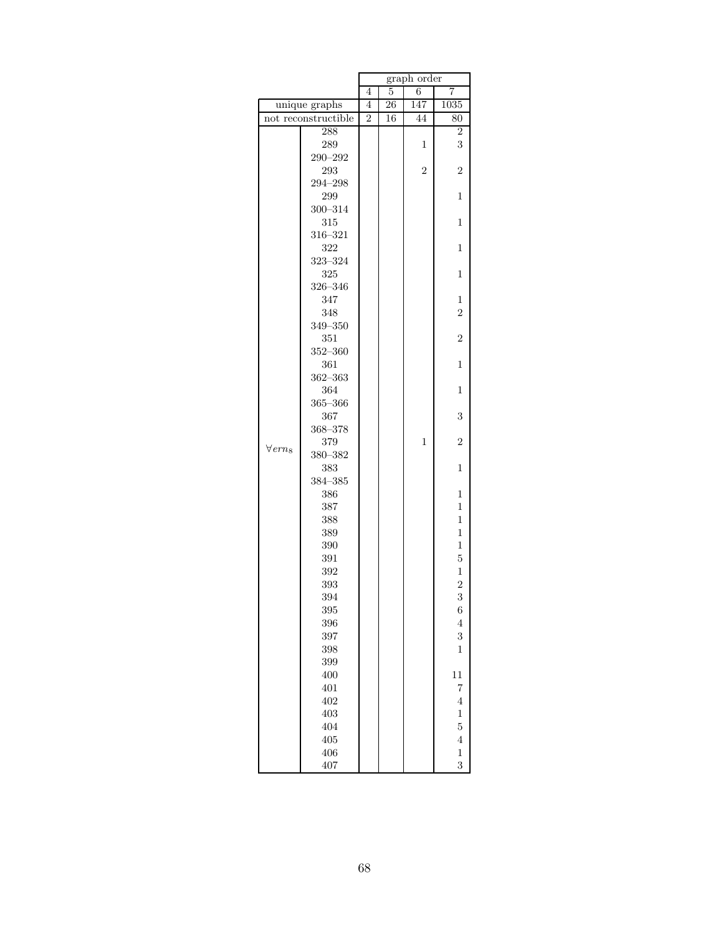|                            |               |                | graph order |                |                |
|----------------------------|---------------|----------------|-------------|----------------|----------------|
|                            |               | 4              | 5           | 6              | 7              |
|                            | unique graphs | 4              | 26          | 147            | 1035           |
| not reconstructible        |               | $\overline{2}$ | 16          | 44             | 80             |
|                            | 288           |                |             |                | $\overline{2}$ |
|                            | 289           |                |             | $\mathbf{1}$   | 3              |
|                            | $290 - 292$   |                |             |                |                |
|                            | 293           |                |             | $\overline{2}$ | $\overline{2}$ |
|                            | $294 - 298$   |                |             |                |                |
|                            | 299           |                |             |                | $\mathbf{1}$   |
|                            | $300 - 314$   |                |             |                |                |
|                            | 315           |                |             |                | 1              |
|                            | $316 - 321$   |                |             |                |                |
|                            | 322           |                |             |                | $\mathbf{1}$   |
|                            | 323-324       |                |             |                |                |
|                            | 325           |                |             |                | $\mathbf{1}$   |
|                            | $326 - 346$   |                |             |                |                |
|                            | 347           |                |             |                | 1              |
|                            | 348           |                |             |                | $\overline{2}$ |
|                            | $349 - 350$   |                |             |                |                |
|                            | 351           |                |             |                | $\overline{2}$ |
|                            | $352 - 360$   |                |             |                |                |
|                            | 361           |                |             |                | 1              |
|                            | $362 - 363$   |                |             |                |                |
|                            | 364           |                |             |                | 1              |
|                            | $365 - 366$   |                |             |                |                |
|                            | 367           |                |             |                | 3              |
|                            | $368 - 378$   |                |             |                |                |
| $\forall$ ern <sub>8</sub> | 379           |                |             | 1              | $\overline{2}$ |
|                            | 380-382       |                |             |                |                |
|                            | 383           |                |             |                | $\mathbf{1}$   |
|                            | $384 - 385$   |                |             |                |                |
|                            | 386           |                |             |                | 1              |
|                            | 387           |                |             |                | $\mathbf{1}$   |
|                            | 388           |                |             |                | $\mathbf 1$    |
|                            | 389           |                |             |                | $\mathbf{1}$   |
|                            | 390           |                |             |                | $\,1$          |
|                            | 391           |                |             |                | $\overline{5}$ |
|                            | 392           |                |             |                | $\mathbf 1$    |
|                            | 393           |                |             |                | $\overline{2}$ |
|                            | 394           |                |             |                | 3              |
|                            | 395           |                |             |                | 6              |
|                            | 396           |                |             |                | $\overline{4}$ |
|                            | 397           |                |             |                | 3              |
|                            | 398           |                |             |                | $\mathbf{1}$   |
|                            | 399           |                |             |                |                |
|                            | 400           |                |             |                | 11             |
|                            | 401           |                |             |                | $\overline{7}$ |
|                            | 402           |                |             |                | $\overline{4}$ |
|                            | 403           |                |             |                | $\mathbf{1}$   |
|                            | 404           |                |             |                | $\overline{5}$ |
|                            | 405           |                |             |                | $\overline{4}$ |
|                            | 406           |                |             |                | $\mathbf{1}$   |
|                            | 407           |                |             |                | 3              |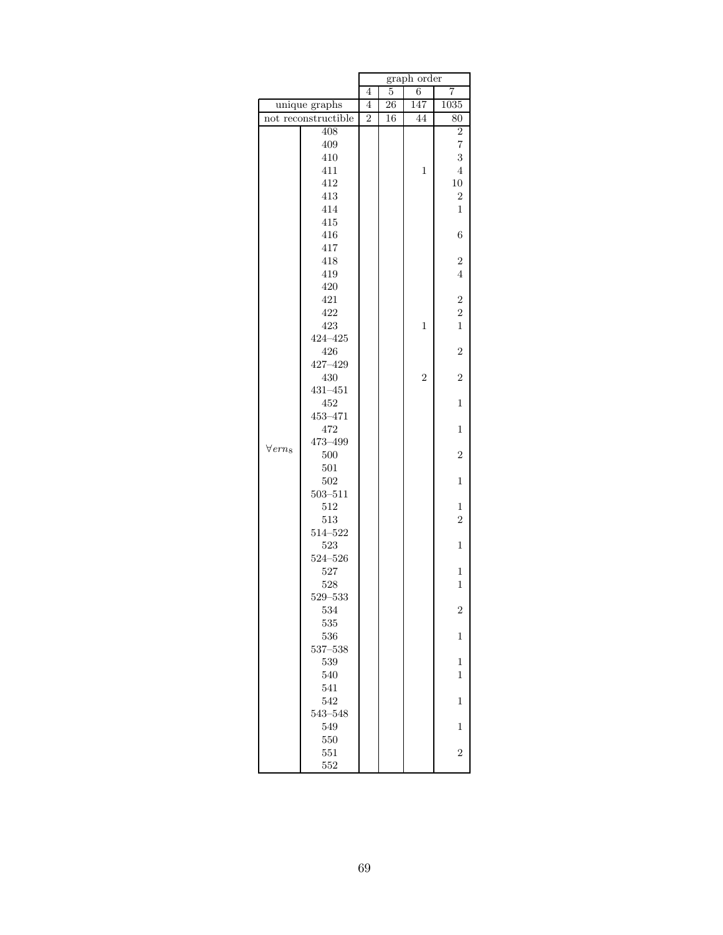|                            |             |                | graph order     |                |                |
|----------------------------|-------------|----------------|-----------------|----------------|----------------|
|                            |             | 4              | 5               | 6              | 7              |
| unique graphs              |             | $\overline{4}$ | $\overline{26}$ | 147            | 1035           |
| not reconstructible        |             | $\overline{2}$ | 16              | 44             | 80             |
|                            | 408         |                |                 |                | $\overline{2}$ |
|                            | 409         |                |                 |                | $\overline{7}$ |
|                            | 410         |                |                 |                | 3              |
|                            | 411         |                |                 | $\mathbf{1}$   | $\overline{4}$ |
|                            | 412         |                |                 |                | $10\,$         |
|                            | 413         |                |                 |                | $\overline{2}$ |
|                            | 414         |                |                 |                | $\mathbf{1}$   |
|                            | 415         |                |                 |                |                |
|                            | 416         |                |                 |                | 6              |
|                            | 417         |                |                 |                |                |
|                            | 418         |                |                 |                | $\overline{2}$ |
|                            | 419         |                |                 |                | $\overline{4}$ |
|                            | 420         |                |                 |                |                |
|                            | 421         |                |                 |                | $\overline{c}$ |
|                            | 422         |                |                 |                | $\overline{2}$ |
|                            | 423         |                |                 | $\overline{1}$ | $\mathbf{1}$   |
|                            | $424 - 425$ |                |                 |                |                |
|                            | 426         |                |                 |                | $\overline{2}$ |
|                            | $427 - 429$ |                |                 |                |                |
|                            | 430         |                |                 | $\overline{2}$ | $\overline{2}$ |
|                            | $431 - 451$ |                |                 |                |                |
|                            | 452         |                |                 |                | $\mathbf{1}$   |
|                            | 453-471     |                |                 |                |                |
|                            | 472         |                |                 |                | $\mathbf{1}$   |
| $\forall$ ern <sub>8</sub> | 473-499     |                |                 |                |                |
|                            | 500         |                |                 |                | $\overline{2}$ |
|                            | 501<br>502  |                |                 |                | $\mathbf{1}$   |
|                            | $503 - 511$ |                |                 |                |                |
|                            | 512         |                |                 |                | $\mathbf{1}$   |
|                            | 513         |                |                 |                | $\overline{2}$ |
|                            | $514 - 522$ |                |                 |                |                |
|                            | 523         |                |                 |                | $\mathbf{1}$   |
|                            | $524 - 526$ |                |                 |                |                |
|                            | 527         |                |                 |                | $\mathbf 1$    |
|                            | 528         |                |                 |                | $\mathbf 1$    |
|                            | $529 - 533$ |                |                 |                |                |
|                            | 534         |                |                 |                | $\overline{2}$ |
|                            | 535         |                |                 |                |                |
|                            | 536         |                |                 |                | $\mathbf{1}$   |
|                            | $537 - 538$ |                |                 |                |                |
|                            | 539         |                |                 |                | $\mathbf{1}$   |
|                            | 540         |                |                 |                | $\overline{1}$ |
|                            | 541         |                |                 |                |                |
|                            | 542         |                |                 |                | 1              |
|                            | $543 - 548$ |                |                 |                |                |
|                            | 549         |                |                 |                | $\mathbf{1}$   |
|                            | 550         |                |                 |                |                |
|                            | 551         |                |                 |                | $\overline{2}$ |
|                            | 552         |                |                 |                |                |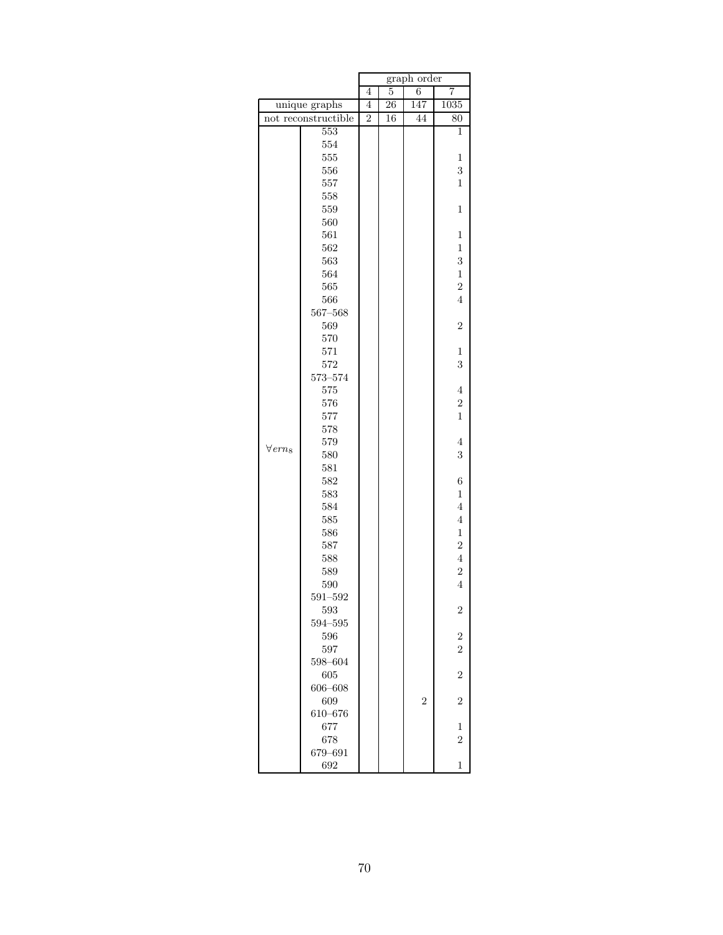|                            |                     | graph order    |    |                |                  |  |
|----------------------------|---------------------|----------------|----|----------------|------------------|--|
|                            |                     | 4              | 5  | $\,6$          | 7                |  |
|                            | unique graphs       | 4              | 26 | 147            | 1035             |  |
|                            | not reconstructible | $\overline{2}$ | 16 | 44             | $\overline{80}$  |  |
|                            | 553                 |                |    |                | $\overline{1}$   |  |
|                            | 554                 |                |    |                |                  |  |
|                            | 555                 |                |    |                | 1                |  |
|                            | 556                 |                |    |                | 3                |  |
|                            | 557                 |                |    |                | $\mathbf{1}$     |  |
|                            | 558                 |                |    |                |                  |  |
|                            | 559                 |                |    |                | $\mathbf{1}$     |  |
|                            | 560                 |                |    |                |                  |  |
|                            | 561                 |                |    |                | $\mathbf 1$      |  |
|                            | 562                 |                |    |                | $\,1$            |  |
|                            | 563                 |                |    |                | 3                |  |
|                            | 564                 |                |    |                | $\,1\,$          |  |
|                            | 565                 |                |    |                | $\overline{2}$   |  |
|                            | 566                 |                |    |                | $\overline{4}$   |  |
|                            | $567 - 568$         |                |    |                |                  |  |
|                            | 569                 |                |    |                | $\overline{2}$   |  |
|                            | 570                 |                |    |                |                  |  |
|                            | 571                 |                |    |                | 1                |  |
|                            | 572                 |                |    |                | 3                |  |
|                            | $573 - 574$         |                |    |                |                  |  |
|                            | 575                 |                |    |                | $\overline{4}$   |  |
|                            | 576                 |                |    |                | $\overline{c}$   |  |
|                            | 577                 |                |    |                | $\mathbf{1}$     |  |
|                            | 578                 |                |    |                |                  |  |
| $\forall$ ern <sub>8</sub> | 579                 |                |    |                | $\overline{4}$   |  |
|                            | 580                 |                |    |                | 3                |  |
|                            | 581                 |                |    |                |                  |  |
|                            | 582                 |                |    |                | $\boldsymbol{6}$ |  |
|                            | 583                 |                |    |                | $\mathbf 1$      |  |
|                            | 584                 |                |    |                | $\overline{4}$   |  |
|                            | 585                 |                |    |                | $\overline{4}$   |  |
|                            | 586                 |                |    |                | $\,1$            |  |
|                            | 587                 |                |    |                | $\overline{2}$   |  |
|                            | 588                 |                |    |                | $\overline{4}$   |  |
|                            | 589                 |                |    |                | $\overline{c}$   |  |
|                            | 590                 |                |    |                | $\overline{4}$   |  |
|                            | $591 - 592$         |                |    |                |                  |  |
|                            | 593                 |                |    |                | 2                |  |
|                            | $594 - 595$         |                |    |                |                  |  |
|                            | 596                 |                |    |                | $\overline{c}$   |  |
|                            | 597                 |                |    |                | $\overline{2}$   |  |
|                            | 598-604             |                |    |                |                  |  |
|                            | 605                 |                |    |                | $\overline{2}$   |  |
|                            | $606 - 608$         |                |    |                |                  |  |
|                            | 609                 |                |    | $\overline{2}$ | $\overline{2}$   |  |
|                            | 610-676             |                |    |                |                  |  |
|                            | 677                 |                |    |                | 1                |  |
|                            | 678                 |                |    |                | $\overline{2}$   |  |
|                            | 679-691             |                |    |                |                  |  |
|                            | 692                 |                |    |                | $\mathbf 1$      |  |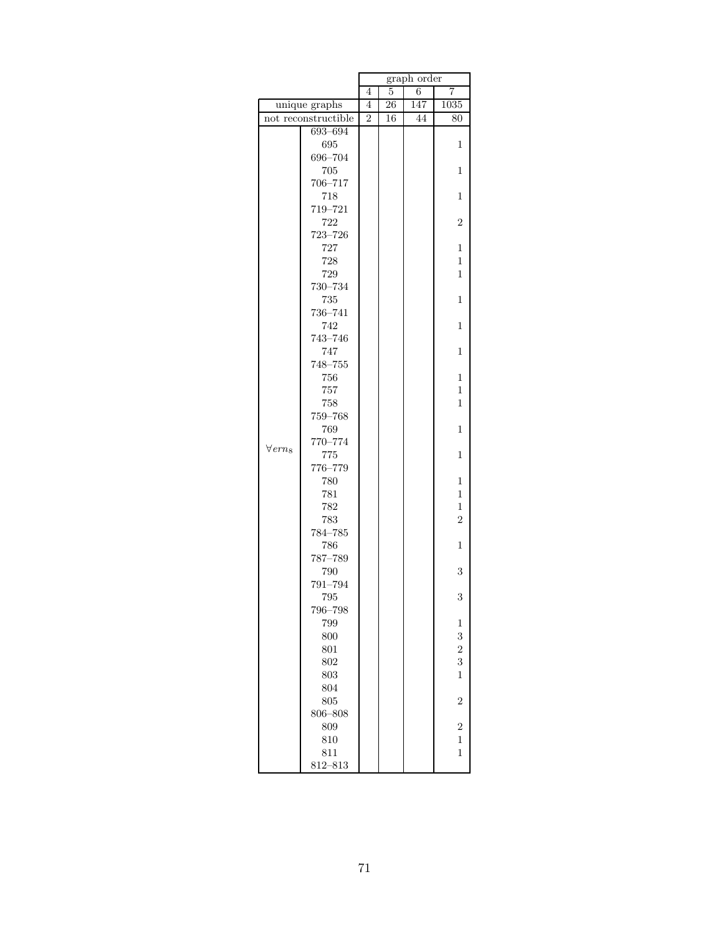|                            |                     | graph order    |    |     |                |  |
|----------------------------|---------------------|----------------|----|-----|----------------|--|
|                            |                     |                | 5  | 6   | 7              |  |
|                            | unique graphs       | $\overline{4}$ | 26 | 147 | 1035           |  |
|                            | not reconstructible | $\overline{2}$ | 16 | 44  | 80             |  |
|                            | 693-694             |                |    |     |                |  |
|                            | 695                 |                |    |     | 1              |  |
|                            | 696-704             |                |    |     |                |  |
|                            | 705                 |                |    |     | $\mathbf 1$    |  |
|                            | 706-717             |                |    |     |                |  |
|                            | 718                 |                |    |     | 1              |  |
|                            | 719-721             |                |    |     |                |  |
|                            | 722                 |                |    |     | $\overline{2}$ |  |
|                            | $723 - 726$         |                |    |     |                |  |
|                            | 727                 |                |    |     | $\mathbf{1}$   |  |
|                            | 728                 |                |    |     | $\mathbf{1}$   |  |
|                            | 729                 |                |    |     | 1              |  |
|                            | 730-734             |                |    |     |                |  |
|                            | 735                 |                |    |     | $\mathbf{1}$   |  |
|                            | 736-741             |                |    |     |                |  |
|                            | 742                 |                |    |     | $\mathbf 1$    |  |
|                            | 743-746             |                |    |     |                |  |
|                            | 747                 |                |    |     | 1              |  |
|                            | $748 - 755$         |                |    |     |                |  |
|                            | 756                 |                |    |     | 1              |  |
|                            | 757                 |                |    |     | $\mathbf 1$    |  |
|                            | 758                 |                |    |     | 1              |  |
|                            | 759-768             |                |    |     |                |  |
|                            | 769                 |                |    |     | $\mathbf{1}$   |  |
| $\forall$ ern <sub>8</sub> | 770-774             |                |    |     |                |  |
|                            | 775                 |                |    |     | $\mathbf{1}$   |  |
|                            | 776-779             |                |    |     |                |  |
|                            | 780                 |                |    |     | 1              |  |
|                            | 781                 |                |    |     | $\mathbf{1}$   |  |
|                            | 782                 |                |    |     | $\mathbf{1}$   |  |
|                            | 783                 |                |    |     | $\overline{2}$ |  |
|                            | $784 - 785$         |                |    |     |                |  |
|                            | 786                 |                |    |     | $\mathbf 1$    |  |
|                            | 787-789             |                |    |     |                |  |
|                            | 790                 |                |    |     | 3              |  |
|                            | 791-794             |                |    |     |                |  |
|                            | 795                 |                |    |     | 3              |  |
|                            | 796-798             |                |    |     |                |  |
|                            | 799                 |                |    |     | $\mathbf{1}$   |  |
|                            | 800                 |                |    |     | 3              |  |
|                            | 801                 |                |    |     | $\overline{2}$ |  |
|                            | 802                 |                |    |     | 3              |  |
|                            | 803                 |                |    |     | $\overline{1}$ |  |
|                            | 804                 |                |    |     |                |  |
|                            | 805                 |                |    |     | $\overline{2}$ |  |
|                            | 806-808             |                |    |     |                |  |
|                            | 809                 |                |    |     | $\overline{2}$ |  |
|                            | 810                 |                |    |     | $\mathbf{1}$   |  |
|                            | 811                 |                |    |     | $\mathbf 1$    |  |
|                            | 812-813             |                |    |     |                |  |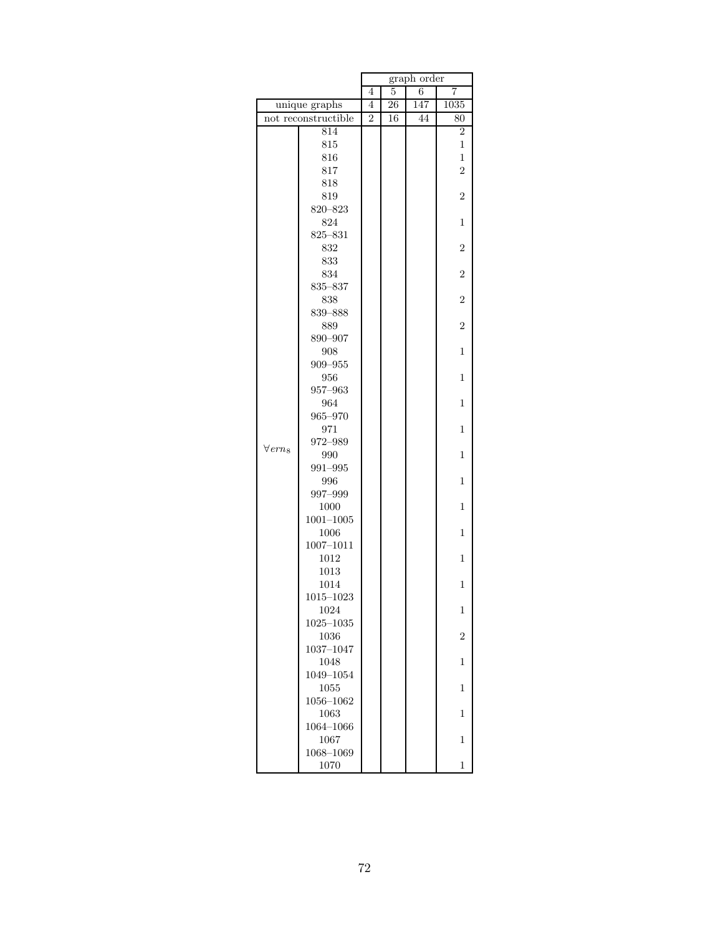|                            |                       | graph order    |    |     |                |  |
|----------------------------|-----------------------|----------------|----|-----|----------------|--|
|                            |                       |                | 5  | 6   | 7              |  |
|                            | unique graphs         | 4              | 26 | 147 | 1035           |  |
|                            | not reconstructible   | $\overline{2}$ | 16 | 44  | 80             |  |
|                            | 814                   |                |    |     | $\overline{2}$ |  |
|                            | 815                   |                |    |     | 1              |  |
|                            | 816                   |                |    |     | $\mathbf{1}$   |  |
|                            | 817                   |                |    |     | $\overline{2}$ |  |
|                            | 818                   |                |    |     |                |  |
|                            | 819                   |                |    |     | $\overline{2}$ |  |
|                            | 820-823               |                |    |     |                |  |
|                            | 824                   |                |    |     | 1              |  |
|                            | $825 - 831$           |                |    |     |                |  |
|                            | 832                   |                |    |     | $\overline{2}$ |  |
|                            | 833                   |                |    |     |                |  |
|                            | 834                   |                |    |     | $\overline{2}$ |  |
|                            | 835-837               |                |    |     | $\overline{2}$ |  |
|                            | 838<br>839-888        |                |    |     |                |  |
|                            | 889                   |                |    |     | $\overline{2}$ |  |
|                            | 890-907               |                |    |     |                |  |
|                            | 908                   |                |    |     | 1              |  |
|                            | 909-955               |                |    |     |                |  |
|                            | 956                   |                |    |     | 1              |  |
|                            | $957 - 963$           |                |    |     |                |  |
|                            | 964                   |                |    |     | 1              |  |
|                            | $965 - 970$           |                |    |     |                |  |
|                            | 971                   |                |    |     | 1              |  |
|                            | 972-989               |                |    |     |                |  |
| $\forall$ ern <sub>8</sub> | 990                   |                |    |     | 1              |  |
|                            | 991-995               |                |    |     |                |  |
|                            | 996                   |                |    |     | 1              |  |
|                            | 997-999               |                |    |     |                |  |
|                            | 1000                  |                |    |     | 1              |  |
|                            | $1001 - 1005$         |                |    |     |                |  |
|                            | 1006                  |                |    |     | 1              |  |
|                            | 1007-1011             |                |    |     |                |  |
|                            | 1012                  |                |    |     | 1              |  |
|                            | 1013                  |                |    |     |                |  |
|                            | 1014                  |                |    |     | 1              |  |
|                            | $1015 - 1023$<br>1024 |                |    |     | 1              |  |
|                            | $1025 - 1035$         |                |    |     |                |  |
|                            | 1036                  |                |    |     | $\overline{2}$ |  |
|                            | 1037-1047             |                |    |     |                |  |
|                            | 1048                  |                |    |     | 1              |  |
|                            | 1049-1054             |                |    |     |                |  |
|                            | 1055                  |                |    |     | 1              |  |
|                            | $1056 - 1062$         |                |    |     |                |  |
|                            | 1063                  |                |    |     | 1              |  |
|                            | 1064-1066             |                |    |     |                |  |
|                            | 1067                  |                |    |     | 1              |  |
|                            | 1068-1069             |                |    |     |                |  |
|                            | 1070                  |                |    |     | 1              |  |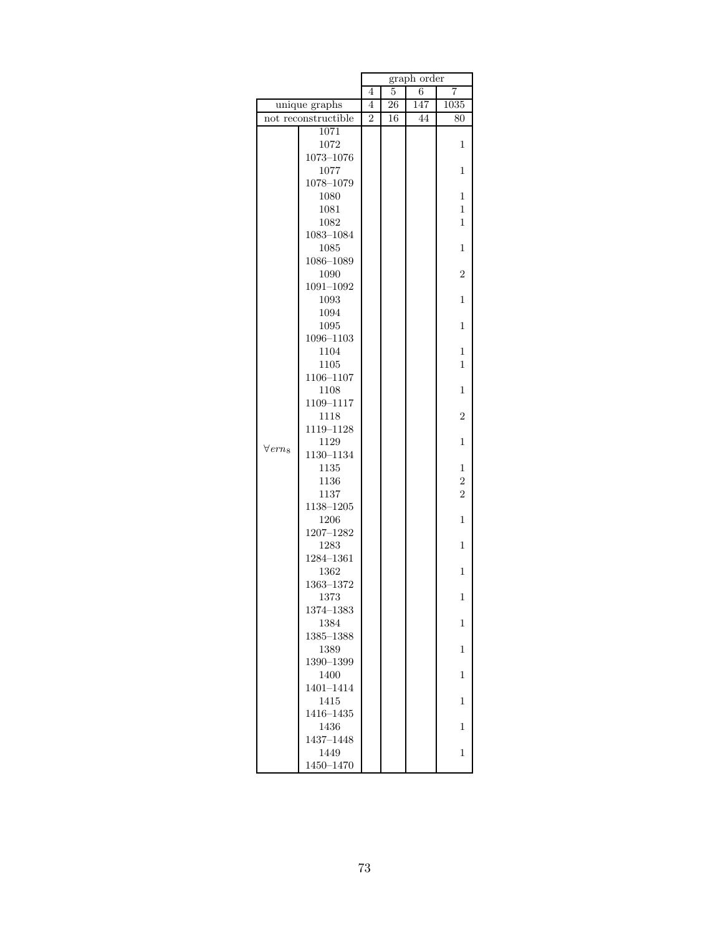|                            |                     | graph order    |    |     |                |  |
|----------------------------|---------------------|----------------|----|-----|----------------|--|
|                            |                     |                | 5  | 6   | 7              |  |
|                            | unique graphs       |                | 26 | 147 | 1035           |  |
|                            | not reconstructible | $\overline{2}$ | 16 | 44  | 80             |  |
|                            | 1071                |                |    |     |                |  |
|                            | 1072                |                |    |     | 1              |  |
|                            | $1073 - 1076$       |                |    |     |                |  |
|                            | 1077                |                |    |     | 1              |  |
|                            | 1078-1079           |                |    |     |                |  |
|                            | 1080                |                |    |     | 1              |  |
|                            | 1081                |                |    |     | 1              |  |
|                            | 1082                |                |    |     | 1              |  |
|                            | $1083 - 1084$       |                |    |     |                |  |
|                            | 1085                |                |    |     | $\mathbf{1}$   |  |
|                            | 1086-1089           |                |    |     |                |  |
|                            | 1090                |                |    |     | $\overline{2}$ |  |
|                            | $1091 - 1092$       |                |    |     |                |  |
|                            | 1093                |                |    |     | 1              |  |
|                            | 1094<br>1095        |                |    |     | $\mathbf{1}$   |  |
|                            | 1096-1103           |                |    |     |                |  |
|                            | 1104                |                |    |     | 1              |  |
|                            | 1105                |                |    |     | 1              |  |
|                            | 1106-1107           |                |    |     |                |  |
|                            | 1108                |                |    |     | 1              |  |
|                            | 1109-1117           |                |    |     |                |  |
|                            | 1118                |                |    |     | $\overline{2}$ |  |
|                            | 1119-1128           |                |    |     |                |  |
|                            | 1129                |                |    |     | 1              |  |
| $\forall$ ern <sub>8</sub> | 1130-1134           |                |    |     |                |  |
|                            | 1135                |                |    |     | 1              |  |
|                            | 1136                |                |    |     | $\overline{c}$ |  |
|                            | 1137                |                |    |     | $\overline{2}$ |  |
|                            | 1138-1205           |                |    |     |                |  |
|                            | 1206                |                |    |     | 1              |  |
|                            | $1207 - 1282$       |                |    |     |                |  |
|                            | 1283                |                |    |     | $\mathbf{1}$   |  |
|                            | 1284-1361           |                |    |     |                |  |
|                            | 1362                |                |    |     | 1              |  |
|                            | 1363-1372           |                |    |     |                |  |
|                            | 1373                |                |    |     | 1              |  |
|                            | 1374-1383<br>1384   |                |    |     | 1              |  |
|                            | 1385-1388           |                |    |     |                |  |
|                            | 1389                |                |    |     | 1              |  |
|                            | 1390-1399           |                |    |     |                |  |
|                            | 1400                |                |    |     | 1              |  |
|                            | 1401-1414           |                |    |     |                |  |
|                            | 1415                |                |    |     | 1              |  |
|                            | 1416-1435           |                |    |     |                |  |
|                            | 1436                |                |    |     | 1              |  |
|                            | 1437-1448           |                |    |     |                |  |
|                            | 1449                |                |    |     | 1              |  |
|                            | 1450-1470           |                |    |     |                |  |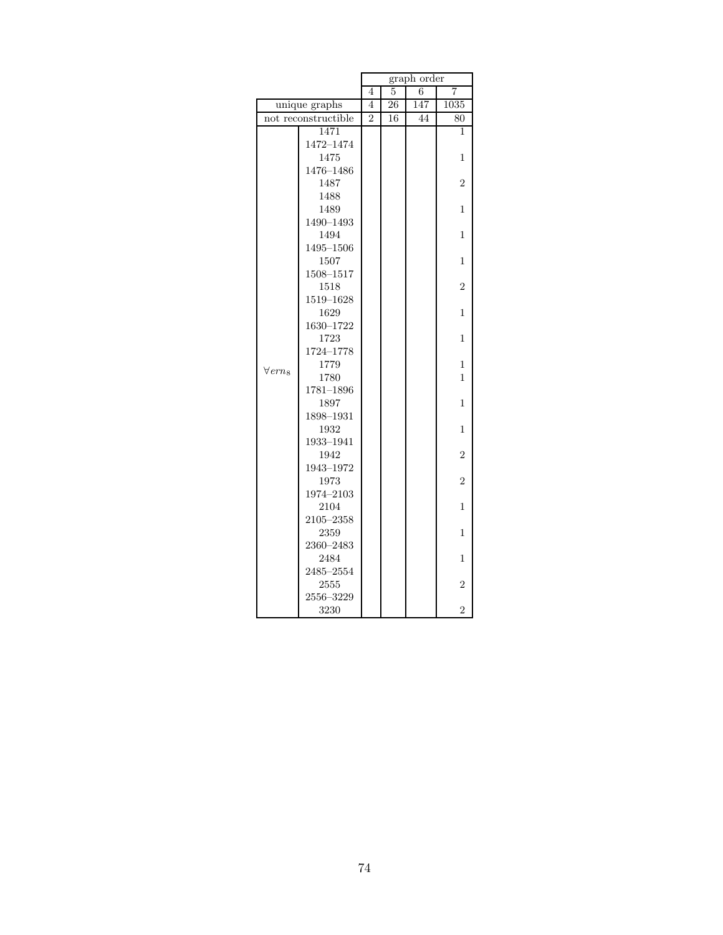|                   |                     | graph order<br>4 |    |     |                |  |
|-------------------|---------------------|------------------|----|-----|----------------|--|
|                   |                     |                  | 5  | 6   | 7              |  |
|                   | unique graphs       | 4                | 26 | 147 | 1035           |  |
|                   | not reconstructible | $\mathfrak{D}$   | 16 | 44  | 80             |  |
|                   | 1471                |                  |    |     | 1              |  |
|                   | 1472-1474           |                  |    |     |                |  |
|                   | 1475                |                  |    |     | 1              |  |
|                   | 1476-1486           |                  |    |     |                |  |
|                   | 1487                |                  |    |     | $\overline{2}$ |  |
|                   | 1488                |                  |    |     |                |  |
|                   | 1489                |                  |    |     | $\overline{1}$ |  |
|                   | 1490-1493           |                  |    |     |                |  |
|                   | 1494                |                  |    |     | 1              |  |
|                   | 1495-1506           |                  |    |     |                |  |
|                   | 1507                |                  |    |     | 1              |  |
|                   | 1508-1517           |                  |    |     |                |  |
|                   | 1518                |                  |    |     | $\overline{2}$ |  |
|                   | 1519-1628           |                  |    |     |                |  |
|                   | 1629                |                  |    |     | 1              |  |
|                   | 1630-1722           |                  |    |     |                |  |
|                   | 1723                |                  |    |     | 1              |  |
|                   | 1724-1778           |                  |    |     |                |  |
| $\forall e r n_8$ | 1779                |                  |    |     | 1              |  |
|                   | 1780                |                  |    |     | $\overline{1}$ |  |
|                   | $1781 - 1896$       |                  |    |     |                |  |
|                   | 1897                |                  |    |     | 1              |  |
|                   | 1898-1931           |                  |    |     |                |  |
|                   | 1932                |                  |    |     | 1              |  |
|                   | 1933-1941           |                  |    |     |                |  |
|                   | 1942                |                  |    |     | $\overline{2}$ |  |
|                   | 1943-1972           |                  |    |     |                |  |
|                   | 1973                |                  |    |     | $\overline{2}$ |  |
|                   | 1974-2103           |                  |    |     |                |  |
|                   | 2104                |                  |    |     | 1              |  |
|                   | $2105 - 2358$       |                  |    |     |                |  |
|                   | 2359                |                  |    |     | 1              |  |
|                   | 2360-2483           |                  |    |     |                |  |
|                   | 2484                |                  |    |     | 1              |  |
|                   | 2485-2554           |                  |    |     |                |  |
|                   | 2555                |                  |    |     | $\overline{2}$ |  |
|                   | 2556-3229           |                  |    |     |                |  |
|                   | 3230                |                  |    |     | $\overline{2}$ |  |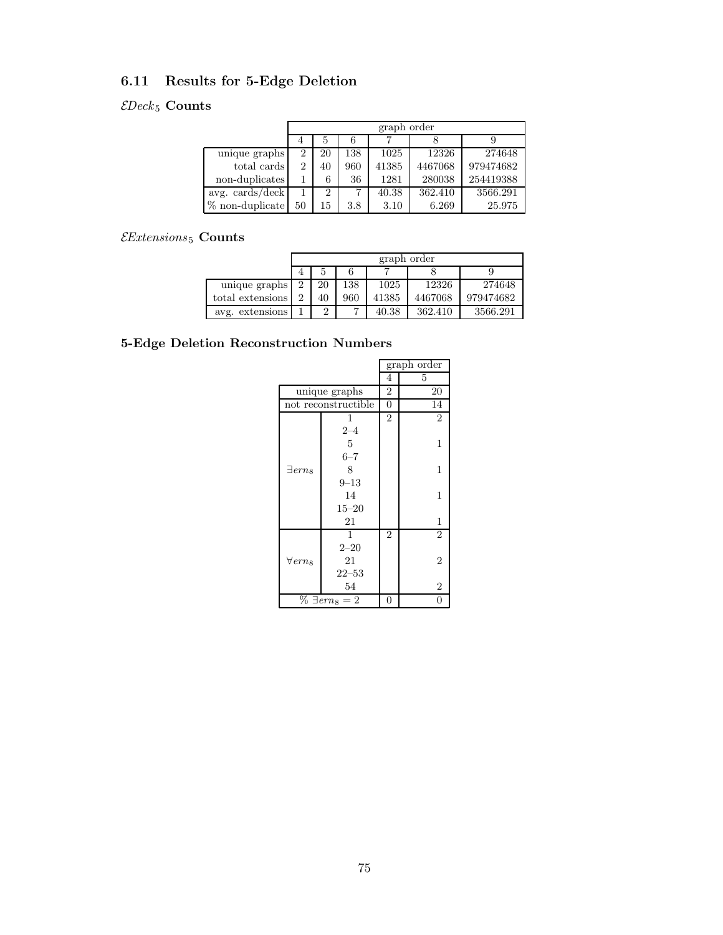### 6.11 Results for 5-Edge Deletion

#### $\mathcal{E}Deck_5$  Counts

|                   | graph order |                |     |       |         |           |  |
|-------------------|-------------|----------------|-----|-------|---------|-----------|--|
|                   |             | 5              | 6   |       |         |           |  |
| unique graphs     | 2           | 20             | 138 | 1025  | 12326   | 274648    |  |
| total cards       | 2           | 40             | 960 | 41385 | 4467068 | 979474682 |  |
| non-duplicates    |             | 6              | 36  | 1281  | 280038  | 254419388 |  |
| avg. cards/deck   |             | $\overline{2}$ |     | 40.38 | 362.410 | 3566.291  |  |
| $%$ non-duplicate | 50          | 15             | 3.8 | 3.10  | 6.269   | 25.975    |  |

#### $\mathcal{E}$ Extensions<br/>5 $\textbf{Counts}$

|                  |                | graph order |     |       |         |           |  |  |  |
|------------------|----------------|-------------|-----|-------|---------|-----------|--|--|--|
|                  |                | 5           |     |       |         |           |  |  |  |
| unique graphs    | $\overline{2}$ | 20          | 138 | 1025  | 12326   | 274648    |  |  |  |
| total extensions | 2              | 40          | 960 | 41385 | 4467068 | 979474682 |  |  |  |
| avg. extensions  |                | 2           |     | 40.38 | 362.410 | 3566.291  |  |  |  |

|                            |                       |                | graph order    |
|----------------------------|-----------------------|----------------|----------------|
|                            |                       | 4              | 5              |
|                            | unique graphs         | $\overline{2}$ | 20             |
|                            | not reconstructible   | $\overline{0}$ | 14             |
|                            | 1                     | $\overline{2}$ | $\overline{2}$ |
|                            | $2 - 4$               |                |                |
|                            | 5                     |                | 1              |
|                            | $6 - 7$               |                |                |
| $\exists$ ern <sub>8</sub> | 8                     |                | 1              |
|                            | $9 - 13$              |                |                |
|                            | 14                    |                | 1              |
|                            | $15 - 20$             |                |                |
|                            | 21                    |                | 1              |
|                            | 1                     | $\overline{2}$ | $\overline{2}$ |
|                            | $2 - 20$              |                |                |
| $\forall$ ern $_8$         | 21                    |                | 2              |
|                            | $22 - 53$             |                |                |
|                            | 54                    |                | 2              |
|                            | $\% \exists em_8 = 2$ | 0              | 0              |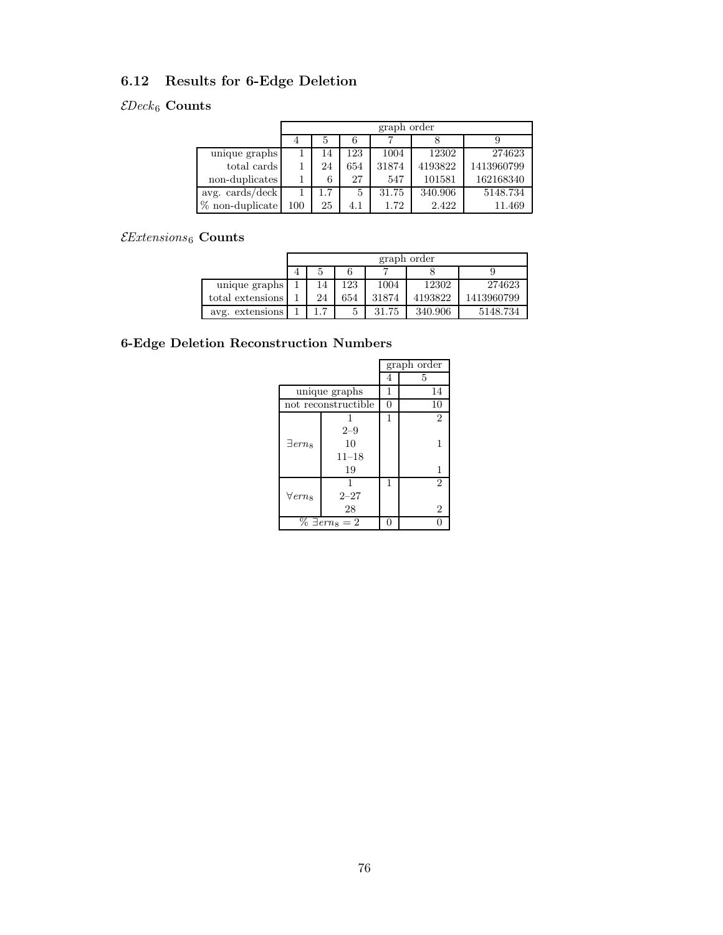## 6.12 Results for 6-Edge Deletion

## $\mathcal{E}Deck_6$  Counts

|                   | graph order |     |     |       |         |            |  |  |
|-------------------|-------------|-----|-----|-------|---------|------------|--|--|
|                   |             | 5   |     |       |         |            |  |  |
| unique graphs     |             | 14  | 123 | 1004  | 12302   | 274623     |  |  |
| total cards       |             | 24  | 654 | 31874 | 4193822 | 1413960799 |  |  |
| non-duplicates    |             | 6   | 27  | 547   | 101581  | 162168340  |  |  |
| avg. cards/deck   |             | 1.7 | 5   | 31.75 | 340.906 | 5148.734   |  |  |
| $%$ non-duplicate | 100         | 25  | 4.1 | 1.72  | 2.422   | 11.469     |  |  |

#### $\mathcal{E}$ Extensions 6 Counts

|                  | graph order |     |       |         |            |  |  |  |
|------------------|-------------|-----|-------|---------|------------|--|--|--|
|                  |             |     |       |         |            |  |  |  |
| unique graphs    | 14          | 123 | 1004  | 12302   | 274623     |  |  |  |
| total extensions | 24          | 654 | 31874 | 4193822 | 1413960799 |  |  |  |
| avg. extensions  | ⇁           |     | 31.75 | 340.906 | 5148.734   |  |  |  |

|                            |                       |              | graph order    |
|----------------------------|-----------------------|--------------|----------------|
|                            |                       | 4            | 5              |
|                            | unique graphs         | 1            | 14             |
|                            | not reconstructible   | 0            | 10             |
|                            |                       | 1            | 2              |
|                            | $2 - 9$               |              |                |
| $\exists$ erns             | 10                    |              | 1              |
|                            | $11 - 18$             |              |                |
|                            | 19                    |              | 1              |
|                            | 1                     | 1            | 2              |
| $\forall$ ern <sub>8</sub> | $2 - 27$              |              |                |
|                            | 28                    |              | $\overline{2}$ |
|                            | $\% \exists em_8 = 2$ | $\mathbf{0}$ |                |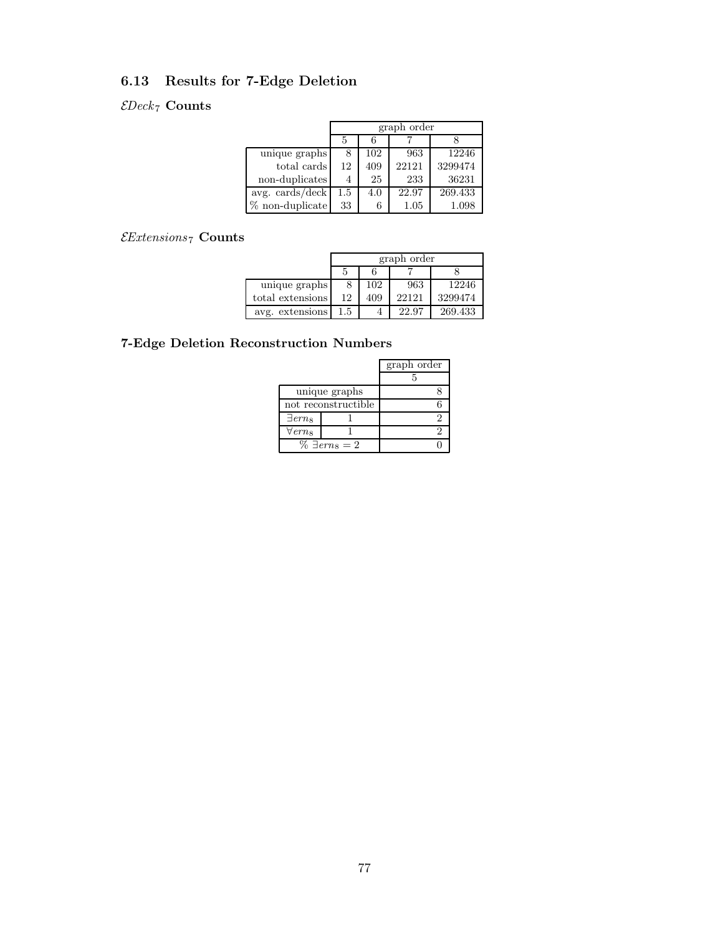### 6.13 Results for 7-Edge Deletion

#### $\mathcal{E}Deck_7$  Counts

|                      | graph order |     |       |         |  |  |  |
|----------------------|-------------|-----|-------|---------|--|--|--|
|                      | 5           | 6   |       |         |  |  |  |
| unique graphs        | 8           | 102 | 963   | 12246   |  |  |  |
| total cards          | 12          | 409 | 22121 | 3299474 |  |  |  |
| non-duplicates       |             | 25  | 233   | 36231   |  |  |  |
| $avg. \, cards/deck$ | $1.5\,$     | 4.0 | 22.97 | 269.433 |  |  |  |
| $%$ non-duplicate    | 33          | 6   | 1.05  | 1.098   |  |  |  |

#### $\it{\it Extensions}_7$  Counts

|                  | graph order |     |       |         |  |  |
|------------------|-------------|-----|-------|---------|--|--|
|                  |             |     |       |         |  |  |
| unique graphs    |             | 102 | 963   | 12246   |  |  |
| total extensions | 12          | 409 | 22121 | 3299474 |  |  |
| avg. extensions  | 1.5         |     | 22.97 | 269.433 |  |  |

|                            |                       | graph order |
|----------------------------|-----------------------|-------------|
|                            |                       |             |
|                            | unique graphs         |             |
| not reconstructible        |                       | 6           |
| $\exists$ ern <sub>s</sub> |                       | 2           |
| $\forall$ erns             |                       | 2           |
|                            | $\% \exists em_8 = 2$ |             |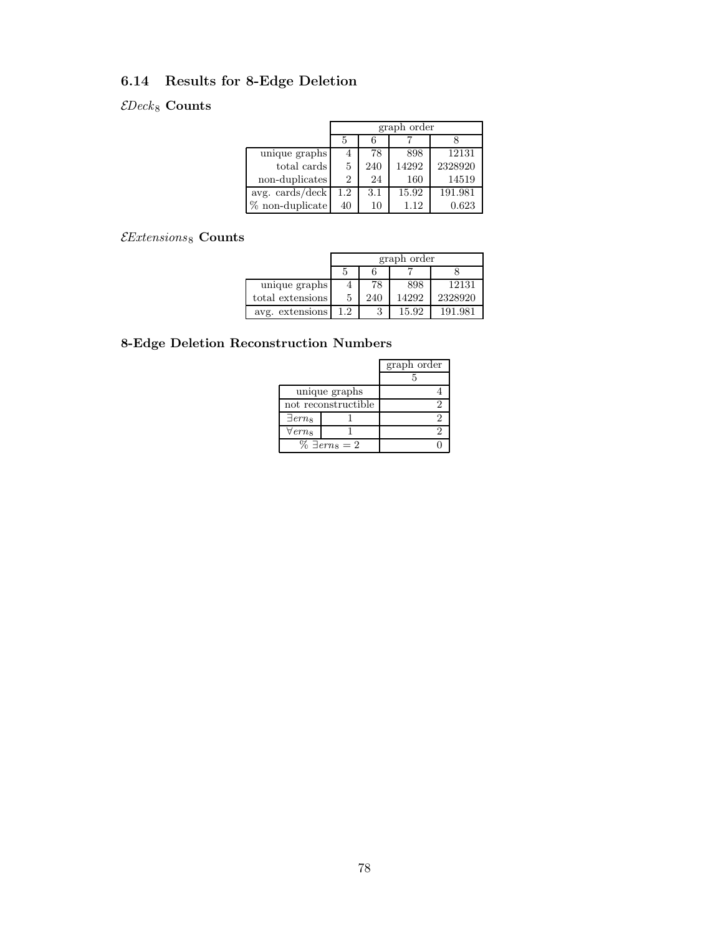### 6.14 Results for 8-Edge Deletion

#### $\mathcal{E}Deck_8$  Counts

|                            | graph order |     |       |         |  |  |
|----------------------------|-------------|-----|-------|---------|--|--|
|                            |             |     |       |         |  |  |
| unique graphs              | 4           | 78  | 898   | 12131   |  |  |
| total cards                | 5           | 240 | 14292 | 2328920 |  |  |
| non-duplicates             | 2           | 24  | 160   | 14519   |  |  |
| avg. $\cosh/(\text{deck})$ | 1.2         | 3.1 | 15.92 | 191.981 |  |  |
| $\%$ non-duplicate         | 40          | 10  | 1.12  | 0.623   |  |  |

#### $\mathcal{E}$ Extensions 8 Counts

|                  | graph order |     |       |         |  |  |
|------------------|-------------|-----|-------|---------|--|--|
|                  |             |     |       |         |  |  |
| unique graphs    |             | 78  | 898   | 12131   |  |  |
| total extensions | 5           | 240 | 14292 | 2328920 |  |  |
| avg. extensions  | 1.2.        | 3   | 15.92 | 191.981 |  |  |

|                            |                       | graph order |
|----------------------------|-----------------------|-------------|
|                            |                       |             |
|                            | unique graphs         |             |
| not reconstructible        |                       |             |
| $\exists$ ern <sub>s</sub> |                       |             |
| $\forall$ erns             |                       | 2           |
|                            | $\% \exists em_8 = 2$ |             |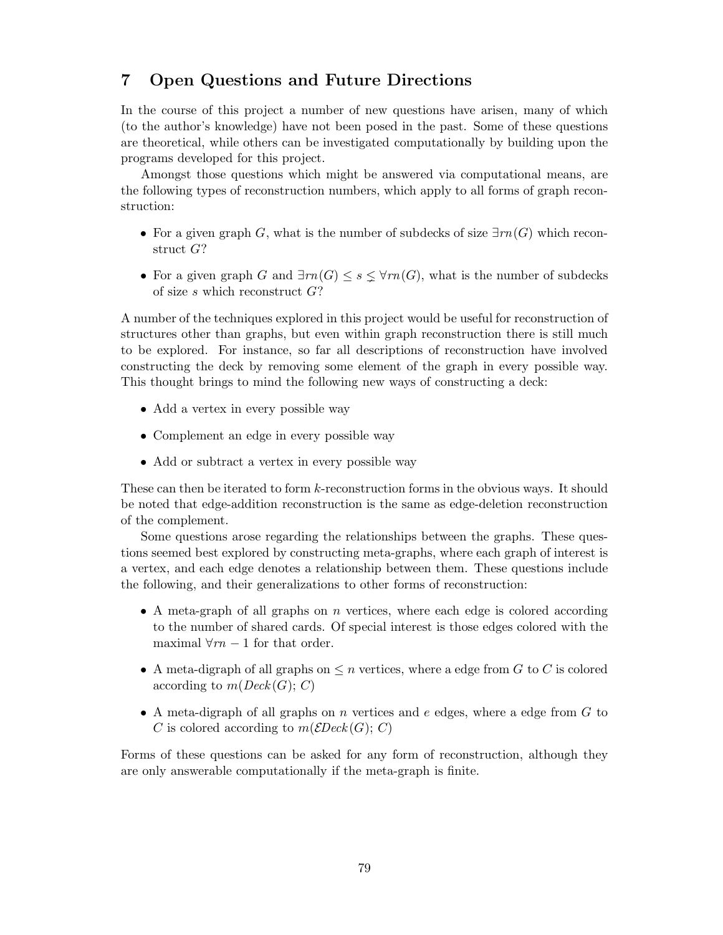### 7 Open Questions and Future Directions

In the course of this project a number of new questions have arisen, many of which (to the author's knowledge) have not been posed in the past. Some of these questions are theoretical, while others can be investigated computationally by building upon the programs developed for this project.

Amongst those questions which might be answered via computational means, are the following types of reconstruction numbers, which apply to all forms of graph reconstruction:

- For a given graph G, what is the number of subdecks of size  $\exists rn(G)$  which reconstruct G?
- For a given graph G and  $\exists m(G) \leq s \leq \forall m(G)$ , what is the number of subdecks of size  $s$  which reconstruct  $G$ ?

A number of the techniques explored in this project would be useful for reconstruction of structures other than graphs, but even within graph reconstruction there is still much to be explored. For instance, so far all descriptions of reconstruction have involved constructing the deck by removing some element of the graph in every possible way. This thought brings to mind the following new ways of constructing a deck:

- Add a vertex in every possible way
- Complement an edge in every possible way
- Add or subtract a vertex in every possible way

These can then be iterated to form k-reconstruction forms in the obvious ways. It should be noted that edge-addition reconstruction is the same as edge-deletion reconstruction of the complement.

Some questions arose regarding the relationships between the graphs. These questions seemed best explored by constructing meta-graphs, where each graph of interest is a vertex, and each edge denotes a relationship between them. These questions include the following, and their generalizations to other forms of reconstruction:

- A meta-graph of all graphs on  $n$  vertices, where each edge is colored according to the number of shared cards. Of special interest is those edges colored with the maximal  $\forall m-1$  for that order.
- A meta-digraph of all graphs on  $\leq n$  vertices, where a edge from G to C is colored according to  $m(Deck(G); C)$
- A meta-digraph of all graphs on n vertices and  $e$  edges, where a edge from  $G$  to C is colored according to  $m(\mathcal{E}Deck(G); C)$

Forms of these questions can be asked for any form of reconstruction, although they are only answerable computationally if the meta-graph is finite.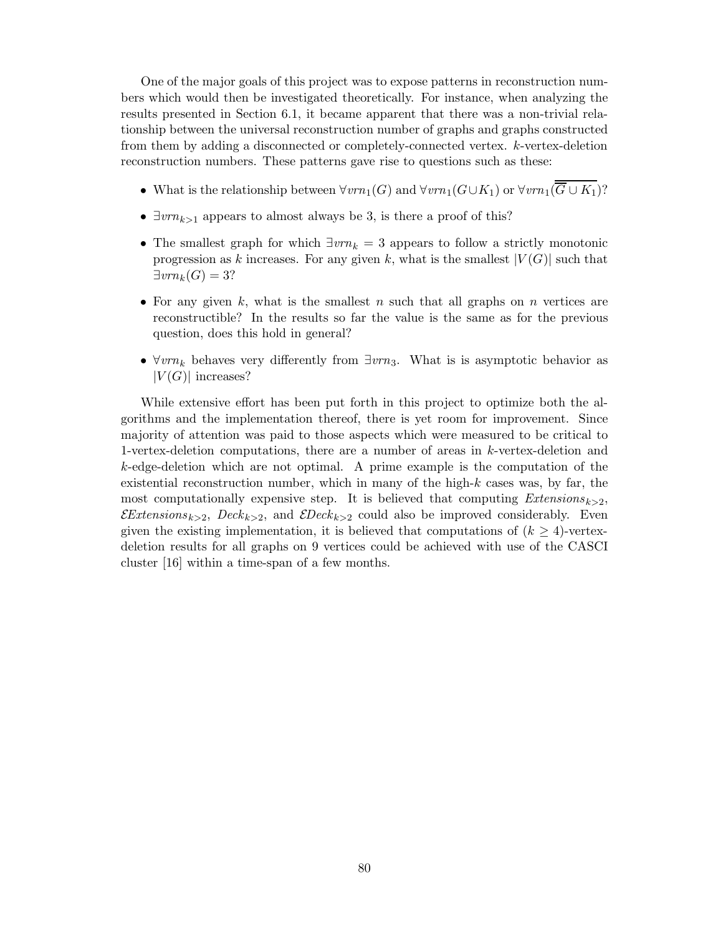One of the major goals of this project was to expose patterns in reconstruction numbers which would then be investigated theoretically. For instance, when analyzing the results presented in Section 6.1, it became apparent that there was a non-trivial relationship between the universal reconstruction number of graphs and graphs constructed from them by adding a disconnected or completely-connected vertex. k-vertex-deletion reconstruction numbers. These patterns gave rise to questions such as these:

- What is the relationship between  $\forall vrn_1(G)$  and  $\forall vrn_1(G\cup K_1)$  or  $\forall vrn_1(\overline{G}\cup K_1)$ ?
- $\exists vrn_{k>1}$  appears to almost always be 3, is there a proof of this?
- The smallest graph for which  $\exists v n_k = 3$  appears to follow a strictly monotonic progression as k increases. For any given k, what is the smallest  $|V(G)|$  such that  $\exists vrn_k(G) = 3?$
- For any given k, what is the smallest n such that all graphs on n vertices are reconstructible? In the results so far the value is the same as for the previous question, does this hold in general?
- $\forall v m_k$  behaves very differently from  $\exists v m_3$ . What is is asymptotic behavior as  $|V(G)|$  increases?

While extensive effort has been put forth in this project to optimize both the algorithms and the implementation thereof, there is yet room for improvement. Since majority of attention was paid to those aspects which were measured to be critical to 1-vertex-deletion computations, there are a number of areas in k-vertex-deletion and k-edge-deletion which are not optimal. A prime example is the computation of the existential reconstruction number, which in many of the high- $k$  cases was, by far, the most computationally expensive step. It is believed that computing  $Extensions_{k>2}$ ,  $\mathcal{E}$ Extensions<sub>k>2</sub>, Deck<sub>k>2</sub>, and  $\mathcal{E}$ Deck<sub>k>2</sub> could also be improved considerably. Even given the existing implementation, it is believed that computations of  $(k \geq 4)$ -vertexdeletion results for all graphs on 9 vertices could be achieved with use of the CASCI cluster [16] within a time-span of a few months.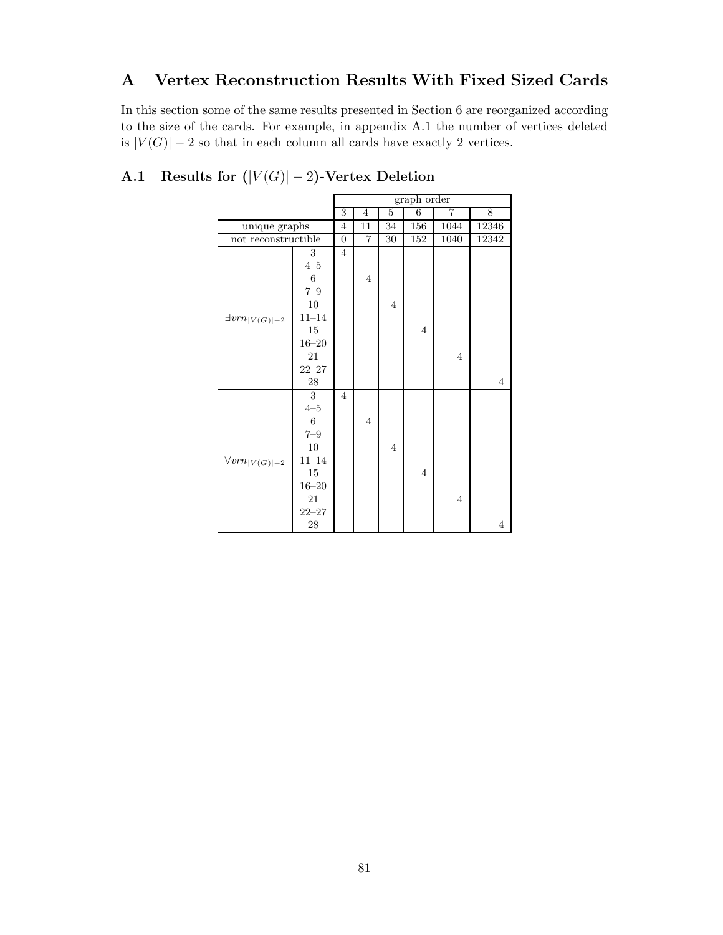## A Vertex Reconstruction Results With Fixed Sized Cards

In this section some of the same results presented in Section 6 are reorganized according to the size of the cards. For example, in appendix A.1 the number of vertices deleted is  $|V(G)| - 2$  so that in each column all cards have exactly 2 vertices.

|                                      |               | graph order    |                         |                |                |                |                |
|--------------------------------------|---------------|----------------|-------------------------|----------------|----------------|----------------|----------------|
|                                      |               | 3              | $\overline{4}$          | 5              | 6              | $\overline{7}$ | 8              |
| unique graphs                        |               | 4              | 11                      | 34             | 156            | 1044           | 12346          |
| not reconstructible                  |               | $\overline{0}$ | $\overline{\mathbf{7}}$ | 30             | 152            | 1040           | 12342          |
|                                      | 3             | $\overline{4}$ |                         |                |                |                |                |
|                                      | $4\hbox{--}5$ |                |                         |                |                |                |                |
|                                      | $\,6$         |                | $\overline{4}$          |                |                |                |                |
|                                      | $7 - 9$       |                |                         |                |                |                |                |
|                                      | $10\,$        |                |                         | $\overline{4}$ |                |                |                |
| $\exists vrn_{ V(G) -2}$             | $11 - 14$     |                |                         |                |                |                |                |
|                                      | 15            |                |                         |                | $\overline{4}$ |                |                |
|                                      | $16 - 20$     |                |                         |                |                |                |                |
|                                      | 21            |                |                         |                |                | $\overline{4}$ |                |
|                                      | $22 - 27$     |                |                         |                |                |                |                |
|                                      | $28\,$        |                |                         |                |                |                | $\overline{4}$ |
|                                      | 3             | $\overline{4}$ |                         |                |                |                |                |
|                                      | $4 - 5$       |                |                         |                |                |                |                |
|                                      | $\,6$         |                | $\overline{4}$          |                |                |                |                |
|                                      | $7\hbox{--}9$ |                |                         |                |                |                |                |
|                                      | 10            |                |                         | $\overline{4}$ |                |                |                |
| $\forall vrn_{\lvert V(G) \rvert-2}$ | $11 - 14$     |                |                         |                |                |                |                |
|                                      | $15\,$        |                |                         |                | $\overline{4}$ |                |                |
|                                      | $16 - 20$     |                |                         |                |                |                |                |
|                                      | 21            |                |                         |                |                | $\overline{4}$ |                |
|                                      | $22 - 27$     |                |                         |                |                |                |                |
|                                      | 28            |                |                         |                |                |                | $\overline{4}$ |

A.1 Results for  $(|V(G)|-2)$ -Vertex Deletion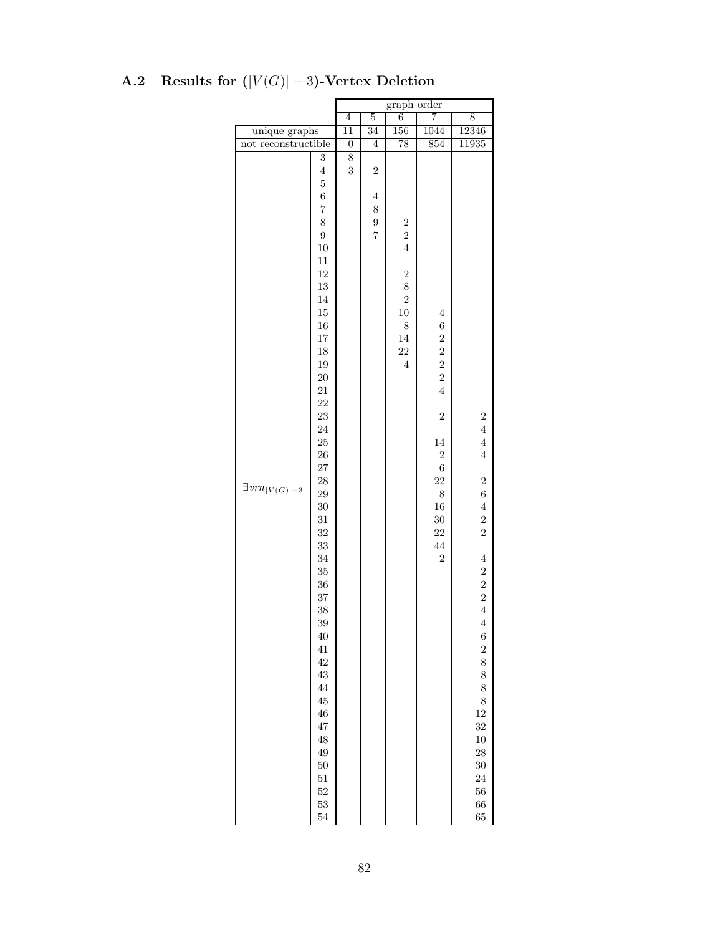|                          |                                                                                                                                                                                                                                                                                                                                                                                                                                                                                    | graph order      |                                                                             |                                                                                                                                                 |                                                                                                                                                                                                                          |                                                                                                                                                                                                                                                                                                                                                                        |
|--------------------------|------------------------------------------------------------------------------------------------------------------------------------------------------------------------------------------------------------------------------------------------------------------------------------------------------------------------------------------------------------------------------------------------------------------------------------------------------------------------------------|------------------|-----------------------------------------------------------------------------|-------------------------------------------------------------------------------------------------------------------------------------------------|--------------------------------------------------------------------------------------------------------------------------------------------------------------------------------------------------------------------------|------------------------------------------------------------------------------------------------------------------------------------------------------------------------------------------------------------------------------------------------------------------------------------------------------------------------------------------------------------------------|
|                          |                                                                                                                                                                                                                                                                                                                                                                                                                                                                                    | $\overline{4}$   | $\overline{5}$                                                              | 6                                                                                                                                               | 7                                                                                                                                                                                                                        | 8                                                                                                                                                                                                                                                                                                                                                                      |
| unique graphs            |                                                                                                                                                                                                                                                                                                                                                                                                                                                                                    | $\overline{11}$  | 34                                                                          | 156                                                                                                                                             | 1044                                                                                                                                                                                                                     | 12346                                                                                                                                                                                                                                                                                                                                                                  |
| not reconstructible      |                                                                                                                                                                                                                                                                                                                                                                                                                                                                                    | $\boldsymbol{0}$ | $\,4\,$                                                                     | 78                                                                                                                                              | 854                                                                                                                                                                                                                      | 11935                                                                                                                                                                                                                                                                                                                                                                  |
| $\exists vrn_{ V(G) -3}$ | $\overline{3}$<br>$\overline{4}$<br>$\overline{5}$<br>$\boldsymbol{6}$<br>$\overline{7}$<br>8<br>$\overline{9}$<br>$10\,$<br>$11\,$<br>12<br>$13\,$<br>$14\,$<br>15<br>$16\,$<br>$17\,$<br>18<br>$19\,$<br>$20\,$<br>$21\,$<br>$22\,$<br>$\bf 23$<br>24<br>25<br>${\bf 26}$<br>$\sqrt{27}$<br>$\sqrt{28}$<br>$\,29$<br>$30\,$<br>$31\,$<br>32<br>$33\,$<br>34<br>35<br>36<br>37<br>38<br>39<br>40<br>41<br>42<br>43<br>44<br>$\rm 45$<br>$\sqrt{46}$<br>47<br>48<br>49<br>50<br>51 | 8<br>3           | $\overline{2}$<br>$\overline{4}$<br>8<br>$\boldsymbol{9}$<br>$\overline{7}$ | $\boldsymbol{2}$<br>$\overline{2}$<br>$\overline{4}$<br>$\overline{2}$<br>8<br>$\overline{2}$<br>$10\,$<br>$\,$ $\,$<br>$14\,$<br>22<br>$\,4\,$ | $\,4\,$<br>$\,$ 6 $\,$<br>$\overline{2}$<br>$\overline{c}$<br>$\overline{2}$<br>$\overline{2}$<br>$\overline{4}$<br>$\sqrt{2}$<br>14<br>$\sqrt{2}$<br>$\sqrt{6}$<br>22<br>$8\,$<br>$16\,$<br>$30\,$<br>22<br>44<br>$\,2$ | $\overline{\mathbf{c}}$<br>$\overline{4}$<br>$\overline{4}$<br>$\,4\,$<br>$\overline{c}$<br>$\,6$<br>$\overline{4}$<br>$\boldsymbol{2}$<br>$\overline{2}$<br>$\,4\,$<br>$\boldsymbol{2}$<br>$\overline{2}$<br>$\overline{2}$<br>$\overline{4}$<br>$\overline{4}$<br>$\boldsymbol{6}$<br>$\overline{c}$<br>8<br>8<br>8<br>8<br>$12\,$<br>32<br>$10\,$<br>28<br>30<br>24 |

# A.2 Results for  $(|V(G)|-3)$ -Vertex Deletion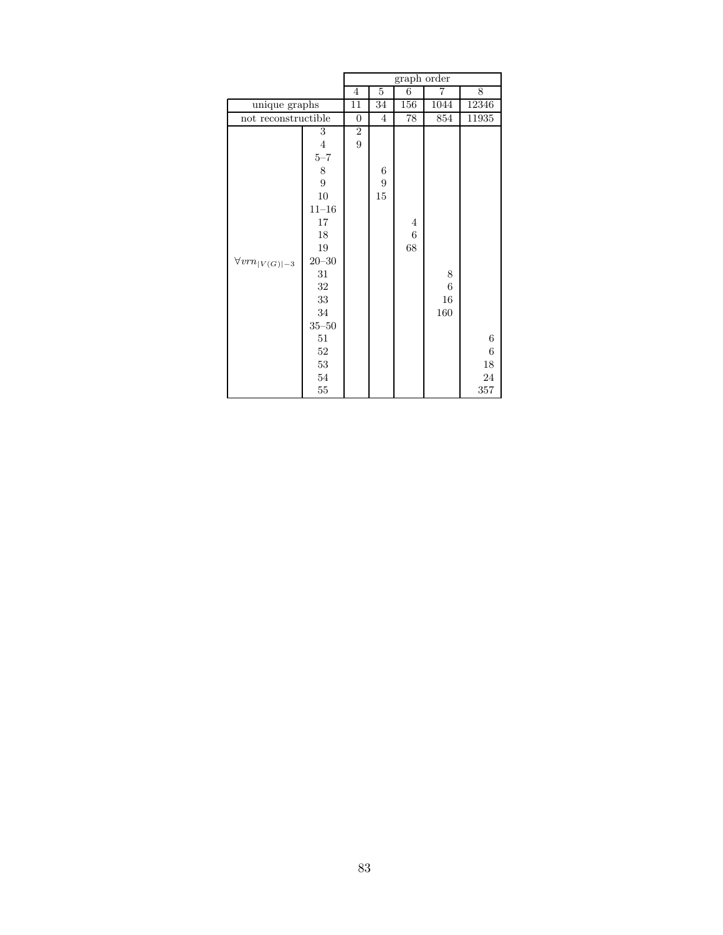|                          |                 | graph order      |                  |                |                  |        |  |
|--------------------------|-----------------|------------------|------------------|----------------|------------------|--------|--|
|                          |                 | 4                | $\overline{5}$   | $\overline{6}$ | 7                | 8      |  |
|                          | unique graphs   |                  | 34               | 156            | 1044             | 12346  |  |
| not reconstructible      |                 | $\boldsymbol{0}$ | $\overline{4}$   | 78             | 854              | 11935  |  |
|                          | 3               | $\,2$            |                  |                |                  |        |  |
|                          | $\overline{4}$  | $\overline{9}$   |                  |                |                  |        |  |
|                          | $5\hbox{--}7$   |                  |                  |                |                  |        |  |
|                          | 8               |                  | 6                |                |                  |        |  |
|                          | $\overline{9}$  |                  | $\boldsymbol{9}$ |                |                  |        |  |
|                          | 10              |                  | 15               |                |                  |        |  |
|                          | $11 - 16$       |                  |                  |                |                  |        |  |
|                          | 17              |                  |                  | $\overline{4}$ |                  |        |  |
|                          | 18              |                  |                  | $\,6$          |                  |        |  |
|                          | 19              |                  |                  | 68             |                  |        |  |
| $\forall vrn_{ V(G) -3}$ | $20\hbox{--}30$ |                  |                  |                |                  |        |  |
|                          | 31              |                  |                  |                | 8                |        |  |
|                          | 32              |                  |                  |                | $\boldsymbol{6}$ |        |  |
|                          | 33              |                  |                  |                | 16               |        |  |
|                          | $34\,$          |                  |                  |                | 160              |        |  |
|                          | $35\hbox{--}50$ |                  |                  |                |                  |        |  |
|                          | $51\,$          |                  |                  |                |                  | $\,6$  |  |
|                          | $52\,$          |                  |                  |                |                  | $\,6$  |  |
|                          | 53              |                  |                  |                |                  | 18     |  |
|                          | $54\,$          |                  |                  |                |                  | $\,24$ |  |
|                          | $55\,$          |                  |                  |                |                  | 357    |  |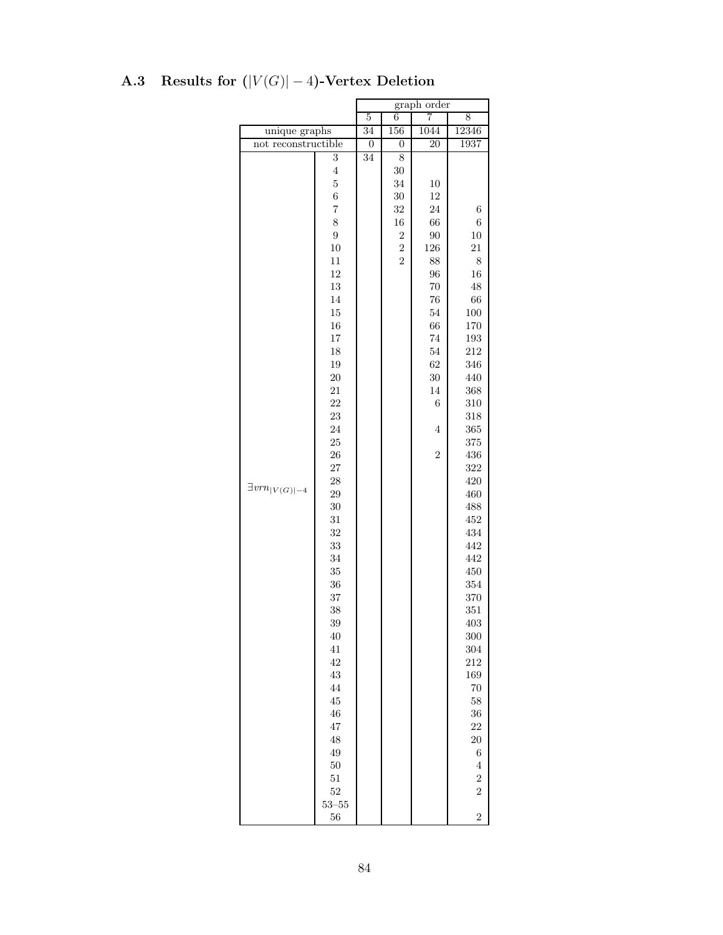|                                      |                  | graph order      |                  |                 |                |
|--------------------------------------|------------------|------------------|------------------|-----------------|----------------|
|                                      |                  | $\overline{5}$   | 6                | 7               | 8              |
| unique graphs                        |                  | 34               | 156              | 1044            | 12346          |
| not reconstructible                  |                  | $\boldsymbol{0}$ | 0                | $\overline{20}$ | 1937           |
|                                      | $\overline{3}$   | 34               | 8                |                 |                |
|                                      | $\overline{4}$   |                  | 30               |                 |                |
|                                      | $\overline{5}$   |                  | 34               | 10              |                |
|                                      | $\boldsymbol{6}$ |                  | 30               | 12              |                |
|                                      | $\overline{7}$   |                  | 32               | 24              | $\,6$          |
|                                      | 8                |                  | 16               | 66              | 6              |
|                                      | $\overline{9}$   |                  | $\boldsymbol{2}$ | 90              | 10             |
|                                      | 10               |                  | $\overline{2}$   | 126             | 21             |
|                                      | 11               |                  | $\overline{2}$   | 88              | 8              |
|                                      | 12               |                  |                  | 96              | 16             |
|                                      | 13               |                  |                  | 70              | 48             |
|                                      | 14               |                  |                  | 76              | 66             |
|                                      | 15               |                  |                  | 54              | 100            |
|                                      | 16               |                  |                  | 66              | 170            |
|                                      | $17\,$           |                  |                  | 74              | 193            |
|                                      | 18               |                  |                  | 54              | 212            |
|                                      | 19               |                  |                  | 62              | 346            |
|                                      | 20               |                  |                  | 30              | 440            |
|                                      | 21               |                  |                  | 14              | 368            |
|                                      | 22               |                  |                  | 6               | 310            |
|                                      | 23               |                  |                  |                 | 318            |
|                                      | 24               |                  |                  | 4               | 365            |
|                                      | 25               |                  |                  |                 | 375            |
|                                      | 26               |                  |                  | $\overline{2}$  | 436            |
|                                      | $27\,$           |                  |                  |                 | 322            |
|                                      | 28               |                  |                  |                 | 420            |
| $\exists vrn_{\lvert V(G) \rvert-4}$ | 29               |                  |                  |                 | 460            |
|                                      | 30               |                  |                  |                 | 488            |
|                                      | 31               |                  |                  |                 | 452            |
|                                      | 32               |                  |                  |                 | 434            |
|                                      | 33               |                  |                  |                 | 442            |
|                                      | 34               |                  |                  |                 | 442            |
|                                      | 35               |                  |                  |                 | 450            |
|                                      | 36               |                  |                  |                 | 354            |
|                                      | 37               |                  |                  |                 |                |
|                                      | 38               |                  |                  |                 | 370            |
|                                      | 39               |                  |                  |                 | 351            |
|                                      |                  |                  |                  |                 | 403            |
|                                      | 40<br>$41\,$     |                  |                  |                 | 300            |
|                                      |                  |                  |                  |                 | 304            |
|                                      | 42               |                  |                  |                 | 212            |
|                                      | 43               |                  |                  |                 | 169            |
|                                      | 44               |                  |                  |                 | 70             |
|                                      | 45               |                  |                  |                 | $58\,$         |
|                                      | 46               |                  |                  |                 | 36             |
|                                      | 47               |                  |                  |                 | 22             |
|                                      | 48               |                  |                  |                 | <b>20</b>      |
|                                      | 49               |                  |                  |                 | $\,6$          |
|                                      | 50               |                  |                  |                 | $\,4\,$        |
|                                      | 51               |                  |                  |                 | $\overline{2}$ |
|                                      | $52\,$           |                  |                  |                 | $\overline{2}$ |
|                                      | $53 - 55$        |                  |                  |                 |                |
|                                      | 56               |                  |                  |                 | $\overline{2}$ |

# A.3 Results for  $(|V(G)|-4)$ -Vertex Deletion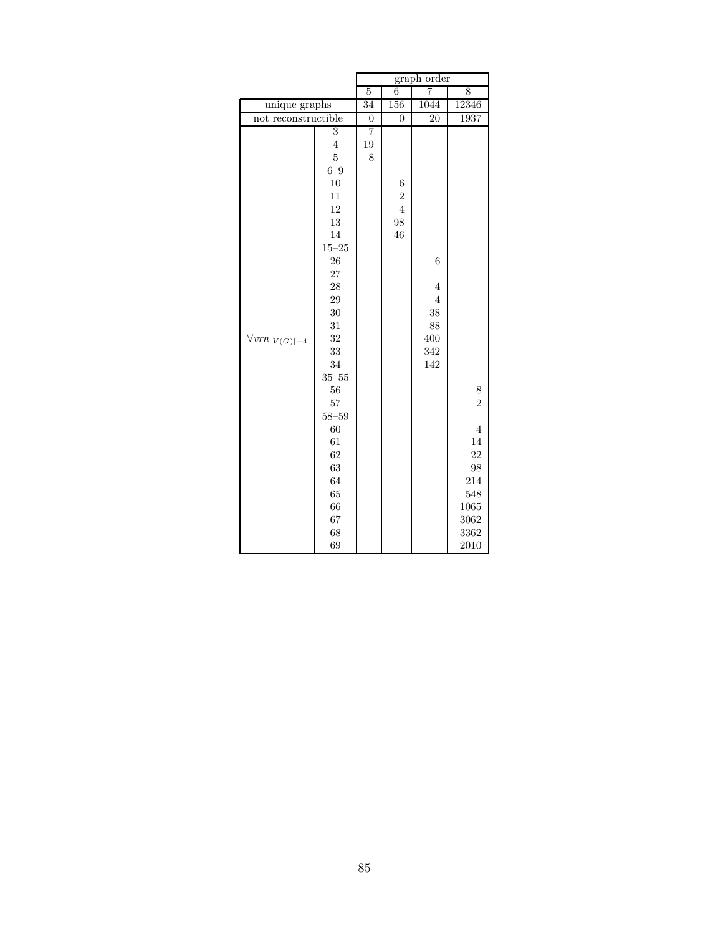| 5<br>unique graphs<br>not reconstructible<br>3                                                                                                                                                                                                                                                 | $\overline{34}$<br>$\boldsymbol{0}$<br>$\overline{7}$ | 6<br>156<br>$\overline{0}$                        | 7<br>1044<br>20                                                        | 8<br>12346<br>1937                                                                                    |
|------------------------------------------------------------------------------------------------------------------------------------------------------------------------------------------------------------------------------------------------------------------------------------------------|-------------------------------------------------------|---------------------------------------------------|------------------------------------------------------------------------|-------------------------------------------------------------------------------------------------------|
|                                                                                                                                                                                                                                                                                                |                                                       |                                                   |                                                                        |                                                                                                       |
|                                                                                                                                                                                                                                                                                                |                                                       |                                                   |                                                                        |                                                                                                       |
|                                                                                                                                                                                                                                                                                                |                                                       |                                                   |                                                                        |                                                                                                       |
| $\overline{4}$<br>19<br>$\overline{5}$<br>$6 - 9$<br>10<br>11<br>12<br>13<br>14<br>$15 - 25$<br>26<br>27<br>28<br>29<br>$30\,$<br>31<br>32<br>$\forall vrm_{ V(G) -4}$<br>33<br>34<br>$35\hbox{--}55$<br>56<br>$57\,$<br>$58 - 59$<br>60<br>61<br>62<br>63<br>64<br>65<br>66<br>67<br>68<br>69 | 8                                                     | 6<br>$\overline{2}$<br>$\overline{4}$<br>98<br>46 | 6<br>$\overline{4}$<br>$\overline{4}$<br>38<br>88<br>400<br>342<br>142 | 8<br>$\overline{2}$<br>$\overline{4}$<br>14<br>22<br>98<br>214<br>548<br>1065<br>3062<br>3362<br>2010 |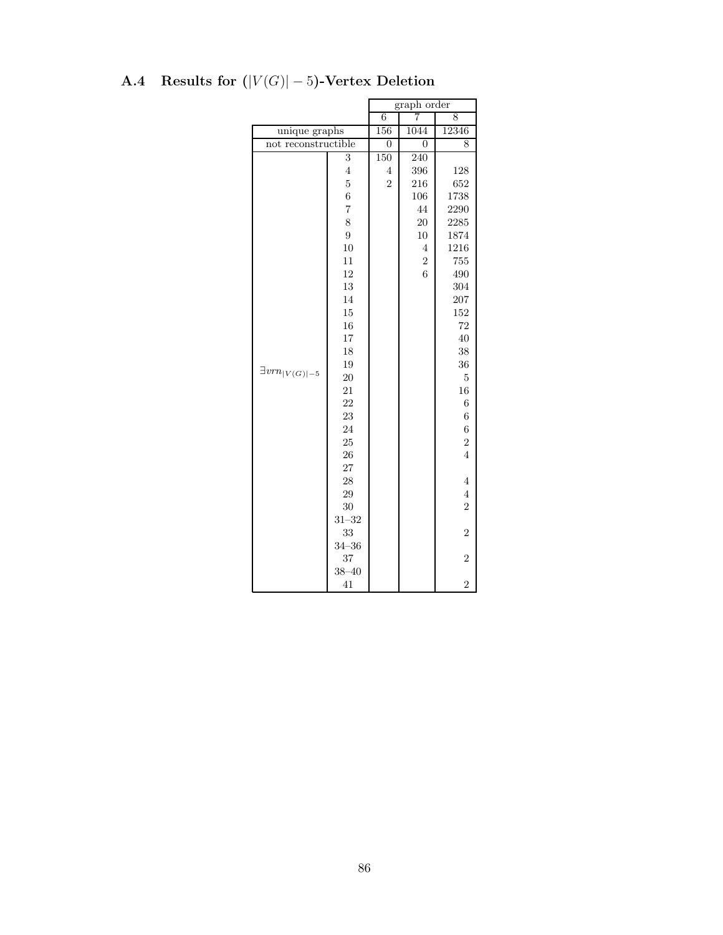|                          |                | $graph\ order$ |                |                  |  |
|--------------------------|----------------|----------------|----------------|------------------|--|
|                          |                | $\overline{6}$ | 8              |                  |  |
| unique graphs            |                | 156            | 1044           | 12346            |  |
| not reconstructible      |                | $\overline{0}$ | 0              | 8                |  |
|                          | 3              | 150            | 240            |                  |  |
|                          | $\overline{4}$ | $\overline{4}$ | 396            | 128              |  |
|                          | $\overline{5}$ | $\overline{2}$ | 216            | 652              |  |
|                          | $\overline{6}$ |                | 106            | 1738             |  |
|                          | $\overline{7}$ |                | 44             | 2290             |  |
|                          | 8              |                | 20             | 2285             |  |
|                          | 9              |                | 10             | 1874             |  |
|                          | 10             |                | $\overline{4}$ | 1216             |  |
|                          | 11             |                | $\overline{2}$ | 755              |  |
|                          | 12             |                | 6              | 490              |  |
|                          | 13             |                |                | 304              |  |
|                          | 14             |                |                | 207              |  |
|                          | 15             |                |                | 152              |  |
|                          | 16             |                |                | 72               |  |
|                          | 17             |                |                | 40               |  |
|                          | 18             |                |                | 38               |  |
|                          | 19             |                |                | 36               |  |
| $\exists vrn_{ V(G) -5}$ | 20             |                |                | $\overline{5}$   |  |
|                          | 21             |                |                | 16               |  |
|                          | 22             |                |                | 6                |  |
|                          | 23             |                |                | $\overline{6}$   |  |
|                          | 24             |                |                | $\boldsymbol{6}$ |  |
|                          | 25             |                |                | $\overline{2}$   |  |
|                          | 26             |                |                | $\overline{4}$   |  |
|                          | 27             |                |                |                  |  |
|                          | 28             |                |                | $\overline{4}$   |  |
|                          | 29             |                |                | $\overline{4}$   |  |
|                          | 30             |                |                | $\overline{2}$   |  |
|                          | $31 - 32$      |                |                |                  |  |
|                          | 33             |                |                | $\overline{2}$   |  |
|                          | $34 - 36$      |                |                |                  |  |
|                          | 37             |                |                | $\overline{2}$   |  |
|                          | $38 - 40$      |                |                |                  |  |
|                          | 41             |                |                | $\overline{2}$   |  |

# A.4 Results for  $(|V(G)|-5)$ -Vertex Deletion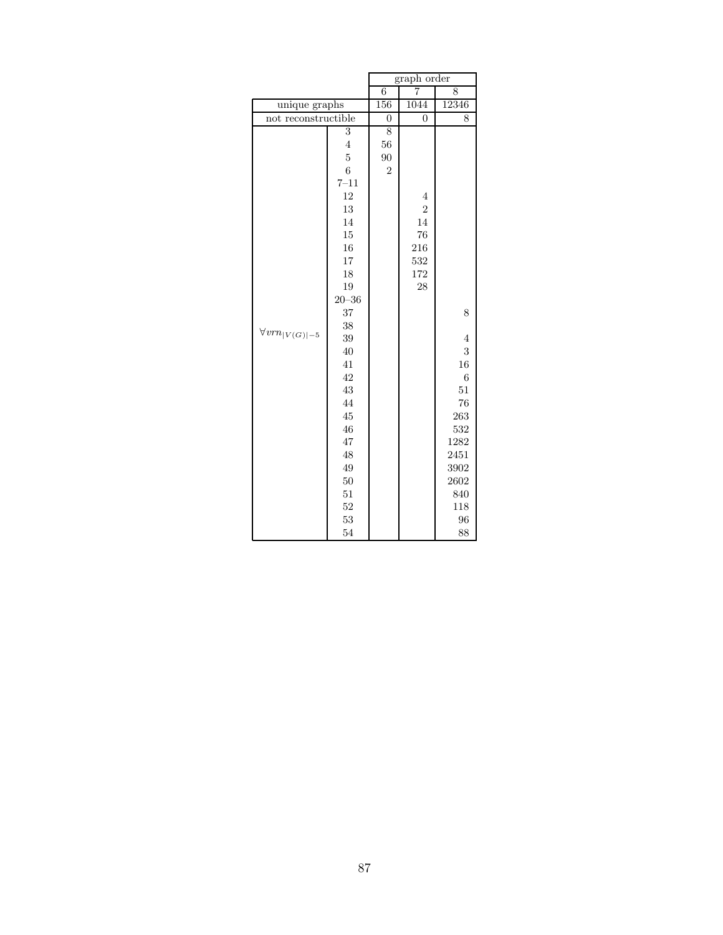|                          |                | graph order<br>7 |                |                |  |
|--------------------------|----------------|------------------|----------------|----------------|--|
|                          |                | $\overline{6}$   | 8              |                |  |
| unique graphs            |                | 156              | 1044<br>12346  |                |  |
| not reconstructible      |                | $\overline{0}$   | $\overline{0}$ | 8              |  |
|                          | 3              | 8                |                |                |  |
|                          | $\overline{4}$ | 56               |                |                |  |
|                          | $\overline{5}$ | 90               |                |                |  |
|                          | $\overline{6}$ | $\overline{2}$   |                |                |  |
|                          | $7 - 11$       |                  |                |                |  |
|                          | 12             |                  | $\overline{4}$ |                |  |
|                          | 13             |                  | $\overline{2}$ |                |  |
|                          | 14             |                  | 14             |                |  |
|                          | 15             |                  | 76             |                |  |
|                          | 16             |                  | 216            |                |  |
|                          | 17             |                  | 532            |                |  |
|                          | 18             |                  | 172            |                |  |
|                          | 19             |                  | 28             |                |  |
|                          | $20 - 36$      |                  |                |                |  |
|                          | 37             |                  |                | 8              |  |
| $\forall vrn_{ V(G) -5}$ | 38             |                  |                |                |  |
|                          | 39             |                  |                | 4              |  |
|                          | 40             |                  |                | 3              |  |
|                          | 41             |                  |                | 16             |  |
|                          | 42             |                  |                | $\overline{6}$ |  |
|                          | 43             |                  |                | 51             |  |
|                          | 44             |                  |                | 76             |  |
|                          | 45             |                  |                | 263            |  |
|                          | 46             |                  |                | 532            |  |
|                          | 47             |                  |                | 1282           |  |
|                          | 48             |                  |                | 2451           |  |
|                          | 49             |                  |                | 3902           |  |
|                          | 50             |                  |                | 2602           |  |
|                          | 51             |                  |                | 840            |  |
|                          | 52             |                  |                | 118            |  |
|                          | 53             |                  |                | 96             |  |
|                          | 54             |                  |                | 88             |  |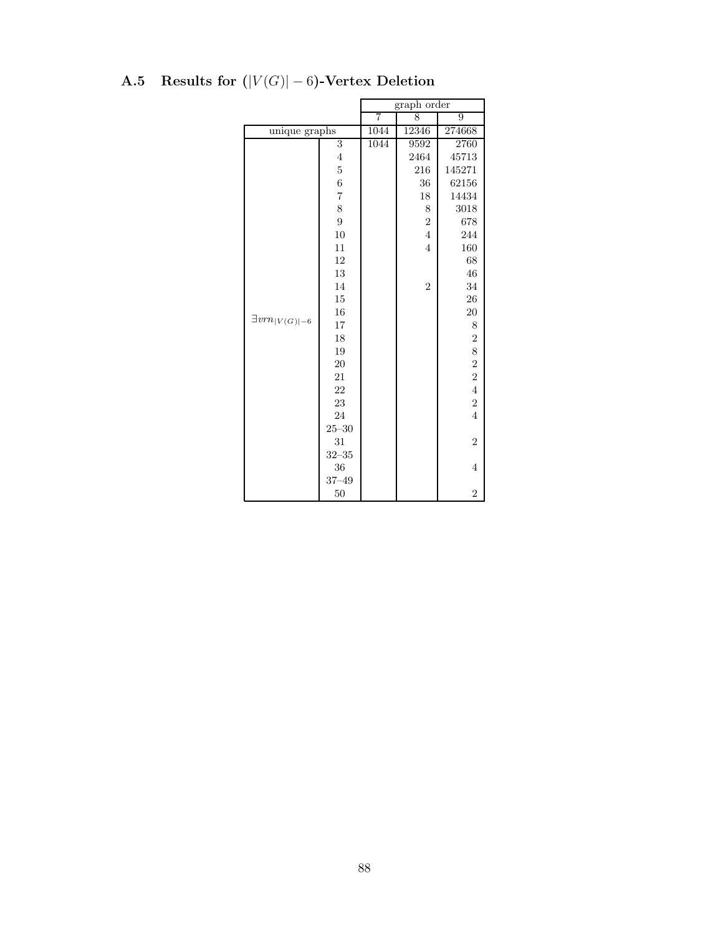|                                        |                |                | graph order             |                         |
|----------------------------------------|----------------|----------------|-------------------------|-------------------------|
|                                        |                | $\overline{7}$ | 8                       | 9                       |
| unique graphs                          |                |                | 1044<br>274668<br>12346 |                         |
|                                        | 3              | 1044           | 9592                    | 2760                    |
|                                        | $\overline{4}$ |                | 2464                    | 45713                   |
|                                        | $\bf 5$        |                | 216                     | 145271                  |
|                                        | $\overline{6}$ |                | 36                      | 62156                   |
|                                        | $\overline{7}$ |                | 18                      | 14434                   |
|                                        | 8              |                | 8                       | 3018                    |
|                                        | $\overline{9}$ |                | $\overline{2}$          | 678                     |
|                                        | 10             |                | $\overline{4}$          | 244                     |
|                                        | 11             |                | $\overline{4}$          | 160                     |
|                                        | 12             |                |                         | 68                      |
|                                        | 13             |                |                         | 46                      |
|                                        | 14             |                | $\overline{2}$          | 34                      |
|                                        | 15             |                |                         | 26                      |
| $\exists vrn_{\lvert V(G) \rvert - 6}$ | 16             |                |                         | $20\,$                  |
|                                        | 17             |                |                         | 8                       |
|                                        | 18             |                |                         | $\overline{c}$          |
|                                        | 19             |                |                         | 8                       |
|                                        | 20             |                |                         | $\overline{\mathbf{2}}$ |
|                                        | 21             |                |                         | $\overline{2}$          |
|                                        | 22             |                |                         | $\overline{4}$          |
|                                        | 23             |                |                         | $\overline{2}$          |
|                                        | 24             |                |                         | $\overline{4}$          |
|                                        | $25 - 30$      |                |                         |                         |
|                                        | 31             |                |                         | $\overline{2}$          |
|                                        | $32 - 35$      |                |                         |                         |
|                                        | 36             |                |                         | $\overline{4}$          |
|                                        | $37 - 49$      |                |                         |                         |
|                                        | 50             |                |                         | $\overline{2}$          |

# A.5 Results for  $(|V(G)| - 6)$ -Vertex Deletion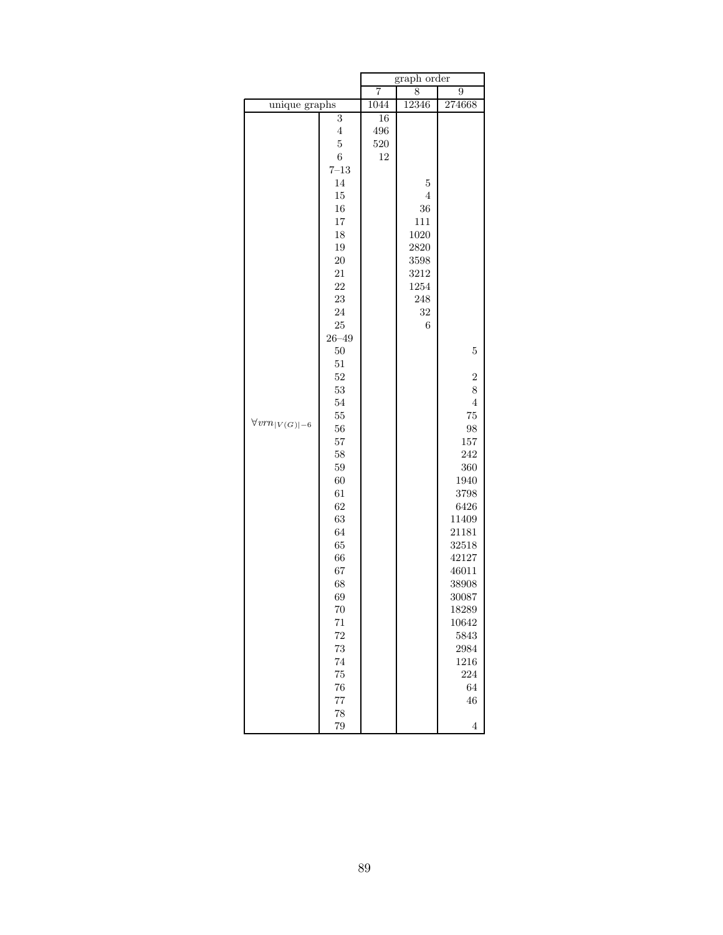|                                                         |                                                                                                                                                                                                                                                                                                                                       |                        | graph order                                                                   |                                                                                                                                                                                                                                              |
|---------------------------------------------------------|---------------------------------------------------------------------------------------------------------------------------------------------------------------------------------------------------------------------------------------------------------------------------------------------------------------------------------------|------------------------|-------------------------------------------------------------------------------|----------------------------------------------------------------------------------------------------------------------------------------------------------------------------------------------------------------------------------------------|
|                                                         |                                                                                                                                                                                                                                                                                                                                       | 7                      | 8                                                                             | 9                                                                                                                                                                                                                                            |
|                                                         |                                                                                                                                                                                                                                                                                                                                       | 1044                   | 12346                                                                         | 274668                                                                                                                                                                                                                                       |
| unique graphs<br>$\forall vrn_{\lvert V(G) \rvert - 6}$ | 3<br>4<br>$\overline{5}$<br>$\,6$<br>$7 - 13$<br>14<br>15<br>16<br>17<br>18<br>19<br>20<br>21<br>22<br>23<br>24<br>25<br>$26 - 49$<br>50<br>51<br>52<br>53<br>$54\,$<br>55<br>56<br>57<br>58<br>59<br>60<br>61<br>62<br>63<br>64<br>65<br>66<br>67<br>68<br>69<br>70<br>$71\,$<br>$\sqrt{72}$<br>73<br>74<br>75<br>76<br>$77\,$<br>78 | 16<br>496<br>520<br>12 | 5<br>4<br>36<br>111<br>1020<br>2820<br>3598<br>3212<br>1254<br>248<br>32<br>6 | $\overline{5}$<br>$\overline{2}$<br>8<br>$\overline{4}$<br>75<br>98<br>157<br>242<br>360<br>1940<br>3798<br>6426<br>11409<br>21181<br>32518<br>42127<br>46011<br>38908<br>30087<br>18289<br>10642<br>5843<br>2984<br>1216<br>224<br>64<br>46 |
|                                                         | 79                                                                                                                                                                                                                                                                                                                                    |                        |                                                                               | $\overline{4}$                                                                                                                                                                                                                               |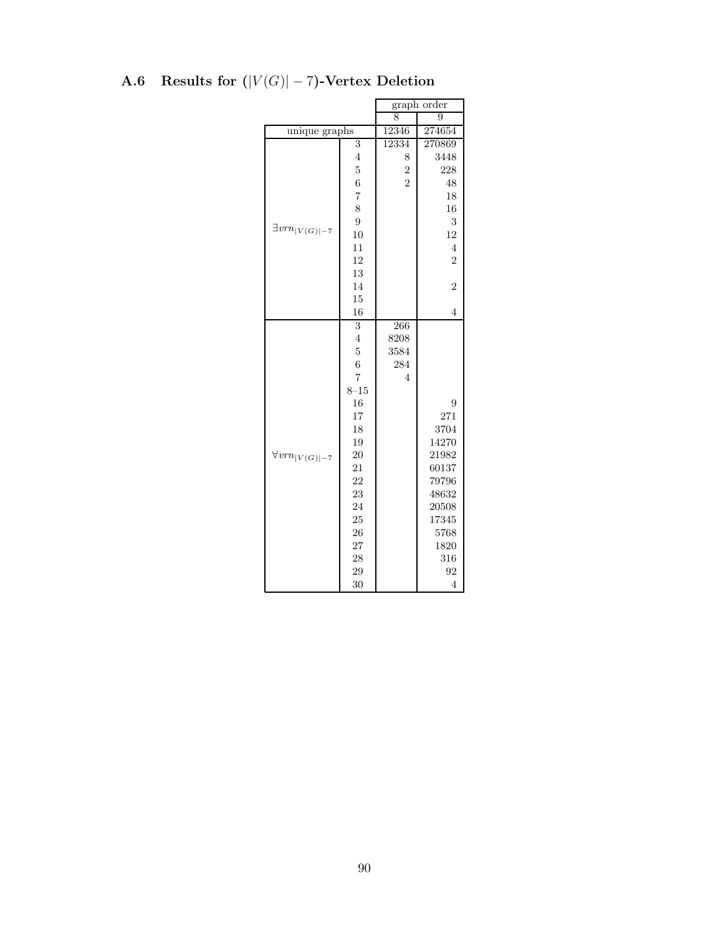|                          |                  | $graph\ order$  |                |  |
|--------------------------|------------------|-----------------|----------------|--|
|                          |                  |                 | 9              |  |
| unique graphs            |                  | 12346<br>274654 |                |  |
|                          | 3                | 12334           | 270869         |  |
|                          | $\overline{4}$   | 8               | 3448           |  |
|                          | $\overline{5}$   | $\frac{2}{2}$   | 228            |  |
|                          | 6                |                 | 48             |  |
|                          | $\overline{7}$   |                 | 18             |  |
|                          | 8                |                 | 16             |  |
|                          | 9                |                 | 3              |  |
| $\exists vrn_{ V(G) -7}$ | 10               |                 | 12             |  |
|                          | 11               |                 | $\overline{4}$ |  |
|                          | 12               |                 | $\overline{2}$ |  |
|                          | 13               |                 |                |  |
|                          | 14               |                 | $\overline{2}$ |  |
|                          | 15               |                 |                |  |
|                          | 16               |                 | $\overline{4}$ |  |
|                          | 3                | 266             |                |  |
|                          | $\overline{4}$   | 8208            |                |  |
|                          | $\overline{5}$   | 3584            |                |  |
|                          | $\boldsymbol{6}$ | 284             |                |  |
|                          | $\overline{7}$   | 4               |                |  |
|                          | $8 - 15$         |                 |                |  |
|                          | 16               |                 | 9              |  |
|                          | 17               |                 | 271            |  |
|                          | 18               |                 | 3704           |  |
|                          | 19               |                 | 14270          |  |
| $\forall v m_{ V(G) -7}$ | 20               |                 | 21982          |  |
|                          | 21               |                 | 60137          |  |
|                          | 22               |                 | 79796          |  |
|                          | 23               |                 | 48632          |  |
|                          | 24               |                 | 20508          |  |
|                          | 25               |                 | 17345          |  |
|                          | 26               |                 | 5768           |  |
|                          | 27               |                 | 1820           |  |
|                          | 28               |                 | 316            |  |
|                          | 29               |                 | 92             |  |
|                          | 30               |                 | $\overline{4}$ |  |

# A.6 Results for  $(|V(G)|-7)$ -Vertex Deletion